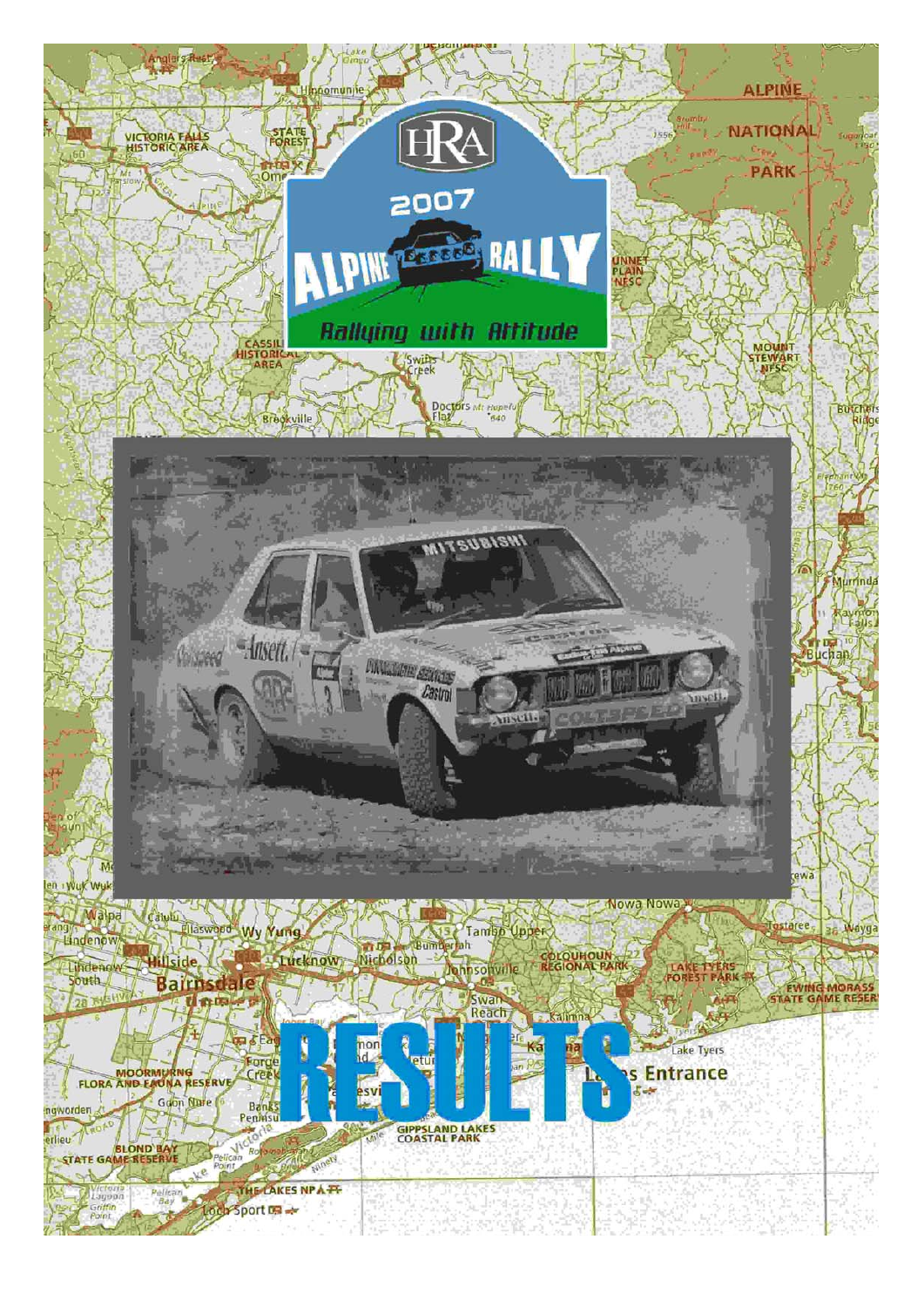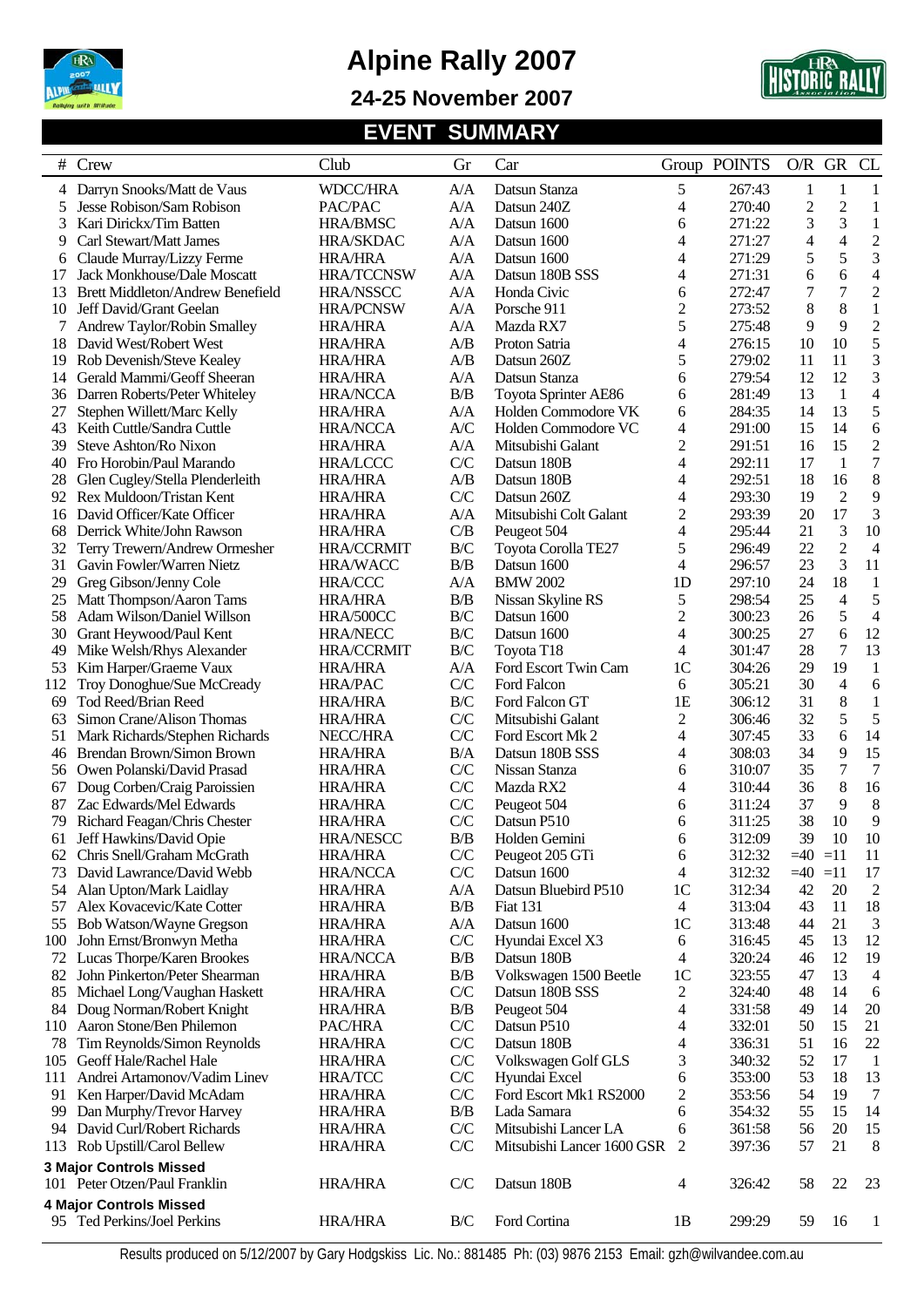

**24-25 November 2007** 



### **EVENT SUMMARY**

|     | # Crew                             | Club              | Gr                      | Car                        |                | Group POINTS | $O/R$ GR  |                | CL             |
|-----|------------------------------------|-------------------|-------------------------|----------------------------|----------------|--------------|-----------|----------------|----------------|
|     | 4 Darryn Snooks/Matt de Vaus       | <b>WDCC/HRA</b>   | A/A                     | Datsun Stanza              | 5              | 267:43       | 1         | 1              | $\mathbf{1}$   |
| 5   | Jesse Robison/Sam Robison          | PAC/PAC           | A/A                     | Datsun 240Z                | 4              | 270:40       | 2         | $\mathfrak{2}$ | 1              |
| 3   | Kari Dirickx/Tim Batten            | <b>HRA/BMSC</b>   | A/A                     | Datsun 1600                | 6              | 271:22       | 3         | 3              | $\mathbf{1}$   |
| 9   | Carl Stewart/Matt James            | <b>HRA/SKDAC</b>  | A/A                     | Datsun 1600                | 4              | 271:27       | 4         | $\overline{4}$ | $\overline{c}$ |
| 6   | Claude Murray/Lizzy Ferme          | <b>HRA/HRA</b>    | A/A                     | Datsun 1600                | 4              | 271:29       | 5         | 5              | 3              |
| 17  | <b>Jack Monkhouse/Dale Moscatt</b> | <b>HRA/TCCNSW</b> | A/A                     | Datsun 180B SSS            | 4              | 271:31       | 6         | 6              | $\overline{4}$ |
| 13  | Brett Middleton/Andrew Benefield   | <b>HRA/NSSCC</b>  | A/A                     | Honda Civic                | 6              | 272:47       | 7         | 7              | $\overline{c}$ |
| 10  | Jeff David/Grant Geelan            | <b>HRA/PCNSW</b>  | A/A                     | Porsche 911                | 2              | 273:52       | 8         | 8              | 1              |
|     | Andrew Taylor/Robin Smalley        | <b>HRA/HRA</b>    | A/A                     | Mazda RX7                  | 5              | 275:48       | 9         | 9              | $\overline{2}$ |
| 18  | David West/Robert West             | <b>HRA/HRA</b>    | A/B                     | Proton Satria              | 4              | 276:15       | 10        | 10             | 5              |
| 19  | Rob Devenish/Steve Kealey          | <b>HRA/HRA</b>    | A/B                     | Datsun 260Z                | 5              | 279:02       | 11        | 11             | 3              |
| 14  | Gerald Mammi/Geoff Sheeran         | <b>HRA/HRA</b>    | A/A                     | Datsun Stanza              | 6              | 279:54       | 12        | 12             | 3              |
| 36  | Darren Roberts/Peter Whiteley      | <b>HRA/NCCA</b>   | B/B                     | Toyota Sprinter AE86       | 6              | 281:49       | 13        | $\mathbf{1}$   | 4              |
| 27  | Stephen Willett/Marc Kelly         | <b>HRA/HRA</b>    | A/A                     | Holden Commodore VK        | 6              | 284:35       | 14        | 13             | 5              |
| 43  | Keith Cuttle/Sandra Cuttle         | <b>HRA/NCCA</b>   | A/C                     | Holden Commodore VC        | 4              | 291:00       | 15        | 14             | 6              |
| 39  | Steve Ashton/Ro Nixon              | <b>HRA/HRA</b>    | A/A                     | Mitsubishi Galant          | 2              | 291:51       | 16        | 15             | $\overline{c}$ |
| 40  | Fro Horobin/Paul Marando           | <b>HRA/LCCC</b>   | C/C                     | Datsun 180B                | 4              | 292:11       | 17        | $\mathbf{1}$   | $\overline{7}$ |
| 28  | Glen Cugley/Stella Plenderleith    | <b>HRA/HRA</b>    | A/B                     | Datsun 180B                | 4              | 292:51       | 18        | 16             | 8              |
| 92  | Rex Muldoon/Tristan Kent           | <b>HRA/HRA</b>    | C/C                     | Datsun 260Z                | 4              | 293:30       | 19        | $\sqrt{2}$     | 9              |
| 16  | David Officer/Kate Officer         | <b>HRA/HRA</b>    | A/A                     | Mitsubishi Colt Galant     | $\overline{c}$ | 293:39       | 20        | 17             | 3              |
| 68  | Derrick White/John Rawson          | <b>HRA/HRA</b>    | C/B                     | Peugeot 504                | 4              | 295:44       | 21        | 3              | 10             |
| 32  | Terry Trewern/Andrew Ormesher      | <b>HRA/CCRMIT</b> | $\rm B/C$               | Toyota Corolla TE27        | 5              | 296:49       | 22        | $\overline{c}$ | 4              |
| 31  | Gavin Fowler/Warren Nietz          | <b>HRA/WACC</b>   | B/B                     | Datsun 1600                | 4              | 296:57       | 23        | 3              | 11             |
| 29  | Greg Gibson/Jenny Cole             | <b>HRA/CCC</b>    | A/A                     | <b>BMW 2002</b>            | 1D             | 297:10       | 24        | 18             | $\mathbf{1}$   |
| 25  | Matt Thompson/Aaron Tams           | <b>HRA/HRA</b>    | B/B                     | Nissan Skyline RS          | 5              | 298:54       | 25        | $\overline{4}$ | 5              |
| 58  | Adam Wilson/Daniel Willson         | HRA/500CC         | B/C                     | Datsun 1600                | 2              | 300:23       | 26        | 5              | $\overline{4}$ |
| 30  | Grant Heywood/Paul Kent            | <b>HRA/NECC</b>   | $\rm B/C$               | Datsun 1600                | 4              | 300:25       | 27        | 6              | 12             |
| 49  | Mike Welsh/Rhys Alexander          | <b>HRA/CCRMIT</b> | $\mathbf{B}/\mathbf{C}$ | Toyota T18                 | 4              | 301:47       | 28        | 7              | 13             |
| 53  | Kim Harper/Graeme Vaux             | <b>HRA/HRA</b>    | A/A                     | Ford Escort Twin Cam       | 1 <sup>C</sup> | 304:26       | 29        | 19             | 1              |
| 112 | Troy Donoghue/Sue McCready         | <b>HRA/PAC</b>    | C/C                     | Ford Falcon                | 6              | 305:21       | 30        | $\overline{4}$ | 6              |
| 69  | Tod Reed/Brian Reed                | <b>HRA/HRA</b>    | B/C                     | Ford Falcon GT             | 1E             | 306:12       | 31        | 8              | 1              |
| 63  | Simon Crane/Alison Thomas          | <b>HRA/HRA</b>    | C/C                     | Mitsubishi Galant          | 2              | 306:46       | 32        | 5              | 5              |
| 51  | Mark Richards/Stephen Richards     | NECC/HRA          | C/C                     | Ford Escort Mk 2           | 4              | 307:45       | 33        | 6              | 14             |
| 46  | Brendan Brown/Simon Brown          | <b>HRA/HRA</b>    | B/A                     | Datsun 180B SSS            | 4              | 308:03       | 34        | 9              | 15             |
| 56  | Owen Polanski/David Prasad         | <b>HRA/HRA</b>    | C/C                     | Nissan Stanza              | 6              | 310:07       | 35        | $\tau$         | 7              |
| 67  | Doug Corben/Craig Paroissien       | <b>HRA/HRA</b>    | C/C                     | Mazda RX2                  | 4              | 310:44       | 36        | 8              | 16             |
| 87  | Zac Edwards/Mel Edwards            | <b>HRA/HRA</b>    | C/C                     | Peugeot 504                | 6              | 311:24       | 37        | 9              | 8              |
| 79  | Richard Feagan/Chris Chester       | <b>HRA/HRA</b>    | C/C                     | Datsun P510                | 6              | 311:25       | 38        | 10             | 9              |
| 61  | Jeff Hawkins/David Opie            | <b>HRA/NESCC</b>  | B/B                     | Holden Gemini              | 6              | 312:09       | 39        | 10             | 10             |
| 62  | Chris Snell/Graham McGrath         | <b>HRA/HRA</b>    | C/C                     | Peugeot 205 GTi            | 6              | 312:32       | $=40$ =11 |                | 11             |
| 73  | David Lawrance/David Webb          | <b>HRA/NCCA</b>   | C/C                     | Datsun 1600                | 4              | 312:32       | $=40$     | $=11$          | 17             |
| 54  | Alan Upton/Mark Laidlay            | <b>HRA/HRA</b>    | A/A                     | Datsun Bluebird P510       | 1 <sup>C</sup> | 312:34       | 42        | $20\,$         | $\overline{c}$ |
| 57  | Alex Kovacevic/Kate Cotter         | <b>HRA/HRA</b>    | B/B                     | <b>Fiat 131</b>            | 4              | 313:04       | 43        | 11             | 18             |
| 55  | Bob Watson/Wayne Gregson           | <b>HRA/HRA</b>    | A/A                     | Datsun 1600                | 1 <sup>C</sup> | 313:48       | 44        | 21             | 3              |
| 100 | John Ernst/Bronwyn Metha           | <b>HRA/HRA</b>    | C/C                     | Hyundai Excel X3           | 6              | 316:45       | 45        | 13             | 12             |
| 72  | Lucas Thorpe/Karen Brookes         | <b>HRA/NCCA</b>   | B/B                     | Datsun 180B                | 4              | 320:24       | 46        | 12             | 19             |
| 82  | John Pinkerton/Peter Shearman      | <b>HRA/HRA</b>    | B/B                     | Volkswagen 1500 Beetle     | 1 <sup>C</sup> | 323:55       | 47        | 13             | 4              |
| 85  | Michael Long/Vaughan Haskett       | <b>HRA/HRA</b>    | C/C                     | Datsun 180B SSS            | 2              | 324:40       | 48        | 14             | 6              |
| 84  | Doug Norman/Robert Knight          | <b>HRA/HRA</b>    | B/B                     | Peugeot 504                | 4              | 331:58       | 49        | 14             | 20             |
| 110 | Aaron Stone/Ben Philemon           | PAC/HRA           | C/C                     | Datsun P510                | 4              | 332:01       | 50        | 15             | 21             |
| 78  | Tim Reynolds/Simon Reynolds        | <b>HRA/HRA</b>    | C/C                     | Datsun 180B                | 4              | 336:31       | 51        | 16             | 22             |
| 105 | Geoff Hale/Rachel Hale             | <b>HRA/HRA</b>    | C/C                     | Volkswagen Golf GLS        | 3              | 340:32       | 52        | 17             | $\mathbf{1}$   |
| 111 | Andrei Artamonov/Vadim Linev       | <b>HRA/TCC</b>    | C/C                     | Hyundai Excel              | 6              | 353:00       | 53        | 18             | 13             |
| 91  | Ken Harper/David McAdam            | <b>HRA/HRA</b>    | C/C                     | Ford Escort Mk1 RS2000     | 2              | 353:56       | 54        | 19             | $\overline{7}$ |
| 99  | Dan Murphy/Trevor Harvey           | <b>HRA/HRA</b>    | B/B                     | Lada Samara                | 6              | 354:32       | 55        | 15             | 14             |
| 94  | David Curl/Robert Richards         | <b>HRA/HRA</b>    | C/C                     | Mitsubishi Lancer LA       | 6              | 361:58       | 56        | 20             | 15             |
| 113 | Rob Upstill/Carol Bellew           | <b>HRA/HRA</b>    | C/C                     | Mitsubishi Lancer 1600 GSR | 2              | 397:36       | 57        | 21             | 8              |
|     | <b>3 Major Controls Missed</b>     |                   |                         |                            |                |              |           |                |                |
|     | 101 Peter Otzen/Paul Franklin      | <b>HRA/HRA</b>    | C/C                     | Datsun 180B                | 4              | 326:42       | 58        | 22             | 23             |
|     | <b>4 Major Controls Missed</b>     |                   |                         |                            |                |              |           |                |                |
|     | 95 Ted Perkins/Joel Perkins        | <b>HRA/HRA</b>    | B/C                     | Ford Cortina               | 1 <sub>B</sub> | 299:29       | 59        | 16             | 1              |
|     |                                    |                   |                         |                            |                |              |           |                |                |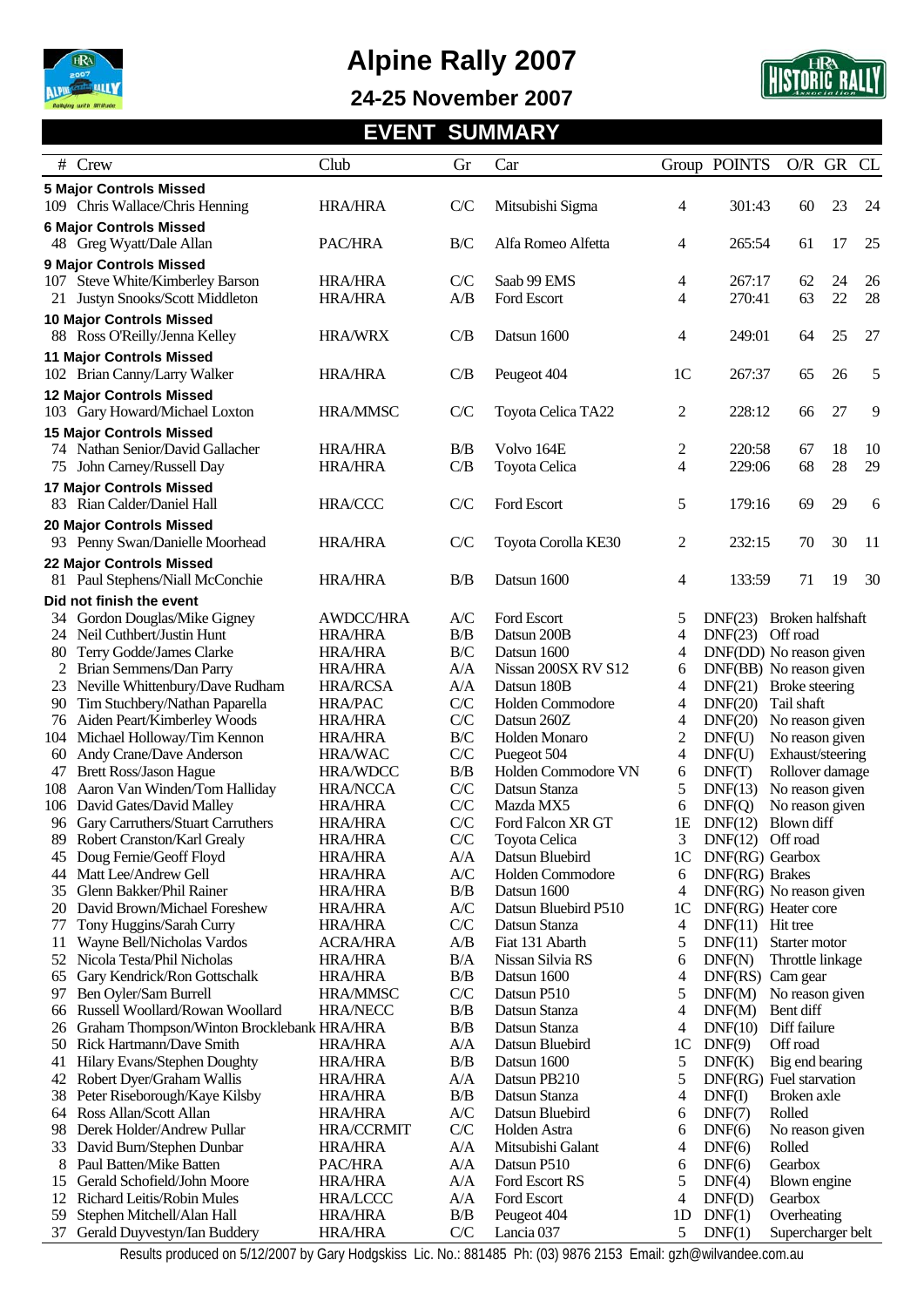

**24-25 November 2007** 



### **EVENT SUMMARY**

|          | # Crew                                                                                                                                                                                                                                                                                                                                                                               | Club                                | Gr               | Car                                 |                | Group POINTS                                       | O/R GR                    |    | CL |
|----------|--------------------------------------------------------------------------------------------------------------------------------------------------------------------------------------------------------------------------------------------------------------------------------------------------------------------------------------------------------------------------------------|-------------------------------------|------------------|-------------------------------------|----------------|----------------------------------------------------|---------------------------|----|----|
|          | <b>5 Major Controls Missed</b>                                                                                                                                                                                                                                                                                                                                                       |                                     |                  |                                     |                |                                                    |                           |    |    |
|          | 109 Chris Wallace/Chris Henning                                                                                                                                                                                                                                                                                                                                                      | <b>HRA/HRA</b>                      | C/C              | Mitsubishi Sigma                    | 4              | 301:43                                             | 60                        | 23 | 24 |
|          | <b>6 Major Controls Missed</b><br>48 Greg Wyatt/Dale Allan                                                                                                                                                                                                                                                                                                                           | PAC/HRA                             | B/C              | Alfa Romeo Alfetta                  | 4              | 265:54                                             | 61                        | 17 | 25 |
|          | 9 Major Controls Missed                                                                                                                                                                                                                                                                                                                                                              |                                     |                  |                                     |                |                                                    |                           |    |    |
|          | 107 Steve White/Kimberley Barson                                                                                                                                                                                                                                                                                                                                                     | <b>HRA/HRA</b>                      | C/C              | Saab 99 EMS                         | 4              | 267:17                                             | 62                        | 24 | 26 |
| 21       | Justyn Snooks/Scott Middleton                                                                                                                                                                                                                                                                                                                                                        | <b>HRA/HRA</b>                      | A/B              | Ford Escort                         | 4              | 270:41                                             | 63                        | 22 | 28 |
|          | <b>10 Major Controls Missed</b>                                                                                                                                                                                                                                                                                                                                                      |                                     |                  |                                     |                |                                                    |                           |    |    |
|          | 88 Ross O'Reilly/Jenna Kelley                                                                                                                                                                                                                                                                                                                                                        | <b>HRA/WRX</b>                      | C/B              | Datsun 1600                         | 4              | 249:01                                             | 64                        | 25 | 27 |
|          | <b>11 Major Controls Missed</b>                                                                                                                                                                                                                                                                                                                                                      |                                     |                  |                                     |                |                                                    |                           |    |    |
|          | 102 Brian Canny/Larry Walker                                                                                                                                                                                                                                                                                                                                                         | <b>HRA/HRA</b>                      | C/B              | Peugeot 404                         | 1 <sup>C</sup> | 267:37                                             | 65                        | 26 | 5  |
|          | 12 Major Controls Missed                                                                                                                                                                                                                                                                                                                                                             |                                     |                  |                                     |                |                                                    |                           |    |    |
|          | 103 Gary Howard/Michael Loxton                                                                                                                                                                                                                                                                                                                                                       | HRA/MMSC                            | C/C              | Toyota Celica TA22                  | $\overline{c}$ | 228:12                                             | 66                        | 27 | 9  |
|          | <b>15 Major Controls Missed</b>                                                                                                                                                                                                                                                                                                                                                      |                                     |                  |                                     |                |                                                    |                           |    |    |
|          | 74 Nathan Senior/David Gallacher                                                                                                                                                                                                                                                                                                                                                     | <b>HRA/HRA</b>                      | B/B              | Volvo 164E                          | 2              | 220:58                                             | 67                        | 18 | 10 |
|          | 75 John Carney/Russell Day                                                                                                                                                                                                                                                                                                                                                           | <b>HRA/HRA</b>                      | C/B              | Toyota Celica                       | 4              | 229:06                                             | 68                        | 28 | 29 |
|          | <b>17 Major Controls Missed</b>                                                                                                                                                                                                                                                                                                                                                      |                                     |                  |                                     |                |                                                    |                           |    |    |
|          | 83 Rian Calder/Daniel Hall                                                                                                                                                                                                                                                                                                                                                           | <b>HRA/CCC</b>                      | C/C              | Ford Escort                         | 5              | 179:16                                             | 69                        | 29 | 6  |
|          | 20 Major Controls Missed                                                                                                                                                                                                                                                                                                                                                             |                                     |                  |                                     |                |                                                    |                           |    |    |
|          | 93 Penny Swan/Danielle Moorhead                                                                                                                                                                                                                                                                                                                                                      | <b>HRA/HRA</b>                      | C/C              | Toyota Corolla KE30                 | 2              | 232:15                                             | 70                        | 30 | 11 |
|          | 22 Major Controls Missed                                                                                                                                                                                                                                                                                                                                                             |                                     |                  |                                     |                |                                                    |                           |    |    |
| 81       | Paul Stephens/Niall McConchie                                                                                                                                                                                                                                                                                                                                                        | <b>HRA/HRA</b>                      | B/B              | Datsun 1600                         | 4              | 133:59                                             | 71                        | 19 | 30 |
|          | Did not finish the event                                                                                                                                                                                                                                                                                                                                                             |                                     |                  |                                     |                |                                                    |                           |    |    |
| 34       | Gordon Douglas/Mike Gigney                                                                                                                                                                                                                                                                                                                                                           | <b>AWDCC/HRA</b>                    | A/C              | Ford Escort                         | 5              | DNF(23)                                            | Broken halfshaft          |    |    |
|          | 24 Neil Cuthbert/Justin Hunt                                                                                                                                                                                                                                                                                                                                                         | <b>HRA/HRA</b>                      | B/B<br>$\rm B/C$ | Datsun 200B                         | 4              | DNF(23) Off road                                   |                           |    |    |
| 80<br>2  | Terry Godde/James Clarke<br>Brian Semmens/Dan Parry                                                                                                                                                                                                                                                                                                                                  | <b>HRA/HRA</b><br><b>HRA/HRA</b>    | A/A              | Datsun 1600<br>Nissan 200SX RV S12  | 4<br>6         | DNF(DD) No reason given<br>DNF(BB) No reason given |                           |    |    |
|          | 23 Neville Whittenbury/Dave Rudham                                                                                                                                                                                                                                                                                                                                                   | <b>HRA/RCSA</b>                     | A/A              | Datsun 180B                         | 4              | DNF(21) Broke steering                             |                           |    |    |
| 90       | Tim Stuchbery/Nathan Paparella                                                                                                                                                                                                                                                                                                                                                       | <b>HRA/PAC</b>                      | C/C              | Holden Commodore                    | 4              | DNF(20)                                            | Tail shaft                |    |    |
| 76       | Aiden Peart/Kimberley Woods                                                                                                                                                                                                                                                                                                                                                          | <b>HRA/HRA</b>                      | C/C              | Datsun 260Z                         | 4              | DNF(20)                                            | No reason given           |    |    |
| 104      | Michael Holloway/Tim Kennon                                                                                                                                                                                                                                                                                                                                                          | <b>HRA/HRA</b>                      | B/C              | Holden Monaro                       | 2              | DNF(U)                                             | No reason given           |    |    |
| 60       | Andy Crane/Dave Anderson                                                                                                                                                                                                                                                                                                                                                             | <b>HRA/WAC</b>                      | C/C              | Puegeot 504                         | 4              | DNF(U)                                             | Exhaust/steering          |    |    |
| 47       | <b>Brett Ross/Jason Hague</b>                                                                                                                                                                                                                                                                                                                                                        | HRA/WDCC                            | B/B              | Holden Commodore VN                 | 6              | DNF(T)                                             | Rollover damage           |    |    |
| 108      | Aaron Van Winden/Tom Halliday                                                                                                                                                                                                                                                                                                                                                        | <b>HRA/NCCA</b>                     | C/C              | Datsun Stanza                       | 5              | DNF(13)                                            | No reason given           |    |    |
| 106      | David Gates/David Malley                                                                                                                                                                                                                                                                                                                                                             | <b>HRA/HRA</b>                      | C/C              | Mazda MX5                           | 6              | DNF(Q)                                             | No reason given           |    |    |
| 96       | Gary Carruthers/Stuart Carruthers                                                                                                                                                                                                                                                                                                                                                    | <b>HRA/HRA</b>                      | C/C              | Ford Falcon XR GT                   | 1E             | DNF(12)                                            | Blown diff                |    |    |
| 89       | Robert Cranston/Karl Grealy                                                                                                                                                                                                                                                                                                                                                          | HRA/HRA                             | C/C              | Toyota Celica                       | 3              | DNF(12) Off road                                   |                           |    |    |
|          | 45 Doug Fernie/Geoff Floyd                                                                                                                                                                                                                                                                                                                                                           | <b>HRA/HRA</b>                      | A/A              | Datsun Bluebird                     | 1C             | DNF(RG) Gearbox                                    |                           |    |    |
| 44<br>35 | Matt Lee/Andrew Gell<br>Glenn Bakker/Phil Rainer                                                                                                                                                                                                                                                                                                                                     | <b>HRA/HRA</b>                      | A/C<br>B/B       | Holden Commodore                    | 6              | DNF(RG) Brakes                                     |                           |    |    |
| 20       | David Brown/Michael Foreshew                                                                                                                                                                                                                                                                                                                                                         | <b>HRA/HRA</b><br><b>HRA/HRA</b>    | A/C              | Datsun 1600<br>Datsun Bluebird P510 | 4<br>1C        | DNF(RG) No reason given<br>DNF(RG) Heater core     |                           |    |    |
| 77       | Tony Huggins/Sarah Curry                                                                                                                                                                                                                                                                                                                                                             | <b>HRA/HRA</b>                      | C/C              | Datsun Stanza                       | 4              | $DNF(11)$ Hit tree                                 |                           |    |    |
| 11       | Wayne Bell/Nicholas Vardos                                                                                                                                                                                                                                                                                                                                                           | <b>ACRA/HRA</b>                     | A/B              | Fiat 131 Abarth                     | 5              | DNF(11)                                            | Starter motor             |    |    |
|          | 52 Nicola Testa/Phil Nicholas                                                                                                                                                                                                                                                                                                                                                        | <b>HRA/HRA</b>                      | B/A              | Nissan Silvia RS                    | 6              | DNF(N)                                             | Throttle linkage          |    |    |
| 65       | Gary Kendrick/Ron Gottschalk                                                                                                                                                                                                                                                                                                                                                         | <b>HRA/HRA</b>                      | B/B              | Datsun 1600                         | 4              | DNF(RS) Cam gear                                   |                           |    |    |
| 97       | Ben Oyler/Sam Burrell                                                                                                                                                                                                                                                                                                                                                                | <b>HRA/MMSC</b>                     | C/C              | Datsun P510                         | 5              | DNF(M) No reason given                             |                           |    |    |
| 66       | Russell Woollard/Rowan Woollard                                                                                                                                                                                                                                                                                                                                                      | <b>HRA/NECC</b>                     | B/B              | Datsun Stanza                       | 4              | DNF(M)                                             | Bent diff                 |    |    |
| 26       | Graham Thompson/Winton Brocklebank HRA/HRA                                                                                                                                                                                                                                                                                                                                           |                                     | B/B              | Datsun Stanza                       | 4              | DNF(10)                                            | Diff failure              |    |    |
| 50       | Rick Hartmann/Dave Smith                                                                                                                                                                                                                                                                                                                                                             | <b>HRA/HRA</b>                      | A/A              | Datsun Bluebird                     | 1C             | DNF(9)                                             | Off road                  |    |    |
| 41       | Hilary Evans/Stephen Doughty                                                                                                                                                                                                                                                                                                                                                         | <b>HRA/HRA</b>                      | B/B              | Datsun 1600                         | 5              | DNF(K)                                             | Big end bearing           |    |    |
| 42       | Robert Dyer/Graham Wallis                                                                                                                                                                                                                                                                                                                                                            | <b>HRA/HRA</b>                      | A/A              | Datsun PB210                        | 5              | DNF(RG) Fuel starvation                            |                           |    |    |
| 38       | Peter Riseborough/Kaye Kilsby                                                                                                                                                                                                                                                                                                                                                        | <b>HRA/HRA</b>                      | B/B              | Datsun Stanza                       | 4              | DNF(I)                                             | Broken axle               |    |    |
| 64<br>98 | Ross Allan/Scott Allan<br>Derek Holder/Andrew Pullar                                                                                                                                                                                                                                                                                                                                 | <b>HRA/HRA</b><br><b>HRA/CCRMIT</b> | A/C<br>C/C       | Datsun Bluebird<br>Holden Astra     | 6              | DNF(7)<br>DNF(6)                                   | Rolled                    |    |    |
|          | 33 David Burn/Stephen Dunbar                                                                                                                                                                                                                                                                                                                                                         | <b>HRA/HRA</b>                      | A/A              | Mitsubishi Galant                   | 6<br>4         | DNF(6)                                             | No reason given<br>Rolled |    |    |
| 8        | Paul Batten/Mike Batten                                                                                                                                                                                                                                                                                                                                                              | PAC/HRA                             | A/A              | Datsun P510                         | 6              | DNF(6)                                             | Gearbox                   |    |    |
| 15       | Gerald Schofield/John Moore                                                                                                                                                                                                                                                                                                                                                          | <b>HRA/HRA</b>                      | A/A              | Ford Escort RS                      | 5              | DNF(4)                                             | Blown engine              |    |    |
| 12       | Richard Leitis/Robin Mules                                                                                                                                                                                                                                                                                                                                                           | <b>HRA/LCCC</b>                     | A/A              | Ford Escort                         | 4              | DNF(D)                                             | Gearbox                   |    |    |
| 59       | Stephen Mitchell/Alan Hall                                                                                                                                                                                                                                                                                                                                                           | <b>HRA/HRA</b>                      | B/B              | Peugeot 404                         | 1 <sub>D</sub> | DNF(1)                                             | Overheating               |    |    |
| 37       | Gerald Duyvestyn/Ian Buddery                                                                                                                                                                                                                                                                                                                                                         | <b>HRA/HRA</b>                      | C/C              | Lancia 037                          | 5              | DNF(1)                                             | Supercharger belt         |    |    |
|          | $\overline{1}$ $\overline{1}$ $\overline{1}$ $\overline{1}$ $\overline{1}$ $\overline{1}$ $\overline{1}$ $\overline{1}$ $\overline{1}$ $\overline{1}$ $\overline{1}$ $\overline{1}$ $\overline{1}$ $\overline{1}$ $\overline{1}$ $\overline{1}$ $\overline{1}$ $\overline{1}$ $\overline{1}$ $\overline{1}$ $\overline{1}$ $\overline{1}$ $\overline{1}$ $\overline{1}$ $\overline{$ |                                     |                  | 004 105 BL (00) 007/0450            |                |                                                    |                           |    |    |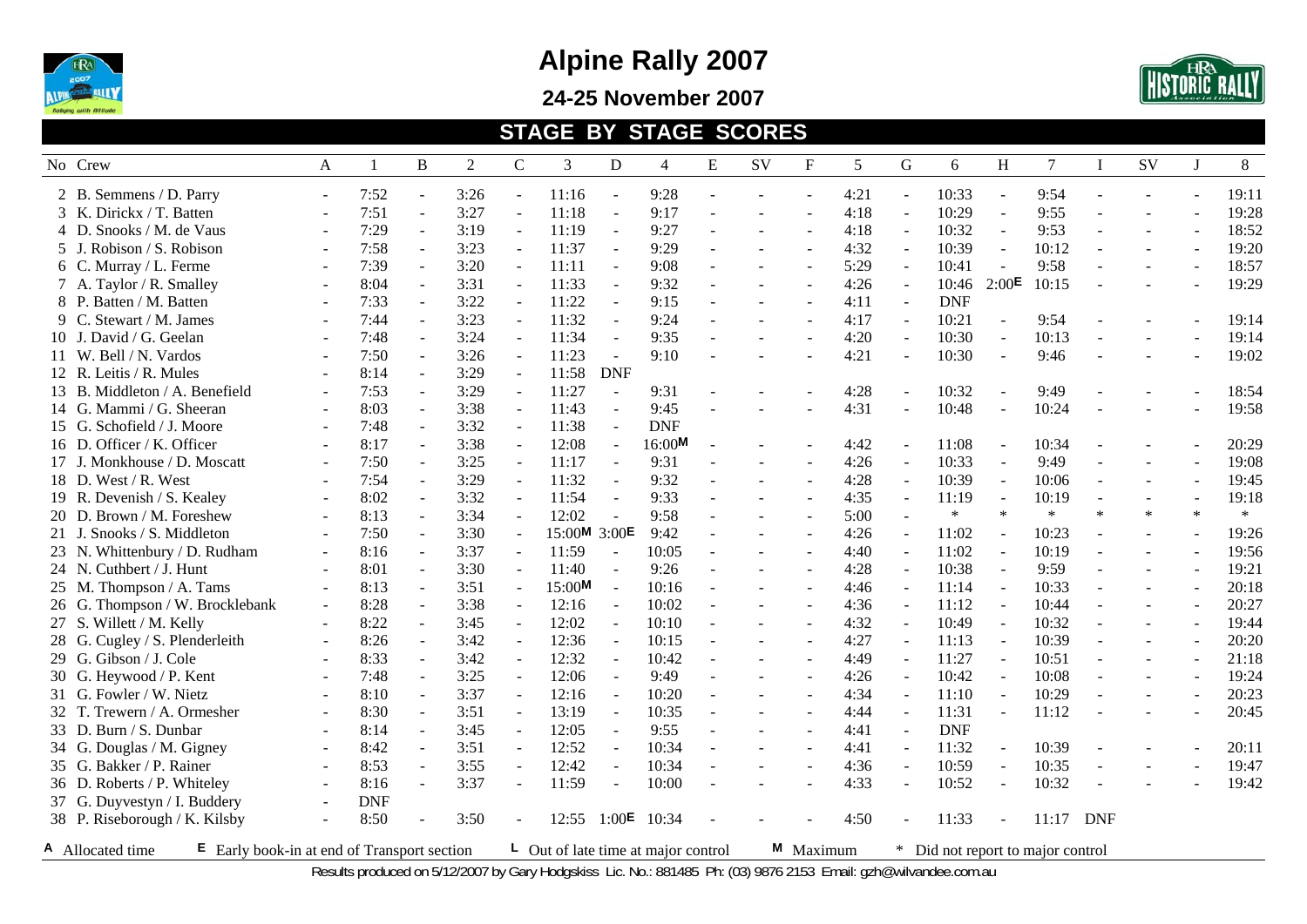

**24-25 November 2007** 



#### **STAGE BY STAGE SCORES**

| No Crew                                                         | A                        | $\mathbf{1}$ | B                        | 2    | $\mathbf C$              | 3                                         | D                        | $\overline{4}$ | ${\bf E}$ | <b>SV</b>      | $_{\rm F}$ | 5    | G              | 6                                 | H                        | $\tau$    | $\mathbf{I}$   | SV     | $\mathbf{J}$             | 8      |
|-----------------------------------------------------------------|--------------------------|--------------|--------------------------|------|--------------------------|-------------------------------------------|--------------------------|----------------|-----------|----------------|------------|------|----------------|-----------------------------------|--------------------------|-----------|----------------|--------|--------------------------|--------|
| 2 B. Semmens / D. Parry                                         | $\blacksquare$           | 7:52         | $\omega$                 | 3:26 | $\omega$                 | 11:16                                     | $\omega$                 | 9:28           |           |                |            | 4:21 |                | 10:33                             |                          | 9:54      |                |        |                          | 19:11  |
| 3 K. Dirickx / T. Batten                                        | $\sim$                   | 7:51         | $\mathbb{Z}^2$           | 3:27 | $\omega$                 | 11:18                                     | $\omega$                 | 9:17           |           | ٠              |            | 4:18 | $\sim$         | 10:29                             | $\sim$                   | 9:55      |                |        |                          | 19:28  |
| 4 D. Snooks / M. de Vaus                                        |                          | 7:29         | $\blacksquare$           | 3:19 | $\omega$                 | 11:19                                     | $\sim$                   | 9:27           |           |                |            | 4:18 |                | 10:32                             | $\sim$                   | 9:53      |                |        |                          | 18:52  |
| 5 J. Robison / S. Robison                                       | $\blacksquare$           | 7:58         | $\blacksquare$           | 3:23 | $\overline{\phantom{a}}$ | 11:37                                     | $\blacksquare$           | 9:29           |           |                |            | 4:32 |                | 10:39                             | $\overline{a}$           | 10:12     |                |        | $\overline{\phantom{a}}$ | 19:20  |
| 6 C. Murray / L. Ferme                                          | $\blacksquare$           | 7:39         | $\blacksquare$           | 3:20 | $\sim$                   | 11:11                                     | $\sim$                   | 9:08           |           |                |            | 5:29 |                | 10:41                             |                          | 9:58      |                |        | $\sim$                   | 18:57  |
| 7 A. Taylor / R. Smalley                                        | $\blacksquare$           | 8:04         | $\sim$                   | 3:31 |                          | 11:33                                     |                          | 9:32           |           |                |            | 4:26 |                | 10:46                             | 2:00E                    | 10:15     |                |        |                          | 19:29  |
| 8 P. Batten / M. Batten                                         |                          | 7:33         | $\sim$                   | 3:22 | $\sim$                   | 11:22                                     |                          | 9:15           |           |                |            | 4:11 |                | <b>DNF</b>                        |                          |           |                |        |                          |        |
| 9 C. Stewart / M. James                                         | $\overline{\phantom{a}}$ | 7:44         | $\omega$                 | 3:23 | $\overline{\phantom{a}}$ | 11:32                                     | $\sim$                   | 9:24           |           |                |            | 4:17 |                | 10:21                             |                          | 9:54      |                |        |                          | 19:14  |
| 10 J. David / G. Geelan                                         | $\sim$                   | 7:48         | $\omega$                 | 3:24 | $\sim$                   | 11:34                                     | $\sim$                   | 9:35           |           |                |            | 4:20 | $\sim$         | 10:30                             | $\sim$                   | 10:13     | $\overline{a}$ |        | $\sim$                   | 19:14  |
| 11 W. Bell / N. Vardos                                          | $\sim$                   | 7:50         | $\omega$                 | 3:26 | $\equiv$                 | 11:23                                     | $\blacksquare$           | 9:10           |           |                |            | 4:21 |                | 10:30                             | $\ddot{\phantom{1}}$     | 9:46      |                |        |                          | 19:02  |
| 12 R. Leitis / R. Mules                                         |                          | 8:14         | $\sim$                   | 3:29 | $\blacksquare$           | 11:58                                     | <b>DNF</b>               |                |           |                |            |      |                |                                   |                          |           |                |        |                          |        |
| 13 B. Middleton / A. Benefield                                  | $\blacksquare$           | 7:53         | $\blacksquare$           | 3:29 | $\sim$                   | 11:27                                     | $\overline{\phantom{a}}$ | 9:31           |           |                |            | 4:28 |                | 10:32                             |                          | 9:49      |                |        |                          | 18:54  |
| 14 G. Mammi / G. Sheeran                                        | $\blacksquare$           | 8:03         | $\blacksquare$           | 3:38 | $\sim$                   | 11:43                                     | $\sim$                   | 9:45           |           |                |            | 4:31 |                | 10:48                             |                          | 10:24     |                |        |                          | 19:58  |
| 15 G. Schofield / J. Moore                                      | $\blacksquare$           | 7:48         | $\sim$                   | 3:32 | $\sim$                   | 11:38                                     |                          | <b>DNF</b>     |           |                |            |      |                |                                   |                          |           |                |        |                          |        |
| 16 D. Officer / K. Officer                                      |                          | 8:17         | $\omega$                 | 3:38 | $\overline{\phantom{a}}$ | 12:08                                     | $\sim$                   | 16:00M         |           |                |            | 4:42 |                | 11:08                             |                          | 10:34     |                |        |                          | 20:29  |
| 17 J. Monkhouse / D. Moscatt                                    |                          | 7:50         | $\blacksquare$           | 3:25 | $\equiv$                 | 11:17                                     |                          | 9:31           |           |                |            | 4:26 |                | 10:33                             |                          | 9:49      |                |        |                          | 19:08  |
| 18 D. West / R. West                                            |                          | 7:54         | $\omega$                 | 3:29 | $\sim$                   | 11:32                                     | $\sim$                   | 9:32           |           |                |            | 4:28 | $\sim$         | 10:39                             | $\sim$                   | 10:06     | $\sim$         |        | $\overline{a}$           | 19:45  |
| 19 R. Devenish / S. Kealey                                      | $\blacksquare$           | 8:02         | $\omega$                 | 3:32 | $\sim$                   | 11:54                                     | $\omega$                 | 9:33           |           | $\overline{a}$ |            | 4:35 |                | 11:19                             | $\overline{a}$           | 10:19     |                |        | $\sim$                   | 19:18  |
| 20 D. Brown / M. Foreshew                                       | $\blacksquare$           | 8:13         | $\omega$                 | 3:34 | $\omega$                 | 12:02                                     | $\overline{\phantom{a}}$ | 9:58           |           | $\overline{a}$ |            | 5:00 |                | $\ast$                            | $\ast$                   | $\ast$    | $\ast$         | $\ast$ | $\ast$                   | $\ast$ |
| 21 J. Snooks / S. Middleton                                     | $\overline{\phantom{a}}$ | 7:50         | $\blacksquare$           | 3:30 |                          | 15:00M 3:00E                              |                          | 9:42           |           |                |            | 4:26 |                | 11:02                             |                          | 10:23     |                |        |                          | 19:26  |
| 23 N. Whittenbury / D. Rudham                                   | $\sim$                   | 8:16         | $\blacksquare$           | 3:37 | $\sim$                   | 11:59                                     | $\sim$                   | 10:05          |           |                |            | 4:40 |                | 11:02                             | $\overline{\phantom{a}}$ | 10:19     |                |        | $\sim$                   | 19:56  |
| 24 N. Cuthbert / J. Hunt                                        |                          | 8:01         | $\blacksquare$           | 3:30 |                          | 11:40                                     |                          | 9:26           |           |                |            | 4:28 |                | 10:38                             |                          | 9:59      |                |        | J.                       | 19:21  |
| 25 M. Thompson / A. Tams                                        | $\sim$                   | 8:13         | $\omega$                 | 3:51 | $\sim$                   | 15:00M                                    | $\sim$                   | 10:16          |           |                |            | 4:46 |                | 11:14                             |                          | 10:33     |                |        |                          | 20:18  |
| 26 G. Thompson / W. Brocklebank                                 | $\blacksquare$           | 8:28         | $\omega$                 | 3:38 |                          | 12:16                                     | $\sim$                   | 10:02          |           |                |            | 4:36 |                | 11:12                             |                          | 10:44     |                |        |                          | 20:27  |
| 27 S. Willett / M. Kelly                                        | $\blacksquare$           | 8:22         | $\blacksquare$           | 3:45 | $\omega$                 | 12:02                                     | $\blacksquare$           | 10:10          | $\sim$    |                |            | 4:32 | $\blacksquare$ | 10:49                             | $\sim$                   | 10:32     |                |        | $\sim$                   | 19:44  |
| 28 G. Cugley / S. Plenderleith                                  |                          | 8:26         | $\mathbb{L}$             | 3:42 | $\overline{\phantom{a}}$ | 12:36                                     | $\mathbb{Z}^2$           | 10:15          |           |                |            | 4:27 |                | 11:13                             | $\sim$                   | 10:39     |                |        |                          | 20:20  |
| 29 G. Gibson / J. Cole                                          | $\sim$                   | 8:33         | $\sim$                   | 3:42 | $\blacksquare$           | 12:32                                     | $\sim$                   | 10:42          |           |                |            | 4:49 |                | 11:27                             | $\sim$                   | 10:51     |                |        | $\overline{a}$           | 21:18  |
| 30 G. Heywood / P. Kent                                         | $\sim$                   | 7:48         | $\blacksquare$           | 3:25 | $\sim$                   | 12:06                                     |                          | 9:49           |           | ÷.             |            | 4:26 |                | 10:42                             |                          | 10:08     |                |        | $\sim$                   | 19:24  |
| 31 G. Fowler / W. Nietz                                         | $\blacksquare$           | 8:10         | $\blacksquare$           | 3:37 | $\sim$                   | 12:16                                     | $\blacksquare$           | 10:20          |           |                |            | 4:34 |                | 11:10                             |                          | 10:29     |                |        | $\blacksquare$           | 20:23  |
| 32 T. Trewern / A. Ormesher                                     |                          | 8:30         | $\overline{\phantom{a}}$ | 3:51 |                          | 13:19                                     |                          | 10:35          |           |                |            | 4:44 |                | 11:31                             |                          | 11:12     |                |        |                          | 20:45  |
| 33 D. Burn / S. Dunbar                                          |                          | 8:14         | $\omega$                 | 3:45 | $\sim$                   | 12:05                                     |                          | 9:55           |           |                |            | 4:41 |                | <b>DNF</b>                        |                          |           |                |        |                          |        |
| 34 G. Douglas / M. Gigney                                       | $\sim$                   | 8:42         | $\sim$                   | 3:51 | $\sim$                   | 12:52                                     | $\sim$                   | 10:34          |           |                |            | 4:41 |                | 11:32                             |                          | 10:39     |                |        |                          | 20:11  |
| 35 G. Bakker / P. Rainer                                        |                          | 8:53         | $\mathbf{r}$             | 3:55 | $\omega$                 | 12:42                                     | $\overline{\phantom{a}}$ | 10:34          |           |                |            | 4:36 | $\sim$         | 10:59                             | $\sim$                   | 10:35     |                |        |                          | 19:47  |
| 36 D. Roberts / P. Whiteley                                     | $\sim$                   | 8:16         | $\overline{a}$           | 3:37 | $\sim$                   | 11:59                                     | $\sim$                   | 10:00          |           |                |            | 4:33 |                | 10:52                             |                          | 10:32     |                |        |                          | 19:42  |
| 37 G. Duyvestyn / I. Buddery                                    | $\blacksquare$           | <b>DNF</b>   |                          |      |                          |                                           |                          |                |           |                |            |      |                |                                   |                          |           |                |        |                          |        |
| 38 P. Riseborough / K. Kilsby                                   | $\blacksquare$           | 8:50         |                          | 3:50 |                          |                                           | 12:55 $1:00E$            | 10:34          |           |                |            | 4:50 |                | 11:33                             |                          | 11:17 DNF |                |        |                          |        |
| A Allocated time<br>E Early book-in at end of Transport section |                          |              |                          |      |                          | $\perp$ Out of late time at major control |                          |                |           |                | M Maximum  |      |                | * Did not report to major control |                          |           |                |        |                          |        |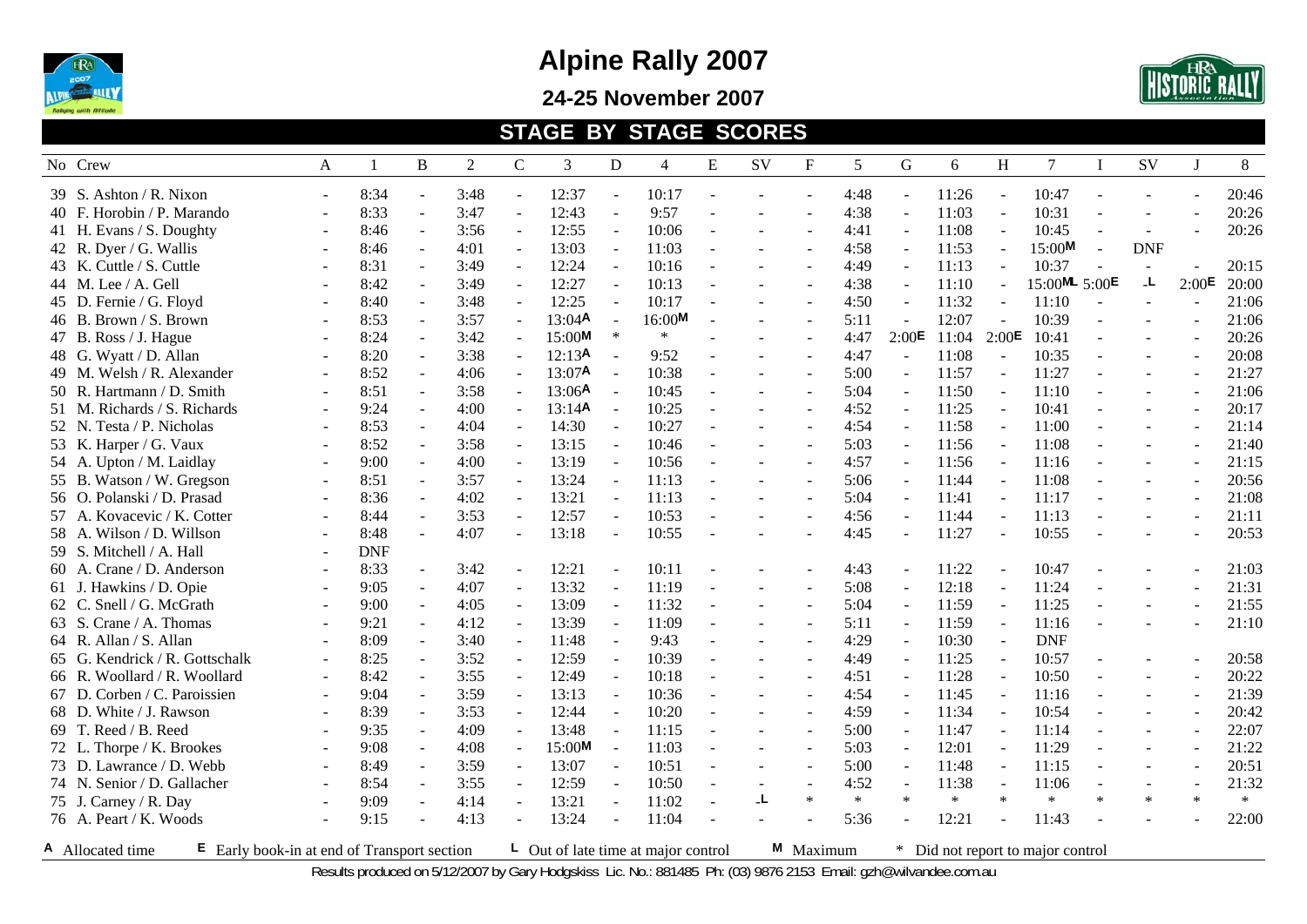

**24-25 November 2007** 



#### **STAGE BY STAGE SCORES**

| No Crew                                                           | A              | $\mathbf{1}$ | B                        | 2    | $\mathsf{C}$             | 3                  | D              | 4                                         | ${\bf E}$      | <b>SV</b>                | $_{\rm F}$ | 5      | G      | 6      | H                        | $\tau$                          | $\mathbf I$    | SV         | $\mathbf{J}$             | 8      |
|-------------------------------------------------------------------|----------------|--------------|--------------------------|------|--------------------------|--------------------|----------------|-------------------------------------------|----------------|--------------------------|------------|--------|--------|--------|--------------------------|---------------------------------|----------------|------------|--------------------------|--------|
| 39 S. Ashton / R. Nixon                                           | $\blacksquare$ | 8:34         | $\blacksquare$           | 3:48 | $\mathbf{r}$             | 12:37              |                | 10:17                                     |                |                          |            | 4:48   |        | 11:26  |                          | 10:47                           |                |            |                          | 20:46  |
| 40 F. Horobin / P. Marando                                        | $\blacksquare$ | 8:33         | $\sim$                   | 3:47 | $\blacksquare$           | 12:43              | $\sim$         | 9:57                                      |                |                          |            | 4:38   | $\sim$ | 11:03  | $\blacksquare$           | 10:31                           |                |            |                          | 20:26  |
| 41 H. Evans / S. Doughty                                          |                | 8:46         | $\blacksquare$           | 3:56 | $\sim$                   | 12:55              | $\sim$         | 10:06                                     |                | ÷.                       |            | 4:41   |        | 11:08  | $\overline{a}$           | 10:45                           |                | $\sim$     |                          | 20:26  |
| 42 R. Dyer / G. Wallis                                            | $\blacksquare$ | 8:46         | $\omega$                 | 4:01 | $\omega$                 | 13:03              | $\omega$       | 11:03                                     |                |                          |            | 4:58   |        | 11:53  | $\blacksquare$           | 15:00M                          | $\overline{a}$ | <b>DNF</b> |                          |        |
| 43 K. Cuttle / S. Cuttle                                          | $\blacksquare$ | 8:31         | $\blacksquare$           | 3:49 |                          | 12:24              |                | 10:16                                     |                |                          |            | 4:49   |        | 11:13  |                          | 10:37                           |                |            |                          | 20:15  |
| 44 M. Lee / A. Gell                                               | $\blacksquare$ | 8:42         | $\blacksquare$           | 3:49 |                          | 12:27              | $\sim$         | 10:13                                     |                |                          |            | 4:38   |        | 11:10  |                          | 15:00ML 5:00E                   |                | L.         | 2:00E                    | 20:00  |
| 45 D. Fernie / G. Floyd                                           |                | 8:40         | $\sim$                   | 3:48 |                          | 12:25              |                | 10:17                                     |                |                          |            | 4:50   |        | 11:32  |                          | 11:10                           |                |            |                          | 21:06  |
| 46 B. Brown / S. Brown                                            |                | 8:53         | $\sim$                   | 3:57 |                          | 13:04A             |                | 16:00M                                    |                |                          |            | 5:11   |        | 12:07  |                          | 10:39                           |                |            |                          | 21:06  |
| 47 B. Ross / J. Hague                                             | $\sim$         | 8:24         | $\omega$                 | 3:42 |                          | 15:00M             | $\ast$         | $\ast$                                    |                |                          |            | 4:47   | 2:00E  | 11:04  | 2:00E                    | 10:41                           |                |            |                          | 20:26  |
| 48 G. Wyatt / D. Allan                                            |                | 8:20         | $\blacksquare$           | 3:38 | $\overline{\phantom{a}}$ | 12:13A             | $\blacksquare$ | 9:52                                      |                |                          |            | 4:47   | $\sim$ | 11:08  | $\sim$                   | 10:35                           |                |            | $\sim$                   | 20:08  |
| 49 M. Welsh / R. Alexander                                        |                | 8:52         | $\blacksquare$           | 4:06 |                          | 13:07 <sup>A</sup> | $\blacksquare$ | 10:38                                     |                |                          |            | 5:00   |        | 11:57  | $\overline{\phantom{a}}$ | 11:27                           |                |            |                          | 21:27  |
| 50 R. Hartmann / D. Smith                                         | $\blacksquare$ | 8:51         | $\blacksquare$           | 3:58 | $\blacksquare$           | 13:06A             | $\sim$         | 10:45                                     | $\sim$         | $\overline{a}$           |            | 5:04   |        | 11:50  | $\blacksquare$           | 11:10                           |                |            |                          | 21:06  |
| 51 M. Richards / S. Richards                                      | $\sim$         | 9:24         | $\sim$                   | 4:00 | $\sim$                   | 13:14A             |                | 10:25                                     |                | ÷.                       |            | 4:52   |        | 11:25  |                          | 10:41                           |                |            | $\overline{a}$           | 20:17  |
| 52 N. Testa / P. Nicholas                                         | $\blacksquare$ | 8:53         | $\blacksquare$           | 4:04 | $\sim$                   | 14:30              |                | 10:27                                     |                | $\overline{a}$           |            | 4:54   |        | 11:58  |                          | 11:00                           |                | $\sim$     | $\overline{\phantom{a}}$ | 21:14  |
| 53 K. Harper / G. Vaux                                            | $\blacksquare$ | 8:52         | $\overline{\phantom{a}}$ | 3:58 |                          | 13:15              |                | 10:46                                     |                |                          |            | 5:03   |        | 11:56  |                          | 11:08                           |                |            | $\overline{\phantom{a}}$ | 21:40  |
| 54 A. Upton / M. Laidlay                                          |                | 9:00         | $\sim$                   | 4:00 | $\sim$                   | 13:19              |                | 10:56                                     |                |                          |            | 4:57   |        | 11:56  |                          | 11:16                           |                |            |                          | 21:15  |
| 55 B. Watson / W. Gregson                                         | $\blacksquare$ | 8:51         | $\omega$                 | 3:57 | $\blacksquare$           | 13:24              |                | 11:13                                     |                |                          |            | 5:06   |        | 11:44  |                          | 11:08                           |                |            |                          | 20:56  |
| 56 O. Polanski / D. Prasad                                        |                | 8:36         | $\sim$                   | 4:02 | $\mathbb{Z}^+$           | 13:21              | $\sim$         | 11:13                                     |                |                          |            | 5:04   |        | 11:41  | $\sim$                   | 11:17                           |                |            |                          | 21:08  |
| 57 A. Kovacevic / K. Cotter                                       | $\sim$         | 8:44         | $\omega$                 | 3:53 | $\omega$                 | 12:57              | $\omega$       | 10:53                                     |                | $\overline{a}$           |            | 4:56   |        | 11:44  | $\overline{a}$           | 11:13                           |                |            | $\sim$                   | 21:11  |
| 58 A. Wilson / D. Willson                                         |                | 8:48         |                          | 4:07 | $\overline{\phantom{a}}$ | 13:18              | $\blacksquare$ | 10:55                                     |                |                          |            | 4:45   |        | 11:27  |                          | 10:55                           |                |            |                          | 20:53  |
| 59 S. Mitchell / A. Hall                                          | $\sim$         | <b>DNF</b>   |                          |      |                          |                    |                |                                           |                |                          |            |        |        |        |                          |                                 |                |            |                          |        |
| 60 A. Crane / D. Anderson                                         | $\blacksquare$ | 8:33         | $\blacksquare$           | 3:42 |                          | 12:21              |                | 10:11                                     |                |                          |            | 4:43   |        | 11:22  |                          | 10:47                           |                |            |                          | 21:03  |
| 61 J. Hawkins / D. Opie                                           | $\sim$         | 9:05         | $\sim$                   | 4:07 | $\sim$                   | 13:32              |                | 11:19                                     |                |                          |            | 5:08   |        | 12:18  |                          | 11:24                           |                |            |                          | 21:31  |
| 62 C. Snell / G. McGrath                                          |                | 9:00         |                          | 4:05 |                          | 13:09              |                | 11:32                                     |                |                          |            | 5:04   |        | 11:59  |                          | 11:25                           |                |            |                          | 21:55  |
| 63 S. Crane / A. Thomas                                           | $\blacksquare$ | 9:21         | $\blacksquare$           | 4:12 | $\overline{\phantom{a}}$ | 13:39              |                | 11:09                                     |                |                          |            | 5:11   |        | 11:59  |                          | 11:16                           |                |            |                          | 21:10  |
| 64 R. Allan / S. Allan                                            |                | 8:09         | $\mathbf{r}$             | 3:40 | $\blacksquare$           | 11:48              | $\sim$         | 9:43                                      |                |                          |            | 4:29   |        | 10:30  | $\sim$                   | <b>DNF</b>                      |                |            |                          |        |
| 65 G. Kendrick / R. Gottschalk                                    |                | 8:25         | $\blacksquare$           | 3:52 | $\omega$                 | 12:59              | $\blacksquare$ | 10:39                                     |                | $\overline{\phantom{a}}$ |            | 4:49   | $\sim$ | 11:25  | $\blacksquare$           | 10:57                           |                |            |                          | 20:58  |
| 66 R. Woollard / R. Woollard                                      |                | 8:42         | $\sim$                   | 3:55 | $\sim$                   | 12:49              | $\sim$         | 10:18                                     |                |                          |            | 4:51   |        | 11:28  | $\sim$                   | 10:50                           |                |            | $\overline{a}$           | 20:22  |
| 67 D. Corben / C. Paroissien                                      | $\blacksquare$ | 9:04         | $\overline{\phantom{a}}$ | 3:59 | $\sim$                   | 13:13              | $\sim$         | 10:36                                     |                |                          |            | 4:54   |        | 11:45  |                          | 11:16                           |                |            |                          | 21:39  |
| 68 D. White / J. Rawson                                           | $\blacksquare$ | 8:39         | $\blacksquare$           | 3:53 | $\sim$                   | 12:44              |                | 10:20                                     |                |                          |            | 4:59   |        | 11:34  |                          | 10:54                           |                |            | $\sim$                   | 20:42  |
| 69 T. Reed / B. Reed                                              | $\blacksquare$ | 9:35         | $\blacksquare$           | 4:09 | $\sim$                   | 13:48              |                | 11:15                                     |                | $\overline{a}$           |            | 5:00   |        | 11:47  |                          | 11:14                           |                |            | $\overline{\phantom{a}}$ | 22:07  |
| 72 L. Thorpe / K. Brookes                                         |                | 9:08         | $\sim$                   | 4:08 |                          | 15:00M             |                | 11:03                                     |                |                          |            | 5:03   |        | 12:01  |                          | 11:29                           |                |            | $\overline{a}$           | 21:22  |
| 73 D. Lawrance / D. Webb                                          |                | 8:49         | $\sim$                   | 3:59 | $\sim$                   | 13:07              |                | 10:51                                     |                |                          |            | 5:00   |        | 11:48  |                          | 11:15                           |                |            |                          | 20:51  |
| 74 N. Senior / D. Gallacher                                       |                | 8:54         | $\blacksquare$           | 3:55 | $\blacksquare$           | 12:59              | $\sim$         | 10:50                                     |                |                          |            | 4:52   |        | 11:38  |                          | 11:06                           |                |            |                          | 21:32  |
| 75 J. Carney / R. Day                                             |                | 9:09         | $\overline{\phantom{a}}$ | 4:14 | $\omega$                 | 13:21              | $\blacksquare$ | 11:02                                     | $\overline{a}$ | L.                       | $\ast$     | $\ast$ | $\ast$ | $\ast$ | $\ast$                   | $\ast$                          | $\ast$         | $\ast$     | $\ast$                   | $\ast$ |
| 76 A. Peart / K. Woods                                            |                | 9:15         |                          | 4:13 | $\sim$                   | 13:24              | $\sim$         | 11:04                                     |                |                          |            | 5:36   |        | 12:21  |                          | 11:43                           |                |            |                          | 22:00  |
| A Allocated time<br>$E$ Early book-in at end of Transport section |                |              |                          |      |                          |                    |                | $\perp$ Out of late time at major control |                |                          | M Maximum  |        | $\ast$ |        |                          | Did not report to major control |                |            |                          |        |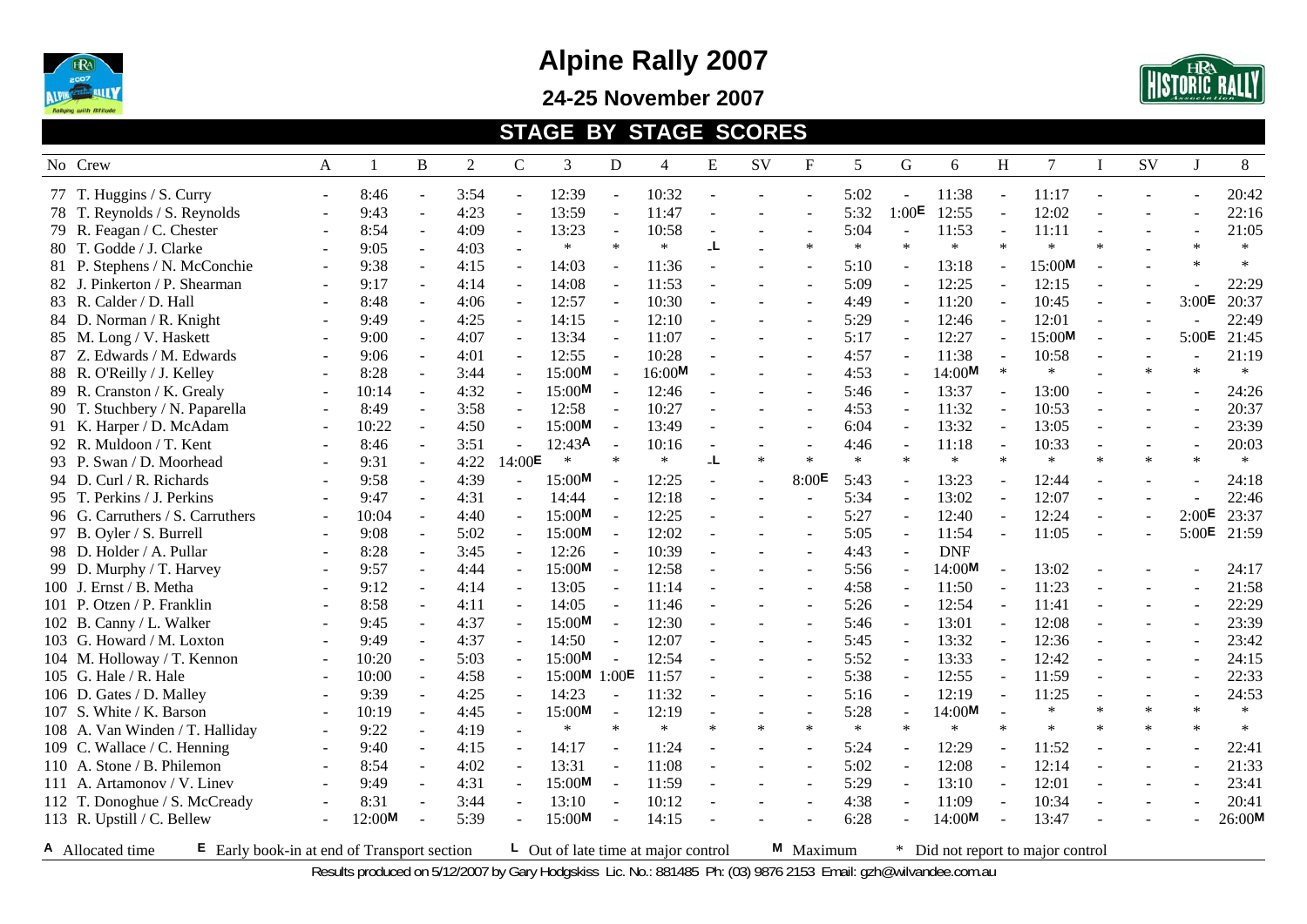

**24-25 November 2007** 



#### **STAGE BY STAGE SCORES**

| No Crew                          | A      | 1      | B                        | 2    | $\mathsf{C}$   | 3            | D        | 4      | E              | SV             | $\mathbf{F}$   | 5      | G                 | 6          | H              | $\tau$ | $\mathbf I$              | SV             | J              | 8      |
|----------------------------------|--------|--------|--------------------------|------|----------------|--------------|----------|--------|----------------|----------------|----------------|--------|-------------------|------------|----------------|--------|--------------------------|----------------|----------------|--------|
| 77 T. Huggins / S. Curry         | $\sim$ | 8:46   | $\blacksquare$           | 3:54 | $\blacksquare$ | 12:39        |          | 10:32  |                |                |                | 5:02   |                   | 11:38      |                | 11:17  |                          |                |                | 20:42  |
| 78 T. Reynolds / S. Reynolds     |        | 9:43   | $\blacksquare$           | 4:23 | $\omega$       | 13:59        | $\sim$   | 11:47  |                |                |                | 5:32   | 1:00 <sup>E</sup> | 12:55      | $\sim$         | 12:02  |                          |                |                | 22:16  |
| 79 R. Feagan / C. Chester        | $\sim$ | 8:54   | $\blacksquare$           | 4:09 | $\omega$       | 13:23        | $\sim$   | 10:58  | $\sim$         | ÷,             |                | 5:04   |                   | 11:53      | $\sim$         | 11:11  |                          |                |                | 21:05  |
| 80 T. Godde / J. Clarke          |        | 9:05   | $\overline{\phantom{a}}$ | 4:03 |                | $\ast$       | $\ast$   | $\ast$ | L.             |                | $\ast$         | $\ast$ | $\ast$            | $*$        | $\ast$         | $\ast$ | $\ast$                   |                | $\ast$         | $\ast$ |
| 81 P. Stephens / N. McConchie    |        | 9:38   | $\sim$                   | 4:15 | $\omega$       | 14:03        |          | 11:36  |                |                |                | 5:10   |                   | 13:18      |                | 15:00M |                          |                | $\ast$         | $\ast$ |
| 82 J. Pinkerton / P. Shearman    |        | 9:17   | $\overline{\phantom{a}}$ | 4:14 | $\omega$       | 14:08        |          | 11:53  | $\blacksquare$ | L,             |                | 5:09   |                   | 12:25      |                | 12:15  |                          |                |                | 22:29  |
| 83 R. Calder / D. Hall           | $\sim$ | 8:48   | $\sim$                   | 4:06 | $\omega$       | 12:57        | $\sim$   | 10:30  |                |                |                | 4:49   |                   | 11:20      |                | 10:45  |                          |                | 3:00E          | 20:37  |
| 84 D. Norman / R. Knight         |        | 9:49   | $\sim$                   | 4:25 | $\sim$         | 14:15        |          | 12:10  |                |                |                | 5:29   |                   | 12:46      |                | 12:01  |                          |                |                | 22:49  |
| 85 M. Long / V. Haskett          | $\sim$ | 9:00   | $\blacksquare$           | 4:07 | $\sim$         | 13:34        |          | 11:07  |                |                |                | 5:17   |                   | 12:27      |                | 15:00M | $\sim$                   | $\overline{a}$ | 5:00E          | 21:45  |
| 87 Z. Edwards / M. Edwards       |        | 9:06   | $\overline{a}$           | 4:01 |                | 12:55        |          | 10:28  |                |                |                | 4:57   |                   | 11:38      |                | 10:58  |                          |                |                | 21:19  |
| 88 R. O'Reilly / J. Kelley       |        | 8:28   | $\overline{a}$           | 3:44 |                | 15:00M       |          | 16:00M |                |                |                | 4:53   |                   | 14:00M     | $\ast$         | $\ast$ |                          | $\ast$         | $\ast$         | $\ast$ |
| 89 R. Cranston / K. Grealy       |        | 10:14  | $\blacksquare$           | 4:32 | $\blacksquare$ | 15:00M       |          | 12:46  |                |                |                | 5:46   |                   | 13:37      |                | 13:00  |                          |                |                | 24:26  |
| 90 T. Stuchbery / N. Paparella   |        | 8:49   | $\blacksquare$           | 3:58 | $\blacksquare$ | 12:58        |          | 10:27  |                |                |                | 4:53   |                   | 11:32      |                | 10:53  |                          |                |                | 20:37  |
| 91 K. Harper / D. McAdam         |        | 10:22  | $\blacksquare$           | 4:50 | $\sim$         | 15:00M       | $\omega$ | 13:49  |                |                | $\sim$         | 6:04   |                   | 13:32      | $\sim$         | 13:05  |                          |                |                | 23:39  |
| 92 R. Muldoon / T. Kent          |        | 8:46   | $\blacksquare$           | 3:51 | $\sim$         | 12:43A       |          | 10:16  | $\blacksquare$ | $\blacksquare$ |                | 4:46   |                   | 11:18      | $\sim$         | 10:33  |                          |                | $\blacksquare$ | 20:03  |
| 93 P. Swan / D. Moorhead         |        | 9:31   | $\sim$                   | 4:22 | 14:00E         | $\ast$       | $\ast$   | $\ast$ | L.             | $\ast$         | $\ast$         | $\ast$ | $\ast$            | $\ast$     | $\ast$         | $\ast$ | $\ast$                   | $\ast$         | $\ast$         | $\ast$ |
| 94 D. Curl / R. Richards         |        | 9:58   | $\blacksquare$           | 4:39 | $\sim$         | 15:00M       |          | 12:25  |                |                | 8:00E          | 5:43   |                   | 13:23      |                | 12:44  |                          |                |                | 24:18  |
| 95 T. Perkins / J. Perkins       | $\sim$ | 9:47   | $\blacksquare$           | 4:31 | $\sim$         | 14:44        | $\sim$   | 12:18  | $\overline{a}$ | ÷              | ÷.             | 5:34   |                   | 13:02      | $\overline{a}$ | 12:07  | $\overline{\phantom{a}}$ |                |                | 22:46  |
| 96 G. Carruthers / S. Carruthers | $\sim$ | 10:04  | $\sim$                   | 4:40 |                | 15:00M       |          | 12:25  | $\overline{a}$ | $\overline{a}$ |                | 5:27   |                   | 12:40      |                | 12:24  |                          |                | 2:00E          | 23:37  |
| 97 B. Oyler / S. Burrell         | $\sim$ | 9:08   | $\sim$                   | 5:02 | $\sim$         | 15:00M       |          | 12:02  |                |                |                | 5:05   |                   | 11:54      |                | 11:05  |                          |                | 5:00E          | 21:59  |
| 98 D. Holder / A. Pullar         |        | 8:28   | $\blacksquare$           | 3:45 |                | 12:26        |          | 10:39  |                |                |                | 4:43   |                   | <b>DNF</b> |                |        |                          |                |                |        |
| 99 D. Murphy / T. Harvey         |        | 9:57   |                          | 4:44 |                | 15:00M       |          | 12:58  |                |                |                | 5:56   |                   | 14:00M     |                | 13:02  |                          |                |                | 24:17  |
| 100 J. Ernst / B. Metha          |        | 9:12   | $\sim$                   | 4:14 | $\sim$         | 13:05        | $\sim$   | 11:14  |                |                |                | 4:58   |                   | 11:50      | $\overline{a}$ | 11:23  |                          |                |                | 21:58  |
| 101 P. Otzen / P. Franklin       |        | 8:58   | $\overline{a}$           | 4:11 | $\overline{a}$ | 14:05        | $\sim$   | 11:46  |                |                |                | 5:26   |                   | 12:54      |                | 11:41  |                          |                |                | 22:29  |
| 102 B. Canny / L. Walker         |        | 9:45   | $\blacksquare$           | 4:37 | $\sim$         | 15:00M       | $\omega$ | 12:30  |                |                | $\overline{a}$ | 5:46   |                   | 13:01      | $\sim$         | 12:08  |                          |                |                | 23:39  |
| 103 G. Howard / M. Loxton        |        | 9:49   | $\blacksquare$           | 4:37 | $\blacksquare$ | 14:50        | $\sim$   | 12:07  | $\blacksquare$ | -              |                | 5:45   |                   | 13:32      | $\sim$         | 12:36  |                          |                |                | 23:42  |
| 104 M. Holloway / T. Kennon      |        | 10:20  | $\blacksquare$           | 5:03 | $\omega$       | 15:00M       | $\sim$   | 12:54  |                | $\blacksquare$ |                | 5:52   |                   | 13:33      | $\sim$         | 12:42  |                          |                |                | 24:15  |
| 105 G. Hale / R. Hale            |        | 10:00  | $\blacksquare$           | 4:58 |                | 15:00M 1:00E |          | 11:57  |                |                |                | 5:38   |                   | 12:55      |                | 11:59  |                          |                |                | 22:33  |
| 106 D. Gates / D. Malley         |        | 9:39   | $\blacksquare$           | 4:25 | $\sim$         | 14:23        |          | 11:32  |                | L,             |                | 5:16   |                   | 12:19      |                | 11:25  |                          |                |                | 24:53  |
| 107 S. White / K. Barson         | $\sim$ | 10:19  | $\blacksquare$           | 4:45 |                | 15:00M       |          | 12:19  |                | -              |                | 5:28   |                   | 14:00M     |                | $\ast$ | $\ast$                   | $\ast$         | $\ast$         | $\ast$ |
| 108 A. Van Winden / T. Halliday  |        | 9:22   | $\omega$                 | 4:19 |                | $\ast$       | $\ast$   | $\ast$ | $\ast$         | $\ast$         | $\ast$         | $\ast$ | $\ast$            | $\ast$     | $\ast$         | $\ast$ | $\ast$                   | $\ast$         | $\ast$         | $\ast$ |
| 109 C. Wallace / C. Henning      | $\sim$ | 9:40   | $\sim$                   | 4:15 | $\sim$         | 14:17        |          | 11:24  |                |                |                | 5:24   |                   | 12:29      |                | 11:52  |                          |                |                | 22:41  |
| 110 A. Stone / B. Philemon       |        | 8:54   | $\overline{a}$           | 4:02 |                | 13:31        |          | 11:08  | $\overline{a}$ |                |                | 5:02   |                   | 12:08      |                | 12:14  |                          |                |                | 21:33  |
| 111 A. Artamonov / V. Linev      |        | 9:49   | $\sim$                   | 4:31 | $\sim$         | 15:00M       | $\sim$   | 11:59  |                |                |                | 5:29   |                   | 13:10      |                | 12:01  |                          |                |                | 23:41  |
| 112 T. Donoghue / S. McCready    |        | 8:31   | $\sim$                   | 3:44 | $\sim$         | 13:10        |          | 10:12  |                |                |                | 4:38   |                   | 11:09      |                | 10:34  |                          |                |                | 20:41  |
| 113 R. Upstill / C. Bellew       |        | 12:00M |                          | 5:39 |                | 15:00M       |          | 14:15  |                |                |                | 6:28   |                   | 14:00M     |                | 13:47  |                          |                |                | 26:00M |

**<sup>A</sup>** Allocated time **<sup>E</sup>** Early book-in at end of Transport section **<sup>L</sup>** Out of late time at major control **<sup>M</sup>** Maximum \* Did not report to major control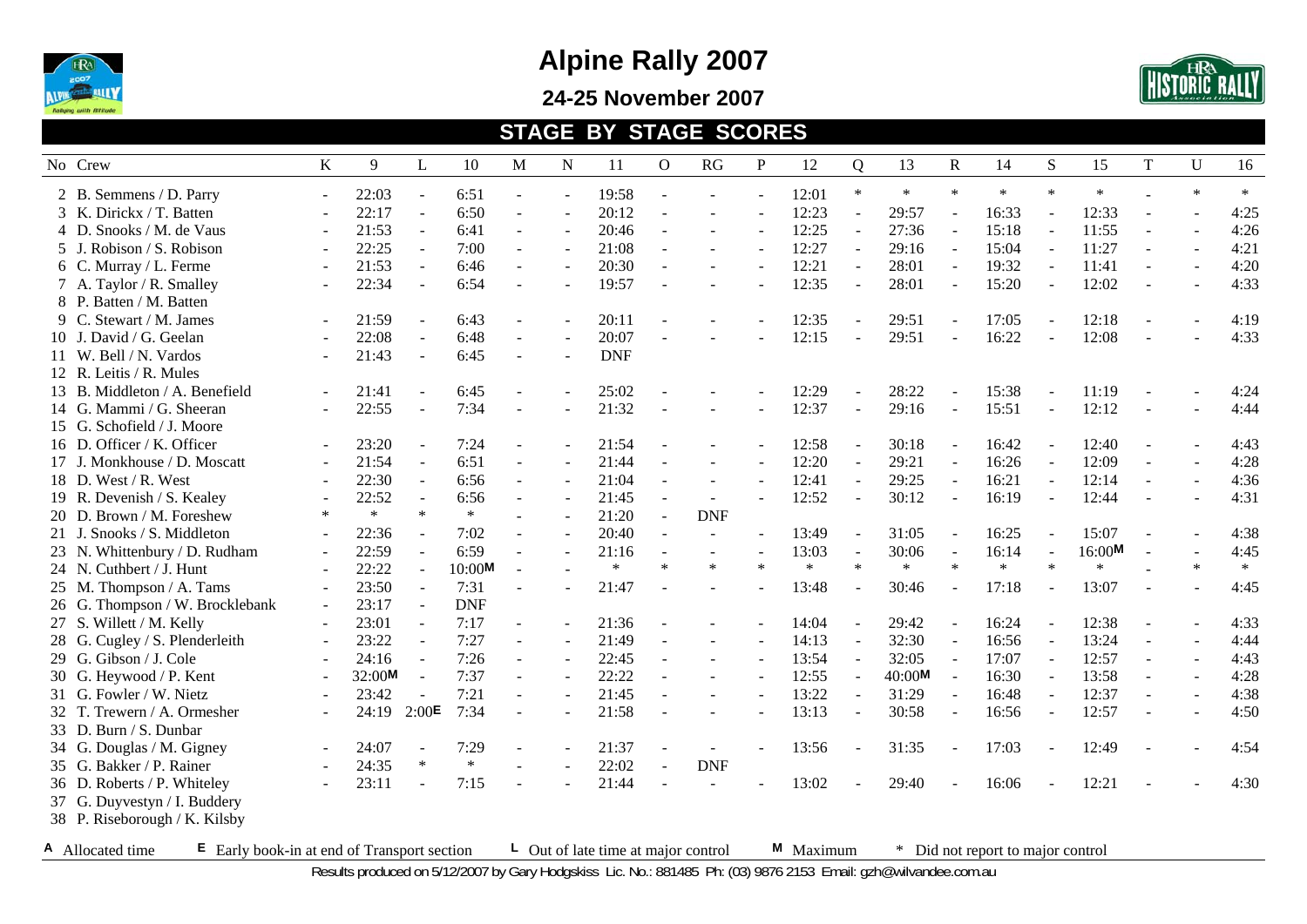

**24-25 November 2007** 



#### **STAGE BY STAGE SCORES**

| No Crew                                                           | K                        | 9      | L                        | 10         | М              | N                        | 11                                        | $\mathbf{O}$   | RG         | $\mathbf P$ | 12        | $\overline{Q}$           | 13     | $\mathbb{R}$             | 14                                | S      | 15     | T | U      | 16     |
|-------------------------------------------------------------------|--------------------------|--------|--------------------------|------------|----------------|--------------------------|-------------------------------------------|----------------|------------|-------------|-----------|--------------------------|--------|--------------------------|-----------------------------------|--------|--------|---|--------|--------|
| 2 B. Semmens / D. Parry                                           | $\sim$                   | 22:03  | $\sim$                   | 6:51       |                |                          | 19:58                                     |                |            |             | 12:01     | $\ast$                   | $\ast$ | $\ast$                   | $\ast$                            | $\ast$ | $\ast$ |   | $\ast$ | $\ast$ |
| 3 K. Dirickx / T. Batten                                          |                          | 22:17  | $\sim$                   | 6:50       |                | $\overline{a}$           | 20:12                                     |                |            |             | 12:23     | $\overline{\phantom{a}}$ | 29:57  |                          | 16:33                             |        | 12:33  |   |        | 4:25   |
| 4 D. Snooks / M. de Vaus                                          |                          | 21:53  | $\blacksquare$           | 6:41       | $\blacksquare$ | $\omega$                 | 20:46                                     | $\overline{a}$ |            |             | 12:25     | ÷,                       | 27:36  | $\overline{\phantom{a}}$ | 15:18                             | $\sim$ | 11:55  |   |        | 4:26   |
| 5 J. Robison / S. Robison                                         |                          | 22:25  | $\sim$                   | 7:00       |                | $\overline{a}$           | 21:08                                     |                |            |             | 12:27     | $\blacksquare$           | 29:16  | $\sim$                   | 15:04                             |        | 11:27  |   |        | 4:21   |
| 6 C. Murray / L. Ferme                                            |                          | 21:53  | $\sim$                   | 6:46       | $\sim$         | $\sim$                   | 20:30                                     | ÷,             |            |             | 12:21     |                          | 28:01  |                          | 19:32                             |        | 11:41  |   |        | 4:20   |
| 7 A. Taylor / R. Smalley                                          |                          | 22:34  |                          | 6:54       |                |                          | 19:57                                     |                |            |             | 12:35     |                          | 28:01  |                          | 15:20                             |        | 12:02  |   |        | 4:33   |
| 8 P. Batten / M. Batten                                           |                          |        |                          |            |                |                          |                                           |                |            |             |           |                          |        |                          |                                   |        |        |   |        |        |
| 9 C. Stewart / M. James                                           |                          | 21:59  | $\sim$                   | 6:43       |                |                          | 20:11                                     |                |            |             | 12:35     |                          | 29:51  |                          | 17:05                             |        | 12:18  |   |        | 4:19   |
| 10 J. David / G. Geelan                                           |                          | 22:08  | $\sim$                   | 6:48       |                |                          | 20:07                                     |                |            |             | 12:15     |                          | 29:51  |                          | 16:22                             |        | 12:08  |   |        | 4:33   |
| 11 W. Bell / N. Vardos                                            |                          | 21:43  | $\sim$                   | 6:45       |                |                          | <b>DNF</b>                                |                |            |             |           |                          |        |                          |                                   |        |        |   |        |        |
| 12 R. Leitis / R. Mules                                           |                          |        |                          |            |                |                          |                                           |                |            |             |           |                          |        |                          |                                   |        |        |   |        |        |
| 13 B. Middleton / A. Benefield                                    |                          | 21:41  |                          | 6:45       |                |                          | 25:02                                     |                |            |             | 12:29     |                          | 28:22  |                          | 15:38                             |        | 11:19  |   |        | 4:24   |
| 14 G. Mammi / G. Sheeran                                          |                          | 22:55  |                          | 7:34       |                |                          | 21:32                                     |                |            |             | 12:37     | $\blacksquare$           | 29:16  | $\blacksquare$           | 15:51                             |        | 12:12  |   |        | 4:44   |
| 15 G. Schofield / J. Moore                                        |                          |        |                          |            |                |                          |                                           |                |            |             |           |                          |        |                          |                                   |        |        |   |        |        |
| 16 D. Officer / K. Officer                                        | $\overline{\phantom{a}}$ | 23:20  | $\overline{\phantom{a}}$ | 7:24       |                |                          | 21:54                                     |                |            |             | 12:58     |                          | 30:18  |                          | 16:42                             |        | 12:40  |   |        | 4:43   |
| 17 J. Monkhouse / D. Moscatt                                      |                          | 21:54  | $\sim$                   | 6:51       |                |                          | 21:44                                     |                |            |             | 12:20     |                          | 29:21  |                          | 16:26                             |        | 12:09  |   |        | 4:28   |
| 18 D. West / R. West                                              |                          | 22:30  | $\omega$                 | 6:56       | $\mathbf{r}$   |                          | 21:04                                     |                |            |             | 12:41     | $\overline{a}$           | 29:25  | ÷.                       | 16:21                             |        | 12:14  |   |        | 4:36   |
| 19 R. Devenish / S. Kealey                                        |                          | 22:52  | $\sim$                   | 6:56       |                |                          | 21:45                                     | $\overline{a}$ |            |             | 12:52     | $\sim$                   | 30:12  | $\overline{a}$           | 16:19                             |        | 12:44  |   |        | 4:31   |
| 20 D. Brown / M. Foreshew                                         | $\ast$                   | $\ast$ | $\ast$                   | $\ast$     |                | $\overline{\phantom{a}}$ | 21:20                                     | $\equiv$       | <b>DNF</b> |             |           |                          |        |                          |                                   |        |        |   |        |        |
| 21 J. Snooks / S. Middleton                                       |                          | 22:36  |                          | 7:02       |                |                          | 20:40                                     | $\sim$         | $\sim$     |             | 13:49     |                          | 31:05  |                          | 16:25                             |        | 15:07  |   |        | 4:38   |
| 23 N. Whittenbury / D. Rudham                                     | $\sim$                   | 22:59  | $\sim$                   | 6:59       | $\blacksquare$ |                          | 21:16                                     | $\blacksquare$ |            |             | 13:03     |                          | 30:06  | $\sim$                   | 16:14                             |        | 16:00M |   |        | 4:45   |
| 24 N. Cuthbert / J. Hunt                                          | $\sim$                   | 22:22  |                          | 10:00M     | $\overline{a}$ |                          | $\ast$                                    | $\ast$         | $\ast$     | $\ast$      | $\ast$    | $\ast$                   | $\ast$ | $\ast$                   | $\ast$                            | $\ast$ | $\ast$ |   | $\ast$ | $\ast$ |
| 25 M. Thompson / A. Tams                                          | $\sim$                   | 23:50  | $\sim$                   | 7:31       |                |                          | 21:47                                     |                |            |             | 13:48     |                          | 30:46  |                          | 17:18                             |        | 13:07  |   |        | 4:45   |
| 26 G. Thompson / W. Brocklebank                                   | $\sim$                   | 23:17  |                          | <b>DNF</b> |                |                          |                                           |                |            |             |           |                          |        |                          |                                   |        |        |   |        |        |
| 27 S. Willett / M. Kelly                                          | $\sim$                   | 23:01  | $\overline{\phantom{a}}$ | 7:17       | $\overline{a}$ |                          | 21:36                                     |                |            |             | 14:04     | $\blacksquare$           | 29:42  |                          | 16:24                             |        | 12:38  |   |        | 4:33   |
| 28 G. Cugley / S. Plenderleith                                    |                          | 23:22  | $\blacksquare$           | 7:27       | $\mathbf{r}$   |                          | 21:49                                     | $\overline{a}$ |            |             | 14:13     | $\sim$                   | 32:30  | $\sim$                   | 16:56                             |        | 13:24  |   |        | 4:44   |
| 29 G. Gibson / J. Cole                                            |                          | 24:16  | $\omega$                 | 7:26       | $\blacksquare$ | $\omega$                 | 22:45                                     | ÷,             |            |             | 13:54     | $\overline{\phantom{a}}$ | 32:05  | $\omega$                 | 17:07                             | $\sim$ | 12:57  |   |        | 4:43   |
| 30 G. Heywood / P. Kent                                           |                          | 32:00M | $\sim$                   | 7:37       | $\blacksquare$ |                          | 22:22                                     |                |            |             | 12:55     | $\blacksquare$           | 40:00M |                          | 16:30                             |        | 13:58  |   |        | 4:28   |
| 31 G. Fowler / W. Nietz                                           |                          | 23:42  |                          | 7:21       |                |                          | 21:45                                     |                |            |             | 13:22     | $\blacksquare$           | 31:29  |                          | 16:48                             |        | 12:37  |   |        | 4:38   |
| 32 T. Trewern / A. Ormesher                                       |                          | 24:19  | 2:00 <sup>E</sup>        | 7:34       |                |                          | 21:58                                     |                |            |             | 13:13     |                          | 30:58  |                          | 16:56                             |        | 12:57  |   |        | 4:50   |
| 33 D. Burn / S. Dunbar                                            |                          |        |                          |            |                |                          |                                           |                |            |             |           |                          |        |                          |                                   |        |        |   |        |        |
| 34 G. Douglas / M. Gigney                                         | $\sim$                   | 24:07  |                          | 7:29       |                |                          | 21:37                                     |                |            |             | 13:56     |                          | 31:35  |                          | 17:03                             |        | 12:49  |   |        | 4:54   |
| 35 G. Bakker / P. Rainer                                          |                          | 24:35  | $\ast$                   | $\ast$     |                |                          | 22:02                                     | L.             | <b>DNF</b> |             |           |                          |        |                          |                                   |        |        |   |        |        |
| 36 D. Roberts / P. Whiteley                                       |                          | 23:11  |                          | 7:15       |                |                          | 21:44                                     |                |            |             | 13:02     |                          | 29:40  |                          | 16:06                             |        | 12:21  |   |        | 4:30   |
| 37 G. Duyvestyn / I. Buddery                                      |                          |        |                          |            |                |                          |                                           |                |            |             |           |                          |        |                          |                                   |        |        |   |        |        |
| 38 P. Riseborough / K. Kilsby                                     |                          |        |                          |            |                |                          |                                           |                |            |             |           |                          |        |                          |                                   |        |        |   |        |        |
| A Allocated time<br>$E$ Early book-in at end of Transport section |                          |        |                          |            |                |                          | $\perp$ Out of late time at major control |                |            |             | M Maximum |                          |        |                          | * Did not report to major control |        |        |   |        |        |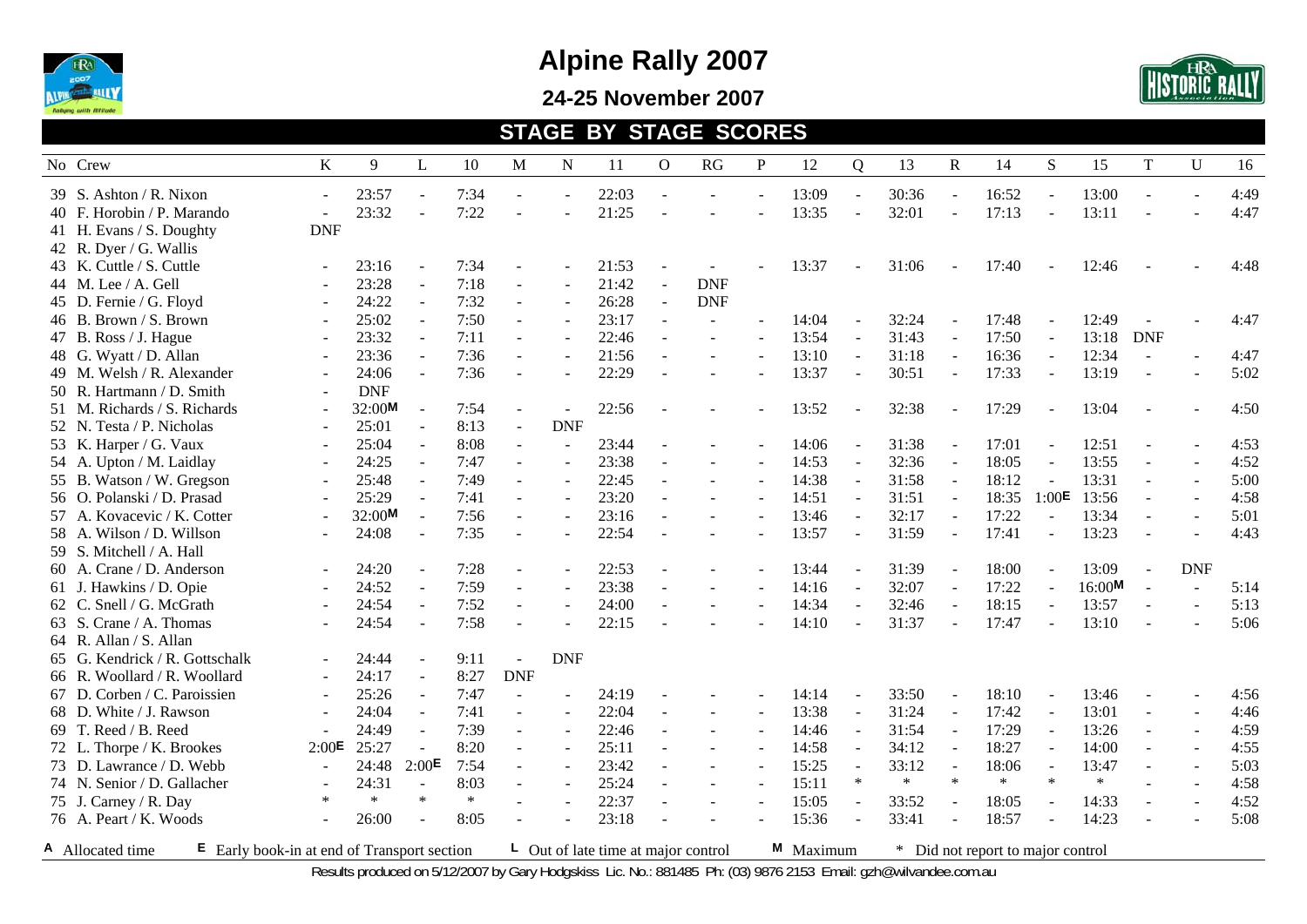

**24-25 November 2007** 



#### **STAGE BY STAGE SCORES**

| No Crew                                                           | K                        | 9          | L                 | 10     | M                        | $\mathbf N$              | 11                                        | $\mathbf{O}$   | RG         | ${\bf P}$ | 12        | $\mathbf Q$              | 13     | $\mathbf R$              | 14                                | S      | 15     | $\mathbf T$    | $\mathbf U$ | 16   |
|-------------------------------------------------------------------|--------------------------|------------|-------------------|--------|--------------------------|--------------------------|-------------------------------------------|----------------|------------|-----------|-----------|--------------------------|--------|--------------------------|-----------------------------------|--------|--------|----------------|-------------|------|
| 39 S. Ashton / R. Nixon                                           | $\overline{a}$           | 23:57      | $\sim$            | 7:34   |                          |                          | 22:03                                     |                |            |           | 13:09     | $\sim$                   | 30:36  | $\blacksquare$           | 16:52                             |        | 13:00  |                |             | 4:49 |
| 40 F. Horobin / P. Marando                                        |                          | 23:32      |                   | 7:22   |                          |                          | 21:25                                     |                |            |           | 13:35     | $\overline{\phantom{a}}$ | 32:01  | ÷,                       | 17:13                             | $\sim$ | 13:11  |                |             | 4:47 |
| 41 H. Evans / S. Doughty                                          | <b>DNF</b>               |            |                   |        |                          |                          |                                           |                |            |           |           |                          |        |                          |                                   |        |        |                |             |      |
| 42 R. Dyer / G. Wallis                                            |                          |            |                   |        |                          |                          |                                           |                |            |           |           |                          |        |                          |                                   |        |        |                |             |      |
| 43 K. Cuttle / S. Cuttle                                          |                          | 23:16      | $\blacksquare$    | 7:34   |                          |                          | 21:53                                     |                |            |           | 13:37     |                          | 31:06  |                          | 17:40                             |        | 12:46  |                |             | 4:48 |
| 44 M. Lee / A. Gell                                               |                          | 23:28      | $\sim$            | 7:18   | $\sim$                   |                          | 21:42                                     |                | <b>DNF</b> |           |           |                          |        |                          |                                   |        |        |                |             |      |
| 45 D. Fernie / G. Floyd                                           |                          | 24:22      | $\sim$            | 7:32   |                          |                          | 26:28                                     | $\overline{a}$ | <b>DNF</b> |           |           |                          |        |                          |                                   |        |        |                |             |      |
| 46 B. Brown / S. Brown                                            |                          | 25:02      | $\sim$            | 7:50   | $\blacksquare$           |                          | 23:17                                     | L.             |            |           | 14:04     |                          | 32:24  |                          | 17:48                             |        | 12:49  |                |             | 4:47 |
| 47 B. Ross / J. Hague                                             |                          | 23:32      | $\sim$            | 7:11   | $\blacksquare$           |                          | 22:46                                     |                |            |           | 13:54     | $\overline{\phantom{a}}$ | 31:43  | $\overline{\phantom{a}}$ | 17:50                             | $\sim$ | 13:18  | <b>DNF</b>     |             |      |
| 48 G. Wyatt / D. Allan                                            |                          | 23:36      | $\sim$            | 7:36   | $\sim$                   | $\sim$                   | 21:56                                     |                |            |           | 13:10     | $\mathcal{L}$            | 31:18  | $\sim$                   | 16:36                             | $\sim$ | 12:34  |                |             | 4:47 |
| 49 M. Welsh / R. Alexander                                        |                          | 24:06      | $\sim$            | 7:36   |                          |                          | 22:29                                     |                |            |           | 13:37     | $\sim$                   | 30:51  | $\overline{a}$           | 17:33                             |        | 13:19  | $\blacksquare$ |             | 5:02 |
| 50 R. Hartmann / D. Smith                                         | $\overline{a}$           | <b>DNF</b> |                   |        |                          |                          |                                           |                |            |           |           |                          |        |                          |                                   |        |        |                |             |      |
| 51 M. Richards / S. Richards                                      | $\sim$                   | 32:00M     |                   | 7:54   | $\blacksquare$           | $\blacksquare$           | 22:56                                     |                |            |           | 13:52     |                          | 32:38  |                          | 17:29                             |        | 13:04  |                |             | 4:50 |
| 52 N. Testa / P. Nicholas                                         | $\sim$                   | 25:01      |                   | 8:13   | $\blacksquare$           | <b>DNF</b>               |                                           |                |            |           |           |                          |        |                          |                                   |        |        |                |             |      |
| 53 K. Harper / G. Vaux                                            | $\overline{\phantom{a}}$ | 25:04      |                   | 8:08   | $\sim$                   | ÷,                       | 23:44                                     |                |            |           | 14:06     |                          | 31:38  |                          | 17:01                             |        | 12:51  |                |             | 4:53 |
| 54 A. Upton / M. Laidlay                                          | $\sim$                   | 24:25      | $\sim$            | 7:47   | $\sim$                   | $\overline{\phantom{a}}$ | 23:38                                     |                |            |           | 14:53     | $\sim$                   | 32:36  | $\sim$                   | 18:05                             |        | 13:55  |                |             | 4:52 |
| 55 B. Watson / W. Gregson                                         |                          | 25:48      | $\sim$            | 7:49   | $\mathbf{r}$             | $\sim$                   | 22:45                                     |                |            |           | 14:38     |                          | 31:58  | $\sim$                   | 18:12                             |        | 13:31  |                |             | 5:00 |
| 56 O. Polanski / D. Prasad                                        |                          | 25:29      | $\sim$            | 7:41   | $\sim$                   | $\sim$                   | 23:20                                     |                |            |           | 14:51     | $\overline{\phantom{a}}$ | 31:51  | $\blacksquare$           | 18:35                             | 1:00E  | 13:56  |                |             | 4:58 |
| 57 A. Kovacevic / K. Cotter                                       |                          | 32:00M     | $\sim$            | 7:56   |                          | $\sim$                   | 23:16                                     |                |            |           | 13:46     | ÷,                       | 32:17  | $\sim$                   | 17:22                             |        | 13:34  |                |             | 5:01 |
| 58 A. Wilson / D. Willson                                         |                          | 24:08      |                   | 7:35   |                          | $\overline{a}$           | 22:54                                     |                |            |           | 13:57     | $\sim$                   | 31:59  |                          | 17:41                             |        | 13:23  |                |             | 4:43 |
| 59 S. Mitchell / A. Hall                                          |                          |            |                   |        |                          |                          |                                           |                |            |           |           |                          |        |                          |                                   |        |        |                |             |      |
| 60 A. Crane / D. Anderson                                         | $\sim$                   | 24:20      | $\sim$            | 7:28   | $\blacksquare$           |                          | 22:53                                     |                |            |           | 13:44     |                          | 31:39  |                          | 18:00                             |        | 13:09  |                | <b>DNF</b>  |      |
| 61 J. Hawkins / D. Opie                                           | $\sim$                   | 24:52      |                   | 7:59   | $\blacksquare$           |                          | 23:38                                     |                |            |           | 14:16     | $\blacksquare$           | 32:07  |                          | 17:22                             |        | 16:00M |                |             | 5:14 |
| 62 C. Snell / G. McGrath                                          |                          | 24:54      |                   | 7:52   |                          |                          | 24:00                                     |                |            |           | 14:34     |                          | 32:46  |                          | 18:15                             |        | 13:57  |                |             | 5:13 |
| 63 S. Crane / A. Thomas                                           |                          | 24:54      |                   | 7:58   |                          |                          | 22:15                                     |                |            |           | 14:10     |                          | 31:37  |                          | 17:47                             |        | 13:10  |                |             | 5:06 |
| 64 R. Allan / S. Allan                                            |                          |            |                   |        |                          |                          |                                           |                |            |           |           |                          |        |                          |                                   |        |        |                |             |      |
| 65 G. Kendrick / R. Gottschalk                                    |                          | 24:44      |                   | 9:11   | $\blacksquare$           | <b>DNF</b>               |                                           |                |            |           |           |                          |        |                          |                                   |        |        |                |             |      |
| 66 R. Woollard / R. Woollard                                      |                          | 24:17      |                   | 8:27   | <b>DNF</b>               |                          |                                           |                |            |           |           |                          |        |                          |                                   |        |        |                |             |      |
| 67 D. Corben / C. Paroissien                                      | $\overline{a}$           | 25:26      | $\sim$            | 7:47   | $\overline{\phantom{a}}$ | $\blacksquare$           | 24:19                                     |                |            |           | 14:14     |                          | 33:50  |                          | 18:10                             |        | 13:46  |                |             | 4:56 |
| 68 D. White / J. Rawson                                           | $\overline{a}$           | 24:04      | $\sim$            | 7:41   | $\blacksquare$           | $\sim$                   | 22:04                                     | $\overline{a}$ |            |           | 13:38     | $\sim$                   | 31:24  | $\sim$                   | 17:42                             |        | 13:01  | $\blacksquare$ |             | 4:46 |
| 69 T. Reed / B. Reed                                              |                          | 24:49      | $\sim$            | 7:39   | $\sim$                   | $\sim$                   | 22:46                                     | ÷,             |            |           | 14:46     | $\sim$                   | 31:54  |                          | 17:29                             |        | 13:26  |                |             | 4:59 |
| 72 L. Thorpe / K. Brookes                                         | 2:00E                    | 25:27      |                   | 8:20   |                          |                          | 25:11                                     |                |            |           | 14:58     |                          | 34:12  |                          | 18:27                             |        | 14:00  |                |             | 4:55 |
| 73 D. Lawrance / D. Webb                                          | $\sim$                   | 24:48      | 2:00 <sup>E</sup> | 7:54   |                          |                          | 23:42                                     |                |            |           | 15:25     |                          | 33:12  |                          | 18:06                             |        | 13:47  |                |             | 5:03 |
| 74 N. Senior / D. Gallacher                                       |                          | 24:31      | $\sim$            | 8:03   |                          |                          | 25:24                                     |                |            |           | 15:11     | $\ast$                   | $\ast$ | $\ast$                   | $\ast$                            | $\ast$ | $\ast$ |                |             | 4:58 |
| 75 J. Carney / R. Day                                             | $\ast$                   | $\ast$     | $\ast$            | $\ast$ |                          | L.                       | 22:37                                     |                |            |           | 15:05     | $\sim$                   | 33:52  |                          | 18:05                             |        | 14:33  |                |             | 4:52 |
| 76 A. Peart / K. Woods                                            |                          | 26:00      |                   | 8:05   |                          |                          | 23:18                                     |                |            |           | 15:36     |                          | 33:41  | $\overline{a}$           | 18:57                             |        | 14:23  |                |             | 5:08 |
| A Allocated time<br>$E$ Early book-in at end of Transport section |                          |            |                   |        |                          |                          | $\perp$ Out of late time at major control |                |            |           | M Maximum |                          |        |                          | * Did not report to major control |        |        |                |             |      |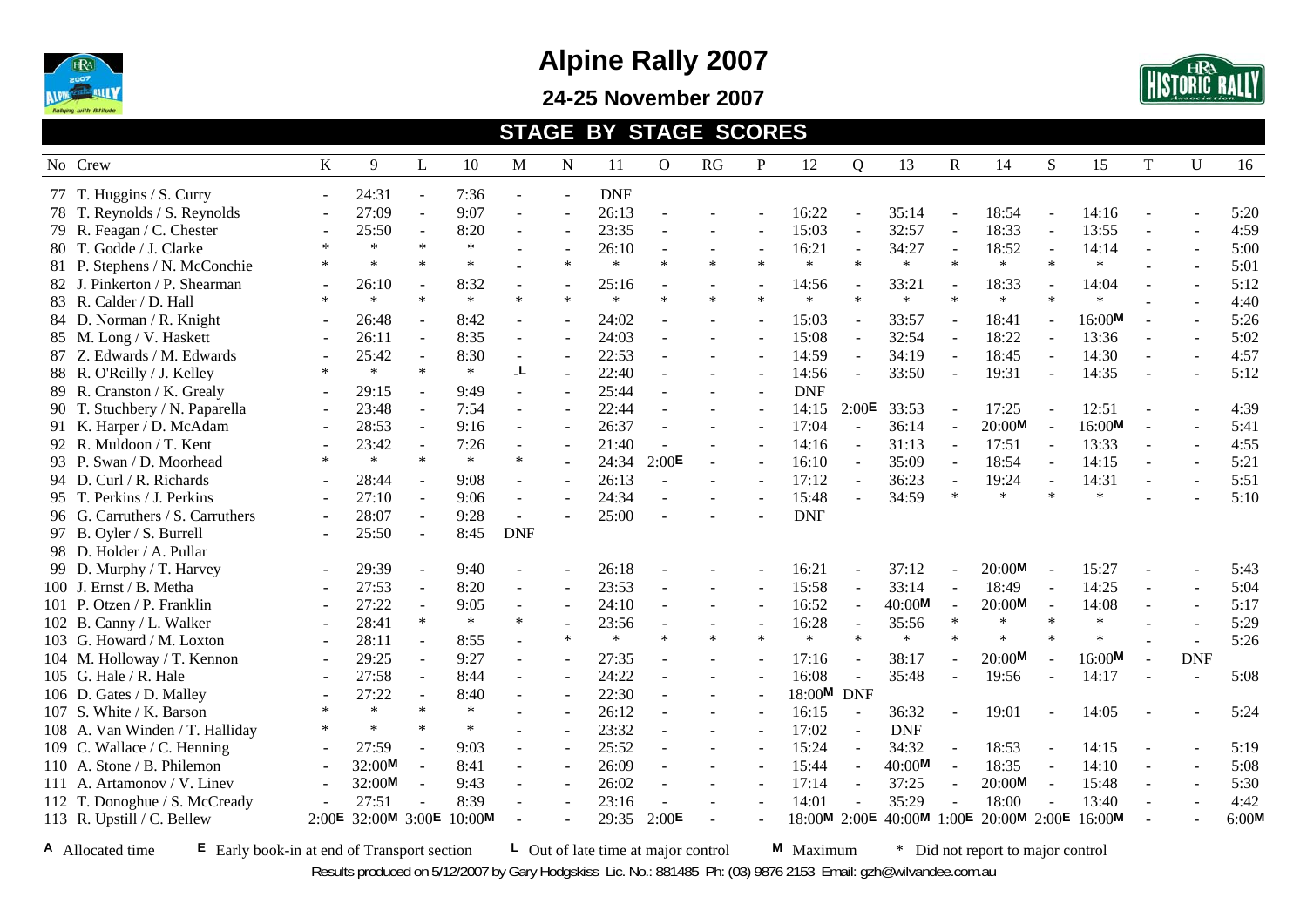

**24-25 November 2007** 



#### **STAGE BY STAGE SCORES**

| No Crew                                                           | $\bf K$                  | 9                  | L                        | 10     | M              | $\mathbf N$              | 11                                        | 0              | RG     | ${\bf P}$ | 12           | $\overline{Q}$           | 13                                   | $\mathbf R$ | 14                              | S      | 15     | T                        | $\mathbf U$ | 16    |
|-------------------------------------------------------------------|--------------------------|--------------------|--------------------------|--------|----------------|--------------------------|-------------------------------------------|----------------|--------|-----------|--------------|--------------------------|--------------------------------------|-------------|---------------------------------|--------|--------|--------------------------|-------------|-------|
| 77 T. Huggins / S. Curry                                          | $\sim$                   | 24:31              | $\sim$                   | 7:36   |                | $\blacksquare$           | <b>DNF</b>                                |                |        |           |              |                          |                                      |             |                                 |        |        |                          |             |       |
| 78 T. Reynolds / S. Reynolds                                      |                          | 27:09              | $\omega$                 | 9:07   | $\sim$         | $\blacksquare$           | 26:13                                     |                |        |           | 16:22        |                          | 35:14                                |             | 18:54                           |        | 14:16  |                          |             | 5:20  |
| 79 R. Feagan / C. Chester                                         |                          | 25:50              | $\sim$                   | 8:20   |                | $\blacksquare$           | 23:35                                     |                |        |           | 15:03        | $\overline{\phantom{a}}$ | 32:57                                |             | 18:33                           |        | 13:55  | $\overline{\phantom{a}}$ |             | 4:59  |
| 80 T. Godde / J. Clarke                                           | $\ast$                   | $\ast$             | $\ast$                   | $\ast$ |                | $\sim$                   | 26:10                                     | $\blacksquare$ |        |           | 16:21        | $\sim$                   | 34:27                                |             | 18:52                           | $\sim$ | 14:14  | $\sim$                   |             | 5:00  |
| 81 P. Stephens / N. McConchie                                     |                          | $\ast$             | $\ast$                   | $\ast$ |                | $\ast$                   | $\ast$                                    | $\ast$         | $\ast$ | $\ast$    | $\ast$       | $\ast$                   | $\ast$                               | $\ast$      | $\ast$                          | $\ast$ | $\ast$ |                          |             | 5:01  |
| 82 J. Pinkerton / P. Shearman                                     |                          | 26:10              |                          | 8:32   |                | $\overline{a}$           | 25:16                                     |                |        |           | 14:56        |                          | 33:21                                |             | 18:33                           |        | 14:04  |                          |             | 5:12  |
| 83 R. Calder / D. Hall                                            | $\ast$                   | $\ast$             | $\ast$                   | $\ast$ | $\ast$         | $\ast$                   | $\ast$                                    | $\ast$         | $\ast$ | $\ast$    | $\ast$       | $\ast$                   | $\ast$                               | $\ast$      | $\ast$                          | $\ast$ | $\ast$ |                          |             | 4:40  |
| 84 D. Norman / R. Knight                                          |                          | 26:48              | $\sim$                   | 8:42   | $\sim$         | $\overline{a}$           | 24:02                                     |                |        |           | 15:03        |                          | 33:57                                |             | 18:41                           |        | 16:00M | $\overline{a}$           |             | 5:26  |
| 85 M. Long / V. Haskett                                           |                          | 26:11              | $\omega$                 | 8:35   | $\sim$         | $\mathbf{r}$             | 24:03                                     |                |        |           | 15:08        | $\sim$                   | 32:54                                |             | 18:22                           |        | 13:36  | $\sim$                   |             | 5:02  |
| 87 Z. Edwards / M. Edwards                                        |                          | 25:42              | $\sim$                   | 8:30   | $\sim$         | $\mathbf{r}$             | 22:53                                     |                |        |           | 14:59        | $\mathbf{r}$             | 34:19                                | $\sim$      | 18:45                           | $\sim$ | 14:30  | $\sim$                   | $\sim$      | 4:57  |
| 88 R. O'Reilly / J. Kelley                                        | $\ast$                   | $\ast$             | $\ast$                   | $\ast$ | L.             | $\blacksquare$           | 22:40                                     |                |        |           | 14:56        | $\blacksquare$           | 33:50                                |             | 19:31                           |        | 14:35  | $\overline{\phantom{a}}$ |             | 5:12  |
| 89 R. Cranston / K. Grealy                                        |                          | 29:15              |                          | 9:49   | $\overline{a}$ | $\sim$                   | 25:44                                     |                |        |           | <b>DNF</b>   |                          |                                      |             |                                 |        |        |                          |             |       |
| 90 T. Stuchbery / N. Paparella                                    | $\sim$                   | 23:48              | $\sim$                   | 7:54   | $\sim$         | $\sim$                   | 22:44                                     |                |        |           | 14:15 2:00E  |                          | 33:53                                |             | 17:25                           |        | 12:51  |                          |             | 4:39  |
| 91 K. Harper / D. McAdam                                          | $\sim$                   | 28:53              | $\sim$                   | 9:16   | $\sim$         | $\sim$                   | 26:37                                     | $\sim$         |        |           | 17:04        | $\sim$                   | 36:14                                |             | 20:00M                          |        | 16:00M | $\overline{a}$           |             | 5:41  |
| 92 R. Muldoon / T. Kent                                           | $\overline{\phantom{a}}$ | 23:42              | $\sim$                   | 7:26   |                | $\sim$                   | 21:40                                     |                |        |           | 14:16        |                          | 31:13                                |             | 17:51                           |        | 13:33  | $\sim$                   |             | 4:55  |
| 93 P. Swan / D. Moorhead                                          | $\ast$                   | $\ast$             | $\ast$                   | $\ast$ | $\ast$         |                          | 24:34                                     | 2:00E          |        |           | 16:10        |                          | 35:09                                |             | 18:54                           |        | 14:15  |                          |             | 5:21  |
| 94 D. Curl / R. Richards                                          | $\sim$                   | 28:44              | $\sim$                   | 9:08   | $\sim$         | $\overline{\phantom{a}}$ | 26:13                                     | $\overline{a}$ |        |           | 17:12        |                          | 36:23                                |             | 19:24                           |        | 14:31  | ÷                        |             | 5:51  |
| 95 T. Perkins / J. Perkins                                        |                          | 27:10              | $\sim$                   | 9:06   | $\sim$         |                          | 24:34                                     |                |        |           | 15:48        |                          | 34:59                                | $\ast$      | $\ast$                          | $\ast$ | $\ast$ |                          |             | 5:10  |
| 96 G. Carruthers / S. Carruthers                                  | $\blacksquare$           | 28:07              | $\omega$                 | 9:28   | $\blacksquare$ |                          | 25:00                                     |                |        |           | <b>DNF</b>   |                          |                                      |             |                                 |        |        |                          |             |       |
| 97 B. Oyler / S. Burrell                                          |                          | 25:50              | $\sim$                   | 8:45   | <b>DNF</b>     |                          |                                           |                |        |           |              |                          |                                      |             |                                 |        |        |                          |             |       |
| 98 D. Holder / A. Pullar                                          |                          |                    |                          |        |                |                          |                                           |                |        |           |              |                          |                                      |             |                                 |        |        |                          |             |       |
| 99 D. Murphy / T. Harvey                                          |                          | 29:39              |                          | 9:40   |                |                          | 26:18                                     |                |        |           | 16:21        |                          | 37:12                                |             | 20:00M                          |        | 15:27  |                          |             | 5:43  |
| 100 J. Ernst / B. Metha                                           |                          | 27:53              | $\sim$                   | 8:20   | $\blacksquare$ | $\overline{\phantom{a}}$ | 23:53                                     |                |        |           | 15:58        |                          | 33:14                                |             | 18:49                           |        | 14:25  | $\overline{a}$           |             | 5:04  |
| 101 P. Otzen / P. Franklin                                        | $\overline{a}$           | 27:22              | $\overline{\phantom{a}}$ | 9:05   |                | $\overline{\phantom{a}}$ | 24:10                                     |                |        |           | 16:52        |                          | 40:00M                               |             | 20:00M                          |        | 14:08  | ÷,                       |             | 5:17  |
| 102 B. Canny / L. Walker                                          |                          | 28:41              | $\ast$                   | $\ast$ | $\ast$         |                          | 23:56                                     |                |        |           | 16:28        |                          | 35:56                                | $\ast$      | $\ast$                          | $\ast$ | $\ast$ |                          |             | 5:29  |
| 103 G. Howard / M. Loxton                                         |                          | 28:11              | $\sim$                   | 8:55   | ÷.             | $\ast$                   | $\ast$                                    | $\ast$         | $\ast$ | $\ast$    | $\ast$       | $\ast$                   | $\ast$                               |             | $\ast$                          | $\ast$ | $\ast$ |                          |             | 5:26  |
| 104 M. Holloway / T. Kennon                                       |                          | 29:25              | $\omega$                 | 9:27   | $\sim$         | $\mathbf{r}$             | 27:35                                     |                |        |           | 17:16        |                          | 38:17                                |             | $20:00M$                        |        | 16:00M |                          | <b>DNF</b>  |       |
| 105 G. Hale / R. Hale                                             |                          | 27:58              | $\blacksquare$           | 8:44   | $\sim$         | $\sim$                   | 24:22                                     |                |        |           | 16:08        | $\sim$                   | 35:48                                |             | 19:56                           | $\sim$ | 14:17  | $\overline{a}$           |             | 5:08  |
| 106 D. Gates / D. Malley                                          |                          | 27:22              | $\blacksquare$           | 8:40   |                | $\sim$                   | 22:30                                     |                |        |           | 18:00M DNF   |                          |                                      |             |                                 |        |        |                          |             |       |
| 107 S. White / K. Barson                                          | $\ast$                   | $\ast$             | $\ast$                   | $\ast$ |                | $\blacksquare$           | 26:12                                     |                |        |           | 16:15        | $\omega$                 | 36:32                                |             | 19:01                           |        | 14:05  |                          |             | 5:24  |
| 108 A. Van Winden / T. Halliday                                   | $\ast$                   | $\ast$             | $\ast$                   | $\ast$ |                | $\sim$                   | 23:32                                     |                |        |           | 17:02        | $\sim$                   | <b>DNF</b>                           |             |                                 |        |        |                          |             |       |
| 109 C. Wallace / C. Henning                                       | $\sim$                   | 27:59              | $\sim$                   | 9:03   |                | $\blacksquare$           | 25:52                                     |                |        |           | 15:24        | $\blacksquare$           | 34:32                                |             | 18:53                           |        | 14:15  |                          |             | 5:19  |
| 110 A. Stone / B. Philemon                                        |                          | 32:00M             |                          | 8:41   |                |                          | 26:09                                     |                |        |           | 15:44        |                          | 40:00M                               |             | 18:35                           |        | 14:10  |                          |             | 5:08  |
| 111 A. Artamonov / V. Linev                                       |                          | 32:00M             | $\sim$                   | 9:43   |                |                          | 26:02                                     |                |        |           | 17:14        | $\blacksquare$           | 37:25                                |             | 20:00M                          |        | 15:48  |                          |             | 5:30  |
| 112 T. Donoghue / S. McCready                                     |                          | 27:51              |                          | 8:39   |                |                          | 23:16                                     |                |        |           | 14:01        |                          | 35:29                                |             | 18:00                           |        | 13:40  |                          |             | 4:42  |
| 113 R. Upstill / C. Bellew                                        |                          | 2:00E 32:00M 3:00E |                          | 10:00M |                |                          | 29:35                                     | 2:00E          |        |           | 18:00M 2:00E |                          | 40:00 <sup>M</sup> 1:00 <sup>E</sup> |             | 20:00M 2:00E                    |        | 16:00M |                          |             | 6:00M |
| $E$ Early book-in at end of Transport section<br>A Allocated time |                          |                    |                          |        |                |                          | $\perp$ Out of late time at major control |                |        |           | M Maximum    |                          | $\ast$                               |             | Did not report to major control |        |        |                          |             |       |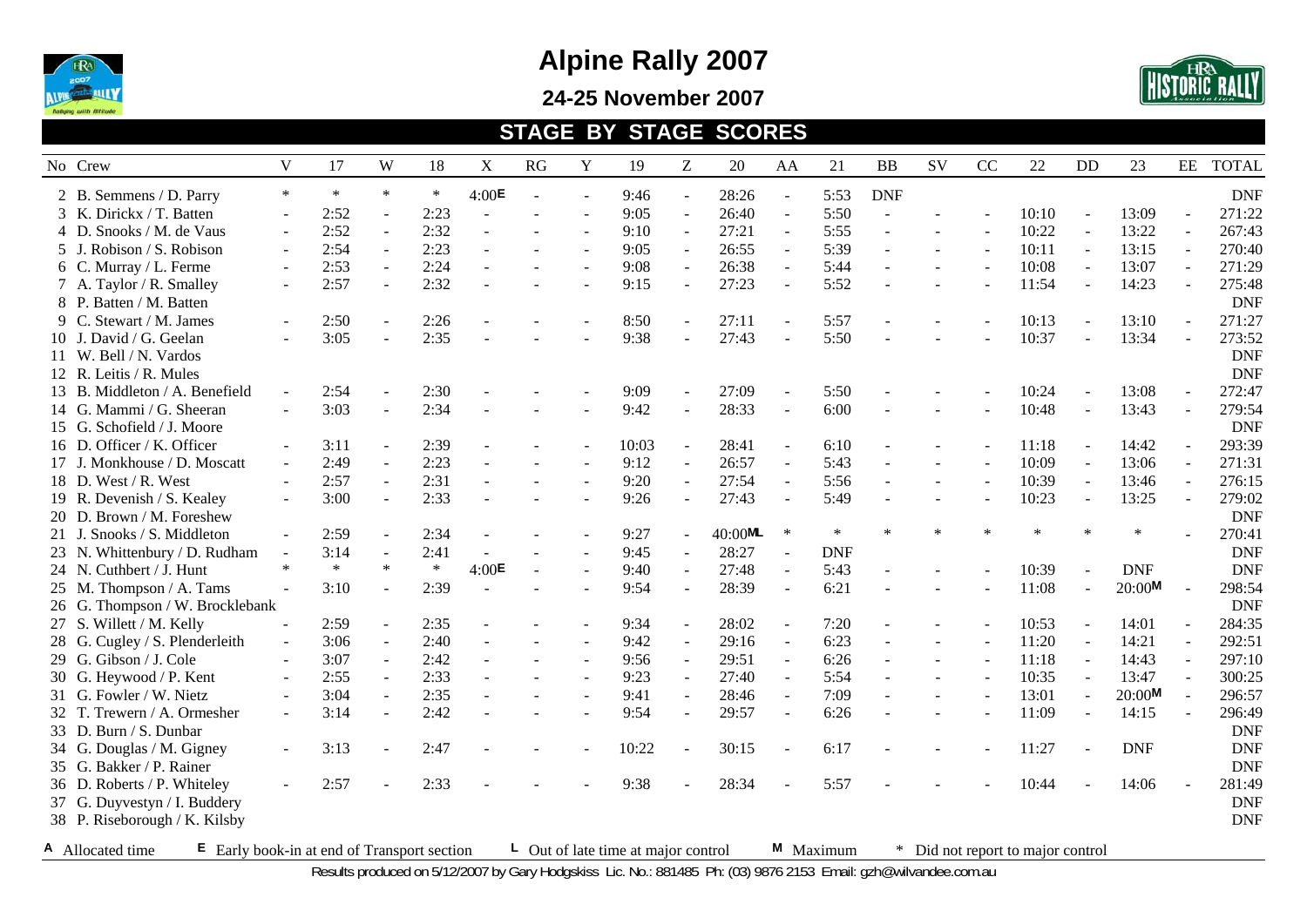

**24-25 November 2007** 



#### **STAGE BY STAGE SCORES**

| No Crew                                                           | V                        | 17     | W                        | 18     | $\mathbf X$       | RG             | Y                        | 19                                        | Z                        | 20      | AA                       | 21         | BB             | SV                       | CC                       | 22                              | <b>DD</b> | 23         | EE                       | <b>TOTAL</b> |
|-------------------------------------------------------------------|--------------------------|--------|--------------------------|--------|-------------------|----------------|--------------------------|-------------------------------------------|--------------------------|---------|--------------------------|------------|----------------|--------------------------|--------------------------|---------------------------------|-----------|------------|--------------------------|--------------|
| 2 B. Semmens / D. Parry                                           | $\ast$                   | $\ast$ | $\ast$                   | $\ast$ | 4:00E             | $\blacksquare$ | $\sim$                   | 9:46                                      | $\overline{\phantom{a}}$ | 28:26   | $\blacksquare$           | 5:53       | <b>DNF</b>     |                          |                          |                                 |           |            |                          | <b>DNF</b>   |
| 3 K. Dirickx / T. Batten                                          | $\mathbf{r}$             | 2:52   | $\sim$                   | 2:23   | $\overline{a}$    |                |                          | 9:05                                      | $\equiv$                 | 26:40   | $\overline{\phantom{a}}$ | 5:50       |                |                          |                          | 10:10                           |           | 13:09      |                          | 271:22       |
| 4 D. Snooks / M. de Vaus                                          | $\blacksquare$           | 2:52   | $\blacksquare$           | 2:32   |                   |                |                          | 9:10                                      | ÷,                       | 27:21   | ÷,                       | 5:55       |                |                          |                          | 10:22                           |           | 13:22      | $\blacksquare$           | 267:43       |
| 5 J. Robison / S. Robison                                         | $\blacksquare$           | 2:54   | $\blacksquare$           | 2:23   | $\overline{a}$    |                | $\blacksquare$           | 9:05                                      | $\overline{a}$           | 26:55   | $\Box$                   | 5:39       |                | $\overline{\phantom{a}}$ | $\overline{\phantom{a}}$ | 10:11                           |           | 13:15      | $\overline{\phantom{a}}$ | 270:40       |
| 6 C. Murray / L. Ferme                                            | $\sim$                   | 2:53   | $\sim$                   | 2:24   |                   |                | $\sim$                   | 9:08                                      | $\sim$                   | 26:38   | $\blacksquare$           | 5:44       |                |                          |                          | 10:08                           |           | 13:07      |                          | 271:29       |
| 7 A. Taylor / R. Smalley                                          | $\overline{\phantom{a}}$ | 2:57   |                          | 2:32   |                   |                | $\blacksquare$           | 9:15                                      | $\overline{a}$           | 27:23   | ÷,                       | 5:52       |                |                          |                          | 11:54                           |           | 14:23      |                          | 275:48       |
| 8 P. Batten / M. Batten                                           |                          |        |                          |        |                   |                |                          |                                           |                          |         |                          |            |                |                          |                          |                                 |           |            |                          | <b>DNF</b>   |
| 9 C. Stewart / M. James                                           |                          | 2:50   |                          | 2:26   |                   |                |                          | 8:50                                      | ÷,                       | 27:11   |                          | 5:57       |                |                          |                          | 10:13                           |           | 13:10      |                          | 271:27       |
| 10 J. David / G. Geelan                                           |                          | 3:05   |                          | 2:35   |                   |                |                          | 9:38                                      |                          | 27:43   |                          | 5:50       |                |                          |                          | 10:37                           |           | 13:34      |                          | 273:52       |
| 11 W. Bell / N. Vardos                                            |                          |        |                          |        |                   |                |                          |                                           |                          |         |                          |            |                |                          |                          |                                 |           |            |                          | <b>DNF</b>   |
| 12 R. Leitis / R. Mules                                           |                          |        |                          |        |                   |                |                          |                                           |                          |         |                          |            |                |                          |                          |                                 |           |            |                          | <b>DNF</b>   |
| 13 B. Middleton / A. Benefield                                    |                          | 2:54   |                          | 2:30   |                   |                |                          | 9:09                                      |                          | 27:09   |                          | 5:50       |                |                          |                          | 10:24                           |           | 13:08      |                          | 272:47       |
| 14 G. Mammi / G. Sheeran                                          | $\sim$                   | 3:03   | $\sim$                   | 2:34   |                   |                |                          | 9:42                                      | $\overline{a}$           | 28:33   | $\blacksquare$           | 6:00       |                |                          |                          | 10:48                           |           | 13:43      | $\sim$                   | 279:54       |
| 15 G. Schofield / J. Moore                                        |                          |        |                          |        |                   |                |                          |                                           |                          |         |                          |            |                |                          |                          |                                 |           |            |                          | <b>DNF</b>   |
| 16 D. Officer / K. Officer                                        | $\overline{\phantom{a}}$ | 3:11   | $\blacksquare$           | 2:39   |                   |                | $\sim$                   | 10:03                                     | $\blacksquare$           | 28:41   | ÷,                       | 6:10       |                |                          |                          | 11:18                           |           | 14:42      |                          | 293:39       |
| 17 J. Monkhouse / D. Moscatt                                      | $\sim$                   | 2:49   | $\overline{\phantom{a}}$ | 2:23   |                   |                |                          | 9:12                                      | $\sim$                   | 26:57   | $\blacksquare$           | 5:43       |                |                          |                          | 10:09                           |           | 13:06      | $\sim$                   | 271:31       |
| 18 D. West / R. West                                              |                          | 2:57   |                          | 2:31   |                   |                |                          | 9:20                                      | $\sim$                   | 27:54   | $\overline{a}$           | 5:56       |                |                          |                          | 10:39                           |           | 13:46      | $\sim$                   | 276:15       |
| 19 R. Devenish / S. Kealey                                        | $\sim$                   | 3:00   | $\sim$                   | 2:33   |                   |                |                          | 9:26                                      | $\sim$                   | 27:43   | $\sim$                   | 5:49       |                |                          |                          | 10:23                           |           | 13:25      | $\sim$                   | 279:02       |
| 20 D. Brown / M. Foreshew                                         |                          |        |                          |        |                   |                |                          |                                           |                          |         |                          |            |                |                          |                          |                                 |           |            |                          | <b>DNF</b>   |
| 21 J. Snooks / S. Middleton                                       | ÷.                       | 2:59   | $\blacksquare$           | 2:34   |                   |                |                          | 9:27                                      |                          | 40:00ML | $\ast$                   | $\ast$     | $\ast$         |                          |                          |                                 |           |            |                          | 270:41       |
| 23 N. Whittenbury / D. Rudham                                     |                          | 3:14   | $\blacksquare$           | 2:41   | $\sim$            |                | $\blacksquare$           | 9:45                                      | $\overline{a}$           | 28:27   | ÷,                       | <b>DNF</b> |                |                          |                          |                                 |           |            |                          | <b>DNF</b>   |
| 24 N. Cuthbert / J. Hunt                                          | $\ast$                   | $\ast$ | $\ast$                   | $\ast$ | 4:00 <sup>E</sup> | $\sim$         | $\sim$                   | 9:40                                      | $\sim$                   | 27:48   | ÷,                       | 5:43       |                |                          |                          | 10:39                           |           | <b>DNF</b> |                          | <b>DNF</b>   |
| 25 M. Thompson / A. Tams                                          |                          | 3:10   |                          | 2:39   |                   |                |                          | 9:54                                      | ÷,                       | 28:39   | ÷,                       | 6:21       |                |                          |                          | 11:08                           |           | 20:00M     |                          | 298:54       |
| 26 G. Thompson / W. Brocklebank                                   |                          |        |                          |        |                   |                |                          |                                           |                          |         |                          |            |                |                          |                          |                                 |           |            |                          | <b>DNF</b>   |
| 27 S. Willett / M. Kelly                                          |                          | 2:59   | $\blacksquare$           | 2:35   |                   |                |                          | 9:34                                      | $\sim$                   | 28:02   | $\sim$                   | 7:20       |                |                          |                          | 10:53                           |           | 14:01      | $\sim$                   | 284:35       |
| 28 G. Cugley / S. Plenderleith                                    | $\blacksquare$           | 3:06   | $\blacksquare$           | 2:40   |                   |                |                          | 9:42                                      | $\sim$                   | 29:16   | $\sim$                   | 6:23       | $\overline{a}$ |                          | $\overline{a}$           | 11:20                           |           | 14:21      | $\overline{a}$           | 292:51       |
| 29 G. Gibson / J. Cole                                            | $\blacksquare$           | 3:07   | $\blacksquare$           | 2:42   | $\overline{a}$    |                | $\blacksquare$           | 9:56                                      | $\equiv$                 | 29:51   | $\bar{\phantom{a}}$      | 6:26       |                | $\blacksquare$           | $\sim$                   | 11:18                           | $\sim$    | 14:43      | $\blacksquare$           | 297:10       |
| 30 G. Heywood / P. Kent                                           | $\blacksquare$           | 2:55   | $\blacksquare$           | 2:33   |                   |                |                          | 9:23                                      | $\sim$                   | 27:40   | ÷,                       | 5:54       |                |                          |                          | 10:35                           |           | 13:47      | $\blacksquare$           | 300:25       |
| 31 G. Fowler / W. Nietz                                           | $\overline{\phantom{a}}$ | 3:04   | $\blacksquare$           | 2:35   |                   |                | $\overline{\phantom{a}}$ | 9:41                                      | ÷,                       | 28:46   | $\blacksquare$           | 7:09       |                |                          |                          | 13:01                           |           | 20:00M     | $\sim$                   | 296:57       |
| 32 T. Trewern / A. Ormesher                                       | $\sim$                   | 3:14   |                          | 2:42   |                   |                |                          | 9:54                                      |                          | 29:57   | ÷,                       | 6:26       |                | $\overline{\phantom{a}}$ |                          | 11:09                           |           | 14:15      |                          | 296:49       |
| 33 D. Burn / S. Dunbar                                            |                          |        |                          |        |                   |                |                          |                                           |                          |         |                          |            |                |                          |                          |                                 |           |            |                          | <b>DNF</b>   |
| 34 G. Douglas / M. Gigney                                         | $\sim$                   | 3:13   |                          | 2:47   |                   |                |                          | 10:22                                     | $\overline{a}$           | 30:15   |                          | 6:17       |                |                          |                          | 11:27                           |           | <b>DNF</b> |                          | <b>DNF</b>   |
| 35 G. Bakker / P. Rainer                                          |                          |        |                          |        |                   |                |                          |                                           |                          |         |                          |            |                |                          |                          |                                 |           |            |                          | <b>DNF</b>   |
| 36 D. Roberts / P. Whiteley                                       | $\mathbf{r}$             | 2:57   |                          | 2:33   |                   |                |                          | 9:38                                      |                          | 28:34   |                          | 5:57       |                |                          |                          | 10:44                           |           | 14:06      |                          | 281:49       |
| 37 G. Duyvestyn / I. Buddery                                      |                          |        |                          |        |                   |                |                          |                                           |                          |         |                          |            |                |                          |                          |                                 |           |            |                          | <b>DNF</b>   |
| 38 P. Riseborough / K. Kilsby                                     |                          |        |                          |        |                   |                |                          |                                           |                          |         |                          |            |                |                          |                          |                                 |           |            |                          | <b>DNF</b>   |
| A Allocated time<br>$E$ Early book-in at end of Transport section |                          |        |                          |        |                   |                |                          | $\perp$ Out of late time at major control |                          |         |                          | M Maximum  | $*$            |                          |                          | Did not report to major control |           |            |                          |              |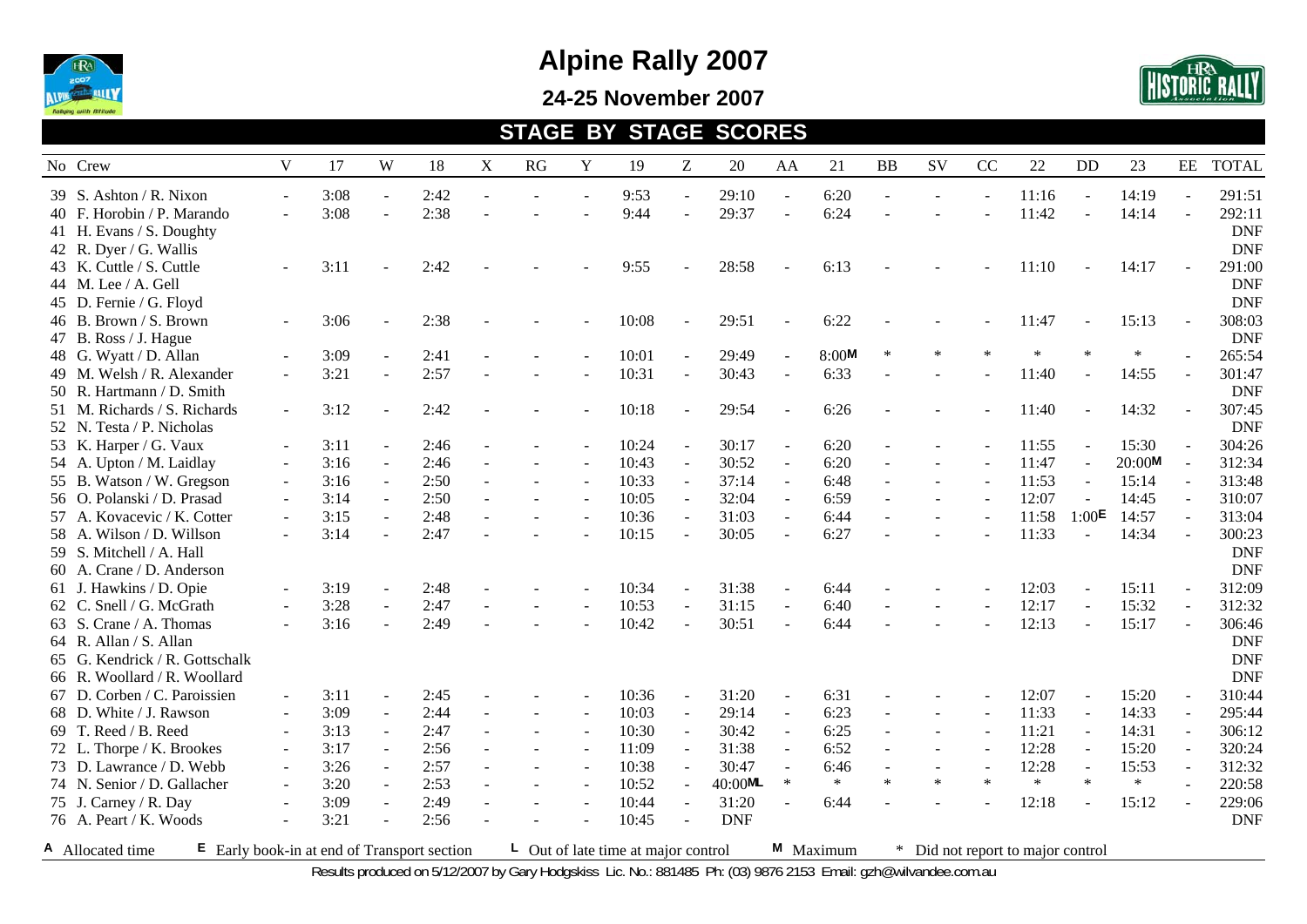

**24-25 November 2007** 



#### **STAGE BY STAGE SCORES**

| No Crew                                                         | V      | 17           | W              | 18           | X | RG | Y              | 19                                        | Z                        | 20                    | AA                       | 21           | BB     | SV                       | CC                       | 22                              | <b>DD</b>         | 23             | EE                       | <b>TOTAL</b>             |
|-----------------------------------------------------------------|--------|--------------|----------------|--------------|---|----|----------------|-------------------------------------------|--------------------------|-----------------------|--------------------------|--------------|--------|--------------------------|--------------------------|---------------------------------|-------------------|----------------|--------------------------|--------------------------|
| 39 S. Ashton / R. Nixon<br>40 F. Horobin / P. Marando           | $\sim$ | 3:08<br>3:08 | $\sim$         | 2:42<br>2:38 |   |    |                | 9:53<br>9:44                              | $\overline{a}$           | 29:10<br>29:37        | $\overline{a}$<br>$\sim$ | 6:20<br>6:24 |        |                          |                          | 11:16<br>11:42                  |                   | 14:19<br>14:14 |                          | 291:51<br>292:11         |
| 41 H. Evans / S. Doughty<br>42 R. Dyer / G. Wallis              |        |              |                |              |   |    |                |                                           |                          |                       |                          |              |        |                          |                          |                                 |                   |                |                          | <b>DNF</b><br><b>DNF</b> |
| 43 K. Cuttle / S. Cuttle                                        |        | 3:11         |                | 2:42         |   |    |                | 9:55                                      |                          | 28:58                 |                          | 6:13         |        |                          |                          | 11:10                           |                   | 14:17          |                          | 291:00                   |
| 44 M. Lee / A. Gell<br>45 D. Fernie / G. Floyd                  |        |              |                |              |   |    |                |                                           |                          |                       |                          |              |        |                          |                          |                                 |                   |                |                          | <b>DNF</b><br><b>DNF</b> |
| 46 B. Brown / S. Brown<br>47 B. Ross / J. Hague                 |        | 3:06         |                | 2:38         |   |    |                | 10:08                                     |                          | 29:51                 |                          | 6:22         |        |                          |                          | 11:47                           |                   | 15:13          |                          | 308:03<br><b>DNF</b>     |
| 48 G. Wyatt / D. Allan                                          |        | 3:09         |                | 2:41         |   |    |                | 10:01                                     | $\sim$                   | 29:49                 | $\overline{a}$           | 8:00M        | $\ast$ |                          |                          |                                 |                   | $\ast$         |                          | 265:54                   |
| 49 M. Welsh / R. Alexander<br>50 R. Hartmann / D. Smith         | $\sim$ | 3:21         | $\blacksquare$ | 2:57         |   |    | $\blacksquare$ | 10:31                                     | $\sim$                   | 30:43                 | $\blacksquare$           | 6:33         |        |                          |                          | 11:40                           |                   | 14:55          |                          | 301:47<br><b>DNF</b>     |
| 51 M. Richards / S. Richards                                    | $\sim$ | 3:12         | $\sim$         | 2:42         |   |    |                | 10:18                                     |                          | 29:54                 |                          | 6:26         |        |                          |                          | 11:40                           |                   | 14:32          |                          | 307:45                   |
| 52 N. Testa / P. Nicholas<br>53 K. Harper / G. Vaux             |        | 3:11         | $\blacksquare$ | 2:46         |   |    |                | 10:24                                     | $\sim$                   | 30:17                 | $\blacksquare$           | 6:20         |        |                          |                          | 11:55                           |                   | 15:30          |                          | <b>DNF</b><br>304:26     |
| 54 A. Upton / M. Laidlay                                        |        | 3:16         |                | 2:46         |   |    |                | 10:43                                     | $\overline{a}$           | 30:52                 | $\blacksquare$           | 6:20         |        |                          |                          | 11:47                           |                   | 20:00M         |                          | 312:34                   |
| 55 B. Watson / W. Gregson                                       |        | 3:16         | $\blacksquare$ | 2:50         |   |    | $\sim$         | 10:33                                     | $\sim$                   | 37:14                 | $\sim$                   | 6:48         |        |                          |                          | 11:53                           |                   | 15:14          | $\sim$                   | 313:48                   |
| 56 O. Polanski / D. Prasad                                      |        | 3:14         | $\sim$         | 2:50         |   |    | $\overline{a}$ | 10:05                                     | $\sim$                   | 32:04                 | $\overline{\phantom{a}}$ | 6:59         |        |                          |                          | 12:07                           |                   | 14:45          | $\sim$                   | 310:07                   |
| 57 A. Kovacevic / K. Cotter                                     | $\sim$ | 3:15         | $\blacksquare$ | 2:48         |   |    | $\sim$         | 10:36                                     | $\sim$                   | 31:03                 | $\overline{\phantom{a}}$ | 6:44         |        |                          |                          | 11:58                           | 1:00 <sup>E</sup> | 14:57          | $\sim$                   | 313:04                   |
| 58 A. Wilson / D. Willson                                       |        | 3:14         |                | 2:47         |   |    |                | 10:15                                     |                          | 30:05                 |                          | 6:27         |        |                          |                          | 11:33                           | $\blacksquare$    | 14:34          |                          | 300:23                   |
| 59 S. Mitchell / A. Hall                                        |        |              |                |              |   |    |                |                                           |                          |                       |                          |              |        |                          |                          |                                 |                   |                |                          | <b>DNF</b>               |
| 60 A. Crane / D. Anderson                                       |        |              |                |              |   |    |                |                                           |                          |                       |                          |              |        |                          |                          |                                 |                   |                |                          | <b>DNF</b>               |
| 61 J. Hawkins / D. Opie                                         |        | 3:19         |                | 2:48         |   |    | $\overline{a}$ | 10:34                                     | $\sim$                   | 31:38                 | $\ddot{\phantom{1}}$     | 6:44         |        |                          |                          | 12:03                           |                   | 15:11          | $\sim$                   | 312:09                   |
| 62 C. Snell / G. McGrath                                        |        | 3:28         |                | 2:47         |   |    |                | 10:53                                     |                          | 31:15                 |                          | 6:40         |        |                          |                          | 12:17                           |                   | 15:32          |                          | 312:32                   |
| 63 S. Crane / A. Thomas                                         |        | 3:16         |                | 2:49         |   |    |                | 10:42                                     |                          | 30:51                 |                          | 6:44         |        |                          |                          | 12:13                           |                   | 15:17          |                          | 306:46                   |
| 64 R. Allan / S. Allan                                          |        |              |                |              |   |    |                |                                           |                          |                       |                          |              |        |                          |                          |                                 |                   |                |                          | <b>DNF</b>               |
| 65 G. Kendrick / R. Gottschalk                                  |        |              |                |              |   |    |                |                                           |                          |                       |                          |              |        |                          |                          |                                 |                   |                |                          | <b>DNF</b>               |
| 66 R. Woollard / R. Woollard                                    |        |              |                |              |   |    |                |                                           |                          |                       |                          |              |        |                          |                          |                                 |                   |                |                          | <b>DNF</b>               |
| 67 D. Corben / C. Paroissien                                    |        | 3:11         |                | 2:45         |   |    |                | 10:36                                     | $\overline{\phantom{a}}$ | 31:20                 | $\overline{\phantom{a}}$ | 6:31         |        |                          |                          | 12:07                           |                   | 15:20          | $\overline{\phantom{a}}$ | 310:44                   |
| 68 D. White / J. Rawson                                         | $\sim$ | 3:09         | $\blacksquare$ | 2:44         |   |    | $\blacksquare$ | 10:03                                     | $\overline{a}$           | 29:14                 | $\blacksquare$           | 6:23         |        | $\overline{\phantom{a}}$ | $\sim$                   | 11:33                           |                   | 14:33          | $\sim$                   | 295:44                   |
| 69 T. Reed / B. Reed                                            |        | 3:13         | $\mathbf{r}$   | 2:47         |   |    | $\sim$         | 10:30                                     | $\blacksquare$           | 30:42                 | $\blacksquare$           | 6:25         | $\sim$ | $\blacksquare$           | $\overline{\phantom{a}}$ | 11:21                           |                   | 14:31          | $\mathbf{r}$             | 306:12                   |
| 72 L. Thorpe / K. Brookes                                       |        | 3:17         | $\blacksquare$ | 2:56         |   |    | $\blacksquare$ | 11:09                                     | $\sim$                   | 31:38                 | $\sim$                   | 6:52         |        |                          |                          | 12:28                           |                   | 15:20          |                          | 320:24                   |
| 73 D. Lawrance / D. Webb                                        |        | 3:26         |                | 2:57         |   |    |                | 10:38                                     |                          | 30:47                 |                          | 6:46         |        |                          |                          | 12:28                           |                   | 15:53          |                          | 312:32                   |
| 74 N. Senior / D. Gallacher                                     | $\sim$ | 3:20         | $\mathbf{r}$   | 2:53         |   |    | $\sim$         | 10:52                                     | $\overline{a}$           | $40:00$ <sup>ML</sup> | $\ast$                   | $\ast$       | $\ast$ | $\ast$                   | $\ast$                   | $\ast$                          | $\ast$            | $\ast$         |                          | 220:58                   |
| 75 J. Carney / R. Day                                           |        | 3:09         | $\sim$         | 2:49         |   |    | $\sim$         | 10:44                                     | $\sim$                   | 31:20                 | $\sim$                   | 6:44         |        |                          |                          | 12:18                           |                   | 15:12          |                          | 229:06                   |
| 76 A. Peart / K. Woods                                          |        | 3:21         | $\sim$         | 2:56         |   |    |                | 10:45                                     |                          | <b>DNF</b>            |                          |              |        |                          |                          |                                 |                   |                |                          | <b>DNF</b>               |
| E Early book-in at end of Transport section<br>A Allocated time |        |              |                |              |   |    |                | $\perp$ Out of late time at major control |                          |                       |                          | M Maximum    | $*$    |                          |                          | Did not report to major control |                   |                |                          |                          |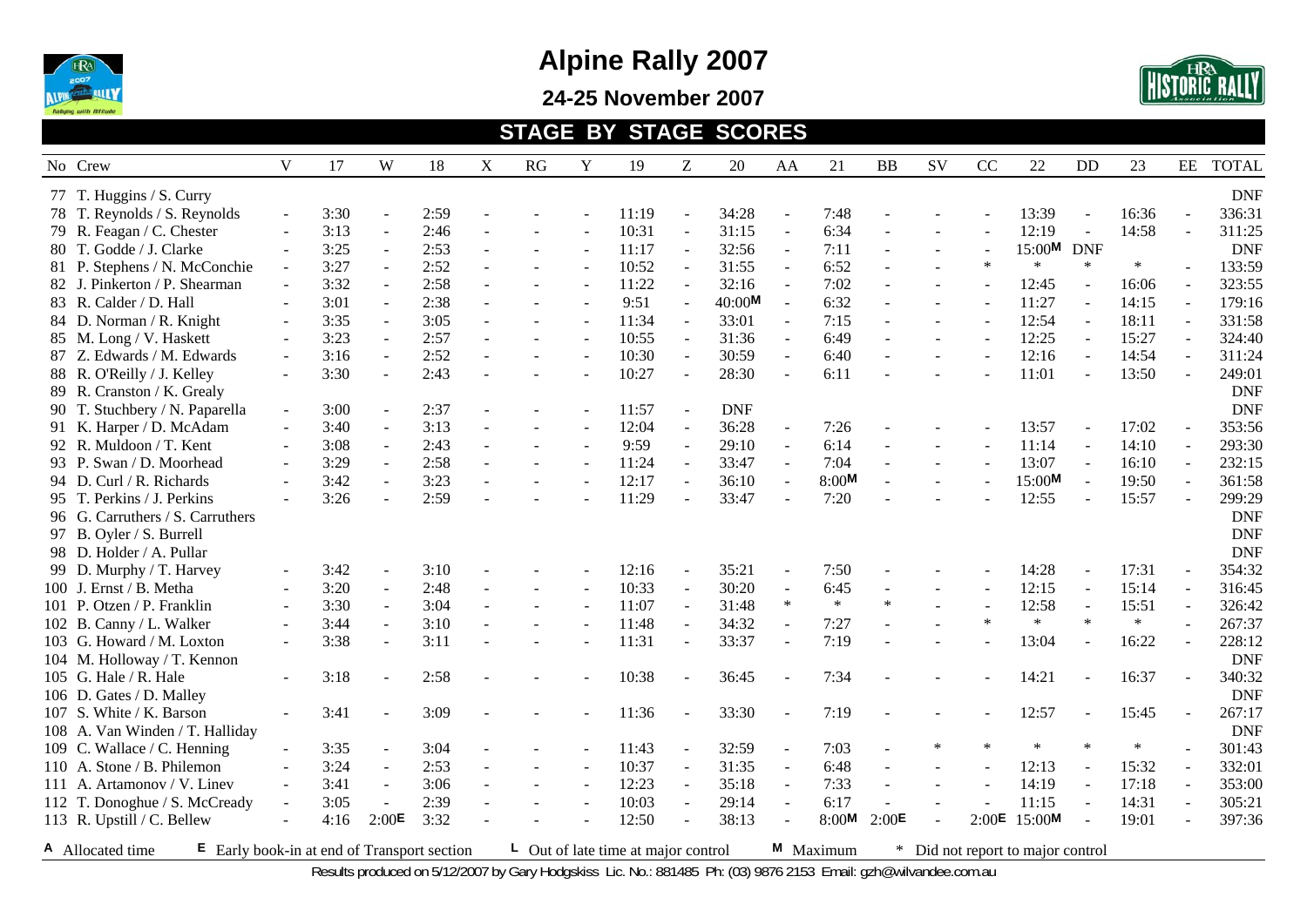

**24-25 November 2007** 



#### **STAGE BY STAGE SCORES**

| No Crew                                                           | V                        | 17   | W                        | 18   | $\boldsymbol{\mathrm{X}}$ | RG | Y              | 19                                        | Z                        | 20         | AA                       | 21        | BB     | SV                       | CC     | 22                              | DD         | 23     | EE                       | <b>TOTAL</b> |
|-------------------------------------------------------------------|--------------------------|------|--------------------------|------|---------------------------|----|----------------|-------------------------------------------|--------------------------|------------|--------------------------|-----------|--------|--------------------------|--------|---------------------------------|------------|--------|--------------------------|--------------|
| 77 T. Huggins / S. Curry                                          |                          |      |                          |      |                           |    |                |                                           |                          |            |                          |           |        |                          |        |                                 |            |        |                          | <b>DNF</b>   |
| 78 T. Reynolds / S. Reynolds                                      | $\sim$                   | 3:30 |                          | 2:59 |                           |    |                | 11:19                                     | $\overline{a}$           | 34:28      |                          | 7:48      |        |                          |        | 13:39                           |            | 16:36  |                          | 336:31       |
| 79 R. Feagan / C. Chester                                         | ÷,                       | 3:13 | $\blacksquare$           | 2:46 |                           |    | $\sim$         | 10:31                                     | ÷,                       | 31:15      | $\bar{\phantom{a}}$      | 6:34      |        |                          |        | 12:19                           | $\omega$   | 14:58  | $\sim$                   | 311:25       |
| 80 T. Godde / J. Clarke                                           | $\sim$                   | 3:25 | $\blacksquare$           | 2:53 |                           |    | $\sim$         | 11:17                                     | $\sim$                   | 32:56      | $\sim$                   | 7:11      |        |                          |        | 15:00M                          | <b>DNF</b> |        |                          | <b>DNF</b>   |
| 81 P. Stephens / N. McConchie                                     | $\blacksquare$           | 3:27 | $\sim$                   | 2:52 |                           |    | $\sim$         | 10:52                                     | $\overline{a}$           | 31:55      | $\overline{\phantom{a}}$ | 6:52      |        |                          | $\ast$ | $\ast$                          | $\ast$     | $\ast$ |                          | 133:59       |
| 82 J. Pinkerton / P. Shearman                                     | $\sim$                   | 3:32 | $\overline{\phantom{a}}$ | 2:58 |                           |    | $\sim$         | 11:22                                     | $\overline{a}$           | 32:16      | ÷,                       | 7:02      |        | $\blacksquare$           |        | 12:45                           |            | 16:06  |                          | 323:55       |
| 83 R. Calder / D. Hall                                            | ÷.                       | 3:01 | $\sim$                   | 2:38 |                           |    | $\sim$         | 9:51                                      | ÷,                       | 40:00M     | $\overline{a}$           | 6:32      |        | $\overline{\phantom{a}}$ |        | 11:27                           |            | 14:15  | $\sim$                   | 179:16       |
| 84 D. Norman / R. Knight                                          | $\sim$                   | 3:35 |                          | 3:05 |                           |    | $\sim$         | 11:34                                     | ÷,                       | 33:01      | ÷,                       | 7:15      |        |                          |        | 12:54                           |            | 18:11  |                          | 331:58       |
| 85 M. Long / V. Haskett                                           |                          | 3:23 | $\overline{\phantom{a}}$ | 2:57 |                           |    |                | 10:55                                     | $\overline{a}$           | 31:36      | ÷,                       | 6:49      |        |                          |        | 12:25                           |            | 15:27  |                          | 324:40       |
| 87 Z. Edwards / M. Edwards                                        | $\sim$                   | 3:16 |                          | 2:52 |                           |    |                | 10:30                                     | $\overline{a}$           | 30:59      | $\overline{\phantom{a}}$ | 6:40      |        |                          |        | 12:16                           |            | 14:54  | $\sim$                   | 311:24       |
| 88 R. O'Reilly / J. Kelley                                        | $\blacksquare$           | 3:30 | $\sim$                   | 2:43 |                           |    | $\sim$         | 10:27                                     | $\overline{a}$           | 28:30      | $\overline{a}$           | 6:11      |        |                          |        | 11:01                           | $\sim$     | 13:50  | $\sim$                   | 249:01       |
| 89 R. Cranston / K. Grealy                                        |                          |      |                          |      |                           |    |                |                                           |                          |            |                          |           |        |                          |        |                                 |            |        |                          | <b>DNF</b>   |
| 90 T. Stuchbery / N. Paparella                                    | $\equiv$                 | 3:00 | $\blacksquare$           | 2:37 |                           |    |                | 11:57                                     | ÷,                       | <b>DNF</b> |                          |           |        |                          |        |                                 |            |        |                          | <b>DNF</b>   |
| 91 K. Harper / D. McAdam                                          | $\blacksquare$           | 3:40 | $\sim$                   | 3:13 |                           |    | $\blacksquare$ | 12:04                                     | $\sim$                   | 36:28      | $\overline{a}$           | 7:26      |        |                          |        | 13:57                           |            | 17:02  |                          | 353:56       |
| 92 R. Muldoon / T. Kent                                           | $\overline{\phantom{a}}$ | 3:08 | $\overline{\phantom{a}}$ | 2:43 |                           |    | $\sim$         | 9:59                                      | $\overline{a}$           | 29:10      | $\blacksquare$           | 6:14      |        |                          |        | 11:14                           |            | 14:10  | $\sim$                   | 293:30       |
| 93 P. Swan / D. Moorhead                                          |                          | 3:29 |                          | 2:58 |                           |    |                | 11:24                                     | $\overline{a}$           | 33:47      | $\blacksquare$           | 7:04      |        |                          |        | 13:07                           |            | 16:10  |                          | 232:15       |
| 94 D. Curl / R. Richards                                          |                          | 3:42 |                          | 3:23 |                           |    |                | 12:17                                     | ÷,                       | 36:10      | ÷,                       | MOO:8     |        |                          |        | 15:00M                          |            | 19:50  | $\sim$                   | 361:58       |
| 95 T. Perkins / J. Perkins                                        |                          | 3:26 |                          | 2:59 |                           |    |                | 11:29                                     |                          | 33:47      |                          | 7:20      |        |                          |        | 12:55                           |            | 15:57  |                          | 299:29       |
| 96 G. Carruthers / S. Carruthers                                  |                          |      |                          |      |                           |    |                |                                           |                          |            |                          |           |        |                          |        |                                 |            |        |                          | <b>DNF</b>   |
| 97 B. Oyler / S. Burrell                                          |                          |      |                          |      |                           |    |                |                                           |                          |            |                          |           |        |                          |        |                                 |            |        |                          | <b>DNF</b>   |
| 98 D. Holder / A. Pullar                                          |                          |      |                          |      |                           |    |                |                                           |                          |            |                          |           |        |                          |        |                                 |            |        |                          | <b>DNF</b>   |
| 99 D. Murphy / T. Harvey                                          | $\sim$                   | 3:42 |                          | 3:10 |                           |    |                | 12:16                                     |                          | 35:21      |                          | 7:50      |        |                          |        | 14:28                           |            | 17:31  | $\blacksquare$           | 354:32       |
| 100 J. Ernst / B. Metha                                           | $\sim$                   | 3:20 | $\overline{\phantom{a}}$ | 2:48 | $\sim$                    |    | $\sim$         | 10:33                                     | $\overline{a}$           | 30:20      | $\blacksquare$           | 6:45      |        |                          |        | 12:15                           |            | 15:14  | $\overline{\phantom{a}}$ | 316:45       |
| 101 P. Otzen / P. Franklin                                        |                          | 3:30 | $\sim$                   | 3:04 |                           |    | $\sim$         | 11:07                                     | $\overline{\phantom{a}}$ | 31:48      | $\ast$                   | $\ast$    | $\ast$ |                          |        | 12:58                           |            | 15:51  |                          | 326:42       |
| 102 B. Canny / L. Walker                                          |                          | 3:44 |                          | 3:10 |                           |    |                | 11:48                                     |                          | 34:32      |                          | 7:27      |        |                          | $\ast$ | $\ast$                          | $\ast$     | $\ast$ |                          | 267:37       |
| 103 G. Howard / M. Loxton                                         | $\blacksquare$           | 3:38 |                          | 3:11 |                           |    |                | 11:31                                     | ÷,                       | 33:37      | $\overline{a}$           | 7:19      |        |                          |        | 13:04                           |            | 16:22  |                          | 228:12       |
| 104 M. Holloway / T. Kennon                                       |                          |      |                          |      |                           |    |                |                                           |                          |            |                          |           |        |                          |        |                                 |            |        |                          | <b>DNF</b>   |
| 105 G. Hale / R. Hale                                             | $\sim$                   | 3:18 |                          | 2:58 |                           |    |                | 10:38                                     | $\blacksquare$           | 36:45      |                          | 7:34      |        |                          |        | 14:21                           |            | 16:37  |                          | 340:32       |
| 106 D. Gates / D. Malley                                          |                          |      |                          |      |                           |    |                |                                           |                          |            |                          |           |        |                          |        |                                 |            |        |                          | <b>DNF</b>   |
| 107 S. White / K. Barson                                          | ÷.                       | 3:41 |                          | 3:09 |                           |    |                | 11:36                                     |                          | 33:30      |                          | 7:19      |        |                          |        | 12:57                           |            | 15:45  |                          | 267:17       |
| 108 A. Van Winden / T. Halliday                                   |                          |      |                          |      |                           |    |                |                                           |                          |            |                          |           |        |                          |        |                                 |            |        |                          | <b>DNF</b>   |
| 109 C. Wallace / C. Henning                                       |                          | 3:35 | $\blacksquare$           | 3:04 |                           |    |                | 11:43                                     | $\overline{\phantom{a}}$ | 32:59      | ÷,                       | 7:03      |        | $\ast$                   | $\ast$ | $\ast$                          | $\ast$     | $\ast$ |                          | 301:43       |
| 110 A. Stone / B. Philemon                                        |                          | 3:24 | $\sim$                   | 2:53 |                           |    |                | 10:37                                     | $\sim$                   | 31:35      | $\blacksquare$           | 6:48      |        |                          |        | 12:13                           |            | 15:32  | $\overline{a}$           | 332:01       |
| 111 A. Artamonov / V. Linev                                       |                          | 3:41 | $\overline{\phantom{a}}$ | 3:06 |                           |    | $\sim$         | 12:23                                     | $\blacksquare$           | 35:18      | $\overline{a}$           | 7:33      |        |                          |        | 14:19                           |            | 17:18  | $\overline{a}$           | 353:00       |
| 112 T. Donoghue / S. McCready                                     | $\blacksquare$           | 3:05 | $\overline{\phantom{a}}$ | 2:39 |                           |    |                | 10:03                                     | ÷,                       | 29:14      | ÷,                       | 6:17      |        |                          |        | 11:15                           |            | 14:31  | $\blacksquare$           | 305:21       |
| 113 R. Upstill / C. Bellew                                        | $\sim$                   | 4:16 | 2:00E                    | 3:32 |                           |    |                | 12:50                                     |                          | 38:13      | $\overline{a}$           | 8:00M     | 2:00E  |                          | 2:00E  | 15:00M                          |            | 19:01  | $\overline{a}$           | 397:36       |
| A Allocated time<br>$E$ Early book-in at end of Transport section |                          |      |                          |      |                           |    |                | $\perp$ Out of late time at major control |                          |            |                          | M Maximum | $\ast$ |                          |        | Did not report to major control |            |        |                          |              |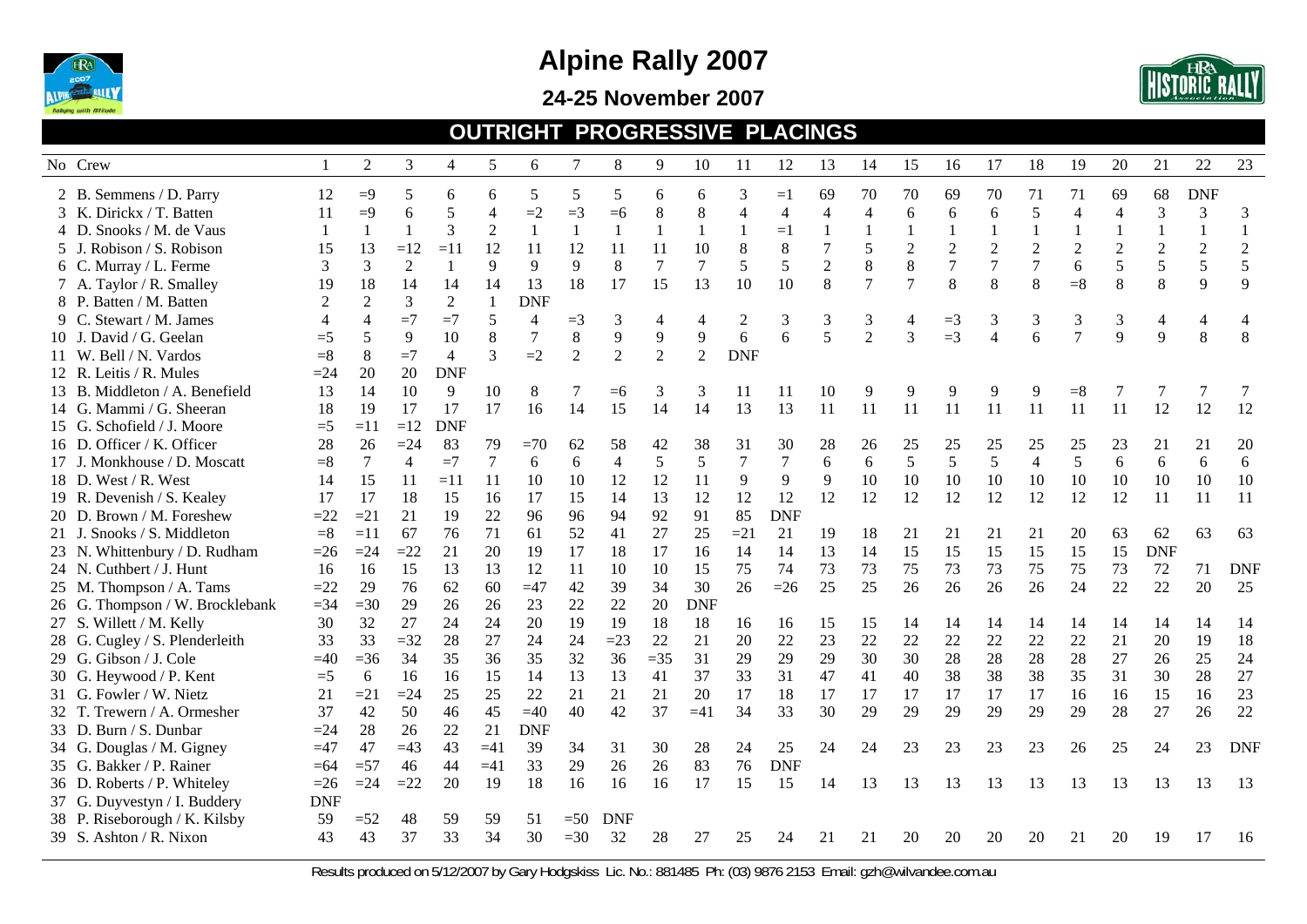

#### **24-25 November 2007**



#### **OUTRIGHT PROGRESSIVE PLACINGS**

| No Crew                         |            | $\overline{2}$ | $\overline{3}$ | 4          | 5              | 6              | $\tau$         | 8              | 9            | 10         | 11                       | 12               | 13               | 14             | 15             | 16               | 17               | 18             | 19             | 20             | 21             | 22             | 23             |
|---------------------------------|------------|----------------|----------------|------------|----------------|----------------|----------------|----------------|--------------|------------|--------------------------|------------------|------------------|----------------|----------------|------------------|------------------|----------------|----------------|----------------|----------------|----------------|----------------|
| 2 B. Semmens / D. Parry         | 12         | $\equiv 9$     | 5              | 6          | 6              | 5              | 5              | 5              | 6            | 6          | 3                        | $=1$             | 69               | 70             | 70             | 69               | 70               | 71             | 71             | 69             | 68             | <b>DNF</b>     |                |
| 3 K. Dirickx / T. Batten        | 11         | $=9$           | 6              | 5          | $\overline{4}$ | $=2$           | $=3$           | $=6$           | 8            | 8          | $\overline{\mathcal{A}}$ | 4                | 4                | 4              | 6              | 6                | 6                | 5              | $\overline{4}$ | 4              | 3              | 3              | 3              |
| 4 D. Snooks / M. de Vaus        | 1          | $\mathbf{1}$   | $\mathbf{1}$   | 3          | $\overline{2}$ | $\mathbf{1}$   | $\mathbf{1}$   | 1              | $\mathbf{1}$ | 1          |                          | $=1$             |                  | $\mathbf{1}$   | $\mathbf{1}$   | $\mathbf{1}$     | $\mathbf{1}$     |                |                |                | $\mathbf{1}$   | $\mathbf{1}$   | $\mathbf{1}$   |
| 5 J. Robison / S. Robison       | 15         | 13             | $=12$          | $=11$      | 12             | 11             | 12             | 11             | 11           | 10         | 8                        | 8                | 7                | 5              | $\overline{2}$ | $\overline{2}$   | $\overline{2}$   | $\overline{2}$ | $\overline{2}$ | $\overline{2}$ | $\overline{2}$ | $\overline{2}$ | $\overline{2}$ |
| 6 C. Murray / L. Ferme          | 3          | 3              | $\overline{2}$ |            | 9              | 9              | 9              | 8              | $\tau$       | $\tau$     | 5                        | 5                | $\boldsymbol{2}$ | $\,$ 8 $\,$    | $\,8\,$        | $\boldsymbol{7}$ | $\boldsymbol{7}$ |                | $\sqrt{6}$     | 5              | 5              | 5              | 5              |
| 7 A. Taylor / R. Smalley        | 19         | 18             | 14             | 14         | 14             | 13             | 18             | 17             | 15           | 13         | 10                       | 10               | 8                | $\overline{7}$ | $\tau$         | 8                | 8                | 8              | $= 8$          | 8              | 8              | 9              | 9              |
| 8 P. Batten / M. Batten         |            | $\overline{2}$ | $\mathfrak{Z}$ | 2          | $\mathbf{1}$   | <b>DNF</b>     |                |                |              |            |                          |                  |                  |                |                |                  |                  |                |                |                |                |                |                |
| 9 C. Stewart / M. James         |            |                | $=7$           | $=7$       | 5              | $\overline{4}$ | $=$ 3          | 3              | 4            | 4          | $\overline{2}$           | 3                | 3                | 3              | $\overline{4}$ | $=3$             | 3                | 3              | 3              | 3              | 4              | $\overline{4}$ |                |
| 10 J. David / G. Geelan         | $=$ 5      | 5              | 9              | 10         | 8              | $\tau$         | $\,8\,$        | 9              | 9            | 9          | 6                        | 6                | 5                | $\overline{2}$ | $\overline{3}$ | $=$ 3            | 4                | 6              |                | 9              | 9              | 8              | 8              |
| 11 W. Bell / N. Vardos          | $= 8$      | 8              | $=7$           | 4          | 3              | $=2$           | $\overline{2}$ | $\overline{2}$ | 2            | 2          | <b>DNF</b>               |                  |                  |                |                |                  |                  |                |                |                |                |                |                |
| 12 R. Leitis / R. Mules         | $=24$      | 20             | 20             | <b>DNF</b> |                |                |                |                |              |            |                          |                  |                  |                |                |                  |                  |                |                |                |                |                |                |
| 13 B. Middleton / A. Benefield  | 13         | 14             | 10             | 9          | 10             | 8              |                | $=6$           | 3            | 3          | 11                       | 11               | 10               | 9              | 9              | 9                | 9                |                | $=8$           |                |                |                |                |
| 14 G. Mammi / G. Sheeran        | 18         | 19             | 17             | 17         | 17             | 16             | 14             | 15             | 14           | 14         | 13                       | 13               | 11               | 11             | 11             | 11               | 11               | 11             | 11             | 11             | 12             | 12             | 12             |
| 15 G. Schofield / J. Moore      | $=5$       | $=11$          | $=12$          | <b>DNF</b> |                |                |                |                |              |            |                          |                  |                  |                |                |                  |                  |                |                |                |                |                |                |
| 16 D. Officer / K. Officer      | 28         | 26             | $=24$          | 83         | 79             | $=70$          | 62             | 58             | 42           | 38         | 31                       | 30               | 28               | 26             | 25             | 25               | 25               | 25             | 25             | 23             | 21             | 21             | 20             |
| 17 J. Monkhouse / D. Moscatt    | $= 8$      | 7              | $\overline{4}$ | $=7$       | $\tau$         | 6              | 6              | $\overline{4}$ | 5            | $\sqrt{5}$ |                          | $\boldsymbol{7}$ | 6                | 6              | 5              | 5                | 5                | $\overline{4}$ | 5              | 6              | 6              | 6              | 6              |
| 18 D. West / R. West            | 14         | 15             | 11             | $=11$      | 11             | 10             | 10             | 12             | 12           | 11         | 9                        | 9                | 9                | 10             | 10             | 10               | 10               | 10             | 10             | 10             | 10             | 10             | 10             |
| 19 R. Devenish / S. Kealey      | 17         | 17             | 18             | 15         | 16             | 17             | 15             | 14             | 13           | 12         | 12                       | 12               | 12               | 12             | 12             | 12               | 12               | 12             | 12             | 12             | 11             | 11             | 11             |
| 20 D. Brown / M. Foreshew       | $=22$      | $=21$          | 21             | 19         | 22             | 96             | 96             | 94             | 92           | 91         | 85                       | <b>DNF</b>       |                  |                |                |                  |                  |                |                |                |                |                |                |
| 21 J. Snooks / S. Middleton     | $=$ 8      | $=11$          | 67             | 76         | 71             | 61             | 52             | 41             | 27           | 25         | $=21$                    | 21               | 19               | 18             | 21             | 21               | 21               | 21             | 20             | 63             | 62             | 63             | 63             |
| 23 N. Whittenbury / D. Rudham   | $=26$      | $=24$          | $=22$          | 21         | 20             | 19             | 17             | 18             | 17           | 16         | 14                       | 14               | 13               | 14             | 15             | 15               | 15               | 15             | 15             | 15             | <b>DNF</b>     |                |                |
| 24 N. Cuthbert / J. Hunt        | 16         | 16             | 15             | 13         | 13             | 12             | 11             | 10             | 10           | 15         | 75                       | 74               | 73               | 73             | 75             | 73               | 73               | 75             | 75             | 73             | $72\,$         | 71             | <b>DNF</b>     |
| 25 M. Thompson / A. Tams        | $=22$      | 29             | 76             | 62         | 60             | $=47$          | 42             | 39             | 34           | 30         | 26                       | $=26$            | 25               | 25             | 26             | 26               | 26               | 26             | 24             | 22             | 22             | 20             | 25             |
| 26 G. Thompson / W. Brocklebank | $=34$      | $=30$          | 29             | 26         | 26             | 23             | 22             | 22             | 20           | <b>DNF</b> |                          |                  |                  |                |                |                  |                  |                |                |                |                |                |                |
| 27 S. Willett / M. Kelly        | 30         | 32             | 27             | 24         | 24             | 20             | 19             | 19             | 18           | 18         | 16                       | 16               | 15               | 15             | 14             | 14               | 14               | 14             | 14             | 14             | 14             | 14             | 14             |
| 28 G. Cugley / S. Plenderleith  | 33         | 33             | $=32$          | 28         | 27             | 24             | 24             | $=23$          | 22           | 21         | 20                       | 22               | 23               | 22             | 22             | 22               | 22               | 22             | 22             | 21             | 20             | 19             | 18             |
| 29 G. Gibson / J. Cole          | $=40$      | $=36$          | 34             | 35         | 36             | 35             | 32             | 36             | $=35$        | 31         | 29                       | 29               | 29               | 30             | 30             | 28               | 28               | 28             | 28             | 27             | 26             | 25             | 24             |
| 30 G. Heywood / P. Kent         | $=5$       | 6              | 16             | 16         | 15             | 14             | 13             | 13             | 41           | 37         | 33                       | 31               | 47               | 41             | 40             | 38               | 38               | 38             | 35             | 31             | 30             | 28             | 27             |
| 31 G. Fowler / W. Nietz         | 21         | $=21$          | $=24$          | 25         | 25             | 22             | 21             | 21             | 21           | 20         | 17                       | 18               | 17               | 17             | 17             | 17               | 17               | 17             | 16             | 16             | 15             | 16             | 23             |
| 32 T. Trewern / A. Ormesher     | 37         | 42             | 50             | 46         | 45             | $=40$          | 40             | 42             | 37           | $=41$      | 34                       | 33               | 30               | 29             | 29             | 29               | 29               | 29             | 29             | 28             | 27             | 26             | 22             |
| 33 D. Burn / S. Dunbar          | $=24$      | 28             | 26             | 22         | 21             | <b>DNF</b>     |                |                |              |            |                          |                  |                  |                |                |                  |                  |                |                |                |                |                |                |
| 34 G. Douglas / M. Gigney       | $=47$      | 47             | $=43$          | 43         | $=41$          | 39             | 34             | 31             | 30           | 28         | 24                       | 25               | 24               | 24             | 23             | 23               | 23               | 23             | 26             | 25             | 24             | 23             | <b>DNF</b>     |
| 35 G. Bakker / P. Rainer        | $=64$      | $=57$          | 46             | 44         | $=41$          | 33             | 29             | 26             | 26           | 83         | 76                       | <b>DNF</b>       |                  |                |                |                  |                  |                |                |                |                |                |                |
| 36 D. Roberts / P. Whiteley     | $=26$      | $=24$          | $=22$          | 20         | 19             | 18             | 16             | 16             | 16           | 17         | 15                       | 15               | 14               | 13             | 13             | 13               | 13               | 13             | 13             | 13             | 13             | 13             | -13            |
| 37 G. Duyvestyn / I. Buddery    | <b>DNF</b> |                |                |            |                |                |                |                |              |            |                          |                  |                  |                |                |                  |                  |                |                |                |                |                |                |
| 38 P. Riseborough / K. Kilsby   | 59         | $=52$          | 48             | 59         | 59             | 51             | $=50$          | <b>DNF</b>     |              |            |                          |                  |                  |                |                |                  |                  |                |                |                |                |                |                |
| 39 S. Ashton / R. Nixon         | 43         | 43             | 37             | 33         | 34             | 30             | $=30$          | 32             | 28           | 27         | 25                       | 24               | 21               | 21             | 20             | 20               | 20               | 20             | 21             | 20             | 19             | 17             | 16             |
|                                 |            |                |                |            |                |                |                |                |              |            |                          |                  |                  |                |                |                  |                  |                |                |                |                |                |                |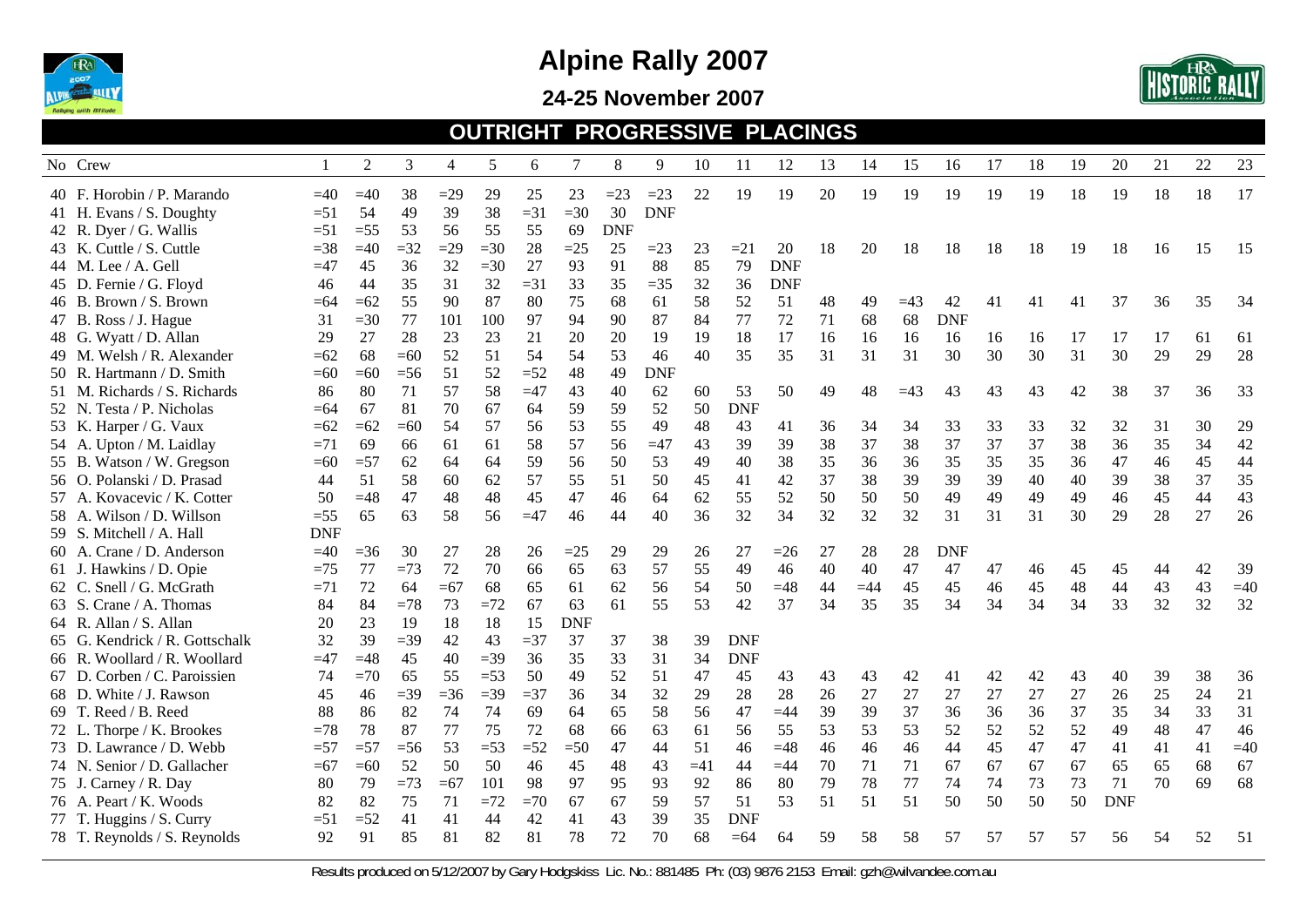

**24-25 November 2007** 



#### **OUTRIGHT PROGRESSIVE PLACINGS**

|       | No Crew                        |            | 2      | 3      | 4     | 5     | 6      |            | 8          | 9          | 10    | 11         | 12         | 13 | 14    | 15    | 16         | 17 | 18 | 19 | 20         | 21 | 22 | 23    |
|-------|--------------------------------|------------|--------|--------|-------|-------|--------|------------|------------|------------|-------|------------|------------|----|-------|-------|------------|----|----|----|------------|----|----|-------|
|       | 40 F. Horobin / P. Marando     | $=40$      | $=40$  | 38     | $=29$ | 29    | 25     | 23         | $=23$      | $=23$      | 22    | 19         | 19         | 20 | 19    | 19    | 19         | 19 | 19 | 18 | 19         | 18 | 18 | 17    |
|       | 41 H. Evans / S. Doughty       | $=51$      | 54     | 49     | 39    | 38    | $=31$  | $=30$      | 30         | <b>DNF</b> |       |            |            |    |       |       |            |    |    |    |            |    |    |       |
|       | 42 R. Dyer / G. Wallis         | $=51$      | $=$ 55 | 53     | 56    | 55    | 55     | 69         | <b>DNF</b> |            |       |            |            |    |       |       |            |    |    |    |            |    |    |       |
|       | 43 K. Cuttle / S. Cuttle       | $=38$      | $=40$  | $=32$  | $=29$ | $=30$ | 28     | $=25$      | 25         | $=23$      | 23    | $=21$      | 20         | 18 | 20    | 18    | 18         | 18 | 18 | 19 | 18         | 16 | 15 | 15    |
|       | 44 M. Lee / A. Gell            | $=47$      | 45     | 36     | 32    | $=30$ | 27     | 93         | 91         | 88         | 85    | 79         | <b>DNF</b> |    |       |       |            |    |    |    |            |    |    |       |
|       | 45 D. Fernie / G. Floyd        | 46         | 44     | 35     | 31    | 32    | $=31$  | 33         | 35         | $=35$      | 32    | 36         | <b>DNF</b> |    |       |       |            |    |    |    |            |    |    |       |
|       | 46 B. Brown / S. Brown         | $=64$      | $=62$  | 55     | 90    | 87    | 80     | 75         | 68         | 61         | 58    | 52         | 51         | 48 | 49    | $=43$ | 42         | 41 | 41 | 41 | 37         | 36 | 35 | 34    |
|       | 47 B. Ross / J. Hague          | 31         | $=30$  | 77     | 101   | 100   | 97     | 94         | 90         | 87         | 84    | 77         | 72         | 71 | 68    | 68    | <b>DNF</b> |    |    |    |            |    |    |       |
|       | 48 G. Wyatt / D. Allan         | 29         | 27     | 28     | 23    | 23    | 21     | 20         | 20         | 19         | 19    | 18         | 17         | 16 | 16    | 16    | 16         | 16 | 16 | 17 | 17         | 17 | 61 | 61    |
|       | 49 M. Welsh / R. Alexander     | $=62$      | 68     | $=60$  | 52    | 51    | 54     | 54         | 53         | 46         | 40    | 35         | 35         | 31 | 31    | 31    | 30         | 30 | 30 | 31 | 30         | 29 | 29 | 28    |
|       | 50 R. Hartmann / D. Smith      | $=60$      | $=60$  | $=$ 56 | 51    | 52    | $=52$  | 48         | 49         | <b>DNF</b> |       |            |            |    |       |       |            |    |    |    |            |    |    |       |
|       | 51 M. Richards / S. Richards   | 86         | 80     | 71     | 57    | 58    | $=47$  | 43         | 40         | 62         | 60    | 53         | 50         | 49 | 48    | $=43$ | 43         | 43 | 43 | 42 | 38         | 37 | 36 | 33    |
|       | 52 N. Testa / P. Nicholas      | $= 64$     | 67     | 81     | 70    | 67    | 64     | 59         | 59         | 52         | 50    | <b>DNF</b> |            |    |       |       |            |    |    |    |            |    |    |       |
|       | 53 K. Harper / G. Vaux         | $=62$      | $=62$  | $=60$  | 54    | 57    | 56     | 53         | 55         | 49         | 48    | 43         | 41         | 36 | 34    | 34    | 33         | 33 | 33 | 32 | 32         | 31 | 30 | 29    |
|       | 54 A. Upton / M. Laidlay       | $=71$      | 69     | 66     | 61    | 61    | 58     | 57         | 56         | $=47$      | 43    | 39         | 39         | 38 | 37    | 38    | 37         | 37 | 37 | 38 | 36         | 35 | 34 | 42    |
|       | 55 B. Watson / W. Gregson      | $=60$      | $=57$  | 62     | 64    | 64    | 59     | 56         | 50         | 53         | 49    | 40         | 38         | 35 | 36    | 36    | 35         | 35 | 35 | 36 | 47         | 46 | 45 | 44    |
|       | 56 O. Polanski / D. Prasad     | 44         | 51     | 58     | 60    | 62    | 57     | 55         | 51         | 50         | 45    | 41         | 42         | 37 | 38    | 39    | 39         | 39 | 40 | 40 | 39         | 38 | 37 | 35    |
|       | 57 A. Kovacevic / K. Cotter    | 50         | $=48$  | 47     | 48    | 48    | 45     | 47         | 46         | 64         | 62    | 55         | 52         | 50 | 50    | 50    | 49         | 49 | 49 | 49 | 46         | 45 | 44 | 43    |
|       | 58 A. Wilson / D. Willson      | $=55$      | 65     | 63     | 58    | 56    | $=47$  | 46         | 44         | 40         | 36    | 32         | 34         | 32 | 32    | 32    | 31         | 31 | 31 | 30 | 29         | 28 | 27 | 26    |
|       | 59 S. Mitchell / A. Hall       | <b>DNF</b> |        |        |       |       |        |            |            |            |       |            |            |    |       |       |            |    |    |    |            |    |    |       |
|       | 60 A. Crane / D. Anderson      | $=40$      | $=36$  | 30     | 27    | 28    | 26     | $=25$      | 29         | 29         | 26    | 27         | $=26$      | 27 | 28    | 28    | <b>DNF</b> |    |    |    |            |    |    |       |
|       | 61 J. Hawkins / D. Opie        | $=75$      | 77     | $=73$  | 72    | 70    | 66     | 65         | 63         | 57         | 55    | 49         | 46         | 40 | 40    | 47    | 47         | 47 | 46 | 45 | 45         | 44 | 42 | 39    |
|       | 62 C. Snell / G. McGrath       | $=71$      | 72     | 64     | $=67$ | 68    | 65     | 61         | 62         | 56         | 54    | 50         | $=48$      | 44 | $=44$ | 45    | 45         | 46 | 45 | 48 | 44         | 43 | 43 | $=40$ |
|       | 63 S. Crane / A. Thomas        | 84         | 84     | $=78$  | 73    | $=72$ | 67     | 63         | 61         | 55         | 53    | 42         | 37         | 34 | 35    | 35    | 34         | 34 | 34 | 34 | 33         | 32 | 32 | 32    |
|       | 64 R. Allan / S. Allan         | 20         | 23     | 19     | 18    | 18    | 15     | <b>DNF</b> |            |            |       |            |            |    |       |       |            |    |    |    |            |    |    |       |
|       | 65 G. Kendrick / R. Gottschalk | 32         | 39     | $=$ 39 | 42    | 43    | $=$ 37 | 37         | 37         | 38         | 39    | <b>DNF</b> |            |    |       |       |            |    |    |    |            |    |    |       |
|       | 66 R. Woollard / R. Woollard   | $=47$      | $=48$  | 45     | 40    | $=39$ | 36     | 35         | 33         | 31         | 34    | <b>DNF</b> |            |    |       |       |            |    |    |    |            |    |    |       |
| 67 D. | . Corben / C. Paroissien       | 74         | $=70$  | 65     | 55    | $=53$ | 50     | 49         | 52         | 51         | 47    | 45         | 43         | 43 | 43    | 42    | 41         | 42 | 42 | 43 | 40         | 39 | 38 | 36    |
|       | 68 D. White / J. Rawson        | 45         | 46     | $=39$  | $=36$ | $=39$ | $= 37$ | 36         | 34         | 32         | 29    | 28         | 28         | 26 | 27    | 27    | 27         | 27 | 27 | 27 | 26         | 25 | 24 | 21    |
|       | 69 T. Reed / B. Reed           | 88         | 86     | 82     | 74    | 74    | 69     | 64         | 65         | 58         | 56    | 47         | $=44$      | 39 | 39    | 37    | 36         | 36 | 36 | 37 | 35         | 34 | 33 | 31    |
|       | 72 L. Thorpe / K. Brookes      | $=78$      | 78     | 87     | 77    | 75    | 72     | 68         | 66         | 63         | 61    | 56         | 55         | 53 | 53    | 53    | 52         | 52 | 52 | 52 | 49         | 48 | 47 | 46    |
|       | 73 D. Lawrance / D. Webb       | $=57$      | $=57$  | $=$ 56 | 53    | $=53$ | $=52$  | $=50$      | 47         | 44         | 51    | 46         | $=48$      | 46 | 46    | 46    | 44         | 45 | 47 | 47 | 41         | 41 | 41 | $=40$ |
|       | 74 N. Senior / D. Gallacher    | $=67$      | $=60$  | 52     | 50    | 50    | 46     | 45         | 48         | 43         | $=41$ | 44         | $=44$      | 70 | 71    | 71    | 67         | 67 | 67 | 67 | 65         | 65 | 68 | 67    |
|       | 75 J. Carney / R. Day          | 80         | 79     | $=73$  | $=67$ | 101   | 98     | 97         | 95         | 93         | 92    | 86         | 80         | 79 | 78    | 77    | 74         | 74 | 73 | 73 | 71         | 70 | 69 | 68    |
|       | 76 A. Peart / K. Woods         | 82         | 82     | 75     | 71    | $=72$ | $=70$  | 67         | 67         | 59         | 57    | 51         | 53         | 51 | 51    | 51    | 50         | 50 | 50 | 50 | <b>DNF</b> |    |    |       |
|       | 77 T. Huggins / S. Curry       | $=51$      | $=52$  | 41     | 41    | 44    | 42     | 41         | 43         | 39         | 35    | <b>DNF</b> |            |    |       |       |            |    |    |    |            |    |    |       |
|       | 78 T. Reynolds / S. Reynolds   | 92         | 91     | 85     | 81    | 82    | 81     | 78         | 72         | 70         | 68    | $=64$      | 64         | 59 | 58    | 58    | 57         | 57 | 57 | 57 | 56         | 54 | 52 | 51    |
|       |                                |            |        |        |       |       |        |            |            |            |       |            |            |    |       |       |            |    |    |    |            |    |    |       |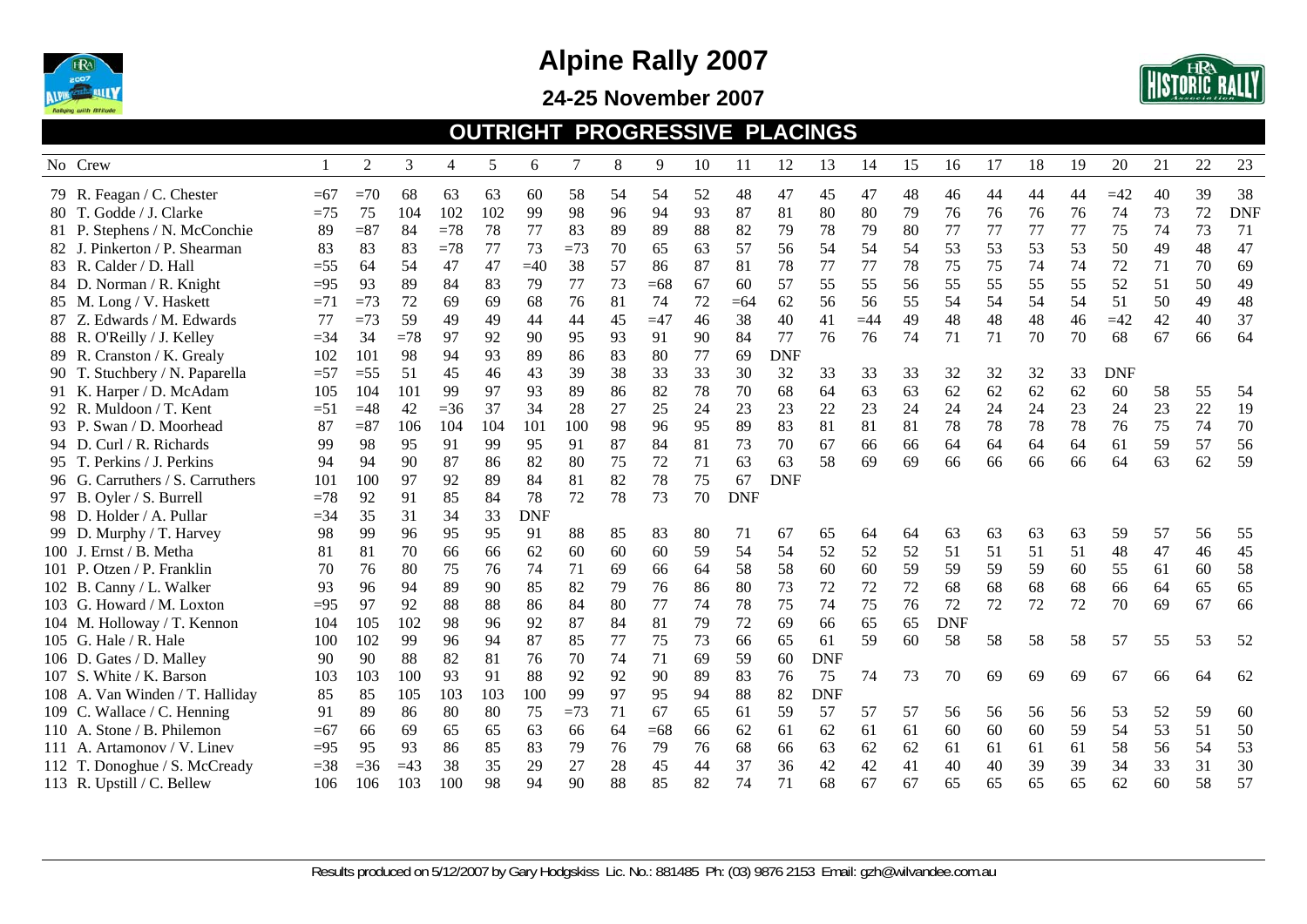

**24-25 November 2007** 



#### **OUTRIGHT PROGRESSIVE PLACINGS**

| No Crew                          |        | 2      | 3     | 4     | 5   | 6          | 7     | 8  | 9     | 10 | 11         | 12         | 13         | 14    | 15 | 16         | 17 | 18 | 19 | 20         | 21 | 22 | 23         |
|----------------------------------|--------|--------|-------|-------|-----|------------|-------|----|-------|----|------------|------------|------------|-------|----|------------|----|----|----|------------|----|----|------------|
| 79 R. Feagan / C. Chester        | $=67$  | $=70$  | 68    | 63    | 63  | 60         | 58    | 54 | 54    | 52 | 48         | 47         | 45         | 47    | 48 | 46         | 44 | 44 | 44 | $=42$      | 40 | 39 | 38         |
| 80 T. Godde / J. Clarke          | $=75$  | 75     | 104   | 102   | 102 | 99         | 98    | 96 | 94    | 93 | 87         | 81         | 80         | 80    | 79 | 76         | 76 | 76 | 76 | 74         | 73 | 72 | <b>DNF</b> |
| 81 P. Stephens / N. McConchie    | 89     | $= 87$ | 84    | $=78$ | 78  | 77         | 83    | 89 | 89    | 88 | 82         | 79         | 78         | 79    | 80 | 77         | 77 | 77 | 77 | 75         | 74 | 73 | 71         |
| 82 J. Pinkerton / P. Shearman    | 83     | 83     | 83    | $=78$ | 77  | 73         | $=73$ | 70 | 65    | 63 | 57         | 56         | 54         | 54    | 54 | 53         | 53 | 53 | 53 | 50         | 49 | 48 | 47         |
| 83 R. Calder / D. Hall           | $=$ 55 | 64     | 54    | 47    | 47  | $=40$      | 38    | 57 | 86    | 87 | 81         | 78         | 77         | 77    | 78 | 75         | 75 | 74 | 74 | 72         | 71 | 70 | 69         |
| 84 D. Norman / R. Knight         | $=95$  | 93     | 89    | 84    | 83  | 79         | 77    | 73 | $=68$ | 67 | 60         | 57         | 55         | 55    | 56 | 55         | 55 | 55 | 55 | 52         | 51 | 50 | 49         |
| 85 M. Long / V. Haskett          | $=71$  | $=73$  | 72    | 69    | 69  | 68         | 76    | 81 | 74    | 72 | $=64$      | 62         | 56         | 56    | 55 | 54         | 54 | 54 | 54 | 51         | 50 | 49 | 48         |
| 87 Z. Edwards / M. Edwards       | 77     | $=73$  | 59    | 49    | 49  | 44         | 44    | 45 | $=47$ | 46 | 38         | 40         | 41         | $=44$ | 49 | 48         | 48 | 48 | 46 | $=42$      | 42 | 40 | 37         |
| 88 R. O'Reilly / J. Kelley       | $=34$  | 34     | $=78$ | 97    | 92  | 90         | 95    | 93 | 91    | 90 | 84         | 77         | 76         | 76    | 74 | 71         | 71 | 70 | 70 | 68         | 67 | 66 | 64         |
| 89 R. Cranston / K. Grealy       | 102    | 101    | 98    | 94    | 93  | 89         | 86    | 83 | 80    | 77 | 69         | <b>DNF</b> |            |       |    |            |    |    |    |            |    |    |            |
| 90 T. Stuchbery / N. Paparella   | $=57$  | $=55$  | 51    | 45    | 46  | 43         | 39    | 38 | 33    | 33 | 30         | 32         | 33         | 33    | 33 | 32         | 32 | 32 | 33 | <b>DNF</b> |    |    |            |
| 91 K. Harper / D. McAdam         | 105    | 104    | 101   | 99    | 97  | 93         | 89    | 86 | 82    | 78 | 70         | 68         | 64         | 63    | 63 | 62         | 62 | 62 | 62 | 60         | 58 | 55 | 54         |
| 92 R. Muldoon / T. Kent          | $=51$  | $=48$  | 42    | $=36$ | 37  | 34         | 28    | 27 | 25    | 24 | 23         | 23         | 22         | 23    | 24 | 24         | 24 | 24 | 23 | 24         | 23 | 22 | 19         |
| 93 P. Swan / D. Moorhead         | 87     | $= 87$ | 106   | 104   | 104 | 101        | 100   | 98 | 96    | 95 | 89         | 83         | 81         | 81    | 81 | 78         | 78 | 78 | 78 | 76         | 75 | 74 | 70         |
| 94 D. Curl / R. Richards         | 99     | 98     | 95    | 91    | 99  | 95         | 91    | 87 | 84    | 81 | 73         | 70         | 67         | 66    | 66 | 64         | 64 | 64 | 64 | 61         | 59 | 57 | 56         |
| 95 T. Perkins / J. Perkins       | 94     | 94     | 90    | 87    | 86  | 82         | 80    | 75 | 72    | 71 | 63         | 63         | 58         | 69    | 69 | 66         | 66 | 66 | 66 | 64         | 63 | 62 | 59         |
| 96 G. Carruthers / S. Carruthers | 101    | 100    | 97    | 92    | 89  | 84         | 81    | 82 | 78    | 75 | 67         | <b>DNF</b> |            |       |    |            |    |    |    |            |    |    |            |
| 97 B. Oyler / S. Burrell         | $=78$  | 92     | 91    | 85    | 84  | 78         | 72    | 78 | 73    | 70 | <b>DNF</b> |            |            |       |    |            |    |    |    |            |    |    |            |
| 98 D. Holder / A. Pullar         | $=$ 34 | 35     | 31    | 34    | 33  | <b>DNF</b> |       |    |       |    |            |            |            |       |    |            |    |    |    |            |    |    |            |
| 99 D. Murphy / T. Harvey         | 98     | 99     | 96    | 95    | 95  | 91         | 88    | 85 | 83    | 80 | 71         | 67         | 65         | 64    | 64 | 63         | 63 | 63 | 63 | 59         | 57 | 56 | 55         |
| 100 J. Ernst / B. Metha          | -81    | 81     | 70    | 66    | 66  | 62         | 60    | 60 | 60    | 59 | 54         | 54         | 52         | 52    | 52 | 51         | 51 | 51 | 51 | 48         | 47 | 46 | 45         |
| 101 P. Otzen / P. Franklin       | 70     | 76     | 80    | 75    | 76  | 74         | 71    | 69 | 66    | 64 | 58         | 58         | 60         | 60    | 59 | 59         | 59 | 59 | 60 | 55         | 61 | 60 | 58         |
| 102 B. Canny / L. Walker         | 93     | 96     | 94    | 89    | 90  | 85         | 82    | 79 | 76    | 86 | 80         | 73         | 72         | 72    | 72 | 68         | 68 | 68 | 68 | 66         | 64 | 65 | 65         |
| 103 G. Howard / M. Loxton        | $=95$  | 97     | 92    | 88    | 88  | 86         | 84    | 80 | 77    | 74 | 78         | 75         | 74         | 75    | 76 | 72         | 72 | 72 | 72 | 70         | 69 | 67 | 66         |
| 104 M. Holloway / T. Kennon      | 104    | 105    | 102   | 98    | 96  | 92         | 87    | 84 | 81    | 79 | 72         | 69         | 66         | 65    | 65 | <b>DNF</b> |    |    |    |            |    |    |            |
| 105 G. Hale / R. Hale            | 100    | 102    | 99    | 96    | 94  | 87         | 85    | 77 | 75    | 73 | 66         | 65         | 61         | 59    | 60 | 58         | 58 | 58 | 58 | 57         | 55 | 53 | 52         |
| 106 D. Gates / D. Malley         | 90     | 90     | 88    | 82    | 81  | 76         | 70    | 74 | 71    | 69 | 59         | 60         | <b>DNF</b> |       |    |            |    |    |    |            |    |    |            |
| 107 S. White / K. Barson         | 103    | 103    | 100   | 93    | 91  | 88         | 92    | 92 | 90    | 89 | 83         | 76         | 75         | 74    | 73 | 70         | 69 | 69 | 69 | 67         | 66 | 64 | 62         |
| 108 A. Van Winden / T. Halliday  | 85     | 85     | 105   | 103   | 103 | 100        | 99    | 97 | 95    | 94 | 88         | 82         | <b>DNF</b> |       |    |            |    |    |    |            |    |    |            |
| 109 C. Wallace / C. Henning      | 91     | 89     | 86    | 80    | 80  | 75         | $=73$ | 71 | 67    | 65 | 61         | 59         | 57         | 57    | 57 | 56         | 56 | 56 | 56 | 53         | 52 | 59 | 60         |
| 110 A. Stone / B. Philemon       | $=67$  | 66     | 69    | 65    | 65  | 63         | 66    | 64 | $=68$ | 66 | 62         | 61         | 62         | 61    | 61 | 60         | 60 | 60 | 59 | 54         | 53 | 51 | 50         |
| 111 A. Artamonov / V. Linev      | $=95$  | 95     | 93    | 86    | 85  | 83         | 79    | 76 | 79    | 76 | 68         | 66         | 63         | 62    | 62 | 61         | 61 | 61 | 61 | 58         | 56 | 54 | 53         |
| 112 T. Donoghue / S. McCready    | $=38$  | $=36$  | $=43$ | 38    | 35  | 29         | 27    | 28 | 45    | 44 | 37         | 36         | 42         | 42    | 41 | 40         | 40 | 39 | 39 | 34         | 33 | 31 | 30         |
| 113 R. Upstill / C. Bellew       | 106    | 106    | 103   | 100   | 98  | 94         | 90    | 88 | 85    | 82 | 74         | 71         | 68         | 67    | 67 | 65         | 65 | 65 | 65 | 62         | 60 | 58 | 57         |
|                                  |        |        |       |       |     |            |       |    |       |    |            |            |            |       |    |            |    |    |    |            |    |    |            |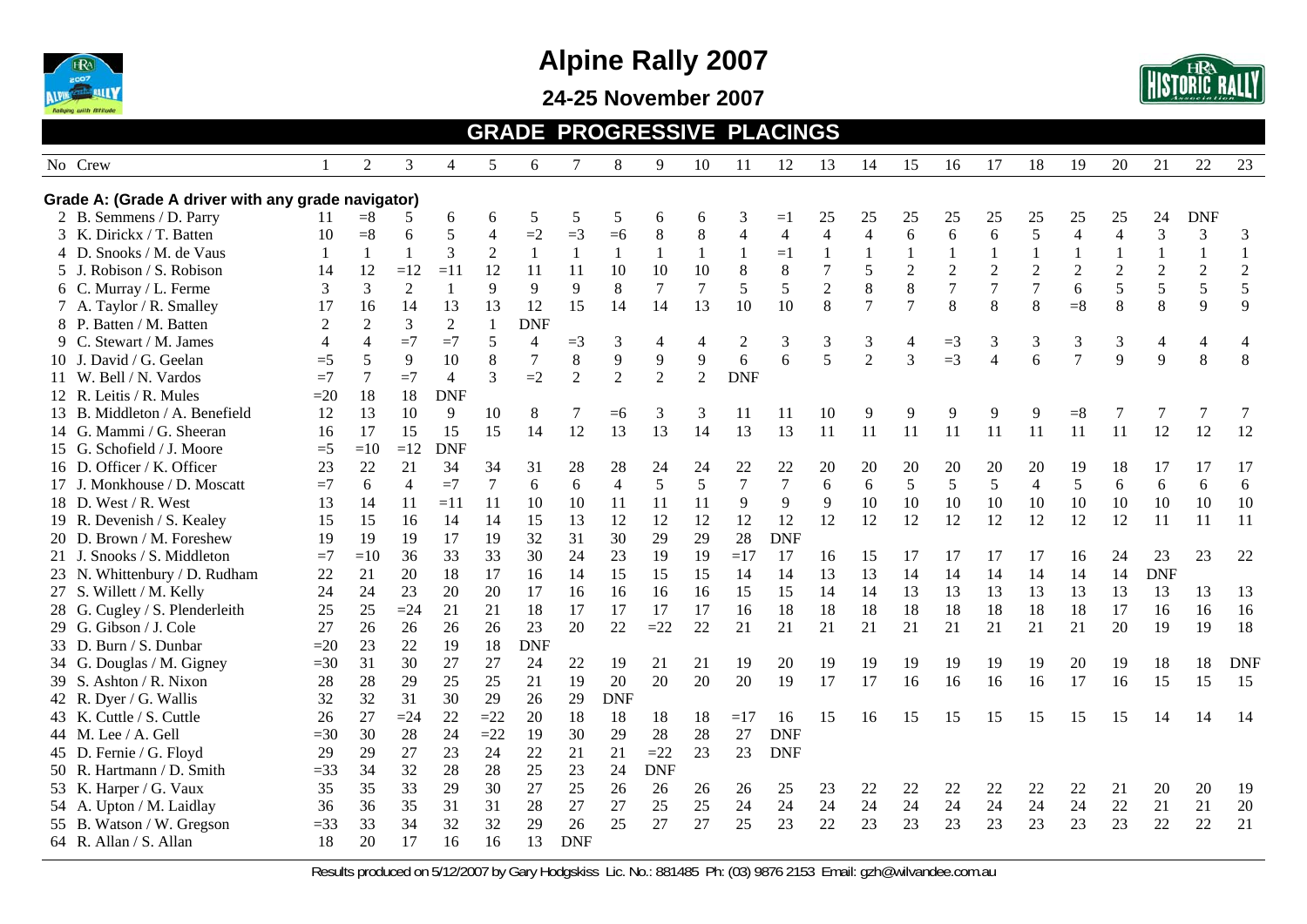

**24-25 November 2007** 



#### **GRADE PROGRESSIVE PLACINGS**

| Grade A: (Grade A driver with any grade navigator)                                                                                                                                                                    | <b>DNF</b><br>24<br>25                                          |
|-----------------------------------------------------------------------------------------------------------------------------------------------------------------------------------------------------------------------|-----------------------------------------------------------------|
|                                                                                                                                                                                                                       |                                                                 |
| 2 B. Semmens / D. Parry<br>5<br>25<br>25<br>11<br>$=$ 8<br>6<br>6<br>5<br>5<br>3<br>25<br>25<br>25<br>25<br>25<br>5<br>6<br>$=1$<br>6                                                                                 |                                                                 |
| 5<br>$=2$<br>6<br>$\overline{4}$<br>$\,8\,$<br>8<br>$\overline{\mathbf{4}}$<br>$\overline{4}$<br>5<br>$= 8$<br>6<br>$=3$<br>$=6$<br>4<br>$\overline{4}$<br>6<br>6<br>$\overline{4}$<br>3 K. Dirickx / T. Batten<br>10 | $\mathfrak{Z}$<br>$\overline{\mathcal{L}}$<br>3<br>3            |
| 3<br>4 D. Snooks / M. de Vaus<br>$\mathbf{1}$<br>$\overline{2}$<br>-1<br>$\mathbf{1}$<br>$\mathbf{1}$<br>$\mathbf{1}$<br>$=1$<br>-1<br>$\mathbf{1}$<br>$\mathbf{1}$<br>1<br>$\mathbf{1}$<br>1<br>1                    | $\mathbf{1}$<br>$\mathbf{1}$<br>$\mathbf{1}$                    |
| 10<br>8<br>$\,8\,$<br>$\overline{2}$<br>$\overline{c}$<br>$\sqrt{2}$<br>$\sqrt{2}$<br>5 J. Robison / S. Robison<br>12<br>$=11$<br>12<br>11<br>10<br>10<br>5<br>$\overline{c}$<br>14<br>$=12$<br>11                    | $\sqrt{2}$<br>$\overline{2}$<br>$\overline{2}$<br>$\mathfrak 2$ |
| $\overline{2}$<br>$\,8\,$<br>$\overline{7}$<br>$\overline{2}$<br>9<br>5<br>5<br>8<br>$\tau$<br>$\overline{7}$<br>3<br>3<br>9<br>9<br>8<br>$\tau$<br>6<br>6 C. Murray / L. Ferme<br>7                                  | 5<br>5<br>5<br>5                                                |
| 8<br>$\overline{7}$<br>8<br>8<br>14<br>13<br>10<br>$\overline{7}$<br>8<br>$= 8$<br>17<br>13<br>13<br>12<br>15<br>14<br>14<br>10<br>7 A. Taylor / R. Smalley<br>16                                                     | 8<br>9<br>$\,8\,$<br>9                                          |
| 3<br>$\overline{2}$<br><b>DNF</b><br>8 P. Batten / M. Batten<br>2<br>$\mathbf{1}$<br>2                                                                                                                                |                                                                 |
| 9 C. Stewart / M. James<br>$=7$<br>$=7$<br>5<br>$\overline{4}$<br>3<br>$\overline{2}$<br>3<br>3<br>3<br>3<br>4<br>4<br>$=3$<br>4<br>4<br>3<br>$\overline{4}$<br>3<br>$=$ 3                                            | 3<br>$\overline{4}$<br>4<br>4                                   |
| 5<br>$8\,$<br>$\overline{2}$<br>3<br>8<br>$\overline{7}$<br>9<br>9<br>$\overline{9}$<br>6<br>6<br>$=3$<br>6<br>10 J. David / G. Geelan<br>5<br>9<br>10<br>$\overline{4}$<br>$=5$                                      | 9<br>8<br>8<br>9                                                |
| $\overline{2}$<br>$\overline{2}$<br><b>DNF</b><br>11 W. Bell / N. Vardos<br>$=7$<br>$\overline{4}$<br>3<br>$=2$<br>$\overline{2}$<br>2<br>$=7$<br>7                                                                   |                                                                 |
| <b>DNF</b><br>12 R. Leitis / R. Mules<br>18<br>18<br>$=20$                                                                                                                                                            |                                                                 |
| 13 B. Middleton / A. Benefield<br>13<br>10<br>9<br>12<br>10<br>8<br>3<br>3<br>10<br>9<br>9<br>9<br>$= 8$<br>11<br>9<br>$=6$<br>11                                                                                     | 7<br>7<br>7<br>7                                                |
| 13<br>13<br>15<br>15<br>14<br>12<br>14<br>13<br>13<br>11<br>11<br>11<br>14 G. Mammi / G. Sheeran<br>17<br>15<br>11<br>11<br>11<br>11<br>16                                                                            | 12<br>12<br>12<br>11                                            |
| 15 G. Schofield / J. Moore<br>$=5$<br><b>DNF</b><br>$=10$<br>$=12$                                                                                                                                                    |                                                                 |
| 23<br>22<br>21<br>16 D. Officer / K. Officer<br>34<br>34<br>31<br>28<br>28<br>24<br>24<br>22<br>22<br>20<br>20<br>20<br>20<br>20<br>20                                                                                | 19<br>18<br>17<br>17<br>17                                      |
| $\boldsymbol{7}$<br>5<br>$\overline{7}$<br>5<br>5<br>$=7$<br>$\tau$<br>$\overline{4}$<br>5<br>6<br>5<br>5<br>17 J. Monkhouse / D. Moscatt<br>6<br>$\overline{4}$<br>$=7$<br>6<br>6<br>6<br>$\overline{4}$             | 6<br>6<br>6<br>6                                                |
| 9<br>18 D. West / R. West<br>9<br>9<br>10<br>10<br>10<br>13<br>14<br>$=11$<br>11<br>10<br>11<br>11<br>11<br>10<br>10<br>10<br>11<br>10                                                                                | 10<br>10<br>10<br>10                                            |
| 12<br>12<br>12<br>12<br>12<br>19 R. Devenish / S. Kealey<br>15<br>15<br>15<br>12<br>12<br>12<br>12<br>12<br>12<br>12<br>14<br>14<br>13<br>16                                                                          | 12<br>11<br>11<br>11                                            |
| 32<br>30<br><b>DNF</b><br>20 D. Brown / M. Foreshew<br>19<br>19<br>19<br>17<br>19<br>31<br>29<br>29<br>28                                                                                                             |                                                                 |
| 33<br>21 J. Snooks / S. Middleton<br>$=7$<br>33<br>30<br>24<br>23<br>19<br>17<br>$=10$<br>36<br>19<br>$=17$<br>16<br>15<br>17<br>17<br>17<br>17                                                                       | 22<br>16<br>24<br>23<br>23                                      |
| 22<br>21<br>20<br>18<br>15<br>14<br>13<br>13<br>14<br>14<br>14<br>23 N. Whittenbury / D. Rudham<br>17<br>16<br>14<br>15<br>15<br>14<br>14<br>14                                                                       | 14<br><b>DNF</b>                                                |
| 20<br>15<br>13<br>27 S. Willett / M. Kelly<br>24<br>24<br>23<br>20<br>17<br>16<br>15<br>14<br>14<br>13<br>13<br>13<br>13<br>16<br>16<br>16                                                                            | 13<br>13<br>13<br>13                                            |
| 21<br>25<br>25<br>$=24$<br>21<br>18<br>17<br>18<br>18<br>18<br>18<br>18<br>18<br>18<br>28 G. Cugley / S. Plenderleith<br>17<br>17<br>17<br>18<br>16                                                                   | 16<br>17<br>16<br>16                                            |
| 26<br>22<br>21<br>27<br>26<br>26<br>23<br>20<br>$=22$<br>22<br>21<br>21<br>21<br>21<br>21<br>21<br>21<br>21<br>29 G. Gibson / J. Cole<br>26                                                                           | 18<br>20<br>19<br>19                                            |
| 22<br>18<br><b>DNF</b><br>33 D. Burn / S. Dunbar<br>23<br>19<br>$=20$                                                                                                                                                 |                                                                 |
| 31<br>30<br>24<br>34 G. Douglas / M. Gigney<br>$=30$<br>27<br>27<br>22<br>19<br>21<br>21<br>19<br>20<br>19<br>19<br>19<br>19<br>19<br>19<br>20                                                                        | 18<br>18<br><b>DNF</b><br>19                                    |
| 39 S. Ashton / R. Nixon<br>20<br>20<br>20<br>20<br>19<br>17<br>17<br>28<br>29<br>25<br>25<br>21<br>19<br>17<br>16<br>16<br>16<br>16<br>28                                                                             | 15<br>16<br>15<br>15                                            |
| 32<br>31<br>30<br>29<br>26<br>29<br><b>DNF</b><br>42 R. Dyer / G. Wallis<br>32                                                                                                                                        |                                                                 |
| 27<br>$=24$<br>22<br>$=22$<br>20<br>43 K. Cuttle / S. Cuttle<br>18<br>18<br>18<br>15<br>15<br>15<br>26<br>18<br>$=17$<br>15<br>16<br>15<br>16                                                                         | 15<br>15<br>14<br>14<br>14                                      |
| 28<br>$=22$<br>30<br>28<br>27<br>30<br>24<br>19<br>29<br>28<br><b>DNF</b><br>44 M. Lee / A. Gell<br>$=30$                                                                                                             |                                                                 |
| 27<br>23<br>24<br>22<br>21<br>$=22$<br>23<br>23<br><b>DNF</b><br>45 D. Fernie / G. Floyd<br>29<br>29<br>21                                                                                                            |                                                                 |
| 32<br>28<br>25<br>24<br><b>DNF</b><br>50 R. Hartmann / D. Smith<br>$=33$<br>34<br>28<br>23                                                                                                                            |                                                                 |
| 30<br>35<br>35<br>33<br>29<br>27<br>25<br>26<br>26<br>53 K. Harper / G. Vaux<br>$25\,$<br>22<br>$22\,$<br>22<br>22<br>22<br>26<br>26<br>23<br>22                                                                      | 21<br>20<br>20<br>19                                            |
| 24<br>24<br>24<br>24<br>24<br>24<br>54 A. Upton / M. Laidlay<br>35<br>31<br>31<br>28<br>27<br>27<br>25<br>25<br>24<br>24<br>24<br>36<br>36                                                                            | 22<br>20<br>21<br>21                                            |
| 32<br>27<br>22<br>23<br>23<br>55 B. Watson / W. Gregson<br>33<br>34<br>32<br>29<br>26<br>25<br>27<br>25<br>23<br>23<br>23<br>23<br>23<br>$=$ 33                                                                       | 23<br>22<br>21<br>22                                            |
| 13<br>64 R. Allan / S. Allan<br>18<br>20<br>17<br>16<br>16<br><b>DNF</b>                                                                                                                                              |                                                                 |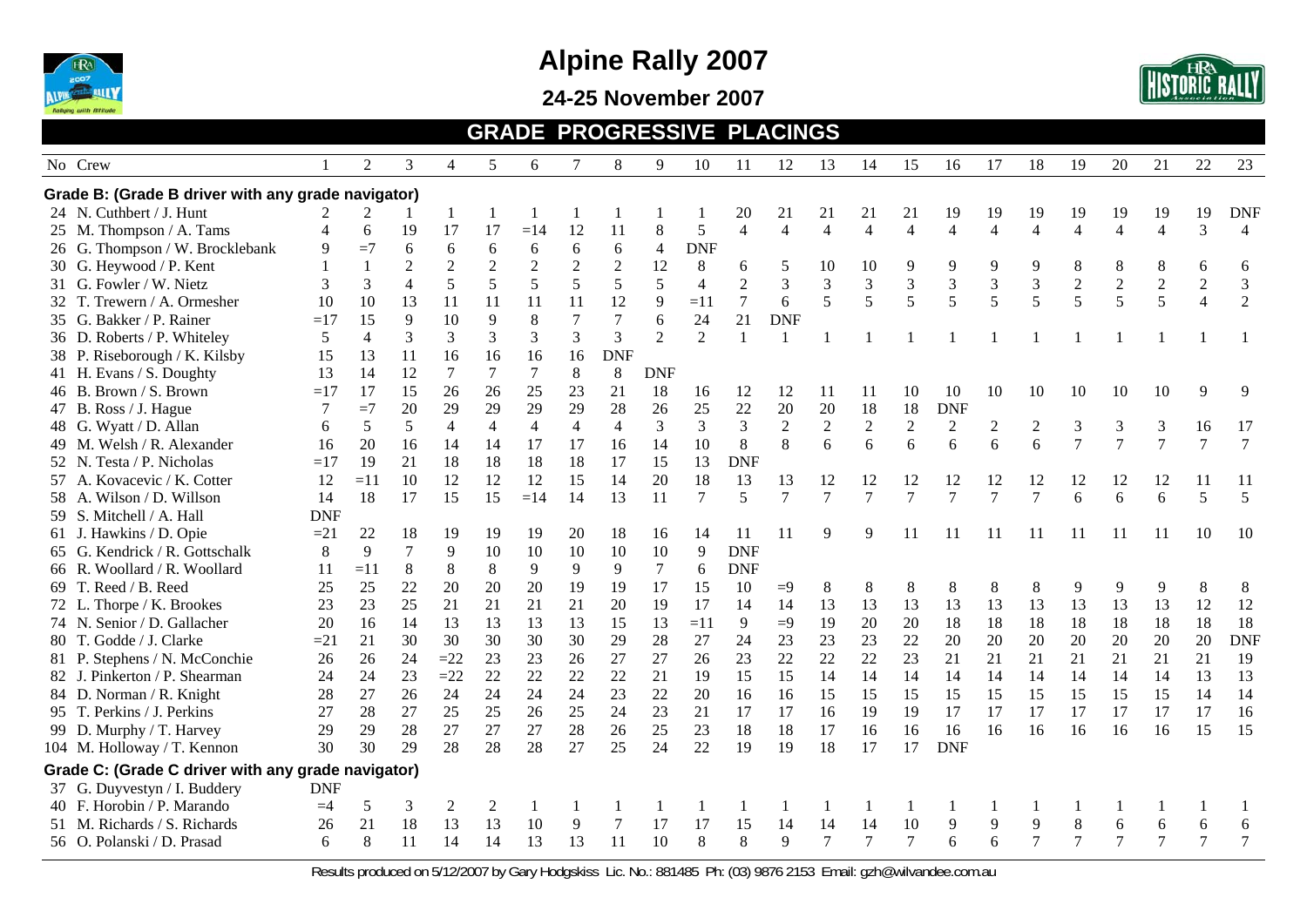

**24-25 November 2007** 



#### **GRADE PROGRESSIVE PLACINGS**

| No Crew                                            |                | $\overline{c}$ | 3              | 4              | 5              | 6              | $\tau$         | 8              | 9              | 10             | 11               | 12               | 13             | 14                          | 15             | 16               | 17                          | 18                          | 19             | 20             | 21             | 22             | 23             |
|----------------------------------------------------|----------------|----------------|----------------|----------------|----------------|----------------|----------------|----------------|----------------|----------------|------------------|------------------|----------------|-----------------------------|----------------|------------------|-----------------------------|-----------------------------|----------------|----------------|----------------|----------------|----------------|
| Grade B: (Grade B driver with any grade navigator) |                |                |                |                |                |                |                |                |                |                |                  |                  |                |                             |                |                  |                             |                             |                |                |                |                |                |
| 24 N. Cuthbert / J. Hunt                           |                |                |                |                |                |                |                |                |                |                | 20               | 21               | 21             | 21                          | 21             | 19               | 19                          | 19                          | 19             | 19             | 19             | 19             | <b>DNF</b>     |
| 25 M. Thompson / A. Tams                           | $\overline{A}$ | 6              | 19             | 17             | 17             | $=14$          | 12             | 11             | 8              | 5              | $\overline{4}$   | $\overline{4}$   | $\overline{4}$ | $\overline{4}$              | $\overline{4}$ | $\overline{4}$   | $\overline{4}$              | $\overline{4}$              | $\overline{4}$ | 4              | $\overline{4}$ | 3              | $\overline{4}$ |
| 26 G. Thompson / W. Brocklebank                    | 9              | $=7$           | 6              | 6              | 6              | 6              | 6              | 6              | $\overline{4}$ | <b>DNF</b>     |                  |                  |                |                             |                |                  |                             |                             |                |                |                |                |                |
| 30 G. Heywood / P. Kent                            |                |                | $\overline{c}$ | $\sqrt{2}$     | $\overline{c}$ | $\overline{c}$ | $\overline{2}$ | $\overline{2}$ | 12             | $8\,$          | 6                | 5                | 10             | 10                          | 9              | 9                | 9                           | 9                           | 8              | 8              | 8              | 6              | 6              |
| 31 G. Fowler / W. Nietz                            | 3              | 3              | $\overline{4}$ | 5              | 5              | 5              | 5              | $\sqrt{5}$     | 5              | $\overline{4}$ | $\sqrt{2}$       | 3                | $\mathfrak{Z}$ | $\ensuremath{\mathfrak{Z}}$ | 3              | 3                | $\ensuremath{\mathfrak{Z}}$ | $\ensuremath{\mathfrak{Z}}$ | $\sqrt{2}$     | $\sqrt{2}$     | $\sqrt{2}$     | $\sqrt{2}$     | $\mathfrak{Z}$ |
| 32 T. Trewern / A. Ormesher                        | 10             | 10             | 13             | 11             | 11             | 11             | 11             | 12             | 9              | $=11$          | $\boldsymbol{7}$ | 6                | 5              | 5                           | 5              | 5                | 5                           | 5                           | 5              | 5              | 5              | $\overline{4}$ | $\overline{2}$ |
| 35 G. Bakker / P. Rainer                           | $=17$          | 15             | 9              | 10             | 9              | 8              | $\tau$         | 7              | 6              | 24             | 21               | <b>DNF</b>       |                |                             |                |                  |                             |                             |                |                |                |                |                |
| 36 D. Roberts / P. Whiteley                        | 5              | 4              | 3              | 3              | 3              | 3              | 3              | 3              | $\overline{2}$ | $\overline{2}$ |                  | $\mathbf{1}$     |                |                             |                |                  |                             |                             |                |                |                |                |                |
| 38 P. Riseborough / K. Kilsby                      | 15             | 13             | 11             | 16             | 16             | 16             | 16             | <b>DNF</b>     |                |                |                  |                  |                |                             |                |                  |                             |                             |                |                |                |                |                |
| 41 H. Evans / S. Doughty                           | 13             | 14             | 12             | 7              | $\tau$         | $\overline{7}$ | $\,8\,$        | $\,8\,$        | <b>DNF</b>     |                |                  |                  |                |                             |                |                  |                             |                             |                |                |                |                |                |
| 46 B. Brown / S. Brown                             | $=17$          | 17             | 15             | 26             | 26             | 25             | 23             | 21             | 18             | 16             | 12               | 12               | 11             | 11                          | 10             | 10               | 10                          | 10                          | 10             | 10             | 10             | 9              | 9              |
| 47 B. Ross / J. Hague                              | 7              | $=7$           | 20             | 29             | 29             | 29             | 29             | 28             | 26             | 25             | 22               | 20               | 20             | 18                          | 18             | <b>DNF</b>       |                             |                             |                |                |                |                |                |
| 48 G. Wyatt / D. Allan                             | 6              | 5              | 5              | $\overline{4}$ | $\overline{4}$ | $\overline{4}$ | $\overline{4}$ | $\overline{4}$ | 3              | 3              | 3                | $\boldsymbol{2}$ | $\overline{c}$ | $\sqrt{2}$                  | $\sqrt{2}$     | $\boldsymbol{2}$ | $\overline{c}$              | $\overline{c}$              | 3              | 3              | 3              | 16             | 17             |
| 49 M. Welsh / R. Alexander                         | 16             | 20             | 16             | 14             | 14             | 17             | 17             | 16             | 14             | 10             | $\,8\,$          | 8                | 6              | 6                           | 6              | 6                | 6                           | 6                           | $\overline{7}$ | $\overline{7}$ | $\tau$         | $\tau$         | $\overline{7}$ |
| 52 N. Testa / P. Nicholas                          | $=17$          | 19             | 21             | 18             | 18             | 18             | 18             | 17             | 15             | 13             | <b>DNF</b>       |                  |                |                             |                |                  |                             |                             |                |                |                |                |                |
| 57 A. Kovacevic / K. Cotter                        | 12             | $=11$          | 10             | 12             | 12             | 12             | 15             | 14             | 20             | 18             | 13               | 13               | 12             | 12                          | 12             | 12               | 12                          | 12                          | 12             | 12             | 12             | 11             | 11             |
| 58 A. Wilson / D. Willson                          | 14             | 18             | 17             | 15             | 15             | $=14$          | 14             | 13             | 11             | 7              | 5                | $\tau$           | 7              | $\overline{7}$              | $\overline{7}$ | $\tau$           | 7                           | 7                           | 6              | 6              | 6              | 5              | 5              |
| 59 S. Mitchell / A. Hall                           | <b>DNF</b>     |                |                |                |                |                |                |                |                |                |                  |                  |                |                             |                |                  |                             |                             |                |                |                |                |                |
| 61 J. Hawkins / D. Opie                            | $=21$          | 22             | 18             | 19             | 19             | 19             | 20             | 18             | 16             | 14             | 11               | 11               | 9              | $\mathbf Q$                 | 11             | 11               | 11                          | 11                          | 11             | 11             | 11             | 10             | 10             |
| 65 G. Kendrick / R. Gottschalk                     | 8              | 9              | 7              | 9              | 10             | 10             | 10             | 10             | 10             | 9              | <b>DNF</b>       |                  |                |                             |                |                  |                             |                             |                |                |                |                |                |
| 66 R. Woollard / R. Woollard                       | 11             | $=11$          | 8              | 8              | 8              | 9              | 9              | 9              | $\tau$         | 6              | <b>DNF</b>       |                  |                |                             |                |                  |                             |                             |                |                |                |                |                |
| 69 T. Reed / B. Reed                               | 25             | 25             | 22             | 20             | 20             | 20             | 19             | 19             | 17             | 15             | 10               | $=9$             | $8\,$          | 8                           | 8              | $\,8\,$          | 8                           | 8                           | 9              | 9              | 9              | 8              | 8              |
| 72 L. Thorpe / K. Brookes                          | 23             | 23             | 25             | 21             | 21             | 21             | 21             | 20             | 19             | 17             | 14               | 14               | 13             | 13                          | 13             | 13               | 13                          | 13                          | 13             | 13             | 13             | 12             | 12             |
| 74 N. Senior / D. Gallacher                        | 20             | 16             | 14             | 13             | 13             | 13             | 13             | 15             | 13             | $=11$          | 9                | $=9$             | 19             | 20                          | 20             | 18               | 18                          | 18                          | 18             | 18             | 18             | 18             | 18             |
| 80 T. Godde / J. Clarke                            | $=21$          | 21             | 30             | 30             | 30             | 30             | 30             | 29             | 28             | 27             | 24               | 23               | 23             | 23                          | 22             | 20               | 20                          | 20                          | 20             | 20             | 20             | 20             | <b>DNF</b>     |
| 81 P. Stephens / N. McConchie                      | 26             | 26             | 24             | $=22$          | 23             | 23             | 26             | 27             | 27             | 26             | 23               | 22               | 22             | 22                          | 23             | 21               | 21                          | 21                          | 21             | 21             | 21             | 21             | 19             |
| 82 J. Pinkerton / P. Shearman                      | 24             | 24             | 23             | $=22$          | 22             | 22             | 22             | 22             | 21             | 19             | 15               | 15               | 14             | 14                          | 14             | 14               | 14                          | 14                          | 14             | 14             | 14             | 13             | 13             |
| 84 D. Norman / R. Knight                           | 28             | 27             | 26             | 24             | 24             | 24             | 24             | 23             | 22             | 20             | 16               | 16               | 15             | 15                          | 15             | 15               | 15                          | 15                          | 15             | 15             | 15             | 14             | 14             |
| 95 T. Perkins / J. Perkins                         | 27             | 28             | 27             | 25             | 25             | 26             | 25             | 24             | 23             | 21             | 17               | 17               | 16             | 19                          | 19             | 17               | 17                          | 17                          | 17             | 17             | 17             | 17             | 16             |
| 99 D. Murphy / T. Harvey                           | 29             | 29             | 28             | 27             | 27             | 27             | 28             | 26             | 25             | 23             | 18               | 18               | 17             | 16                          | 16             | 16               | 16                          | 16                          | 16             | 16             | 16             | 15             | 15             |
| 104 M. Holloway / T. Kennon                        | 30             | 30             | 29             | 28             | 28             | 28             | 27             | 25             | 24             | 22             | 19               | 19               | 18             | 17                          | 17             | <b>DNF</b>       |                             |                             |                |                |                |                |                |
| Grade C: (Grade C driver with any grade navigator) |                |                |                |                |                |                |                |                |                |                |                  |                  |                |                             |                |                  |                             |                             |                |                |                |                |                |
| 37 G. Duyvestyn / I. Buddery                       | <b>DNF</b>     |                |                |                |                |                |                |                |                |                |                  |                  |                |                             |                |                  |                             |                             |                |                |                |                |                |
| 40 F. Horobin / P. Marando                         | $=4$           | 5              | 3              | 2              | 2              | -1             | -1             |                |                |                |                  |                  |                | -1                          | 1              |                  |                             |                             |                |                |                |                |                |
| 51 M. Richards / S. Richards                       | 26             | 21             | 18             | 13             | 13             | 10             | 9              | 7              | 17             | 17             | 15               | 14               | 14             | 14                          | 10             | 9                | 9                           | 9                           | 8              | 6              | 6              | 6              | 6              |
| 56 O. Polanski / D. Prasad                         | 6              | 8              | 11             | 14             | 14             | 13             | 13             | 11             | 10             | 8              | 8                | $\mathbf{Q}$     | $\overline{7}$ | $\overline{7}$              | $\overline{7}$ | 6                | 6                           |                             |                | 7              | 7              | $\overline{7}$ | $\overline{7}$ |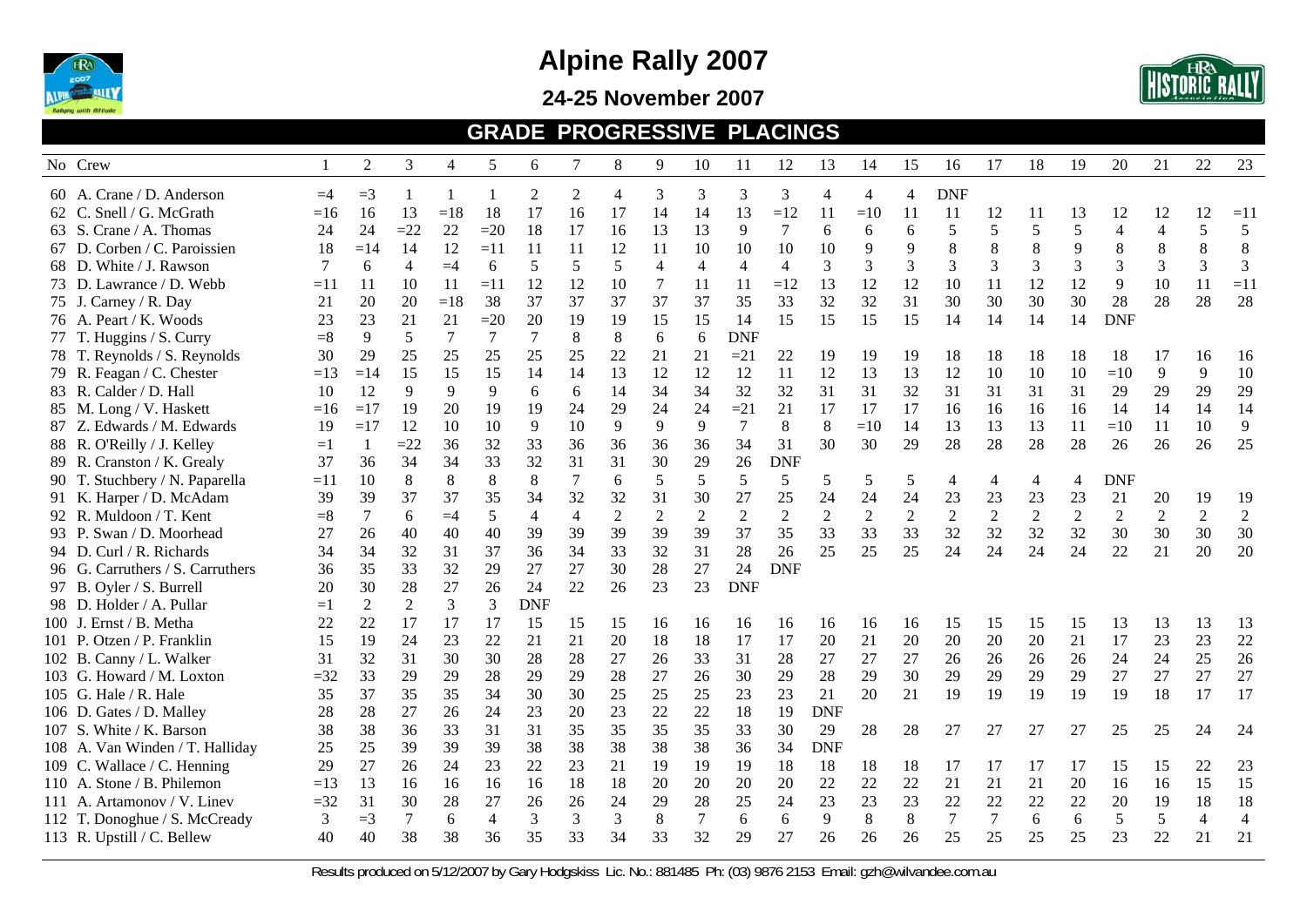

#### **24-25 November 2007**



#### **GRADE PROGRESSIVE PLACINGS**

|       | No Crew                          |       | $\overline{c}$ | 3     | $\overline{4}$ | 5              | 6              | 7              | 8              | 9                | 10             | 11             | 12             | 13             | 14         | 15             | 16         | 17             | 18             | 19             | 20             | 21             | 22             | 23             |
|-------|----------------------------------|-------|----------------|-------|----------------|----------------|----------------|----------------|----------------|------------------|----------------|----------------|----------------|----------------|------------|----------------|------------|----------------|----------------|----------------|----------------|----------------|----------------|----------------|
|       | 60 A. Crane / D. Anderson        | $=4$  | $=$ 3          |       |                |                | 2              | 2              | 4              | 3                | 3              | 3              | 3              | $\overline{4}$ | 4          | $\overline{4}$ | <b>DNF</b> |                |                |                |                |                |                |                |
|       | 62 C. Snell / G. McGrath         | $=16$ | 16             | 13    | $=18$          | 18             | 17             | 16             | 17             | 14               | 14             | 13             | $=12$          | 11             | $=10$      | 11             | 11         | 12             | 11             | 13             | 12             | 12             | 12             | $=11$          |
| 63 S. | Crane / A. Thomas                | 24    | 24             | $=22$ | 22             | $=20$          | 18             | 17             | 16             | 13               | 13             | 9              | 7              | 6              | 6          | 6              | 5          | 5              | 5              | 5              | $\overline{4}$ | $\overline{4}$ | 5              | 5              |
|       | 67 D. Corben / C. Paroissien     | 18    | $=14$          | 14    | 12             | $=11$          | 11             | 11             | 12             | 11               | 10             | 10             | 10             | 10             | 9          | 9              | 8          | 8              | 8              | 9              | 8              | 8              | 8              | 8              |
|       | 68 D. White / J. Rawson          | 7     | 6              | 4     | $=4$           | 6              | 5              | 5              | 5              | $\overline{4}$   | 4              | 4              | $\overline{4}$ | 3              | 3          | 3              | 3          | $\mathfrak{Z}$ | 3              | 3              | 3              | 3              | 3              | 3              |
|       | 73 D. Lawrance / D. Webb         | $=11$ | 11             | 10    | 11             | $=11$          | 12             | 12             | 10             | 7                | 11             | 11             | $=12$          | 13             | 12         | 12             | 10         | 11             | 12             | 12             | 9              | 10             | 11             | $=11$          |
|       | 75 J. Carney / R. Day            | 21    | 20             | 20    | $=18$          | 38             | 37             | 37             | 37             | 37               | 37             | 35             | 33             | 32             | 32         | 31             | 30         | 30             | 30             | 30             | 28             | 28             | 28             | 28             |
|       | 76 A. Peart / K. Woods           | 23    | 23             | 21    | 21             | $=20$          | 20             | 19             | 19             | 15               | 15             | 14             | 15             | 15             | 15         | 15             | 14         | 14             | 14             | 14             | <b>DNF</b>     |                |                |                |
|       | 77 T. Huggins / S. Curry         | $= 8$ | 9              | 5     | 7              | 7              | $\overline{7}$ | 8              | 8              | 6                | 6              | <b>DNF</b>     |                |                |            |                |            |                |                |                |                |                |                |                |
|       | 78 T. Reynolds / S. Reynolds     | 30    | 29             | 25    | 25             | 25             | 25             | 25             | 22             | 21               | 21             | $=21$          | 22             | 19             | 19         | 19             | 18         | 18             | 18             | 18             | 18             | 17             | 16             | 16             |
|       | 79 R. Feagan / C. Chester        | $=13$ | $=14$          | 15    | 15             | 15             | 14             | 14             | 13             | 12               | 12             | 12             | 11             | 12             | 13         | 13             | 12         | 10             | 10             | 10             | $=10$          | 9              | 9              | 10             |
|       | 83 R. Calder / D. Hall           | 10    | 12             | 9     | 9              | 9              | 6              | 6              | 14             | 34               | 34             | 32             | 32             | 31             | 31         | 32             | 31         | 31             | 31             | 31             | 29             | 29             | 29             | 29             |
|       | 85 M. Long / V. Haskett          | $=16$ | $=17$          | 19    | 20             | 19             | 19             | 24             | 29             | 24               | 24             | $=21$          | 21             | 17             | 17         | 17             | 16         | 16             | 16             | 16             | 14             | 14             | 14             | 14             |
|       | 87 Z. Edwards / M. Edwards       | 19    | $=17$          | 12    | 10             | 10             | 9              | 10             | 9              | 9                | 9              | 7              | 8              | 8              | $=10$      | 14             | 13         | 13             | 13             | 11             | $=10$          | 11             | 10             | 9              |
|       | 88 R. O'Reilly / J. Kelley       | $=1$  |                | $=22$ | 36             | 32             | 33             | 36             | 36             | 36               | 36             | 34             | 31             | 30             | 30         | 29             | 28         | 28             | 28             | 28             | 26             | 26             | 26             | 25             |
|       | 89 R. Cranston / K. Grealy       | 37    | 36             | 34    | 34             | 33             | 32             | 31             | 31             | 30               | 29             | 26             | <b>DNF</b>     |                |            |                |            |                |                |                |                |                |                |                |
|       | 90 T. Stuchbery / N. Paparella   | $=11$ | 10             | 8     | 8              | 8              | 8              | $\tau$         | 6              | 5                | 5              | 5              | 5              | 5              | 5          | 5              | 4          | 4              | 4              | 4              | <b>DNF</b>     |                |                |                |
|       | 91 K. Harper / D. McAdam         | 39    | 39             | 37    | 37             | 35             | 34             | 32             | 32             | 31               | 30             | 27             | 25             | 24             | 24         | 24             | 23         | 23             | 23             | 23             | 21             | 20             | 19             | 19             |
|       | 92 R. Muldoon / T. Kent          | $= 8$ | 7              | 6     | $=4$           | 5              | $\overline{4}$ | $\overline{4}$ | $\overline{2}$ | $\boldsymbol{2}$ | $\overline{2}$ | $\overline{2}$ | $\overline{2}$ | $\overline{2}$ | $\sqrt{2}$ | $\sqrt{2}$     | $\sqrt{2}$ | $\overline{2}$ | $\overline{2}$ | $\overline{2}$ | $\overline{2}$ | $\overline{2}$ | $\overline{2}$ | $\sqrt{2}$     |
|       | 93 P. Swan / D. Moorhead         | 27    | 26             | 40    | 40             | 40             | 39             | 39             | 39             | 39               | 39             | 37             | 35             | 33             | 33         | 33             | 32         | 32             | 32             | 32             | 30             | 30             | 30             | 30             |
|       | 94 D. Curl / R. Richards         | 34    | 34             | 32    | 31             | 37             | 36             | 34             | 33             | 32               | 31             | 28             | 26             | 25             | 25         | 25             | 24         | 24             | 24             | 24             | 22             | 21             | 20             | 20             |
|       | 96 G. Carruthers / S. Carruthers | 36    | 35             | 33    | 32             | 29             | 27             | 27             | 30             | 28               | 27             | 24             | <b>DNF</b>     |                |            |                |            |                |                |                |                |                |                |                |
|       | 97 B. Oyler / S. Burrell         | 20    | 30             | 28    | 27             | 26             | 24             | 22             | 26             | 23               | 23             | <b>DNF</b>     |                |                |            |                |            |                |                |                |                |                |                |                |
|       | 98 D. Holder / A. Pullar         | $=1$  | $\overline{2}$ | 2     | 3              | 3              | <b>DNF</b>     |                |                |                  |                |                |                |                |            |                |            |                |                |                |                |                |                |                |
|       | 100 J. Ernst / B. Metha          | 22    | 22             | 17    | 17             | 17             | 15             | 15             | 15             | 16               | 16             | 16             | 16             | 16             | 16         | 16             | 15         | 15             | 15             | 15             | 13             | 13             | 13             | 13             |
|       | 101 P. Otzen / P. Franklin       | 15    | 19             | 24    | 23             | 22             | 21             | 21             | 20             | 18               | 18             | 17             | 17             | 20             | 21         | 20             | 20         | 20             | 20             | 21             | 17             | 23             | 23             | 22             |
|       | 102 B. Canny / L. Walker         | 31    | 32             | 31    | 30             | 30             | 28             | 28             | 27             | 26               | 33             | 31             | 28             | 27             | 27         | 27             | 26         | 26             | 26             | 26             | 24             | 24             | 25             | 26             |
|       | 103 G. Howard / M. Loxton        | $=32$ | 33             | 29    | 29             | 28             | 29             | 29             | 28             | 27               | 26             | 30             | 29             | 28             | 29         | 30             | 29         | 29             | 29             | 29             | 27             | 27             | 27             | 27             |
|       | 105 G. Hale / R. Hale            | 35    | 37             | 35    | 35             | 34             | 30             | 30             | 25             | 25               | 25             | 23             | 23             | 21             | 20         | 21             | 19         | 19             | 19             | 19             | 19             | 18             | 17             | 17             |
|       | 106 D. Gates / D. Malley         | 28    | 28             | 27    | 26             | 24             | 23             | 20             | 23             | 22               | 22             | 18             | 19             | <b>DNF</b>     |            |                |            |                |                |                |                |                |                |                |
|       | 107 S. White / K. Barson         | 38    | 38             | 36    | 33             | 31             | 31             | 35             | 35             | 35               | 35             | 33             | 30             | 29             | 28         | 28             | 27         | 27             | 27             | 27             | 25             | 25             | 24             | 24             |
|       | 108 A. Van Winden / T. Halliday  | 25    | 25             | 39    | 39             | 39             | 38             | 38             | 38             | 38               | 38             | 36             | 34             | <b>DNF</b>     |            |                |            |                |                |                |                |                |                |                |
|       | 109 C. Wallace / C. Henning      | 29    | 27             | 26    | 24             | 23             | 22             | 23             | 21             | 19               | 19             | 19             | 18             | 18             | 18         | 18             | 17         | 17             | 17             | 17             | 15             | 15             | 22             | 23             |
|       | 110 A. Stone / B. Philemon       | $=13$ | 13             | 16    | 16             | 16             | 16             | 18             | 18             | 20               | 20             | 20             | 20             | 22             | 22         | 22             | 21         | 21             | 21             | 20             | 16             | 16             | 15             | 15             |
|       | 111 A. Artamonov / V. Linev      | $=32$ | 31             | 30    | 28             | 27             | 26             | 26             | 24             | 29               | 28             | 25             | 24             | 23             | 23         | 23             | 22         | 22             | 22             | 22             | 20             | 19             | 18             | 18             |
|       | 112 T. Donoghue / S. McCready    | 3     | $=3$           | 7     | 6              | $\overline{4}$ | 3              | 3              | 3              | 8                | 7              | 6              | 6              | 9              | $\,8\,$    | $\,8\,$        | 7          | $\tau$         | 6              | 6              | 5              | 5              | $\overline{4}$ | $\overline{4}$ |
|       | 113 R. Upstill / C. Bellew       | 40    | 40             | 38    | 38             | 36             | 35             | 33             | 34             | 33               | 32             | 29             | 27             | 26             | 26         | 26             | 25         | 25             | 25             | 25             | 23             | 22             | 21             | 21             |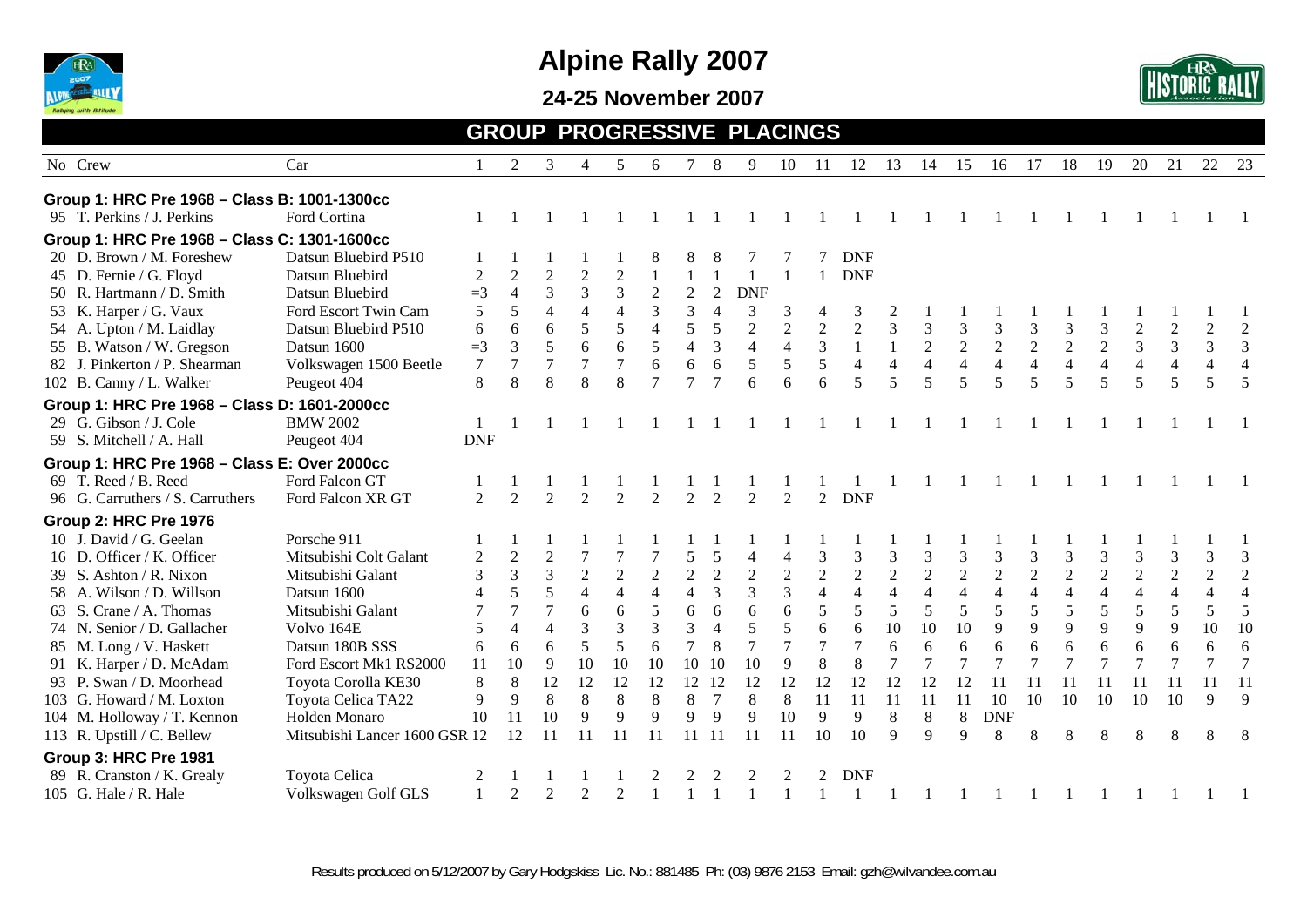

**24-25 November 2007** 



#### **GROUP PROGRESSIVE PLACINGS**

| No Crew                                      | Car                           |                | 2              | 3                           | $\overline{4}$   | .5             | 6                |                | 8              | 9              | 10             | -11            | 12             | 13             | 14             | 15             | 16             | 17             | 18             | 19             | 20             | 21             | 22             | -23            |
|----------------------------------------------|-------------------------------|----------------|----------------|-----------------------------|------------------|----------------|------------------|----------------|----------------|----------------|----------------|----------------|----------------|----------------|----------------|----------------|----------------|----------------|----------------|----------------|----------------|----------------|----------------|----------------|
| Group 1: HRC Pre 1968 - Class B: 1001-1300cc |                               |                |                |                             |                  |                |                  |                |                |                |                |                |                |                |                |                |                |                |                |                |                |                |                |                |
| 95 T. Perkins / J. Perkins                   | Ford Cortina                  |                |                |                             |                  |                |                  |                |                |                |                |                |                |                |                |                |                |                |                |                |                |                |                |                |
| Group 1: HRC Pre 1968 - Class C: 1301-1600cc |                               |                |                |                             |                  |                |                  |                |                |                |                |                |                |                |                |                |                |                |                |                |                |                |                |                |
| 20 D. Brown / M. Foreshew                    | Datsun Bluebird P510          |                |                |                             |                  |                | 8                | 8              | 8              |                |                |                | <b>DNF</b>     |                |                |                |                |                |                |                |                |                |                |                |
| 45 D. Fernie / G. Floyd                      | Datsun Bluebird               | $\overline{c}$ | $\overline{2}$ | $\sqrt{2}$                  | $\sqrt{2}$       | $\overline{c}$ |                  |                |                |                |                |                | <b>DNF</b>     |                |                |                |                |                |                |                |                |                |                |                |
| 50 R. Hartmann / D. Smith                    | Datsun Bluebird               | $=3$           | $\overline{4}$ | 3                           | $\mathfrak{Z}$   | $\mathfrak{Z}$ | $\boldsymbol{2}$ | $\sqrt{2}$     | $\overline{2}$ | <b>DNF</b>     |                |                |                |                |                |                |                |                |                |                |                |                |                |                |
| 53 K. Harper / G. Vaux                       | Ford Escort Twin Cam          | 5              | 5              | $\overline{4}$              | $\overline{4}$   | $\overline{4}$ |                  | 3              | $\overline{4}$ | 3              | 3              | 4              | 3              |                |                |                |                |                |                |                |                |                |                |                |
| 54 A. Upton / M. Laidlay                     | Datsun Bluebird P510          | 6              | 6              | 6                           | 5                | 5              | 4                | 5              | 5              | $\overline{2}$ | $\overline{2}$ | $\overline{2}$ | $\overline{2}$ | 3              | $\mathfrak{Z}$ | 3              | $\mathfrak{Z}$ | 3              | 3              | 3              | $\overline{2}$ | $\sqrt{2}$     | $\overline{2}$ | $\overline{2}$ |
| 55 B. Watson / W. Gregson                    | Datsun 1600                   | $=3$           | $\overline{3}$ | 5                           | $6\,$            | 6              | 5                | $\overline{4}$ | 3              | $\overline{4}$ | $\overline{4}$ | 3              | $\mathbf{1}$   | 1              | $\overline{2}$ | $\sqrt{2}$     | 2              | $\sqrt{2}$     | $\overline{2}$ | $\overline{2}$ | $\overline{3}$ | 3              | 3              | $\mathfrak{Z}$ |
| 82 J. Pinkerton / P. Shearman                | Volkswagen 1500 Beetle        | 7              | $\overline{7}$ |                             | $\boldsymbol{7}$ | $\overline{7}$ | 6                | 6              | 6              | 5              | 5              | 5              | $\overline{4}$ | $\overline{4}$ | $\overline{4}$ | $\overline{4}$ | $\overline{4}$ | $\overline{4}$ | $\overline{4}$ | $\overline{4}$ | $\overline{4}$ | $\overline{4}$ | $\overline{4}$ | $\overline{4}$ |
| 102 B. Canny / L. Walker                     | Peugeot 404                   | 8              | 8              | $\mathbf{8}$                | 8                | 8              | $\tau$           | $\tau$         | $\tau$         | 6              | 6              | 6              | 5              | 5              | 5              | 5              | 5              | 5              | 5              | 5              | 5              | 5              | $\overline{5}$ | 5              |
| Group 1: HRC Pre 1968 - Class D: 1601-2000cc |                               |                |                |                             |                  |                |                  |                |                |                |                |                |                |                |                |                |                |                |                |                |                |                |                |                |
| 29 G. Gibson / J. Cole                       | <b>BMW 2002</b>               |                |                |                             |                  |                |                  |                |                |                |                |                |                |                |                |                |                |                |                |                |                |                |                |                |
| 59 S. Mitchell / A. Hall                     | Peugeot 404                   | <b>DNF</b>     |                |                             |                  |                |                  |                |                |                |                |                |                |                |                |                |                |                |                |                |                |                |                |                |
| Group 1: HRC Pre 1968 - Class E: Over 2000cc |                               |                |                |                             |                  |                |                  |                |                |                |                |                |                |                |                |                |                |                |                |                |                |                |                |                |
| 69 T. Reed / B. Reed                         | Ford Falcon GT                |                |                |                             |                  |                |                  |                |                |                |                |                |                |                |                |                |                |                |                |                |                |                |                |                |
| 96 G. Carruthers / S. Carruthers             | Ford Falcon XR GT             | $\mathfrak{D}$ | $\overline{2}$ | $\overline{2}$              | $\overline{2}$   | $\overline{2}$ | 2                | 2              | $\mathfrak{D}$ | $\mathfrak{D}$ | $\overline{2}$ | $\overline{2}$ | <b>DNF</b>     |                |                |                |                |                |                |                |                |                |                |                |
| <b>Group 2: HRC Pre 1976</b>                 |                               |                |                |                             |                  |                |                  |                |                |                |                |                |                |                |                |                |                |                |                |                |                |                |                |                |
| 10 J. David / G. Geelan                      | Porsche 911                   |                |                |                             |                  |                |                  |                |                |                |                |                |                |                |                |                |                |                |                |                |                |                |                |                |
| 16 D. Officer / K. Officer                   | Mitsubishi Colt Galant        | $\overline{2}$ | $\overline{2}$ | $\overline{2}$              |                  |                |                  | 5              | 5              | $\overline{4}$ | $\overline{4}$ | 3              | 3              | 3              | 3              | 3              | 3              | 3              | 3              | 3              | 3              | 3              | 3              | $\mathfrak{Z}$ |
| 39 S. Ashton / R. Nixon                      | Mitsubishi Galant             | 3              | 3              | 3                           | $\sqrt{2}$       | $\overline{2}$ | $\sqrt{2}$       | $\sqrt{2}$     | $\overline{2}$ | $\sqrt{2}$     | $\sqrt{2}$     | $\overline{2}$ | $\overline{2}$ | $\overline{2}$ | $\overline{2}$ | $\sqrt{2}$     | $\overline{2}$ | $\sqrt{2}$     | $\overline{2}$ | $\overline{2}$ | $\sqrt{2}$     | $\overline{2}$ | $\overline{2}$ | $\overline{2}$ |
| 58 A. Wilson / D. Willson                    | Datsun 1600                   | 4              | 5              |                             | $\overline{4}$   | $\overline{4}$ | $\overline{4}$   | $\overline{4}$ | 3              | 3              | $\overline{3}$ | $\overline{4}$ | $\overline{4}$ | $\overline{4}$ | $\overline{4}$ | $\overline{4}$ | $\overline{4}$ | $\overline{4}$ | $\overline{4}$ | $\overline{4}$ | $\overline{4}$ | $\overline{4}$ | $\overline{4}$ | $\overline{4}$ |
| 63 S. Crane / A. Thomas                      | Mitsubishi Galant             |                | $\overline{7}$ | $\overline{7}$              | 6                | 6              | 5                | 6              | 6              | 6              | 6              | 5              | 5              | 5              | 5              | 5              | 5              | 5              | 5              | 5              | 5              | 5              | 5              | 5              |
| 74 N. Senior / D. Gallacher                  | Volvo 164E                    | 5              | $\overline{4}$ | $\overline{4}$              | $\overline{3}$   | 3              | 3                | 3              | $\overline{4}$ | 5              |                | 6              | 6              | 10             | 10             | 10             | 9              | 9              | 9              | 9              | 9              | $\overline{9}$ | 10             | 10             |
| 85 M. Long / V. Haskett                      | Datsun 180B SSS               | 6              | 6              | 6                           | 5                | 5              | 6                | $\overline{7}$ | 8              | $\overline{7}$ |                | $\overline{7}$ | $\tau$         | 6              | 6              | $\sqrt{6}$     | 6              | 6              | 6              | 6              | 6              | 6              | 6              | 6              |
| 91 K. Harper / D. McAdam                     | Ford Escort Mk1 RS2000        | 11             | 10             | 9                           | 10               | 10             | 10               |                | 10 10          | 10             | 9              | 8              | 8              |                |                |                |                | 7              | $\overline{7}$ |                |                |                |                | $\overline{7}$ |
| 93 P. Swan / D. Moorhead                     | Toyota Corolla KE30           | 8              | $\,8\,$        | 12                          | 12               | 12             | 12               |                | 12 12          | 12             | 12             | 12             | 12             | 12             | 12             | 12             | 11             |                | 11             | 11             | 11             | 11             | 11             | -11            |
| 103 G. Howard / M. Loxton                    | Toyota Celica TA22            | 9              | 9              | 8                           | 8                | 8              | 8                | 8              | 7              | 8              | $\,8\,$        | 11             | 11             | 11             | 11             | 11             | 10             | 10             | 10             | 10             | 10             | 10             | $\mathbf{Q}$   | $\overline{Q}$ |
| 104 M. Holloway / T. Kennon                  | Holden Monaro                 | 10             | 11             | 10                          | 9                | 9              | 9                | 9              | 9              | 9              | 10             | 9              | 9              | 8              | 8              | 8              | <b>DNF</b>     |                |                |                |                |                |                |                |
| 113 R. Upstill / C. Bellew                   | Mitsubishi Lancer 1600 GSR 12 |                | 12             |                             |                  |                |                  | 11             | 11             | 11             | 11             | 10             | 10             | 9              | 9              | $\mathbf{Q}$   | 8              | 8              | 8              | 8              | 8              | 8              |                |                |
| Group 3: HRC Pre 1981                        |                               |                |                |                             |                  |                |                  |                |                |                |                |                |                |                |                |                |                |                |                |                |                |                |                |                |
| 89 R. Cranston / K. Grealy                   | Toyota Celica                 |                |                |                             |                  |                |                  |                |                |                |                |                | <b>DNF</b>     |                |                |                |                |                |                |                |                |                |                |                |
| 105 G. Hale / R. Hale                        | Volkswagen Golf GLS           |                | $\overline{2}$ | $\mathcal{D}_{\mathcal{A}}$ | $\mathfrak{D}$   | $\mathfrak{D}$ |                  |                |                |                |                |                |                |                |                |                |                |                |                |                |                |                |                |                |
|                                              |                               |                |                |                             |                  |                |                  |                |                |                |                |                |                |                |                |                |                |                |                |                |                |                |                |                |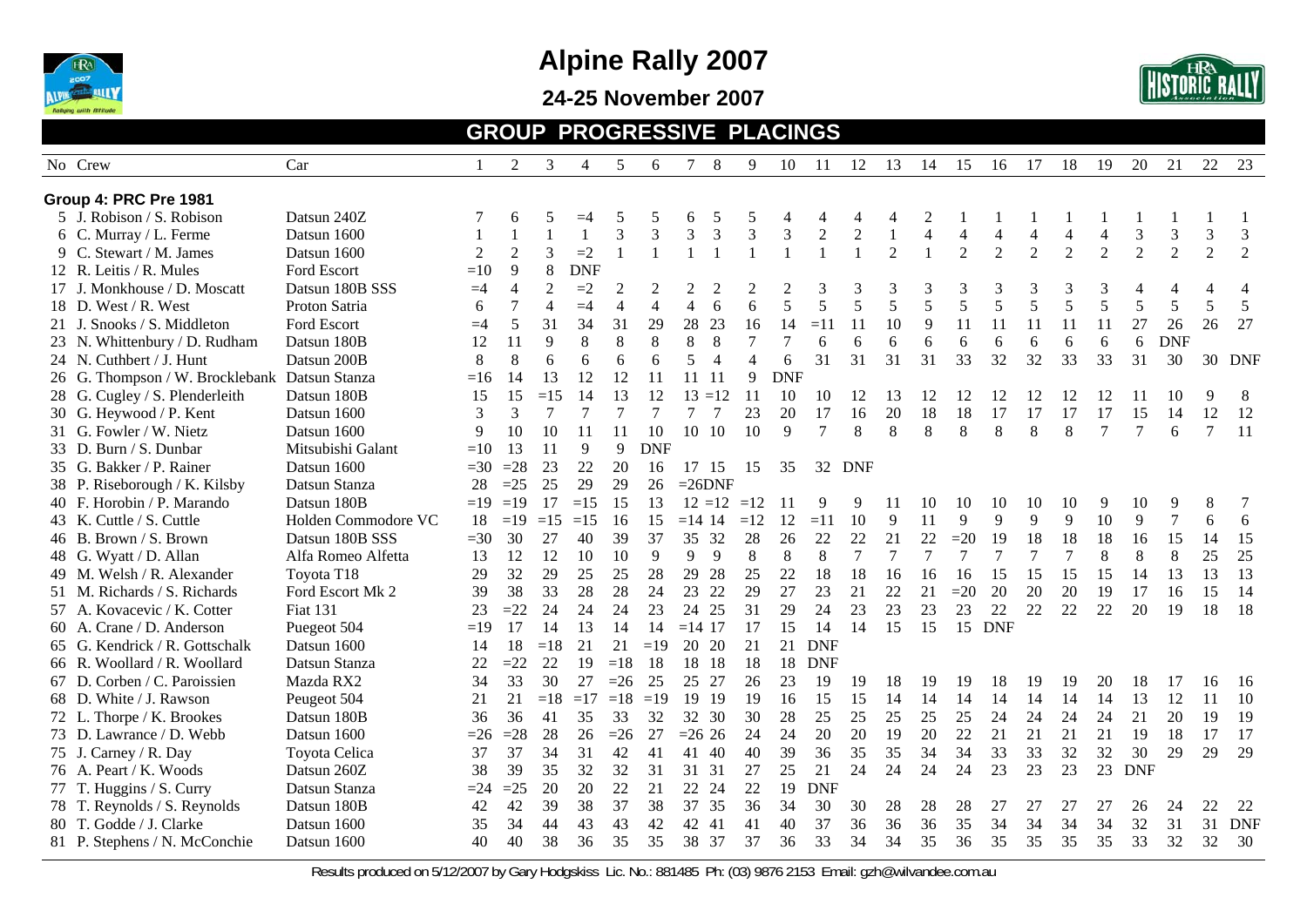

#### **24-25 November 2007**



#### **GROUP PROGRESSIVE PLACINGS**

|    | No Crew                                       | Car                 |       | 2              | 3              | 4          | 5              | 6              |                | 8              | 9                           | 10             | 11             | 12           | 13             | 14             | 15             | 16             | 17             | 18             | 19             | 20             | 21                     | 22             | 23             |
|----|-----------------------------------------------|---------------------|-------|----------------|----------------|------------|----------------|----------------|----------------|----------------|-----------------------------|----------------|----------------|--------------|----------------|----------------|----------------|----------------|----------------|----------------|----------------|----------------|------------------------|----------------|----------------|
|    | Group 4: PRC Pre 1981                         |                     |       |                |                |            |                |                |                |                |                             |                |                |              |                |                |                |                |                |                |                |                |                        |                |                |
|    | 5 J. Robison / S. Robison                     | Datsun 240Z         |       | 6              | 5              | $=4$       | 5              | 5              | 6              |                | 5                           |                |                |              |                |                |                |                |                |                |                |                |                        |                |                |
|    | 6 C. Murray / L. Ferme                        | Datsun 1600         |       | 1              | -1             |            | 3              | 3              | 3              | $\mathfrak{Z}$ | $\ensuremath{\mathfrak{Z}}$ | 3              | $\overline{c}$ | $\mathbf{2}$ |                | $\overline{4}$ | $\overline{4}$ | $\overline{4}$ | $\overline{4}$ | $\overline{4}$ | $\overline{4}$ | 3              | 3                      | $\mathfrak{Z}$ | $\mathfrak 3$  |
|    | 9 C. Stewart / M. James                       | Datsun 1600         | 2     | $\overline{2}$ | 3              | $=2$       | $\mathbf{1}$   |                |                |                |                             |                |                |              | $\overline{2}$ |                | 2              | $\overline{2}$ | $\overline{2}$ | $\overline{2}$ | $\overline{2}$ | $\overline{2}$ | $\mathcal{D}_{\alpha}$ | $\overline{2}$ | 2              |
|    | 12 R. Leitis / R. Mules                       | Ford Escort         | $=10$ | 9              | 8              | <b>DNF</b> |                |                |                |                |                             |                |                |              |                |                |                |                |                |                |                |                |                        |                |                |
|    | J. Monkhouse / D. Moscatt                     | Datsun 180B SSS     | $=4$  | $\overline{4}$ | $\sqrt{2}$     | $=2$       | $\overline{2}$ | $\overline{2}$ | 2              | $\overline{2}$ | $\overline{c}$              | $\overline{2}$ | 3              | 3            | 3              | 3              | 3              | 3              | 3              | 3              | 3              |                |                        | Δ              | $\overline{4}$ |
|    | 18 D. West / R. West                          | Proton Satria       | 6     | 7              | $\overline{4}$ | $=4$       | $\overline{4}$ | $\overline{4}$ | $\overline{4}$ | 6              | 6                           | 5              | 5              | 5            | 5              | 5              | 5              | 5              | 5              | 5              | 5              | 5              | 5                      | 5              | 5              |
|    | 21 J. Snooks / S. Middleton                   | Ford Escort         | $=4$  | 5              | 31             | 34         | 31             | 29             | 28             | 23             | 16                          | 14             | $=11$          | 11           | 10             | 9              | 11             | 11             | 11             | 11             | 11             | 27             | 26                     | 26             | 27             |
|    | 23 N. Whittenbury / D. Rudham                 | Datsun 180B         | 12    | 11             | 9              | 8          | $8\,$          | $\,8\,$        | $8\,$          | $\,8\,$        | $\tau$                      | $\overline{7}$ | 6              | 6            | 6              | 6              | 6              | 6              | 6              | 6              | 6              | 6              | <b>DNF</b>             |                |                |
|    | 24 N. Cuthbert / J. Hunt                      | Datsun 200B         | 8     | 8              | 6              | 6          | 6              | 6              | 5              | $\overline{4}$ | $\overline{4}$              | 6              | 31             | 31           | 31             | 31             | 33             | 32             | 32             | 33             | 33             | 31             | 30                     |                | 30 DNF         |
|    | 26 G. Thompson / W. Brocklebank Datsun Stanza |                     | $=16$ | 14             | 13             | 12         | 12             | 11             | $11 \quad 11$  |                | 9                           | <b>DNF</b>     |                |              |                |                |                |                |                |                |                |                |                        |                |                |
|    | 28 G. Cugley / S. Plenderleith                | Datsun 180B         | 15    | 15             | $=15$          | 14         | 13             | 12             | 13             | $=12$          | 11                          | 10             | 10             | 12           | 13             | 12             | 12             | 12             | 12             | 12             | 12             | 11             | 10                     | 9              | 8              |
|    | 30 G. Heywood / P. Kent                       | Datsun 1600         | 3     | 3              | $\overline{7}$ |            | $\overline{7}$ |                |                |                | 23                          | 20             | 17             | 16           | 20             | 18             | 18             | 17             | 17             | 17             | 17             | 15             | 14                     | 12             | 12             |
|    | 31 G. Fowler / W. Nietz                       | Datsun 1600         | 9     | 10             | 10             | 11         | 11             | 10             | 10 10          |                | 10                          | 9              | $\overline{7}$ | 8            | $\,8\,$        | 8              | $\,8\,$        | 8              | $\,8\,$        | 8              | 7              | $\overline{7}$ | 6                      | $\overline{7}$ | 11             |
|    | 33 D. Burn / S. Dunbar                        | Mitsubishi Galant   | $=10$ | 13             | 11             | 9          | 9              | <b>DNF</b>     |                |                |                             |                |                |              |                |                |                |                |                |                |                |                |                        |                |                |
|    | 35 G. Bakker / P. Rainer                      | Datsun 1600         | $=30$ | $=28$          | 23             | 22         | 20             | 16             | 17             | 15             | 15                          | 35             | 32             | <b>DNF</b>   |                |                |                |                |                |                |                |                |                        |                |                |
|    | 38 P. Riseborough / K. Kilsby                 | Datsun Stanza       | 28    | $=25$          | 25             | 29         | 29             | 26             | $=26DNF$       |                |                             |                |                |              |                |                |                |                |                |                |                |                |                        |                |                |
|    | 40 F. Horobin / P. Marando                    | Datsun 180B         | $=19$ | $=19$          | 17             | $=15$      | 15             | 13             |                | $12 = 12$      | $=12$                       | -11            | 9              | 9            | 11             | 10             | 10             | 10             | 10             | 10             | 9              | 10             | 9                      | 8              | 7              |
|    | 43 K. Cuttle / S. Cuttle                      | Holden Commodore VC | 18    | $=19$          | $=15$          | $=15$      | 16             | 15             | $=14$ 14       |                | $=12$                       | 12             | $=11$          | 10           | 9              | 11             | 9              | 9              | 9              | 9              | 10             | 9              | $\boldsymbol{7}$       | 6              | $\sqrt{6}$     |
|    | 46 B. Brown / S. Brown                        | Datsun 180B SSS     | $=30$ | 30             | 27             | 40         | 39             | 37             | 35 32          |                | 28                          | 26             | 22             | 22           | 21             | 22             | $=20$          | 19             | 18             | 18             | 18             | 16             | 15                     | 14             | 15             |
|    | 48 G. Wyatt / D. Allan                        | Alfa Romeo Alfetta  | 13    | 12             | 12             | 10         | 10             | 9              | 9              | 9              | 8                           | 8              | 8              | $\tau$       | $\tau$         | $\tau$         | 7              | $\overline{7}$ | 7              | $\tau$         | 8              | 8              | 8                      | 25             | 25             |
|    | 49 M. Welsh / R. Alexander                    | Toyota T18          | 29    | 32             | 29             | 25         | 25             | 28             | 29             | 28             | 25                          | 22             | 18             | 18           | 16             | 16             | 16             | 15             | 15             | 15             | 15             | 14             | 13                     | 13             | 13             |
|    | 51 M. Richards / S. Richards                  | Ford Escort Mk 2    | 39    | 38             | 33             | 28         | 28             | 24             | 23             | 22             | 29                          | 27             | 23             | 21           | 22             | 21             | $=20$          | 20             | 20             | 20             | 19             | 17             | 16                     | 15             | 14             |
|    | 57 A. Kovacevic / K. Cotter                   | <b>Fiat 131</b>     | 23    | $=22$          | 24             | 24         | 24             | 23             | 24             | 25             | 31                          | 29             | 24             | 23           | 23             | 23             | 23             | 22             | 22             | 22             | 22             | 20             | 19                     | 18             | 18             |
|    | 60 A. Crane / D. Anderson                     | Puegeot 504         | $=19$ | 17             | 14             | 13         | 14             | 14             | $=14$ 17       |                | 17                          | 15             | 14             | 14           | 15             | 15             |                | 15 DNF         |                |                |                |                |                        |                |                |
|    | 65 G. Kendrick / R. Gottschalk                | Datsun 1600         | 14    | 18             | $=18$          | 21         | 21             | $=19$          | 20             | 20             | 21                          | 21             | <b>DNF</b>     |              |                |                |                |                |                |                |                |                |                        |                |                |
|    | 66 R. Woollard / R. Woollard                  | Datsun Stanza       | 22    | $=22$          | 22             | 19         | $=18$          | 18             | 18             | 18             | 18                          | 18             | <b>DNF</b>     |              |                |                |                |                |                |                |                |                |                        |                |                |
|    | 67 D. Corben / C. Paroissien                  | Mazda RX2           | 34    | 33             | 30             | 27         | $=26$          | 25             | 25 27          |                | 26                          | 23             | 19             | 19           | 18             | 19             | 19             | 18             | 19             | 19             | 20             | 18             | 17                     | 16             | -16            |
|    | 68 D. White / J. Rawson                       | Peugeot 504         | 21    | 21             | $=18$          | $=17$      | $=18$          | $=19$          | 19 19          |                | 19                          | 16             | 15             | 15           | 14             | 14             | 14             | 14             | 14             | 14             | 14             | 13             | 12                     | 11             | 10             |
|    | 72 L. Thorpe / K. Brookes                     | Datsun 180B         | 36    | 36             | 41             | 35         | 33             | 32             | 32 30          |                | 30                          | 28             | 25             | 25           | 25             | 25             | 25             | 24             | 24             | 24             | 24             | 21             | 20                     | 19             | 19             |
|    | 73 D. Lawrance / D. Webb                      | Datsun 1600         | $=26$ | $=28$          | 28             | 26         | $=26$          | 27             | $= 26$ 26      |                | 24                          | 24             | 20             | 20           | 19             | 20             | 22             | 21             | 21             | 21             | 21             | 19             | 18                     | 17             | 17             |
|    | 75 J. Carney / R. Day                         | Toyota Celica       | 37    | 37             | 34             | 31         | 42             | 41             | 41             | 40             | 40                          | 39             | 36             | 35           | 35             | 34             | 34             | 33             | 33             | 32             | 32             | 30             | 29                     | 29             | 29             |
|    | 76 A. Peart / K. Woods                        | Datsun 260Z         | 38    | 39             | 35             | 32         | 32             | 31             | 31             | 31             | 27                          | 25             | 21             | 24           | 24             | 24             | 24             | 23             | 23             | 23             | 23             | <b>DNF</b>     |                        |                |                |
| 77 | T. Huggins / S. Curry                         | Datsun Stanza       | $=24$ | $=25$          | 20             | 20         | 22             | 21             | 22             | 24             | 22                          | 19             | <b>DNF</b>     |              |                |                |                |                |                |                |                |                |                        |                |                |
|    | 78 T. Reynolds / S. Reynolds                  | Datsun 180B         | 42    | 42             | 39             | 38         | 37             | 38             | 37             | 35             | 36                          | 34             | 30             | 30           | 28             | 28             | 28             | 27             | 27             | 27             | 27             | 26             | 24                     | 22             | 22             |
|    | 80 T. Godde / J. Clarke                       | Datsun 1600         | 35    | 34             | 44             | 43         | 43             | 42             | 42             | 41             | 41                          | 40             | 37             | 36           | 36             | 36             | 35             | 34             | 34             | 34             | 34             | 32             | 31                     | 31             | <b>DNF</b>     |
|    | 81 P. Stephens / N. McConchie                 | Datsun 1600         | 40    | 40             | 38             | 36         | 35             | 35             | 38             | 37             | 37                          | 36             | 33             | 34           | 34             | 35             | 36             | 35             | 35             | 35             | 35             | 33             | 32                     | 32             | 30             |
|    |                                               |                     |       |                |                |            |                |                |                |                |                             |                |                |              |                |                |                |                |                |                |                |                |                        |                |                |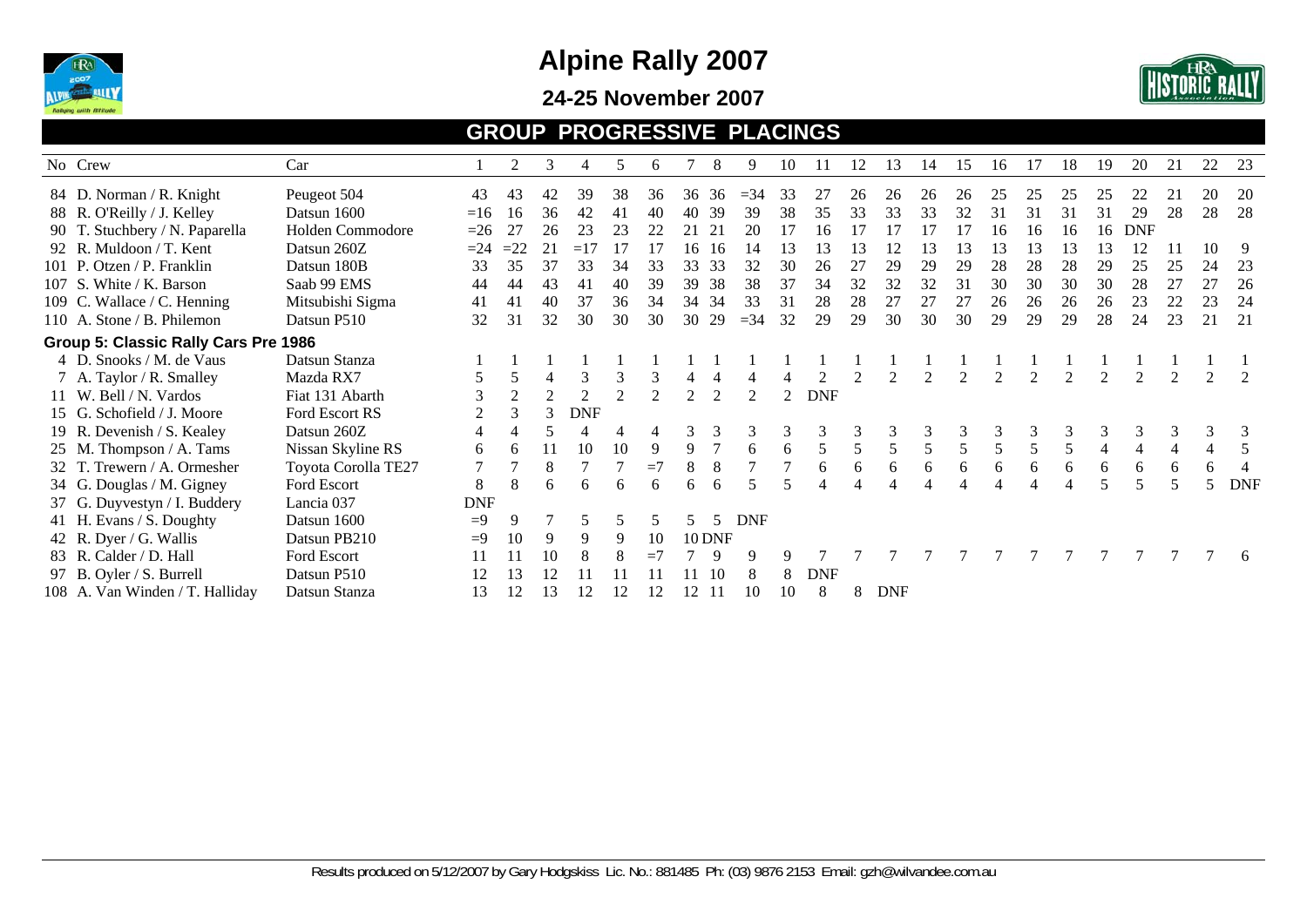

#### **24-25 November 2007**



#### **GROUP PROGRESSIVE PLACINGS**

| No Crew                              | Car                 |            | 2              | 3              | 4              | 5              | 6    |                             | 8             | 9          | 10            | 11         | 12 | 13         | 14 | 15 | 16 |    | 18             | 19 | 20         | 21 | 22 | 23         |
|--------------------------------------|---------------------|------------|----------------|----------------|----------------|----------------|------|-----------------------------|---------------|------------|---------------|------------|----|------------|----|----|----|----|----------------|----|------------|----|----|------------|
| 84 D. Norman / R. Knight             | Peugeot 504         | 43         | 43             | 42             | 39             | 38             | 36   | 36                          | 36            | $=$ 34     | 33            | 27         | 26 | 26         | 26 | 26 | 25 | 25 | 25             | 25 | 22         | 21 | 20 | <b>20</b>  |
| 88 R. O'Reilly / J. Kelley           | Datsun 1600         | $=16$      | 16             | 36             | 42             | 41             | 40   | 40                          | 39            | 39         | 38            | 35         | 33 | 33         | 33 | 32 | 31 | 31 | 31             | 31 | 29         | 28 | 28 | 28         |
| 90 T. Stuchbery / N. Paparella       | Holden Commodore    | $=26$      | 27             | 26             | 23             | 23             | 22   | 21                          | 21            | 20         | 17            | 16         |    |            |    |    | 16 | 16 | 16             | 16 | <b>DNF</b> |    |    |            |
| 92 R. Muldoon / T. Kent              | Datsun 260Z         | $=24$      | $=22$          | 21             | $=17$          | 17             |      | 16                          | -16           | 14         | 13            | 13         | 13 |            | 13 | 13 | 13 | 13 | 13             | 13 | 12         | 11 | 10 | 9          |
| 101 P. Otzen / P. Franklin           | Datsun 180B         | 33         | 35             | 37             | 33             | 34             | 33   | 33                          | 33            | 32         | 30            | 26         | 27 | 29         | 29 | 29 | 28 | 28 | 28             | 29 | 25         | 25 | 24 | 23         |
| 107 S. White / K. Barson             | Saab 99 EMS         | 44         | 44             | 43             | 41             | 40             | 39   | 39                          | 38            | 38         | 37            | 34         | 32 | 32         | 32 | 31 | 30 | 30 | 30             | 30 | 28         | 27 | 27 | 26         |
| 109 C. Wallace / C. Henning          | Mitsubishi Sigma    | 41         | 41             | 40             | 37             | 36             | 34   | 34                          | 34            | 33         | 31            | 28         | 28 | 27         | 27 | 27 | 26 | 26 | 26             | 26 | 23         | 22 | 23 | 24         |
| 110 A. Stone / B. Philemon           | Datsun P510         | 32         | 31             | 32             | 30             | 30             | 30   | 30                          | 29            | $=34$      | 32            | 29         | 29 | 30         | 30 | 30 | 29 | 29 | 29             | 28 | 24         | 23 | 21 | 21         |
| Group 5: Classic Rally Cars Pre 1986 |                     |            |                |                |                |                |      |                             |               |            |               |            |    |            |    |    |    |    |                |    |            |    |    |            |
| 4 D. Snooks / M. de Vaus             | Datsun Stanza       |            |                |                |                |                |      |                             |               |            |               |            |    |            |    |    |    |    |                |    |            |    |    |            |
| 7 A. Taylor / R. Smalley             | Mazda RX7           |            | 5              |                |                | 3              | 3    |                             |               |            |               |            |    |            |    |    |    |    | $\mathfrak{D}$ | 2  | 2          | 2  |    |            |
| 11 W. Bell / N. Vardos               | Fiat 131 Abarth     |            | $\overline{2}$ | $\overline{2}$ | $\mathfrak{D}$ | $\mathfrak{D}$ |      | $\mathcal{D}_{\mathcal{L}}$ |               |            | $\mathcal{D}$ | <b>DNF</b> |    |            |    |    |    |    |                |    |            |    |    |            |
| 15 G. Schofield / J. Moore           | Ford Escort RS      | 2          | 3              | 3              | <b>DNF</b>     |                |      |                             |               |            |               |            |    |            |    |    |    |    |                |    |            |    |    |            |
| 19 R. Devenish / S. Kealey           | Datsun 260Z         | 4          | 4              |                |                |                |      |                             |               |            |               |            |    |            | 3  | 3  | 3  | 3  |                | 3  | 3          | 3  | 3  | 3          |
| 25 M. Thompson / A. Tams             | Nissan Skyline RS   | 6          | 6              | 11             | 10             | 10             | 9    | 9                           |               | 6          | 6             |            | 5  | 5          | 5  |    | 5  | 5  |                |    |            |    |    |            |
| 32 T. Trewern / A. Ormesher          | Toyota Corolla TE27 |            |                | 8              |                |                | $=7$ |                             |               |            |               | 6.         | 6  | 6          | 6  | 6  | 6  | 6  | 6              | 6  | 6          | 6  |    |            |
| 34 G. Douglas / M. Gigney            | Ford Escort         | 8          | 8              | 6              | <sub>6</sub>   | 6              | 6    |                             |               |            |               |            |    |            |    |    |    |    |                | 5  | 5          | 5  |    | <b>DNF</b> |
| 37 G. Duyvestyn / I. Buddery         | Lancia 037          | <b>DNF</b> |                |                |                |                |      |                             |               |            |               |            |    |            |    |    |    |    |                |    |            |    |    |            |
| 41 H. Evans / S. Doughty             | Datsun 1600         | $=9$       | 9              |                |                |                |      |                             | 5             | <b>DNF</b> |               |            |    |            |    |    |    |    |                |    |            |    |    |            |
| 42 R. Dyer / G. Wallis               | Datsun PB210        | $=9$       | 10             | 9              | 9              | 9              | 10   |                             | <b>10 DNF</b> |            |               |            |    |            |    |    |    |    |                |    |            |    |    |            |
| 83 R. Calder / D. Hall               | Ford Escort         |            | 11             | 10             | 8              |                | $=7$ |                             |               | 9          | 9             |            |    |            |    |    |    |    |                |    |            |    |    | -6         |
| 97 B. Oyler / S. Burrell             | Datsun P510         | 12         | 13             | 12             |                |                |      |                             | 10            |            | 8             | <b>DNF</b> |    |            |    |    |    |    |                |    |            |    |    |            |
| 108 A. Van Winden / T. Halliday      | Datsun Stanza       | 13         | 12             | 13             | 12             |                |      | 12                          |               | 10         | 10            | 8          | 8  | <b>DNF</b> |    |    |    |    |                |    |            |    |    |            |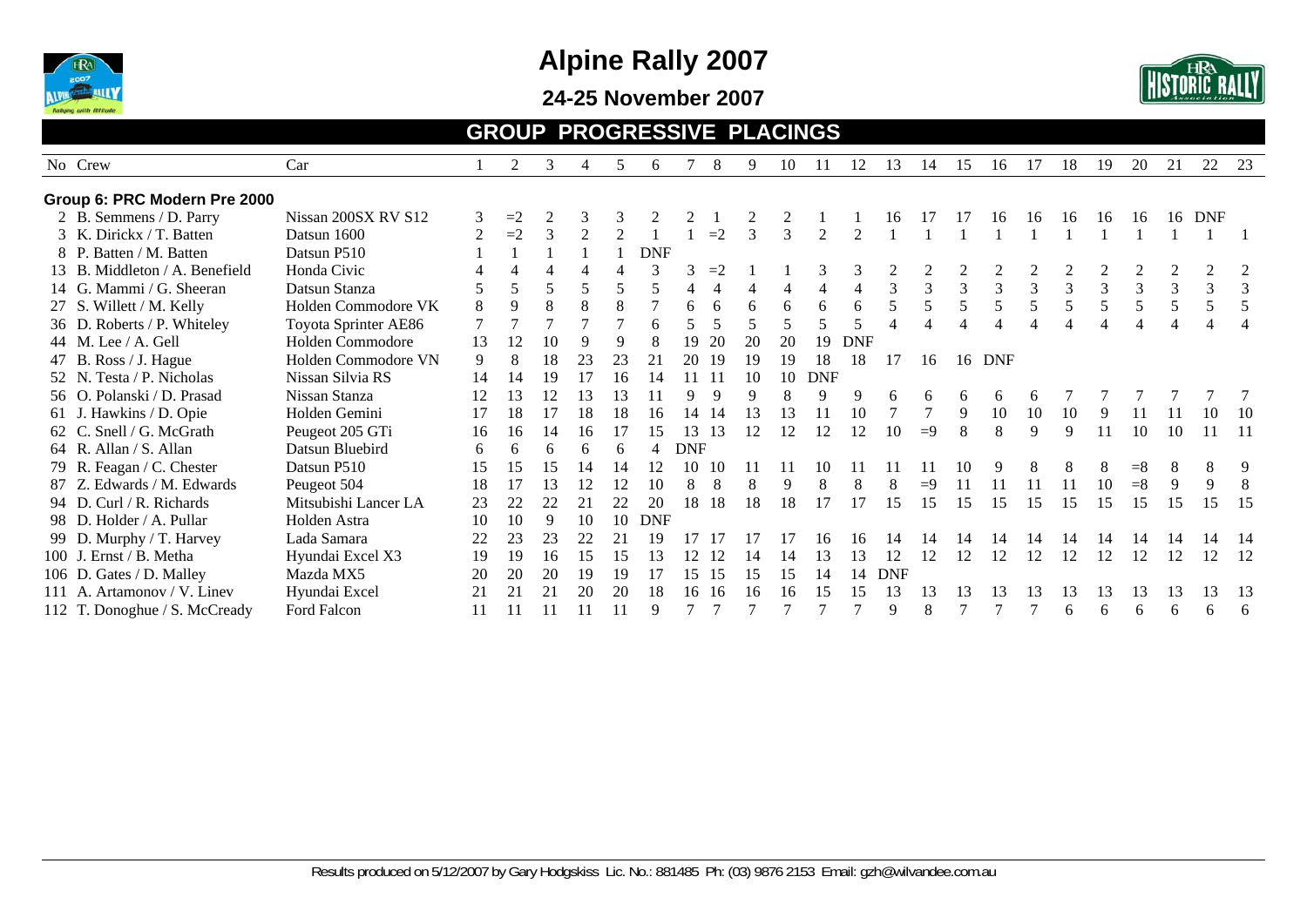

**24-25 November 2007** 



#### **GROUP PROGRESSIVE PLACINGS**

|                                | Car                  |                | 2              | 3           |                | 5              |            |            | 8        | $\mathbf{Q}$            | 10 |                |                | 13         |               |                | 16             | 17 | 18 |                | 20    | 21 | 22         | 23  |
|--------------------------------|----------------------|----------------|----------------|-------------|----------------|----------------|------------|------------|----------|-------------------------|----|----------------|----------------|------------|---------------|----------------|----------------|----|----|----------------|-------|----|------------|-----|
| No Crew                        |                      |                |                |             | 4              |                | 6          |            |          |                         |    | 11             | 12             |            | 14            | 15             |                |    |    | 19             |       |    |            |     |
| Group 6: PRC Modern Pre 2000   |                      |                |                |             |                |                |            |            |          |                         |    |                |                |            |               |                |                |    |    |                |       |    |            |     |
| 2 B. Semmens / D. Parry        | Nissan 200SX RV S12  | 3              | $=2$           | 2           |                | 3              |            |            |          |                         |    |                |                | 16         |               |                | 16             | 16 | 16 | 16             | 16    | 16 | <b>DNF</b> |     |
| 3 K. Dirickx / T. Batten       | Datsun 1600          | $\overline{2}$ | $=2$           | 3           | $\mathfrak{D}$ | $\mathcal{D}$  |            |            | $=2$     | 3                       |    | $\mathfrak{D}$ |                |            |               |                |                |    |    |                |       |    |            |     |
| 8 P. Batten / M. Batten        | Datsun P510          |                |                |             |                |                | <b>DNF</b> |            |          |                         |    |                |                |            |               |                |                |    |    |                |       |    |            |     |
| 13 B. Middleton / A. Benefield | Honda Civic          |                |                |             |                |                |            |            | $=2$     |                         |    |                |                |            |               |                |                |    |    |                |       |    |            |     |
| 14 G. Mammi / G. Sheeran       | Datsun Stanza        |                | 5              |             |                | 5              | 5          |            |          |                         | 4  | $\overline{4}$ | $\overline{4}$ | 3          | $\mathcal{R}$ | $\overline{3}$ | $\overline{3}$ | 3  | 3  | $\overline{3}$ | 3     | 3  | 3          |     |
| 27 S. Willett / M. Kelly       | Holden Commodore VK  | 8              | 9              | 8           | 8              | 8              |            | 6          | 6        | 6                       | 6  | 6              | 6              | 5          | 5             | 5              | 5              |    | 5  | 5              |       | 5  | 5          |     |
| 36 D. Roberts / P. Whiteley    | Toyota Sprinter AE86 |                | $\overline{7}$ |             |                | $\overline{7}$ | 6          |            | 5        | $\overline{\mathbf{5}}$ |    | 5              |                |            |               |                |                |    |    |                |       |    |            |     |
| 44 M. Lee $/$ A. Gell          | Holden Commodore     | 13             | 12             | 10          | 9              | 9              |            | 19         | 20       | 20                      | 20 | 19             | <b>DNF</b>     |            |               |                |                |    |    |                |       |    |            |     |
| 47 B. Ross / J. Hague          | Holden Commodore VN  | 9              | 8              | 18          | 23             | 23             | 21         | 20         | -19      | 19                      | 19 | 18             | 18             | 17         | 16            |                | 16 DNF         |    |    |                |       |    |            |     |
| 52 N. Testa / P. Nicholas      | Nissan Silvia RS     | 14             | 14             | 19          | 17             | 16             |            |            | $-11$    | 10                      | 10 | <b>DNF</b>     |                |            |               |                |                |    |    |                |       |    |            |     |
| 56 O. Polanski / D. Prasad     | Nissan Stanza        | 12             | 13             | 12          | 13             | 13             |            | Q          | <b>Q</b> | $\mathbf Q$             |    | 9              | 9              | 6          | 6             | 6              | 6              |    |    |                |       |    |            |     |
| 61 J. Hawkins / D. Opie        | Holden Gemini        | 17             | 18             | 17          | 18             | 18             | 16         | 14         | 14       | 13                      | 13 |                | 10             |            |               | 9              | 10             | 10 | 10 | -9             |       |    | 10         | -10 |
| 62 C. Snell / G. McGrath       | Peugeot 205 GTi      | 16             | 16             | 14          | 16             |                |            | 13         | 13       | 12                      | 12 | 12             | 12             | 10         | $\equiv$ 9    | 8              | 8              | 9  | 9  | 11             | 10    | 10 |            | -11 |
| 64 R. Allan / S. Allan         | Datsun Bluebird      | 6              | 6              | 6           | 6              | 6              |            | <b>DNF</b> |          |                         |    |                |                |            |               |                |                |    |    |                |       |    |            |     |
| 79 R. Feagan / C. Chester      | Datsun P510          | 15             | 15             | 15          | 14             | 14             |            | 10         | 10       |                         |    | 10             |                |            |               |                |                |    | 8  | 8              | $=$ 8 | 8  | 8          | 9   |
| 87 Z. Edwards / M. Edwards     | Peugeot 504          | 18             | 17             | 13          | 12             | 12             | 10         | 8          | 8        | 8                       | 9  | 8              | 8              | 8          | $=9$          | 11             | 11             | 11 | 11 | 10             | $= 8$ | 9  | 9          | 8   |
| 94 D. Curl / R. Richards       | Mitsubishi Lancer LA | 23             | 22             | 22          | 21             | 22             | 20         | 18         | 18       | 18                      | 18 | 17             | 17             | 15         | 15            | 15             | 15             | 15 | 15 | 15             | 15    | 15 | 15         | 15  |
| 98 D. Holder / A. Pullar       | Holden Astra         | 10             | 10             | 9           | 10             | 10             | <b>DNF</b> |            |          |                         |    |                |                |            |               |                |                |    |    |                |       |    |            |     |
| 99 D. Murphy / T. Harvey       | Lada Samara          | 22             | 23             | 23          | 22             | 21             |            |            |          |                         |    | 16             |                | 14         | 14            |                |                |    |    |                | 14    |    |            | -14 |
| 100 J. Ernst / B. Metha        | Hyundai Excel X3     | 19             | 19             | 16          | 15             | 15             |            | 12         | 12       |                         | 14 | 13             | 13             | 12         | 12            | 12             | 12             | 12 | 12 | 12             | 12    | 12 | 12         | 12  |
| 106 D. Gates / D. Malley       | Mazda MX5            | 20             | 20             | 20          | 19             | 19             | 17         | 15         | 15       | 15                      | 15 | 14             | 14             | <b>DNF</b> |               |                |                |    |    |                |       |    |            |     |
| 111 A. Artamonov / V. Linev    | Hyundai Excel        | 21             | 21             | $2^{\circ}$ | 20             | 20             |            | 16         | 16       | 16                      | 16 | 15             | 15             | 13         | 13            | 13             |                | 13 | 13 | 13             | 13    | 13 | 13         | 13  |
| 112 T. Donoghue / S. McCready  | Ford Falcon          |                |                |             |                |                |            |            |          |                         |    |                |                | 9          | 8             |                |                |    | 6  | 6              | h     | 6  | 6          | 6   |
|                                |                      |                |                |             |                |                |            |            |          |                         |    |                |                |            |               |                |                |    |    |                |       |    |            |     |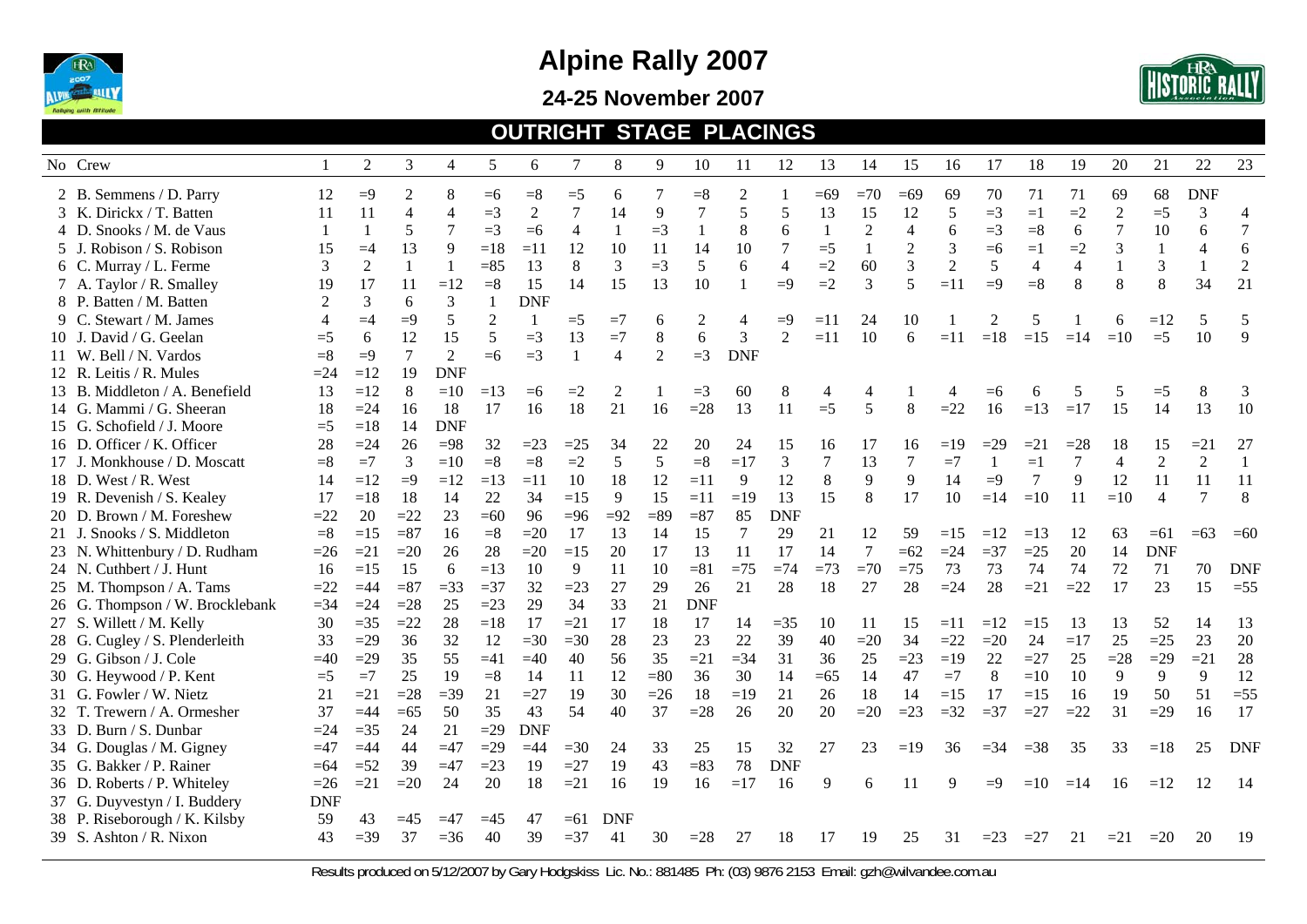

**24-25 November 2007** 



#### **OUTRIGHT STAGE PLACINGS**

| No Crew                         |                | $\overline{2}$ | 3              | $\overline{4}$           | 5              | 6              | $\overline{7}$ | 8              | 9       | 10             | 11             | 12             | 13           | 14             | 15             | 16             | 17             | 18             | 19             | 20             | 21             | 22             | 23           |
|---------------------------------|----------------|----------------|----------------|--------------------------|----------------|----------------|----------------|----------------|---------|----------------|----------------|----------------|--------------|----------------|----------------|----------------|----------------|----------------|----------------|----------------|----------------|----------------|--------------|
| 2 B. Semmens / D. Parry         | 12             | $=9$           | 2              | 8                        | $=6$           | $= 8$          | $=5$           | 6              | 7       | $= 8$          | $\overline{2}$ |                | $=69$        | $=70$          | $=69$          | 69             | 70             | 71             | 71             | 69             | 68             | <b>DNF</b>     |              |
| 3 K. Dirickx / T. Batten        | 11             | 11             | 4              | $\overline{\mathcal{A}}$ | $=3$           | $\overline{2}$ | $\overline{7}$ | 14             | 9       | $\overline{7}$ | 5              | 5              | 13           | 15             | 12             | 5              | $=3$           | $=1$           | $=2$           | $\overline{2}$ | $=5$           | 3              | 4            |
| 4 D. Snooks / M. de Vaus        | $\mathbf{1}$   |                | 5              | 7                        | $=3$           | $=6$           | $\overline{4}$ | -1             | $=3$    | 1              | 8              | 6              | $\mathbf{1}$ | $\overline{2}$ | $\overline{4}$ | 6              | $=3$           | $= 8$          | 6              | 7              | 10             | 6              | 7            |
| 5 J. Robison / S. Robison       | 15             | $=4$           | 13             | 9                        | $=18$          | $=11$          | 12             | 10             | 11      | 14             | 10             | $\overline{7}$ | $=5$         | 1              | $\overline{2}$ | 3              | $=6$           | $=1$           | $=2$           | 3              | $\mathbf{1}$   | $\overline{4}$ | 6            |
| 6 C. Murray / L. Ferme          | 3              | $\overline{2}$ | $\overline{1}$ |                          | $=85$          | 13             | 8              | 3              | $=$ 3   | 5              | 6              | $\overline{4}$ | $=2$         | 60             | 3              | $\overline{2}$ | 5              | 4              | $\overline{4}$ |                | 3              | $\mathbf{1}$   | $\sqrt{2}$   |
| 7 A. Taylor / R. Smalley        | 19             | 17             | 11             | $=12$                    | $= 8$          | 15             | 14             | 15             | 13      | 10             | $\mathbf{1}$   | $=9$           | $=2$         | 3              | 5              | $=11$          | $=9$           | $= 8$          | 8              | 8              | 8              | 34             | 21           |
| 8 P. Batten / M. Batten         |                | 3              | 6              | 3                        | $\overline{1}$ | <b>DNF</b>     |                |                |         |                |                |                |              |                |                |                |                |                |                |                |                |                |              |
| 9 C. Stewart / M. James         | $\overline{4}$ | $=4$           | $\equiv 9$     | 5                        | $\overline{2}$ | 1              | $=$ 5          | $=7$           | 6       | $\overline{c}$ | 4              | $=9$           | $=11$        | 24             | 10             |                | $\mathfrak{D}$ | 5              |                | 6              | $=12$          | 5              | 5            |
| 10 J. David / G. Geelan         | $=$ 5          | 6              | 12             | 15                       | 5              | $=3$           | 13             | $=7$           | $\,8\,$ | 6              | 3              | 2              | $=11$        | 10             | 6              | $=11$          | $=18$          | $=15$          | $=14$          | $=10$          | $=5$           | 10             | $\mathbf{Q}$ |
| 11 W. Bell / N. Vardos          | $= 8$          | $\equiv 9$     | $\tau$         | $\overline{2}$           | $=6$           | $=3$           | $\overline{1}$ | $\overline{4}$ | 2       | $=3$           | <b>DNF</b>     |                |              |                |                |                |                |                |                |                |                |                |              |
| 12 R. Leitis / R. Mules         | $=24$          | $=12$          | 19             | <b>DNF</b>               |                |                |                |                |         |                |                |                |              |                |                |                |                |                |                |                |                |                |              |
| 13 B. Middleton / A. Benefield  | 13             | $=12$          | 8              | $=10$                    | $=13$          | $= 6$          | $=2$           | 2              |         | $=$ 3          | 60             | 8              | 4            | 4              |                | $\overline{4}$ | $= 6$          |                |                | 5              | $=$ 5          | 8              | 3            |
| 14 G. Mammi / G. Sheeran        | 18             | $=24$          | 16             | 18                       | 17             | 16             | 18             | 21             | 16      | $=28$          | 13             | 11             | $=5$         | 5              | 8              | $=22$          | 16             | $=13$          | $=17$          | 15             | 14             | 13             | 10           |
| 15 G. Schofield / J. Moore      | $=5$           | $=18$          | 14             | <b>DNF</b>               |                |                |                |                |         |                |                |                |              |                |                |                |                |                |                |                |                |                |              |
| 16 D. Officer / K. Officer      | 28             | $=24$          | 26             | $=98$                    | 32             | $=23$          | $=25$          | 34             | 22      | 20             | 24             | 15             | 16           | 17             | 16             | $=19$          | $=29$          | $=21$          | $=28$          | 18             | 15             | $=21$          | 27           |
| 17 J. Monkhouse / D. Moscatt    | $= 8$          | $=7$           | 3              | $=10$                    | $= 8$          | $= 8$          | $=2$           | 5              | 5       | $= 8$          | $=17$          | $\mathfrak{Z}$ | 7            | 13             | $\tau$         | $=7$           | -1             | $=1$           | 7              | $\overline{4}$ | $\overline{2}$ | $\overline{2}$ | $\mathbf{1}$ |
| 18 D. West / R. West            | 14             | $=12$          | $=9$           | $=12$                    | $=13$          | $=11$          | 10             | 18             | 12      | $=11$          | 9              | 12             | 8            | 9              | 9              | 14             | $=9$           | $\overline{7}$ | 9              | 12             | 11             | 11             | 11           |
| 19 R. Devenish / S. Kealey      | 17             | $=18$          | 18             | 14                       | 22             | 34             | $=15$          | 9              | 15      | $=11$          | $=19$          | 13             | 15           | 8              | 17             | 10             | $=14$          | $=10$          | 11             | $=10$          | $\overline{4}$ | $\overline{7}$ | 8            |
| 20 D. Brown / M. Foreshew       | $=22$          | 20             | $=22$          | 23                       | $=60$          | 96             | $= 96$         | $=92$          | $=89$   | $= 87$         | 85             | <b>DNF</b>     |              |                |                |                |                |                |                |                |                |                |              |
| 21 J. Snooks / S. Middleton     | $= 8$          | $=15$          | $= 87$         | 16                       | $= 8$          | $=20$          | 17             | 13             | 14      | 15             | $\tau$         | 29             | 21           | 12             | 59             | $=15$          | $=12$          | $=13$          | 12             | 63             | $=61$          | $=63$          | $=60$        |
| 23 N. Whittenbury / D. Rudham   | $=26$          | $=21$          | $=20$          | 26                       | 28             | $=20$          | $=15$          | 20             | 17      | 13             | 11             | 17             | 14           | $\tau$         | $=62$          | $=24$          | $=37$          | $=25$          | 20             | 14             | <b>DNF</b>     |                |              |
| 24 N. Cuthbert / J. Hunt        | 16             | $=15$          | 15             | 6                        | $=13$          | 10             | 9              | 11             | 10      | $= 81$         | $=75$          | $=74$          | $=73$        | $=70$          | $=75$          | 73             | 73             | 74             | 74             | 72             | 71             | 70             | <b>DNF</b>   |
| 25 M. Thompson / A. Tams        | $=22$          | $=44$          | $= 87$         | $=33$                    | $=37$          | 32             | $=23$          | 27             | 29      | 26             | 21             | 28             | 18           | 27             | 28             | $=24$          | 28             | $=21$          | $=22$          | 17             | 23             | 15             | $=55$        |
| 26 G. Thompson / W. Brocklebank | $=34$          | $=24$          | $=28$          | 25                       | $=23$          | 29             | 34             | 33             | 21      | <b>DNF</b>     |                |                |              |                |                |                |                |                |                |                |                |                |              |
| 27 S. Willett / M. Kelly        | 30             | $=35$          | $=22$          | 28                       | $=18$          | 17             | $=21$          | 17             | 18      | 17             | 14             | $=35$          | 10           | 11             | 15             | $=11$          | $=12$          | $=15$          | 13             | 13             | 52             | 14             | 13           |
| 28 G. Cugley / S. Plenderleith  | 33             | $=29$          | 36             | 32                       | 12             | $=30$          | $=30$          | 28             | 23      | 23             | 22             | 39             | 40           | $=20$          | 34             | $=22$          | $=20$          | 24             | $=17$          | 25             | $=25$          | 23             | 20           |
| 29 G. Gibson / J. Cole          | $=40$          | $=29$          | 35             | 55                       | $=41$          | $=40$          | 40             | 56             | 35      | $=21$          | $=$ 34         | 31             | 36           | 25             | $=23$          | $=19$          | 22             | $=27$          | 25             | $=28$          | $=29$          | $=21$          | 28           |
| 30 G. Heywood / P. Kent         | $=$ 5          | $=7$           | 25             | 19                       | $= 8$          | 14             | 11             | 12             | $= 80$  | 36             | 30             | 14             | $=65$        | 14             | 47             | $=7$           | $\,8\,$        | $=10$          | 10             | 9              | 9              | 9              | 12           |
| 31 G. Fowler / W. Nietz         | 21             | $=21$          | $=28$          | $=39$                    | 21             | $=27$          | 19             | 30             | $=26$   | 18             | $=19$          | 21             | 26           | 18             | 14             | $=15$          | 17             | $=15$          | 16             | 19             | 50             | 51             | $=55$        |
| 32 T. Trewern / A. Ormesher     | 37             | $=44$          | $=65$          | 50                       | 35             | 43             | 54             | 40             | 37      | $=28$          | 26             | 20             | 20           | $=20$          | $=23$          | $=32$          | $=37$          | $=27$          | $=22$          | 31             | $=29$          | 16             | 17           |
| 33 D. Burn / S. Dunbar          | $=24$          | $=35$          | 24             | 21                       | $=29$          | <b>DNF</b>     |                |                |         |                |                |                |              |                |                |                |                |                |                |                |                |                |              |
| 34 G. Douglas / M. Gigney       | $=47$          | $=44$          | 44             | $=47$                    | $=29$          | $=44$          | $=30$          | 24             | 33      | 25             | 15             | 32             | 27           | 23             | $=19$          | 36             | $= 34$         | $=38$          | 35             | 33             | $=18$          | 25             | <b>DNF</b>   |
| 35 G. Bakker / P. Rainer        | $=64$          | $=52$          | 39             | $=47$                    | $=23$          | 19             | $=27$          | 19             | 43      | $= 83$         | 78             | <b>DNF</b>     |              |                |                |                |                |                |                |                |                |                |              |
| 36 D. Roberts / P. Whiteley     | $=26$          | $=21$          | $=20$          | 24                       | 20             | 18             | $=21$          | 16             | 19      | 16             | $=17$          | 16             | 9            | 6              | 11             | <sup>Q</sup>   | $= 9$          | $=10$          | $=14$          | 16             | $=12$          | 12             | 14           |
| 37 G. Duyvestyn / I. Buddery    | <b>DNF</b>     |                |                |                          |                |                |                |                |         |                |                |                |              |                |                |                |                |                |                |                |                |                |              |
| 38 P. Riseborough / K. Kilsby   | 59             | 43             | $=45$          | $\equiv$ 47              | $=45$          | 47             | $=61$          | <b>DNF</b>     |         |                |                |                |              |                |                |                |                |                |                |                |                |                |              |
| 39 S. Ashton / R. Nixon         | 43             | $=39$          | 37             | $=36$                    | 40             | 39             | $=37$          | 41             | 30      | $=28$          | 27             | 18             | 17           | 19             | 25             | 31             | $=23$          | $=27$          | 21             | $=21$          | $=20$          | 20             | 19           |
|                                 |                |                |                |                          |                |                |                |                |         |                |                |                |              |                |                |                |                |                |                |                |                |                |              |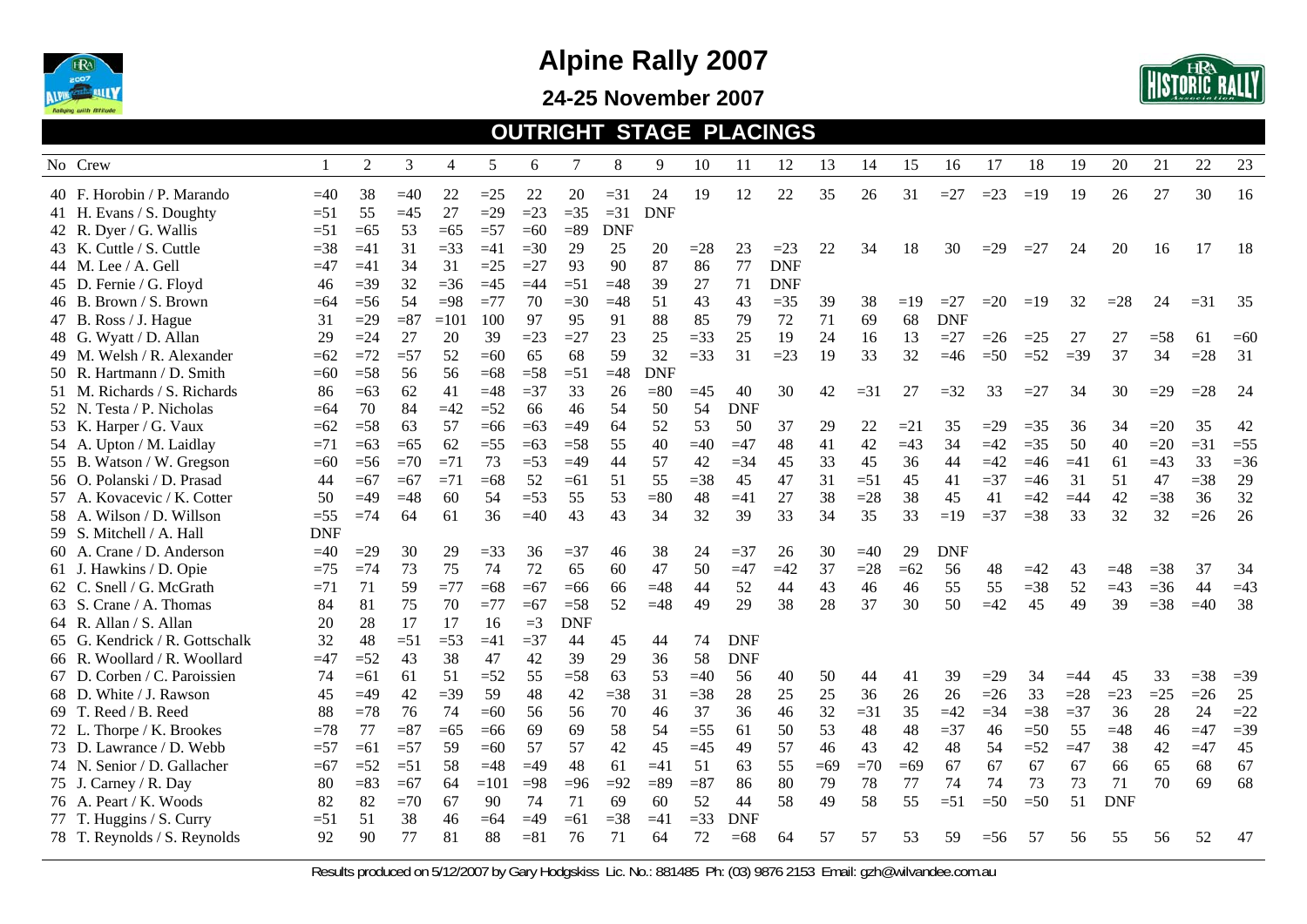

**24-25 November 2007** 



#### **OUTRIGHT STAGE PLACINGS**

| No Crew |                                |            | $\overline{2}$ | 3      | 4      | 5      | 6      | 7          | 8          | 9          | 10     | 11         | 12         | 13    | 14    | 15    | 16         | 17     | 18    | 19     | 20         | 21    | 22    | 23    |
|---------|--------------------------------|------------|----------------|--------|--------|--------|--------|------------|------------|------------|--------|------------|------------|-------|-------|-------|------------|--------|-------|--------|------------|-------|-------|-------|
|         | 40 F. Horobin / P. Marando     | $=40$      | 38             | $=40$  | 22     | $=25$  | 22     | 20         | $=31$      | 24         | 19     | 12         | 22         | 35    | 26    | 31    | $=27$      | $=23$  | $=19$ | 19     | 26         | 27    | 30    | 16    |
|         | 41 H. Evans / S. Doughty       | $=51$      | 55             | $=45$  | 27     | $=29$  | $=23$  | $=35$      | $=31$      | <b>DNF</b> |        |            |            |       |       |       |            |        |       |        |            |       |       |       |
|         | 42 R. Dyer / G. Wallis         | $=51$      | $=65$          | 53     | $=65$  | $=57$  | $=60$  | $= 89$     | <b>DNF</b> |            |        |            |            |       |       |       |            |        |       |        |            |       |       |       |
|         | 43 K. Cuttle / S. Cuttle       | $=38$      | $=41$          | 31     | $=33$  | $=41$  | $=30$  | 29         | 25         | 20         | $=28$  | 23         | $=23$      | 22    | 34    | 18    | 30         | $=29$  | $=27$ | 24     | 20         | 16    | 17    | 18    |
|         | 44 M. Lee / A. Gell            | $=47$      | $=41$          | 34     | 31     | $=25$  | $=27$  | 93         | 90         | 87         | 86     | 77         | <b>DNF</b> |       |       |       |            |        |       |        |            |       |       |       |
|         | 45 D. Fernie / G. Floyd        | 46         | $=39$          | 32     | $=36$  | $=45$  | $=44$  | $=51$      | $=48$      | 39         | 27     | 71         | <b>DNF</b> |       |       |       |            |        |       |        |            |       |       |       |
|         | 46 B. Brown / S. Brown         | $=64$      | $=$ 56         | 54     | $=98$  | $=77$  | 70     | $=30$      | $=48$      | 51         | 43     | 43         | $=35$      | 39    | 38    | $=19$ | $=27$      | $=20$  | $=19$ | 32     | $=28$      | 24    | $=31$ | 35    |
|         | 47 B. Ross / J. Hague          | 31         | $=29$          | $= 87$ | $=101$ | 100    | 97     | 95         | 91         | 88         | 85     | 79         | 72         | 71    | 69    | 68    | <b>DNF</b> |        |       |        |            |       |       |       |
|         | 48 G. Wyatt / D. Allan         | 29         | $=24$          | 27     | 20     | 39     | $=23$  | $=27$      | 23         | 25         | $=33$  | 25         | 19         | 24    | 16    | 13    | $=27$      | $=26$  | $=25$ | 27     | 27         | $=58$ | 61    | $=60$ |
|         | 49 M. Welsh / R. Alexander     | $=62$      | $=72$          | $=57$  | 52     | $=60$  | 65     | 68         | 59         | 32         | $=33$  | 31         | $=23$      | 19    | 33    | 32    | $=46$      | $=50$  | $=52$ | $=$ 39 | 37         | 34    | $=28$ | 31    |
|         | 50 R. Hartmann / D. Smith      | $=60$      | $=58$          | 56     | 56     | $=68$  | $=58$  | $=51$      | $=48$      | <b>DNF</b> |        |            |            |       |       |       |            |        |       |        |            |       |       |       |
|         | 51 M. Richards / S. Richards   | 86         | $=63$          | 62     | 41     | $=48$  | $=$ 37 | 33         | 26         | $= 80$     | $=45$  | 40         | 30         | 42    | $=31$ | 27    | $=32$      | 33     | $=27$ | 34     | 30         | $=29$ | $=28$ | 24    |
|         | 52 N. Testa / P. Nicholas      | $=64$      | 70             | 84     | $=42$  | $=52$  | 66     | 46         | 54         | 50         | 54     | <b>DNF</b> |            |       |       |       |            |        |       |        |            |       |       |       |
|         | 53 K. Harper / G. Vaux         | $=62$      | $=$ 58         | 63     | 57     | $=66$  | $=63$  | $=49$      | 64         | 52         | 53     | 50         | 37         | 29    | 22    | $=21$ | 35         | $=29$  | $=35$ | 36     | 34         | $=20$ | 35    | 42    |
|         | 54 A. Upton / M. Laidlay       | $=71$      | $=63$          | $=65$  | 62     | $=55$  | $=63$  | $=58$      | 55         | 40         | $=40$  | $=47$      | 48         | 41    | 42    | $=43$ | 34         | $=42$  | $=35$ | 50     | 40         | $=20$ | $=31$ | $=55$ |
|         | 55 B. Watson / W. Gregson      | $=60$      | $=$ 56         | $=70$  | $=71$  | 73     | $=53$  | $=49$      | 44         | 57         | 42     | $=34$      | 45         | 33    | 45    | 36    | 44         | $=42$  | $=46$ | $=41$  | 61         | $=43$ | 33    | $=36$ |
|         | 56 O. Polanski / D. Prasad     | 44         | $=67$          | $=67$  | $=71$  | $=68$  | 52     | $=61$      | 51         | 55         | $=38$  | 45         | 47         | 31    | $=51$ | 45    | 41         | $=37$  | $=46$ | 31     | 51         | 47    | $=38$ | 29    |
|         | 57 A. Kovacevic / K. Cotter    | 50         | $\equiv$ 49    | $=48$  | 60     | 54     | $=53$  | 55         | 53         | $= 80$     | 48     | $=41$      | 27         | 38    | $=28$ | 38    | 45         | 41     | $=42$ | $=44$  | 42         | $=38$ | 36    | 32    |
|         | 58 A. Wilson / D. Willson      | $=55$      | $=74$          | 64     | 61     | 36     | $=40$  | 43         | 43         | 34         | 32     | 39         | 33         | 34    | 35    | 33    | $=19$      | $=$ 37 | $=38$ | 33     | 32         | 32    | $=26$ | 26    |
|         | 59 S. Mitchell / A. Hall       | <b>DNF</b> |                |        |        |        |        |            |            |            |        |            |            |       |       |       |            |        |       |        |            |       |       |       |
|         | 60 A. Crane / D. Anderson      | $=40$      | $=29$          | 30     | 29     | $=$ 33 | 36     | $=37$      | 46         | 38         | 24     | $=37$      | 26         | 30    | $=40$ | 29    | <b>DNF</b> |        |       |        |            |       |       |       |
|         | 61 J. Hawkins / D. Opie        | $=75$      | $=74$          | 73     | 75     | 74     | 72     | 65         | 60         | 47         | 50     | $=47$      | $=42$      | 37    | $=28$ | $=62$ | 56         | 48     | $=42$ | 43     | $=48$      | $=38$ | 37    | 34    |
|         | 62 C. Snell / G. McGrath       | $=71$      | 71             | 59     | $=77$  | $=68$  | $=67$  | $=66$      | 66         | $=48$      | 44     | 52         | 44         | 43    | 46    | 46    | 55         | 55     | $=38$ | 52     | $=43$      | $=36$ | 44    | $=43$ |
|         | 63 S. Crane / A. Thomas        | 84         | 81             | 75     | 70     | $=77$  | $=67$  | $=58$      | 52         | $=48$      | 49     | 29         | 38         | 28    | 37    | 30    | 50         | $=42$  | 45    | 49     | 39         | $=38$ | $=40$ | 38    |
|         | 64 R. Allan / S. Allan         | 20         | 28             | 17     | 17     | 16     | $=3$   | <b>DNF</b> |            |            |        |            |            |       |       |       |            |        |       |        |            |       |       |       |
|         | 65 G. Kendrick / R. Gottschalk | 32         | 48             | $=51$  | $=53$  | $=41$  | $=$ 37 | 44         | 45         | 44         | 74     | <b>DNF</b> |            |       |       |       |            |        |       |        |            |       |       |       |
|         | 66 R. Woollard / R. Woollard   | $=47$      | $=52$          | 43     | 38     | 47     | 42     | 39         | 29         | 36         | 58     | <b>DNF</b> |            |       |       |       |            |        |       |        |            |       |       |       |
| 67 D.   | . Corben / C. Paroissien       | 74         | $=61$          | 61     | 51     | $=52$  | 55     | $=58$      | 63         | 53         | $=40$  | 56         | 40         | 50    | 44    | 41    | 39         | $=29$  | 34    | $=44$  | 45         | 33    | $=38$ | $=39$ |
|         | 68 D. White / J. Rawson        | 45         | $=49$          | 42     | $=39$  | 59     | 48     | 42         | $=38$      | 31         | $=38$  | 28         | 25         | 25    | 36    | 26    | 26         | $=26$  | 33    | $=28$  | $=23$      | $=25$ | $=26$ | 25    |
|         | 69 T. Reed / B. Reed           | 88         | $=78$          | 76     | 74     | $=60$  | 56     | 56         | 70         | 46         | 37     | 36         | 46         | 32    | $=31$ | 35    | $=42$      | $=34$  | $=38$ | $=37$  | 36         | 28    | 24    | $=22$ |
|         | 72 L. Thorpe / K. Brookes      | $=78$      | 77             | $= 87$ | $=65$  | $=66$  | 69     | 69         | 58         | 54         | $=55$  | 61         | 50         | 53    | 48    | 48    | $=37$      | 46     | $=50$ | 55     | $=48$      | 46    | $=47$ | $=39$ |
|         | 73 D. Lawrance / D. Webb       | $= 57$     | $=61$          | $=57$  | 59     | $=60$  | 57     | 57         | 42         | 45         | $=45$  | 49         | 57         | 46    | 43    | 42    | 48         | 54     | $=52$ | $=47$  | 38         | 42    | $=47$ | 45    |
|         | 74 N. Senior / D. Gallacher    | $=67$      | $=52$          | $=51$  | 58     | $=48$  | $=49$  | 48         | 61         | $=41$      | 51     | 63         | 55         | $=69$ | $=70$ | $=69$ | 67         | 67     | 67    | 67     | 66         | 65    | 68    | 67    |
|         | 75 J. Carney / R. Day          | 80         | $= 83$         | $=67$  | 64     | $=101$ | $=98$  | $=96$      | $=92$      | $= 89$     | $= 87$ | 86         | 80         | 79    | 78    | 77    | 74         | 74     | 73    | 73     | 71         | 70    | 69    | 68    |
|         | 76 A. Peart / K. Woods         | 82         | 82             | $=70$  | 67     | 90     | 74     | 71         | 69         | 60         | 52     | 44         | 58         | 49    | 58    | 55    | $=51$      | $=50$  | $=50$ | 51     | <b>DNF</b> |       |       |       |
|         | 77 T. Huggins / S. Curry       | $=51$      | 51             | 38     | 46     | $=64$  | $=49$  | $=61$      | $=38$      | $=41$      | $=33$  | <b>DNF</b> |            |       |       |       |            |        |       |        |            |       |       |       |
|         | 78 T. Reynolds / S. Reynolds   | 92         | 90             | 77     | 81     | 88     | $= 81$ | 76         | 71         | 64         | 72     | $=68$      | 64         | 57    | 57    | 53    | 59         | $= 56$ | .57   | 56     | 55         | 56    | 52    | 47    |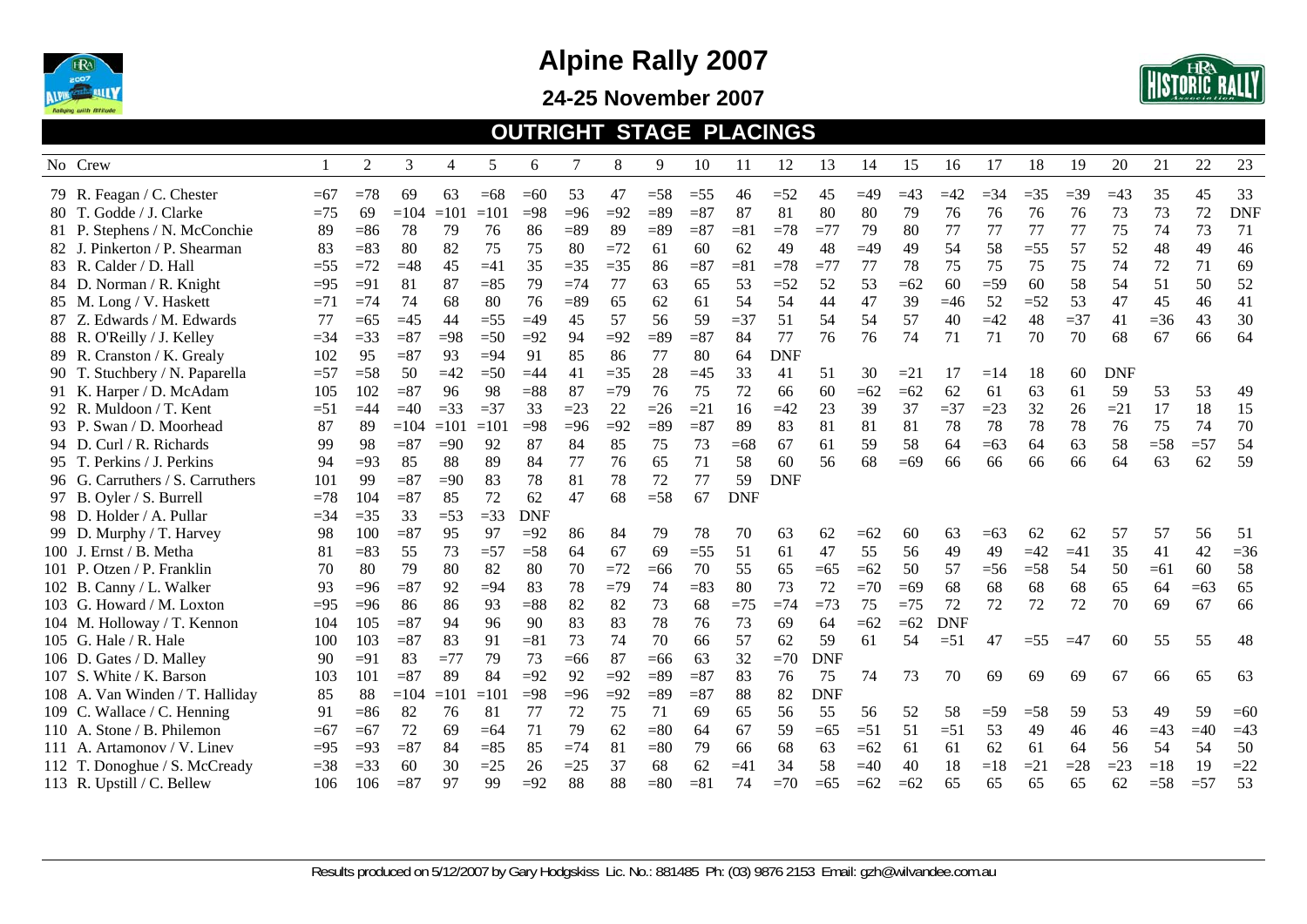

**24-25 November 2007** 



#### **OUTRIGHT STAGE PLACINGS**

|        | No Crew                          |        | 2      | 3      | 4      | 5      | 6          |        | 8     | 9      | 10     | 11         | 12         | 13         | 14    | 15    | 16         | 17     | 18     | 19    | 20         | 21    | 22    | 23         |
|--------|----------------------------------|--------|--------|--------|--------|--------|------------|--------|-------|--------|--------|------------|------------|------------|-------|-------|------------|--------|--------|-------|------------|-------|-------|------------|
|        | 79 R. Feagan / C. Chester        | $=67$  | $=78$  | 69     | 63     | $=68$  | $=60$      | 53     | 47    | $=58$  | $=55$  | 46         | $=52$      | 45         | $=49$ | $=43$ | $=42$      | $= 34$ | $=35$  | $=39$ | $=43$      | 35    | 45    | 33         |
|        | 80 T. Godde / J. Clarke          | $=75$  | 69     | $=104$ | $=101$ | $=101$ | $=98$      | $= 96$ | $=92$ | $= 89$ | $= 87$ | 87         | 81         | 80         | 80    | 79    | 76         | 76     | 76     | 76    | 73         | 73    | 72    | <b>DNF</b> |
|        | 81 P. Stephens / N. McConchie    | 89     | $= 86$ | 78     | 79     | 76     | 86         | $= 89$ | 89    | $=89$  | $= 87$ | $= 81$     | $=78$      | $=77$      | 79    | 80    | 77         | 77     | 77     | 77    | 75         | 74    | 73    | 71         |
|        | 82 J. Pinkerton / P. Shearman    | 83     | $=83$  | 80     | 82     | 75     | 75         | 80     | $=72$ | 61     | 60     | 62         | 49         | 48         | $=49$ | 49    | 54         | 58     | $=55$  | 57    | 52         | 48    | 49    | 46         |
|        | 83 R. Calder / D. Hall           | $=55$  | $=72$  | $=48$  | 45     | $=41$  | 35         | $=35$  | $=35$ | 86     | $= 87$ | $= 81$     | $=78$      | $=77$      | 77    | 78    | 75         | 75     | 75     | 75    | 74         | 72    | 71    | 69         |
|        | 84 D. Norman / R. Knight         | $=95$  | $=91$  | 81     | 87     | $=85$  | 79         | $=74$  | 77    | 63     | 65     | 53         | $=52$      | 52         | 53    | $=62$ | 60         | $=$ 59 | 60     | 58    | 54         | 51    | 50    | 52         |
|        | 85 M. Long / V. Haskett          | $=71$  | $=74$  | 74     | 68     | 80     | 76         | $=89$  | 65    | 62     | 61     | .54        | 54         | 44         | 47    | 39    | $=46$      | 52     | $=52$  | 53    | 47         | 45    | 46    | 41         |
|        | 87 Z. Edwards / M. Edwards       | 77     | $= 65$ | $=45$  | 44     | $=55$  | $=49$      | 45     | 57    | 56     | 59     | $=$ 37     | 51         | 54         | 54    | 57    | 40         | $=42$  | 48     | $=37$ | 41         | $=36$ | 43    | 30         |
|        | 88 R. O'Reilly / J. Kelley       | $= 34$ | $=$ 33 | $= 87$ | $=98$  | $=50$  | $=92$      | 94     | $=92$ | $=89$  | $= 87$ | 84         | 77         | 76         | 76    | 74    | 71         | 71     | 70     | 70    | 68         | 67    | 66    | 64         |
|        | 89 R. Cranston / K. Grealy       | 102    | 95     | $= 87$ | 93     | $=94$  | 91         | 85     | 86    | 77     | 80     | 64         | <b>DNF</b> |            |       |       |            |        |        |       |            |       |       |            |
|        | 90 T. Stuchbery / N. Paparella   | $=57$  | $=$ 58 | 50     | $=42$  | $=50$  | $=44$      | 41     | $=35$ | 28     | $=45$  | 33         | 41         | 51         | 30    | $=21$ | 17         | $=14$  | 18     | 60    | <b>DNF</b> |       |       |            |
|        | 91 K. Harper / D. McAdam         | 105    | 102    | $= 87$ | 96     | 98     | $= 88$     | 87     | $=79$ | 76     | 75     | 72         | 66         | 60         | $=62$ | $=62$ | 62         | 61     | 63     | 61    | 59         | 53    | 53    | 49         |
|        | 92 R. Muldoon / T. Kent          | $= 51$ | $=44$  | $=40$  | $=33$  | $=37$  | 33         | $=23$  | 22    | $=26$  | $=21$  | 16         | $=42$      | 23         | 39    | 37    | $=$ 37     | $=23$  | 32     | 26    | $=21$      | 17    | 18    | 15         |
|        | 93 P. Swan / D. Moorhead         | 87     | 89     | $=104$ | $=101$ | $=101$ | $=98$      | $=96$  | $=92$ | $= 89$ | $= 87$ | 89         | 83         | 81         | 81    | 81    | 78         | 78     | 78     | 78    | 76         | 75    | 74    | 70         |
| 94 D.  | Curl / R. Richards               | 99     | 98     | $= 87$ | $=90$  | 92     | 87         | 84     | 85    | 75     | 73     | $=68$      | 67         | 61         | 59    | 58    | 64         | $=63$  | 64     | 63    | 58         | $=58$ | $=57$ | 54         |
|        | 95 T. Perkins / J. Perkins       | 94     | $=93$  | 85     | 88     | 89     | 84         | 77     | 76    | 65     | 71     | 58         | 60         | 56         | 68    | $=69$ | 66         | 66     | 66     | 66    | 64         | 63    | 62    | 59         |
|        | 96 G. Carruthers / S. Carruthers | 101    | 99     | $= 87$ | $=90$  | 83     | 78         | 81     | 78    | 72     | 77     | 59         | <b>DNF</b> |            |       |       |            |        |        |       |            |       |       |            |
|        | 97 B. Oyler / S. Burrell         | $=78$  | 104    | $= 87$ | 85     | 72     | 62         | 47     | 68    | $=58$  | 67     | <b>DNF</b> |            |            |       |       |            |        |        |       |            |       |       |            |
|        | 98 D. Holder / A. Pullar         | $=34$  | $=35$  | 33     | $=53$  | $=33$  | <b>DNF</b> |        |       |        |        |            |            |            |       |       |            |        |        |       |            |       |       |            |
|        | 99 D. Murphy / T. Harvey         | 98     | 100    | $= 87$ | 95     | 97     | $=92$      | 86     | 84    | 79     | 78     | 70         | 63         | 62         | $=62$ | 60    | 63         | $= 63$ | 62     | 62    | 57         | 57    | 56    | 51         |
|        | 100 J. Ernst / B. Metha          | 81     | $=83$  | 55     | 73     | $=57$  | $=58$      | 64     | 67    | 69     | $=55$  | 51         | 61         | 47         | 55    | 56    | 49         | 49     | $=42$  | $=41$ | 35         | 41    | 42    | $=36$      |
|        | 101 P. Otzen / P. Franklin       | 70     | 80     | 79     | 80     | 82     | 80         | 70     | $=72$ | $=66$  | 70     | 55         | 65         | $=65$      | $=62$ | 50    | 57         | $=$ 56 | $=58$  | 54    | 50         | $=61$ | 60    | 58         |
|        | 102 B. Canny / L. Walker         | 93     | $= 96$ | $= 87$ | 92     | $= 94$ | 83         | 78     | $=79$ | 74     | $= 83$ | 80         | 73         | 72         | $=70$ | $=69$ | 68         | 68     | 68     | 68    | 65         | 64    | $=63$ | 65         |
|        | 103 G. Howard / M. Loxton        | $=95$  | $=96$  | 86     | 86     | 93     | $= 88$     | 82     | 82    | 73     | 68     | $=75$      | $=74$      | $=73$      | 75    | $=75$ | 72         | 72     | 72     | 72    | 70         | 69    | 67    | 66         |
|        | 104 M. Holloway / T. Kennon      | 104    | 105    | $= 87$ | 94     | 96     | 90         | 83     | 83    | 78     | 76     | 73         | 69         | 64         | $=62$ | $=62$ | <b>DNF</b> |        |        |       |            |       |       |            |
|        | 105 G. Hale / R. Hale            | 100    | 103    | $= 87$ | 83     | 91     | $= 81$     | 73     | 74    | 70     | 66     | 57         | 62         | 59         | 61    | 54    | $= 51$     | 47     | $=$ 55 | $=47$ | 60         | 55    | 55    | 48         |
| 106 D. | Gates / D. Malley                | 90     | $=91$  | 83     | $=77$  | 79     | 73         | $=66$  | 87    | $=66$  | 63     | 32         | $=70$      | <b>DNF</b> |       |       |            |        |        |       |            |       |       |            |
| 107 S. | White / K. Barson                | 103    | 101    | $= 87$ | 89     | 84     | $=92$      | 92     | $=92$ | $=89$  | $= 87$ | 83         | 76         | 75         | 74    | 73    | 70         | 69     | 69     | 69    | 67         | 66    | 65    | 63         |
|        | 108 A. Van Winden / T. Halliday  | 85     | 88     | $=104$ | $=101$ | $=101$ | $=98$      | $=96$  | $=92$ | $= 89$ | $= 87$ | 88         | 82         | <b>DNF</b> |       |       |            |        |        |       |            |       |       |            |
|        | 109 C. Wallace / C. Henning      | 91     | $= 86$ | 82     | 76     | 81     | 77         | 72     | 75    | 71     | 69     | 65         | 56         | 55         | 56    | 52    | 58         | $=$ 59 | $=58$  | 59    | 53         | 49    | 59    | $=60$      |
|        | 110 A. Stone / B. Philemon       | $=67$  | $=67$  | 72     | 69     | $=64$  | 71         | 79     | 62    | $= 80$ | 64     | 67         | 59         | $=65$      | $=51$ | 51    | $=51$      | 53     | 49     | 46    | 46         | $=43$ | $=40$ | $=43$      |
|        | 111 A. Artamonov / V. Linev      | $=95$  | $=93$  | $= 87$ | 84     | $=85$  | 85         | $=74$  | 81    | $= 80$ | 79     | 66         | 68         | 63         | $=62$ | 61    | 61         | 62     | 61     | 64    | 56         | 54    | 54    | 50         |
|        | 112 T. Donoghue / S. McCready    | $=$ 38 | $=33$  | 60     | 30     | $=25$  | 26         | $=25$  | 37    | 68     | 62     | $=41$      | 34         | 58         | $=40$ | 40    | 18         | $=18$  | $=21$  | $=28$ | $=23$      | $=18$ | 19    | $=22$      |
|        | 113 R. Upstill / C. Bellew       | 106    | 106    | $= 87$ | 97     | 99     | $=92$      | 88     | 88    | $= 80$ | $= 81$ | 74         | $=70$      | $=65$      | $=62$ | $=62$ | 65         | 65     | 65     | 65    | 62         | $=58$ | $=57$ | 53         |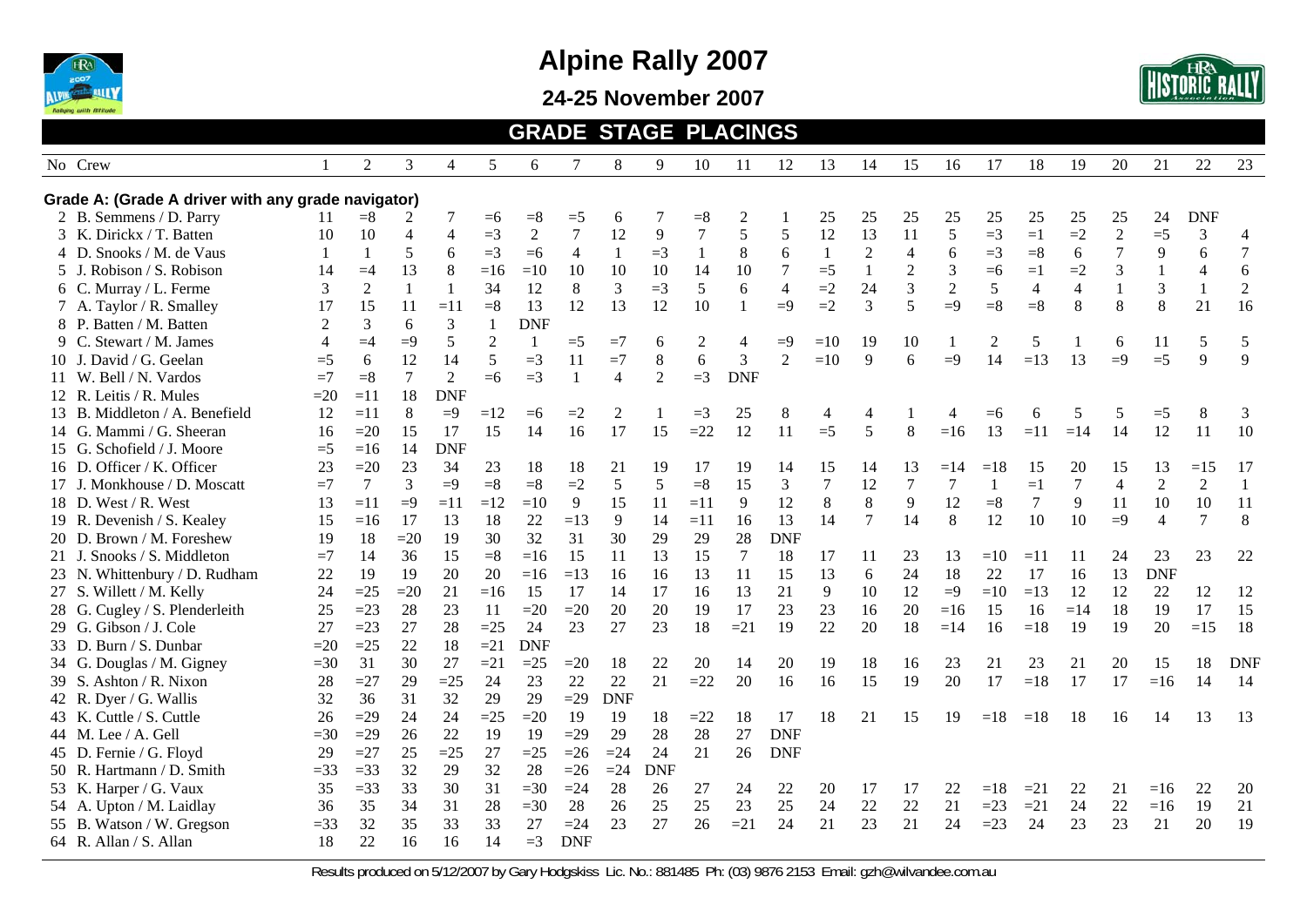

**24-25 November 2007** 



#### **GRADE STAGE PLACINGS**

| No Crew                                            |                | $\overline{c}$ | 3              | 4              | 5              | 6              | 7              | 8              | 9          | 10             | 11           | 12             | 13             | 14             | 15             | 16             | 17           | 18             | 19             | 20             | 21             | 22             | 23             |
|----------------------------------------------------|----------------|----------------|----------------|----------------|----------------|----------------|----------------|----------------|------------|----------------|--------------|----------------|----------------|----------------|----------------|----------------|--------------|----------------|----------------|----------------|----------------|----------------|----------------|
| Grade A: (Grade A driver with any grade navigator) |                |                |                |                |                |                |                |                |            |                |              |                |                |                |                |                |              |                |                |                |                |                |                |
| 2 B. Semmens / D. Parry                            | 11             | $= 8$          | 2              | 7              | $=6$           | $= 8$          | $=5$           | 6              |            | $= 8$          | 2            |                | 25             | 25             | 25             | 25             | 25           | 25             | 25             | 25             | 24             | <b>DNF</b>     |                |
| 3 K. Dirickx / T. Batten                           | 10             | 10             | 4              | 4              | $=$ 3          | $\overline{2}$ | $\overline{7}$ | 12             | 9          | $\tau$         | 5            | 5              | 12             | 13             | 11             | 5              | $=$ 3        | $=1$           | $=2$           | $\overline{2}$ | $=5$           | 3              | $\overline{4}$ |
| 4 D. Snooks / M. de Vaus                           | $\mathbf{1}$   |                | 5              | 6              | $=3$           | $=6$           | $\overline{4}$ | 1              | $=3$       | $\mathbf{1}$   | 8            | 6              |                | $\overline{2}$ | $\overline{4}$ | 6              | $=3$         | $= 8$          | 6              | 7              | 9              | 6              | $\tau$         |
| 5 J. Robison / S. Robison                          | 14             | $=4$           | 13             | 8              | $=16$          | $=10$          | 10             | 10             | 10         | 14             | 10           | $\tau$         | $=5$           | $\mathbf{1}$   | $\overline{2}$ | 3              | $=6$         | $=1$           | $=2$           | 3              | 1              | $\overline{4}$ | $\sqrt{6}$     |
| 6 C. Murray / L. Ferme                             | 3              | $\overline{2}$ | $\mathbf{1}$   |                | 34             | 12             | 8              | 3              | $=3$       | 5              | 6            | $\overline{4}$ | $=2$           | 24             | 3              | $\mathfrak{2}$ | 5            | $\overline{4}$ | $\overline{4}$ |                | 3              | $\mathbf{1}$   | $\sqrt{2}$     |
| 7 A. Taylor / R. Smalley                           | 17             | 15             | 11             | $=11$          | $= 8$          | 13             | 12             | 13             | 12         | 10             | $\mathbf{1}$ | $=9$           | $=2$           | $\overline{3}$ | 5              | $=9$           | $= 8$        | $= 8$          | 8              | 8              | 8              | 21             | 16             |
| 8 P. Batten / M. Batten                            | 2              | 3              | 6              | 3              | $\mathbf{1}$   | <b>DNF</b>     |                |                |            |                |              |                |                |                |                |                |              |                |                |                |                |                |                |
| 9 C. Stewart / M. James                            | $\overline{4}$ | $=4$           | $=9$           | 5              | $\overline{2}$ | 1              | $=$ 5          | $=7$           | 6          | $\overline{2}$ | 4            | $=9$           | $=10$          | 19             | 10             |                | 2            | 5              |                | 6              | 11             | 5              | 5              |
| 10 J. David / G. Geelan                            | $=5$           | 6              | 12             | 14             | 5              | $=$ 3          | 11             | $=7$           | 8          | 6              | 3            | $\overline{2}$ | $=10$          | 9              | 6              | $=9$           | 14           | $=13$          | 13             | $=9$           | $=5$           | 9              | 9              |
| 11 W. Bell / N. Vardos                             | $=7$           | $=8$           | $\overline{7}$ | $\overline{2}$ | $=6$           | $=3$           | $\overline{1}$ | $\overline{A}$ | 2          | $=3$           | <b>DNF</b>   |                |                |                |                |                |              |                |                |                |                |                |                |
| 12 R. Leitis / R. Mules                            | $=20$          | $=11$          | 18             | <b>DNF</b>     |                |                |                |                |            |                |              |                |                |                |                |                |              |                |                |                |                |                |                |
| 13 B. Middleton / A. Benefield                     | 12             | $=11$          | 8              | $=9$           | $=12$          | $=6$           | $=2$           | $\overline{c}$ |            | $=$ 3          | 25           | $8\,$          | 4              | $\overline{4}$ |                |                | $= 6$        | 6              | 5              | 5              | $=5$           | 8              | 3              |
| 14 G. Mammi / G. Sheeran                           | 16             | $=20$          | 15             | 17             | 15             | 14             | 16             | 17             | 15         | $=22$          | 12           | 11             | $=5$           | 5              | 8              | $=16$          | 13           | $=11$          | $=14$          | 14             | 12             | 11             | 10             |
| 15 G. Schofield / J. Moore                         | $=5$           | $=16$          | 14             | <b>DNF</b>     |                |                |                |                |            |                |              |                |                |                |                |                |              |                |                |                |                |                |                |
| 16 D. Officer / K. Officer                         | 23             | $=20$          | 23             | 34             | 23             | 18             | 18             | 21             | 19         | 17             | 19           | 14             | 15             | 14             | 13             | $=14$          | $=18$        | 15             | 20             | 15             | 13             | $=15$          | 17             |
| 17 J. Monkhouse / D. Moscatt                       | $=7$           | $\tau$         | 3              | $=9$           | $= 8$          | $= 8$          | $=2$           | 5              | 5          | $= 8$          | 15           | 3              | $\overline{7}$ | 12             | $\overline{7}$ | $\overline{7}$ | $\mathbf{1}$ | $=1$           | $\tau$         | 4              | $\overline{2}$ | $\overline{2}$ | $\mathbf{1}$   |
| 18 D. West / R. West                               | 13             | $=11$          | $=9$           | $=11$          | $=12$          | $=10$          | 9              | 15             | 11         | $=11$          | 9            | 12             | 8              | 8              | 9              | 12             | $= 8$        | 7              | 9              | 11             | 10             | 10             | 11             |
| 19 R. Devenish / S. Kealey                         | 15             | $=16$          | 17             | 13             | 18             | 22             | $=13$          | 9              | 14         | $=11$          | 16           | 13             | 14             | $\overline{7}$ | 14             | $\,8\,$        | 12           | 10             | 10             | $=9$           | $\overline{4}$ | $\tau$         | $\,8\,$        |
| 20 D. Brown / M. Foreshew                          | 19             | 18             | $=20$          | 19             | 30             | 32             | 31             | 30             | 29         | 29             | 28           | <b>DNF</b>     |                |                |                |                |              |                |                |                |                |                |                |
| 21 J. Snooks / S. Middleton                        | $=7$           | 14             | 36             | 15             | $= 8$          | $=16$          | 15             | 11             | 13         | 15             | 7            | 18             | 17             | 11             | 23             | 13             | $=10$        | $=11$          | 11             | 24             | 23             | 23             | 22             |
| 23 N. Whittenbury / D. Rudham                      | 22             | 19             | 19             | 20             | 20             | $=16$          | $=13$          | 16             | 16         | 13             | 11           | 15             | 13             | 6              | 24             | 18             | 22           | 17             | 16             | 13             | <b>DNF</b>     |                |                |
| 27 S. Willett / M. Kelly                           | 24             | $=25$          | $=20$          | 21             | $=16$          | 15             | 17             | 14             | 17         | 16             | 13           | 21             | 9              | 10             | 12             | $=9$           | $=10$        | $=13$          | 12             | 12             | 22             | 12             | 12             |
| 28 G. Cugley / S. Plenderleith                     | 25             | $=23$          | 28             | 23             | 11             | $=20$          | $=20$          | 20             | 20         | 19             | 17           | 23             | 23             | 16             | 20             | $=16$          | 15           | 16             | $=14$          | 18             | 19             | 17             | 15             |
| 29 G. Gibson / J. Cole                             | 27             | $=23$          | 27             | 28             | $=25$          | 24             | 23             | 27             | 23         | 18             | $=21$        | 19             | 22             | 20             | 18             | $=14$          | 16           | $=18$          | 19             | 19             | 20             | $=15$          | 18             |
| 33 D. Burn / S. Dunbar                             | $=20$          | $=25$          | 22             | 18             | $=21$          | <b>DNF</b>     |                |                |            |                |              |                |                |                |                |                |              |                |                |                |                |                |                |
| 34 G. Douglas / M. Gigney                          | $=30$          | 31             | 30             | 27             | $=21$          | $=25$          | $=20$          | 18             | 22         | 20             | 14           | 20             | 19             | 18             | 16             | 23             | 21           | 23             | 21             | 20             | 15             | 18             | <b>DNF</b>     |
| 39 S. Ashton / R. Nixon                            | 28             | $=27$          | 29             | $=25$          | 24             | 23             | 22             | 22             | 21         | $=22$          | 20           | 16             | 16             | 15             | 19             | 20             | 17           | $=18$          | 17             | 17             | $=16$          | 14             | 14             |
| 42 R. Dyer / G. Wallis                             | 32             | 36             | 31             | 32             | 29             | 29             | $=29$          | <b>DNF</b>     |            |                |              |                |                |                |                |                |              |                |                |                |                |                |                |
| 43 K. Cuttle / S. Cuttle                           | 26             | $=29$          | 24             | 24             | $=25$          | $=20$          | 19             | 19             | 18         | $=22$          | 18           | 17             | 18             | 21             | 15             | 19             | $=18$        | $=18$          | 18             | 16             | 14             | 13             | 13             |
| 44 M. Lee / A. Gell                                | $=30$          | $=29$          | 26             | 22             | 19             | 19             | $=29$          | 29             | 28         | 28             | 27           | <b>DNF</b>     |                |                |                |                |              |                |                |                |                |                |                |
| 45 D. Fernie / G. Floyd                            | 29             | $=27$          | 25             | $=25$          | 27             | $=25$          | $=26$          | $=24$          | 24         | 21             | 26           | <b>DNF</b>     |                |                |                |                |              |                |                |                |                |                |                |
| 50 R. Hartmann / D. Smith                          | $=33$          | $=33$          | 32             | 29             | 32             | 28             | $=26$          | $=24$          | <b>DNF</b> |                |              |                |                |                |                |                |              |                |                |                |                |                |                |
| 53 K. Harper / G. Vaux                             | 35             | $=33$          | 33             | 30             | 31             | $=30$          | $=24$          | 28             | 26         | 27             | 24           | 22             | 20             | 17             | 17             | 22             | $=18$        | $=21$          | 22             | 21             | $=16$          | 22             | 20             |
| 54 A. Upton / M. Laidlay                           | 36             | 35             | 34             | 31             | 28             | $=30$          | 28             | 26             | 25         | 25             | 23           | 25             | 24             | 22             | 22             | 21             | $=23$        | $=21$          | 24             | 22             | $=16$          | 19             | 21             |
| 55 B. Watson / W. Gregson                          | $=33$          | 32             | 35             | 33             | 33             | 27             | $=24$          | 23             | 27         | 26             | $=21$        | 24             | 21             | 23             | 21             | 24             | $=23$        | 24             | 23             | 23             | 21             | 20             | 19             |
| 64 R. Allan / S. Allan                             | 18             | 22             | 16             | 16             | 14             | $=3$           | <b>DNF</b>     |                |            |                |              |                |                |                |                |                |              |                |                |                |                |                |                |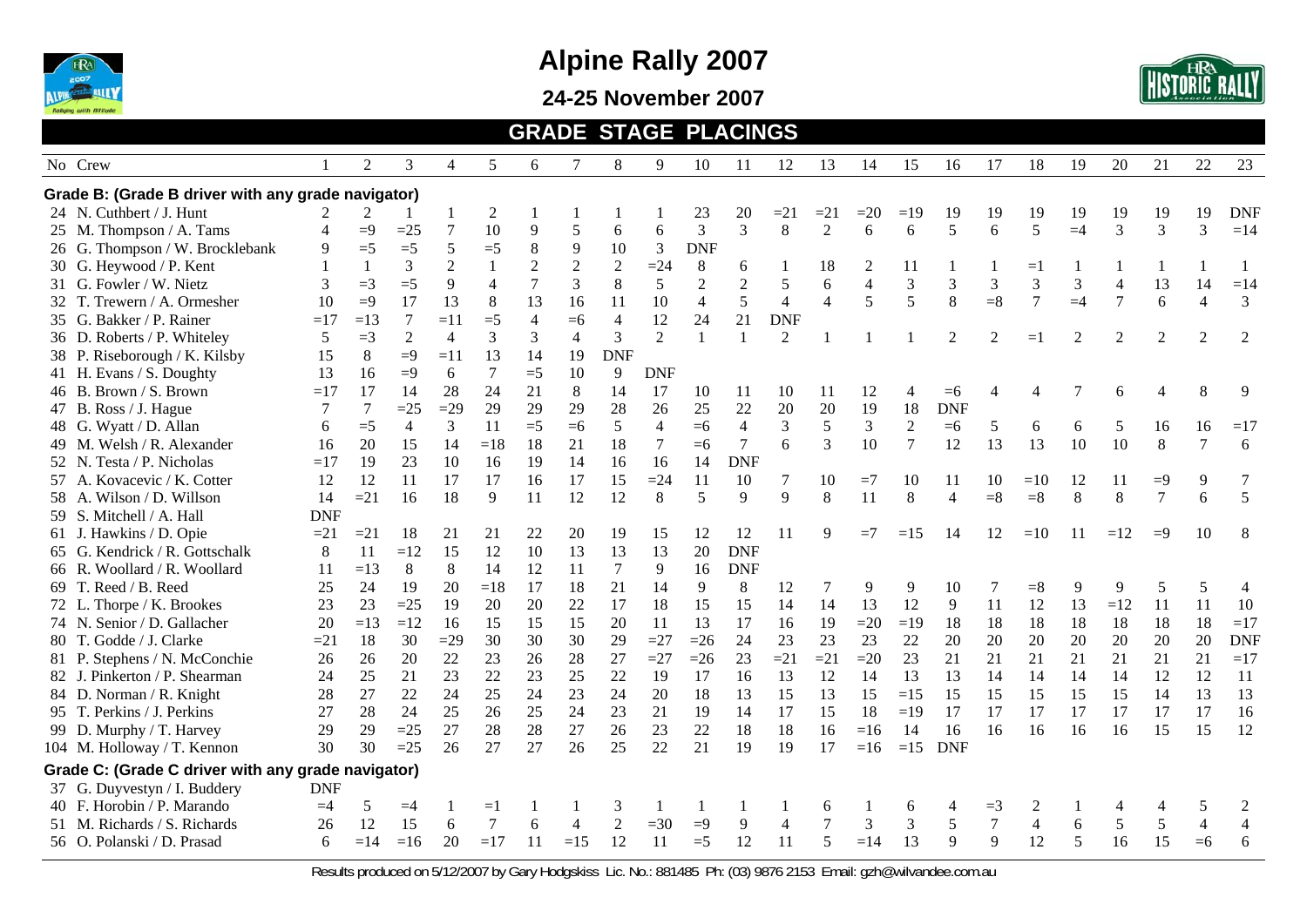

**24-25 November 2007** 



#### **GRADE STAGE PLACINGS**

| No Crew                                            |            | 2     | 3              | 4              | 5              | 6              | 7              | 8              | 9              | 10             | 11             | 12             | 13             | 14             | 15             | 16             | 17               | 18                 | 19             | 20             | 21             | 22             | 23         |
|----------------------------------------------------|------------|-------|----------------|----------------|----------------|----------------|----------------|----------------|----------------|----------------|----------------|----------------|----------------|----------------|----------------|----------------|------------------|--------------------|----------------|----------------|----------------|----------------|------------|
| Grade B: (Grade B driver with any grade navigator) |            |       |                |                |                |                |                |                |                |                |                |                |                |                |                |                |                  |                    |                |                |                |                |            |
| 24 N. Cuthbert / J. Hunt                           |            | 2     |                |                | $\overline{c}$ |                |                |                |                | 23             | 20             | $=21$          | $=21$          | $=20$          | $=19$          | 19             | 19               | 19                 | 19             | 19             | 19             | 19             | <b>DNF</b> |
| 25 M. Thompson / A. Tams                           | 4          | $=9$  | $=25$          | $\overline{7}$ | 10             | $\overline{9}$ | 5              | 6              | 6              | $\mathfrak{Z}$ | $\overline{3}$ | 8              | $\overline{2}$ | 6              | 6              | 5              | 6                | 5                  | $=4$           | $\overline{3}$ | 3              | 3              | $=14$      |
| 26 G. Thompson / W. Brocklebank                    | 9          | $=5$  | $=5$           | $\sqrt{5}$     | $=5$           | $\,8\,$        | 9              | 10             | 3              | <b>DNF</b>     |                |                |                |                |                |                |                  |                    |                |                |                |                |            |
| 30 G. Heywood / P. Kent                            |            |       | 3              | $\overline{2}$ |                | $\sqrt{2}$     | $\sqrt{2}$     | $\sqrt{2}$     | $=24$          | $\,8\,$        | 6              |                | 18             | 2              | 11             |                |                  | $=$ $\overline{ }$ |                |                |                |                |            |
| 31 G. Fowler / W. Nietz                            | 3          | $=3$  | $=5$           | 9              | $\overline{4}$ | 7              | 3              | 8              | 5              | $\mathbf{2}$   | $\overline{2}$ | 5              | 6              | $\overline{4}$ | 3              | 3              | 3                | 3                  | 3              | $\overline{4}$ | 13             | 14             | $=14$      |
| 32 T. Trewern / A. Ormesher                        | 10         | $=9$  | 17             | 13             | 8              | 13             | 16             | 11             | 10             | $\overline{4}$ | 5              | $\overline{4}$ | $\overline{4}$ | 5              | 5              | 8              | $= 8$            | 7                  | $=4$           | $\overline{7}$ | 6              | $\overline{4}$ | 3          |
| 35 G. Bakker / P. Rainer                           | $=17$      | $=13$ | $\tau$         | $=11$          | $=5$           | $\overline{4}$ | $=6$           | $\overline{4}$ | 12             | 24             | 21             | <b>DNF</b>     |                |                |                |                |                  |                    |                |                |                |                |            |
| 36 D. Roberts / P. Whiteley                        | 5          | $=3$  | 2              | 4              | 3              | 3              | $\overline{4}$ | 3              | 2              | $\mathbf{1}$   | $\mathbf{1}$   | 2              |                |                |                | 2              | $\overline{2}$   | $=1$               | $\mathfrak{D}$ | 2              | 2              | 2              | 2          |
| 38 P. Riseborough / K. Kilsby                      | 15         | 8     | $=9$           | $=11$          | 13             | 14             | 19             | <b>DNF</b>     |                |                |                |                |                |                |                |                |                  |                    |                |                |                |                |            |
| 41 H. Evans / S. Doughty                           | 13         | 16    | $=9$           | 6              | 7              | $=$ 5          | 10             | 9              | <b>DNF</b>     |                |                |                |                |                |                |                |                  |                    |                |                |                |                |            |
| 46 B. Brown / S. Brown                             | $=17$      | 17    | 14             | 28             | 24             | 21             | 8              | 14             | 17             | 10             | 11             | 10             | 11             | 12             | 4              | $=6$           |                  |                    |                | 6              |                | 8              | 9          |
| 47 B. Ross / J. Hague                              | 7          | 7     | $=25$          | $=29$          | 29             | 29             | 29             | 28             | 26             | 25             | 22             | 20             | 20             | 19             | 18             | <b>DNF</b>     |                  |                    |                |                |                |                |            |
| 48 G. Wyatt / D. Allan                             | 6          | $=$ 5 | $\overline{4}$ | 3              | 11             | $=5$           | $=6$           | 5              | $\overline{4}$ | $=6$           | $\overline{4}$ | 3              | 5              | $\mathfrak{Z}$ | $\sqrt{2}$     | $=6$           | 5                | 6                  | 6              | 5              | 16             | 16             | $=17$      |
| 49 M. Welsh / R. Alexander                         | 16         | 20    | 15             | 14             | $=18$          | 18             | 21             | 18             |                | $=6$           | 7              | 6              | 3              | 10             | $\overline{7}$ | 12             | 13               | 13                 | 10             | 10             | 8              | 7              | 6          |
| 52 N. Testa / P. Nicholas                          | $=17$      | 19    | 23             | 10             | 16             | 19             | 14             | 16             | 16             | 14             | <b>DNF</b>     |                |                |                |                |                |                  |                    |                |                |                |                |            |
| 57 A. Kovacevic / K. Cotter                        | 12         | 12    | 11             | 17             | 17             | 16             | 17             | 15             | $=24$          | 11             | 10             | 7              | 10             | $=7$           | 10             | 11             | 10               | $=10$              | 12             | 11             | $=9$           | 9              | 7          |
| 58 A. Wilson / D. Willson                          | 14         | $=21$ | 16             | 18             | 9              | 11             | 12             | 12             | 8              | 5              | 9              | 9              | 8              | 11             | 8              | $\overline{4}$ | $= 8$            | $= 8$              | 8              | 8              | $\overline{7}$ | 6              | 5          |
| 59 S. Mitchell / A. Hall                           | <b>DNF</b> |       |                |                |                |                |                |                |                |                |                |                |                |                |                |                |                  |                    |                |                |                |                |            |
| 61 J. Hawkins / D. Opie                            | $=21$      | $=21$ | 18             | 21             | 21             | 22             | 20             | 19             | 15             | 12             | 12             | 11             | 9              | $=7$           | $=15$          | 14             | 12               | $=10$              |                | $=12$          | $=9$           | 10             | 8          |
| 65 G. Kendrick / R. Gottschalk                     | 8          | 11    | $=12$          | 15             | 12             | 10             | 13             | 13             | 13             | 20             | <b>DNF</b>     |                |                |                |                |                |                  |                    |                |                |                |                |            |
| 66 R. Woollard / R. Woollard                       | 11         | $=13$ | 8              | 8              | 14             | 12             | 11             | $\tau$         | 9              | 16             | <b>DNF</b>     |                |                |                |                |                |                  |                    |                |                |                |                |            |
| 69 T. Reed / B. Reed                               | 25         | 24    | 19             | 20             | $=18$          | 17             | 18             | 21             | 14             | 9              | 8              | 12             | 7              | 9              | 9              | 10             | 7                | $=8$               | 9              | 9              | 5              | 5              | 4          |
| 72 L. Thorpe / K. Brookes                          | 23         | 23    | $=25$          | 19             | 20             | 20             | 22             | 17             | 18             | 15             | 15             | 14             | 14             | 13             | 12             | 9              | 11               | 12                 | 13             | $=12$          | 11             | 11             | 10         |
| 74 N. Senior / D. Gallacher                        | 20         | $=13$ | $=12$          | 16             | 15             | 15             | 15             | 20             | <sup>11</sup>  | 13             | 17             | 16             | 19             | $=20$          | $=19$          | 18             | 18               | 18                 | 18             | 18             | 18             | 18             | $=17$      |
| 80 T. Godde / J. Clarke                            | $=21$      | 18    | 30             | $=29$          | 30             | 30             | 30             | 29             | $=27$          | $=26$          | 24             | 23             | 23             | 23             | 22             | 20             | 20               | 20                 | 20             | 20             | 20             | 20             | <b>DNF</b> |
| 81 P. Stephens / N. McConchie                      | 26         | 26    | $20\,$         | 22             | 23             | 26             | 28             | 27             | $=27$          | $=26$          | 23             | $=21$          | $=21$          | $=20$          | 23             | 21             | 21               | 21                 | 21             | 21             | 21             | 21             | $=17$      |
| 82 J. Pinkerton / P. Shearman                      | 24         | 25    | 21             | 23             | 22             | 23             | 25             | 22             | 19             | 17             | 16             | 13             | 12             | 14             | 13             | 13             | 14               | 14                 | 14             | 14             | 12             | 12             | 11         |
| 84 D. Norman / R. Knight                           | 28         | 27    | 22             | 24             | 25             | 24             | 23             | 24             | 20             | 18             | 13             | 15             | 13             | 15             | $=15$          | 15             | 15               | 15                 | 15             | 15             | 14             | 13             | 13         |
| 95 T. Perkins / J. Perkins                         | 27         | 28    | 24             | 25             | 26             | 25             | 24             | 23             | 21             | 19             | 14             | 17             | 15             | 18             | $=19$          | 17             | 17               | 17                 | 17             | 17             | 17             | 17             | 16         |
| 99 D. Murphy / T. Harvey                           | 29         | 29    | $=25$          | 27             | 28             | 28             | 27             | 26             | 23             | 22             | 18             | 18             | 16             | $=16$          | 14             | 16             | 16               | 16                 | 16             | 16             | 15             | 15             | 12         |
| 104 M. Holloway / T. Kennon                        | 30         | 30    | $=25$          | 26             | 27             | 27             | 26             | 25             | 22             | 21             | 19             | 19             | 17             | $=16$          | $=15$          | <b>DNF</b>     |                  |                    |                |                |                |                |            |
| Grade C: (Grade C driver with any grade navigator) |            |       |                |                |                |                |                |                |                |                |                |                |                |                |                |                |                  |                    |                |                |                |                |            |
| 37 G. Duyvestyn / I. Buddery                       | <b>DNF</b> |       |                |                |                |                |                |                |                |                |                |                |                |                |                |                |                  |                    |                |                |                |                |            |
| 40 F. Horobin / P. Marando                         | $=4$       | 5     | $=4$           | 1              | $=1$           |                |                | 3              |                |                |                |                | 6              |                | 6              | 4              | $=$ 3            | 2                  |                |                | 4              | 5              |            |
| 51 M. Richards / S. Richards                       | 26         | 12    | 15             | 6              | $\overline{7}$ | 6              | 4              | $\overline{2}$ | $=30$          | $=9$           | 9              | 4              | $\overline{7}$ | 3              | 3              | 5              | $\boldsymbol{7}$ | 4                  | 6              | 5              | 5              | $\overline{4}$ | 4          |
| 56 O. Polanski / D. Prasad                         | 6          | $=14$ | $=16$          | 20             | $=17$          | 11             | $=15$          | 12             | 11             | $=5$           | 12             | 11             | 5              | $=14$          | 13             | 9              | 9                | 12                 | 5              | 16             | 15             | $= 6$          | 6          |
|                                                    |            |       |                |                |                |                |                |                |                |                |                |                |                |                |                |                |                  |                    |                |                |                |                |            |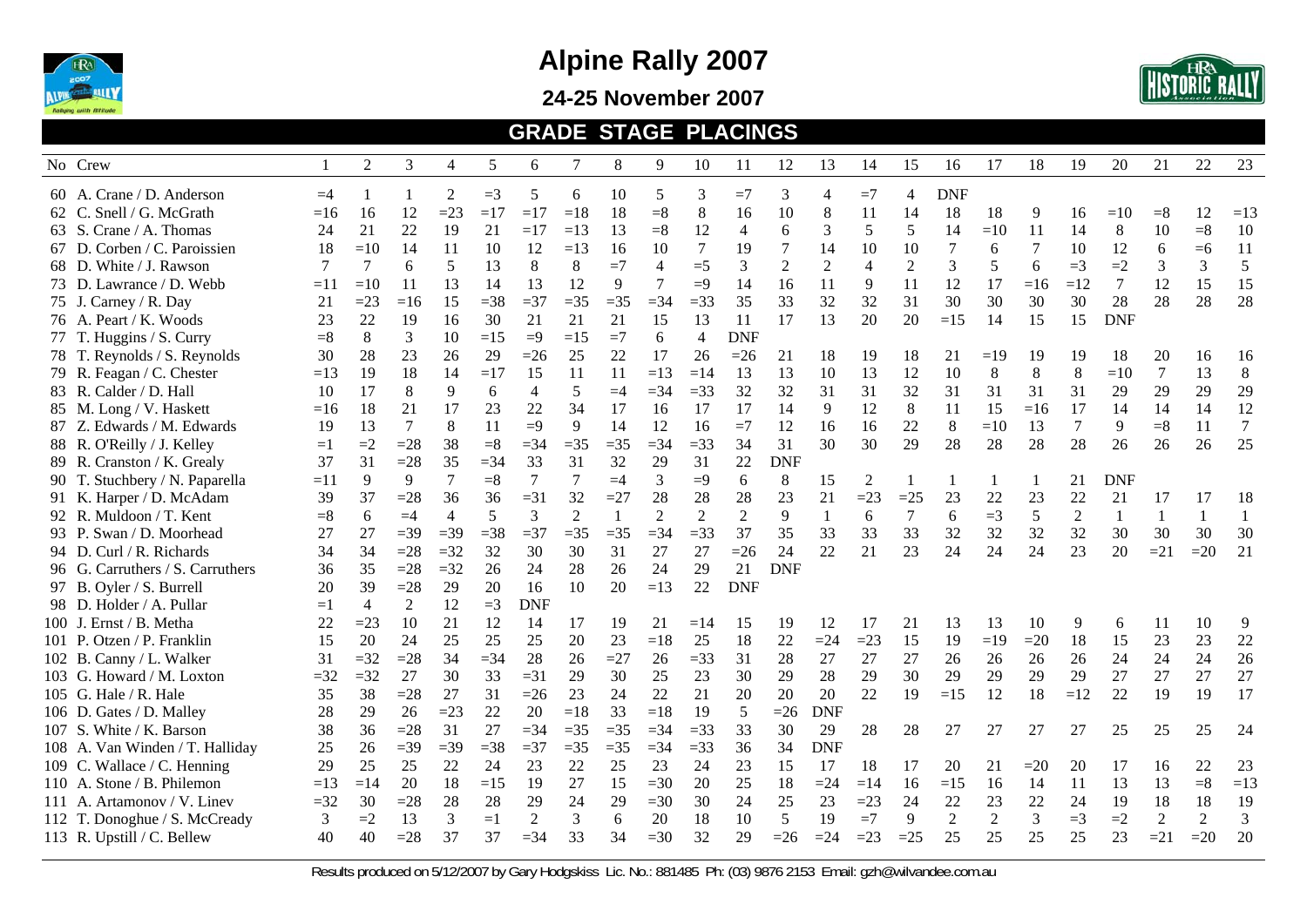

**24-25 November 2007** 



#### **GRADE STAGE PLACINGS**

| No Crew                          |       | 2     | 3              | $\overline{4}$ | 5      | 6                        | 7     | 8     | 9              | 10             | 11             | 12             | 13             | 14             | 15               | 16             | 17    | 18    | 19             | 20         | 21             | 22           | 23               |
|----------------------------------|-------|-------|----------------|----------------|--------|--------------------------|-------|-------|----------------|----------------|----------------|----------------|----------------|----------------|------------------|----------------|-------|-------|----------------|------------|----------------|--------------|------------------|
|                                  |       |       |                |                |        |                          |       |       |                |                |                |                |                |                |                  |                |       |       |                |            |                |              |                  |
| 60 A. Crane / D. Anderson        | $=4$  |       |                | $\overline{2}$ | $=$ 3  | 5                        | 6     | 10    | 5              | 3              | $=7$           | 3              | $\overline{4}$ | $=7$           | $\overline{4}$   | <b>DNF</b>     |       |       |                |            |                |              |                  |
| 62 C. Snell / G. McGrath         | $=16$ | 16    | 12             | $=23$          | $=17$  | $=17$                    | $=18$ | 18    | $= 8$          | $8\,$          | 16             | 10             | 8              | 11             | 14               | 18             | 18    | 9     | 16             | $=10$      | $= 8$          | 12           | $=13$            |
| 63 S. Crane / A. Thomas          | 24    | 21    | 22             | 19             | 21     | $=17$                    | $=13$ | 13    | $= 8$          | 12             | $\overline{4}$ | 6              | 3              | 5              | 5                | 14             | $=10$ | 11    | 14             | 8          | 10             | $= 8$        | 10               |
| 67 D. Corben / C. Paroissien     | 18    | $=10$ | 14             | 11             | 10     | 12                       | $=13$ | 16    | 10             | 7              | 19             | $\overline{7}$ | 14             | 10             | 10               |                | 6     | 7     | 10             | 12         | 6              | $=6$         | 11               |
| 68 D. White / J. Rawson          | 7     | 7     | 6              | 5              | 13     | $8\,$                    | $8\,$ | $=7$  | $\overline{4}$ | $=5$           | 3              | $\overline{2}$ | $\overline{2}$ | $\overline{4}$ | $\overline{2}$   | 3              | 5     | 6     | $=3$           | $=2$       | 3              | 3            | $\sqrt{5}$       |
| 73 D. Lawrance / D. Webb         | $=11$ | $=10$ | 11             | 13             | 14     | 13                       | 12    | 9     | 7              | $=9$           | 14             | 16             | 11             | 9              | 11               | 12             | 17    | $=16$ | $=12$          | 7          | 12             | 15           | 15               |
| 75 J. Carney / R. Day            | 21    | $=23$ | $=16$          | 15             | $=38$  | $=37$                    | $=35$ | $=35$ | $=$ 34         | $=33$          | 35             | 33             | 32             | 32             | 31               | 30             | 30    | 30    | 30             | 28         | 28             | 28           | 28               |
| 76 A. Peart / K. Woods           | 23    | 22    | 19             | 16             | 30     | 21                       | 21    | 21    | 15             | 13             | 11             | 17             | 13             | 20             | 20               | $=15$          | 14    | 15    | 15             | <b>DNF</b> |                |              |                  |
| 77 T. Huggins / S. Curry         | $= 8$ | 8     | 3              | 10             | $=15$  | $=9$                     | $=15$ | $=7$  | 6              | $\overline{4}$ | <b>DNF</b>     |                |                |                |                  |                |       |       |                |            |                |              |                  |
| 78 T. Reynolds / S. Reynolds     | 30    | 28    | 23             | 26             | 29     | $=26$                    | 25    | 22    | 17             | 26             | $=26$          | 21             | 18             | 19             | 18               | 21             | $=19$ | 19    | 19             | 18         | 20             | 16           | 16               |
| 79 R. Feagan / C. Chester        | $=13$ | 19    | 18             | 14             | $=17$  | 15                       | 11    | 11    | $=13$          | $=14$          | 13             | 13             | 10             | 13             | 12               | 10             | 8     | 8     | 8              | $=10$      | $\overline{7}$ | 13           | $\,8\,$          |
| 83 R. Calder / D. Hall           | 10    | 17    | 8              | 9              | 6      | $\overline{\mathcal{L}}$ | 5     | $=4$  | $=34$          | $=33$          | 32             | 32             | 31             | 31             | 32               | 31             | 31    | 31    | 31             | 29         | 29             | 29           | 29               |
| 85 M. Long / V. Haskett          | $=16$ | 18    | 21             | 17             | 23     | 22                       | 34    | 17    | 16             | 17             | 17             | 14             | 9              | 12             | 8                | 11             | 15    | $=16$ | 17             | 14         | 14             | 14           | 12               |
| 87 Z. Edwards / M. Edwards       | 19    | 13    | $\overline{7}$ | 8              | 11     | $=9$                     | 9     | 14    | 12             | 16             | $=7$           | 12             | 16             | 16             | 22               | 8              | $=10$ | 13    | $\overline{7}$ | 9          | $= 8$          | 11           | $\boldsymbol{7}$ |
| 88 R. O'Reilly / J. Kelley       | $=1$  | $=2$  | $=28$          | 38             | $= 8$  | $= 34$                   | $=35$ | $=35$ | $=$ 34         | $=$ 33         | 34             | 31             | 30             | 30             | 29               | 28             | 28    | 28    | 28             | 26         | 26             | 26           | 25               |
| 89 R. Cranston / K. Grealy       | 37    | 31    | $=28$          | 35             | $=34$  | 33                       | 31    | 32    | 29             | 31             | 22             | <b>DNF</b>     |                |                |                  |                |       |       |                |            |                |              |                  |
| 90 T. Stuchbery / N. Paparella   | $=11$ | 9     | 9              | $\overline{7}$ | $= 8$  | 7                        |       | $=4$  | 3              | $=9$           | 6              | 8              | 15             | $\overline{2}$ | $\mathbf{1}$     |                | -1    |       | 21             | <b>DNF</b> |                |              |                  |
| 91 K. Harper / D. McAdam         | 39    | 37    | $=28$          | 36             | 36     | $=31$                    | 32    | $=27$ | 28             | 28             | 28             | 23             | 21             | $=23$          | $=25$            | 23             | 22    | 23    | 22             | 21         | 17             | 17           | 18               |
| 92 R. Muldoon / T. Kent          | $= 8$ | 6     | $=4$           | $\overline{4}$ | 5      | 3                        | 2     |       | $\overline{2}$ | $\overline{2}$ | $\overline{2}$ | 9              | 1              | 6              | $\boldsymbol{7}$ | 6              | $=3$  | 5     | $\overline{2}$ | 1          | $\mathbf{1}$   | $\mathbf{1}$ | $\mathbf{1}$     |
| 93 P. Swan / D. Moorhead         | 27    | 27    | $=39$          | $=39$          | $=38$  | $=$ 37                   | $=35$ | $=35$ | $=$ 34         | $=33$          | 37             | 35             | 33             | 33             | 33               | 32             | 32    | 32    | 32             | 30         | 30             | 30           | 30               |
| 94 D. Curl / R. Richards         | 34    | 34    | $=28$          | $=32$          | 32     | 30                       | 30    | 31    | 27             | 27             | $=26$          | 24             | 22             | 21             | 23               | 24             | 24    | 24    | 23             | 20         | $=21$          | $=20$        | 21               |
| 96 G. Carruthers / S. Carruthers | 36    | 35    | $=28$          | $=32$          | 26     | 24                       | 28    | 26    | 24             | 29             | 21             | <b>DNF</b>     |                |                |                  |                |       |       |                |            |                |              |                  |
| 97 B. Oyler / S. Burrell         | 20    | 39    | $=28$          | 29             | 20     | 16                       | 10    | 20    | $=13$          | 22             | <b>DNF</b>     |                |                |                |                  |                |       |       |                |            |                |              |                  |
| 98 D. Holder / A. Pullar         | $=1$  | 4     | $\overline{2}$ | 12             | $=3$   | <b>DNF</b>               |       |       |                |                |                |                |                |                |                  |                |       |       |                |            |                |              |                  |
| 100 J. Ernst / B. Metha          | 22    | $=23$ | 10             | 21             | 12     | 14                       | 17    | 19    | 21             | $=14$          | 15             | 19             | 12             | 17             | 21               | 13             | 13    | 10    | 9              | 6          | 11             | 10           | 9                |
| 101 P. Otzen / P. Franklin       | 15    | 20    | 24             | 25             | 25     | 25                       | 20    | 23    | $=18$          | 25             | 18             | 22             | $=24$          | $=23$          | 15               | 19             | $=19$ | $=20$ | 18             | 15         | 23             | 23           | 22               |
| 102 B. Canny / L. Walker         | 31    | $=32$ | $=28$          | 34             | $=$ 34 | 28                       | 26    | $=27$ | 26             | $=33$          | 31             | 28             | 27             | 27             | 27               | 26             | 26    | 26    | 26             | 24         | 24             | 24           | 26               |
| 103 G. Howard / M. Loxton        | $=32$ | $=32$ | 27             | 30             | 33     | $=31$                    | 29    | 30    | 25             | 23             | 30             | 29             | 28             | 29             | 30               | 29             | 29    | 29    | 29             | 27         | 27             | 27           | 27               |
| 105 G. Hale / R. Hale            | 35    | 38    | $=28$          | 27             | 31     | $=26$                    | 23    | 24    | 22             | 21             | 20             | 20             | 20             | 22             | 19               | $=15$          | 12    | 18    | $=12$          | 22         | 19             | 19           | 17               |
| 106 D. Gates / D. Malley         | 28    | 29    | 26             | $=23$          | 22     | 20                       | $=18$ | 33    | $=18$          | 19             | 5              | $=26$          | <b>DNF</b>     |                |                  |                |       |       |                |            |                |              |                  |
| 107 S. White / K. Barson         | 38    | 36    | $=28$          | 31             | 27     | $=$ 34                   | $=35$ | $=35$ | $=$ 34         | $=33$          | 33             | 30             | 29             | 28             | 28               | 27             | 27    | 27    | 27             | 25         | 25             | 25           | 24               |
| 108 A. Van Winden / T. Halliday  | 25    | 26    | $=39$          | $=39$          | $=38$  | $=$ 37                   | $=35$ | $=35$ | $=$ 34         | $=33$          | 36             | 34             | <b>DNF</b>     |                |                  |                |       |       |                |            |                |              |                  |
| 109 C. Wallace / C. Henning      | 29    | 25    | 25             | 22             | 24     | 23                       | 22    | 25    | 23             | 24             | 23             | 15             | 17             | 18             | 17               | 20             | 21    | $=20$ | 20             | 17         | 16             | 22           | 23               |
| 110 A. Stone / B. Philemon       | $=13$ | $=14$ | 20             | 18             | $=15$  | 19                       | 27    | 15    | $=30$          | 20             | 25             | 18             | $=24$          | $=14$          | 16               | $=15$          | 16    | 14    | 11             | 13         | 13             | $= 8$        | $=13$            |
| 111 A. Artamonov / V. Linev      | $=32$ | 30    | $=28$          | 28             | 28     | 29                       | 24    | 29    | $=30$          | 30             | 24             | 25             | 23             | $=23$          | 24               | 22             | 23    | 22    | 24             | 19         | 18             | 18           | 19               |
| 112 T. Donoghue / S. McCready    | 3     | $=2$  | 13             | 3              | $=1$   | $\overline{2}$           | 3     | 6     | 20             | 18             | 10             | 5              | 19             | $=7$           | 9                | $\overline{2}$ | 2     | 3     | $=3$           | $=2$       | $\overline{2}$ | 2            | 3                |
| 113 R. Upstill / C. Bellew       | 40    | 40    | $=28$          | 37             | 37     | $= 34$                   | 33    | 34    | $=30$          | 32             | 29             | $=26$          | $=24$          | $=23$          | $=25$            | 25             | 25    | 25    | 25             | 23         | $=21$          | $=20$        | 20               |
|                                  |       |       |                |                |        |                          |       |       |                |                |                |                |                |                |                  |                |       |       |                |            |                |              |                  |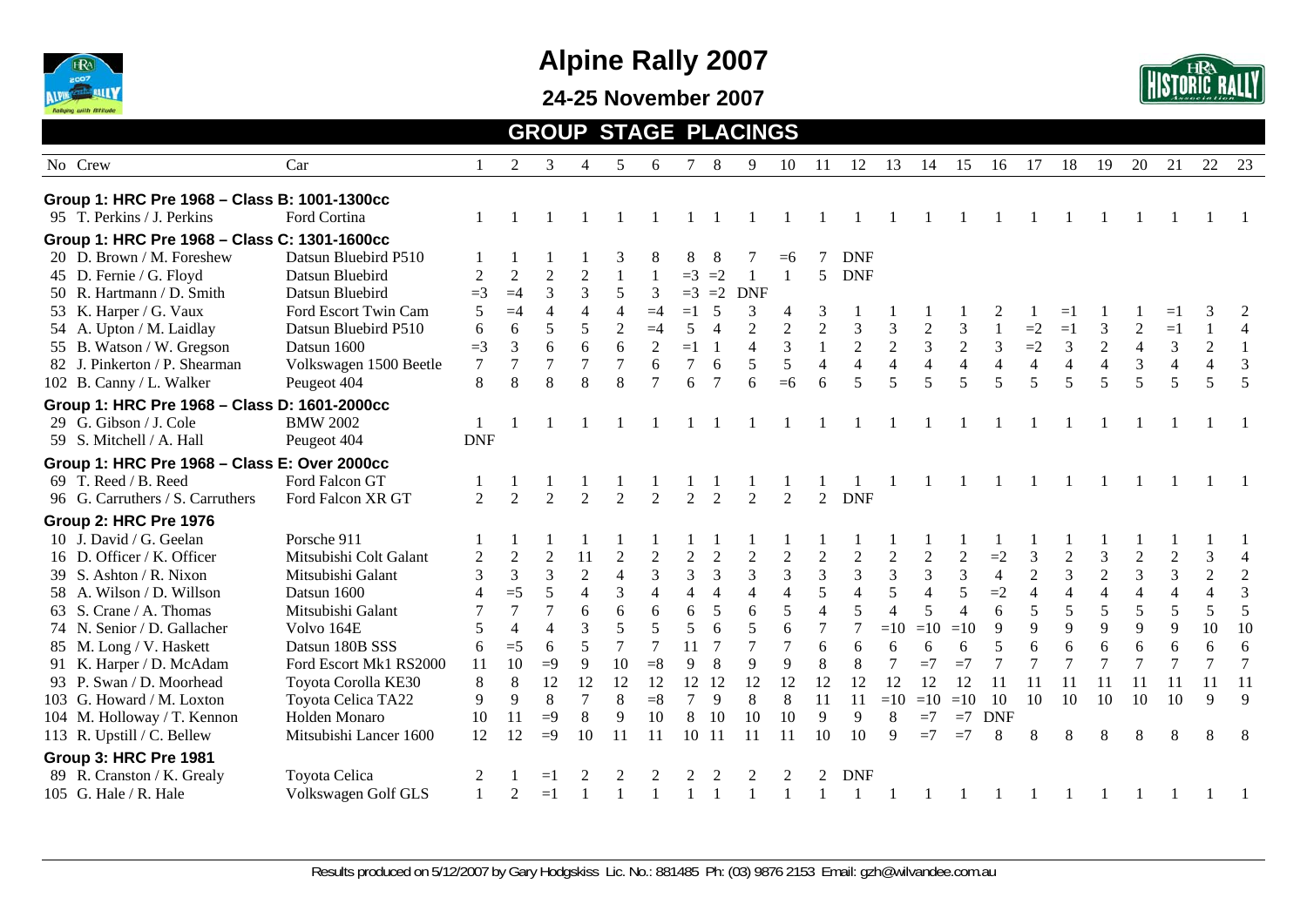

**24-25 November 2007** 



#### **GROUP STAGE PLACINGS** No Crew Car Car 1 2 3 4 5 6 7 8 9 10 11 12 13 14 15 16 17 18 19 20 21 22 23 23 **Group 1: HRC Pre 1968 – Class B: 1001-1300cc**  95 T. Perkins / J. Perkins Ford Cortina 1 1 1 1 1 1 1 1 1 1 1 1 1 1 1 1 1 1 1 1 1 1 1 **Group 1: HRC Pre 1968 – Class C: 1301-1600cc**  20 D. Brown / M. Foreshew Datsun Bluebird P510  $1 \quad 1 \quad 1 \quad 1 \quad 3 \quad 8 \quad 8 \quad 8 \quad 7 \quad =6 \quad 7 \quad$  DNF 45 D. Fernie / G. Floyd Datsun Bluebird 2 2 2 2 1 1 =3 =2 1 1 5 DNF 50 R. Hartmann / D. Smith Datsun Bluebird  $=3$   $=4$  3 3 5 3  $=3$   $=2$  DNF 53 K. Harper / G. Vaux Ford Escort Twin Cam 5 = 4 4 4 4 = 4 = 1 5 3 4 3 1 1 1 1 2 1 = 1 1 1 = 1 3 2 54 A. Upton / M. Laidlay Datsun Bluebird P510 6 6 5 5 2 = 4 5 4 2 2 2 3 3 3 2 3 1 = 2 = 1 3 2 = 1 1 4 55 B. Watson / W. Gregson Datsun 1600 = 3 3 6 6 6 2 = 1 1 4 3 1 2 2 3 2 3 = 2 3 2 4 3 2 1 82 J. Pinkerton / P. Shearman Volkswagen 1500 Beetle 7 7 7 7 7 6 7 6 5 5 4 4 4 4 4 4 4 4 4 4 3 4 4 3<br>102 B. Canny / L. Walker Peugeot 404 8 8 8 8 8 7 6 7 6 = 6 6 5 5 5 5 5 5 5 5 5 5 5 5 102 B. Canny / L. Walker Peugeot 404 8 8 8 8 8 7 6 7 6 =6 6 5 5 5 5 5 5 5 5 5 5 5 5 **Group 1: HRC Pre 1968 – Class D: 1601-2000cc**  29 G. Gibson / J. Cole BMW 2002 1 1 1 1 1 1 1 1 1 1 1 1 1 1 1 1 1 1 1 1 1 1 1 59 S. Mitchell / A. Hall Peugeot 404 DNF **Group 1: HRC Pre 1968 – Class E: Over 2000cc**  69 T. Reed / B. Reed Ford Falcon GT 1 1 1 1 1 1 1 1 1 1 1 1 1 1 1 1 1 1 1 1 1 1 1 96 G. Carruthers / S. Carruthers Ford Falcon XR GT 2 2 2 2 2 2 2 2 2 2 2 2 2 2 DNF **Group 2: HRC Pre 1976**  10 J. David / G. Geelan Porsche 911 1 1 1 1 1 1 1 1 1 1 1 1 1 1 1 1 1 1 1 1 1 1 1 16 D. Officer / K. Officer Mitsubishi Colt Galant 2 2 2 11 2 2 2 2 2 2 2 2 2 2 2 2 2 = 3 2 3 2 2 3 4 39 S. Ashton / R. Nixon Mitsubishi Galant 3 3 3 2 4 3 3 3 3 3 3 3 3 3 3 4 2 3 2 3 3 2 2 58 A. Wilson / D. Willson Datsun 1600 4 = 5 5 4 3 4 4 4 4 4 4 5 4 5 4 5 = 2 4 4 4 4 4 4 4 3 63 S. Crane / A. Thomas Mitsubishi Galant 7 7 7 6 6 6 6 5 6 5 4 5 4 5 4 6 5 5 5 5 5 5 5 74 N. Senior / D. Gallacher Volvo 164E 5 4 4 3 5 5 5 6 5 6 7 7 = 10 = 10 9 9 9 9 9 9 9 10 10 85 M. Long / V. Haskett Datsun 180B SSS 6 =5 6 5 7 7 11 7 7 7 6 6 6 6 6 5 6 6 6 6 6 6 6 91 K. Harper / D. McAdam Ford Escort Mk1 RS2000 11 10 =9 9 10 =8 9 8 9 9 8 8 7 =7 =7 7 7 7 7 7 7 7 7 7 7 93 P. Swan / D. Moorhead Toyota Corolla KE30 8 8 12 12 12 12 12 12 12 12 12 12 12 12 12 11 11 11 11 11 11 11 11 103 G. Howard / M. Loxton Toyota Celica TA22 9 9 8 7 8 =8 7 9 8 8 11 11 =10 =10 =10 10 10 10 10 10 10 9 9 104 M. Holloway / T. Kennon Holden Monaro 10 11 =9 8 9 10 8 10 10 10 9 9 8 =7 =7 DNF 113 R. Upstill / C. Bellew Mitsubishi Lancer 1600 12 12 =9 10 11 11 10 11 11 11 10 10 9 =7 =7 8 8 8 8 8 8 8 8 8 **Group 3: HRC Pre 1981**  89 R. Cranston / K. Grealy Toyota Celica 2 1 =1 2 2 2 2 2 2 2 2 DNF 105 G. Hale / R. Hale Volkswagen Golf GLS 1 2 =1 1 1 1 1 1 1 1 1 1 1 1 1 1 1 1 1 1 1 1 1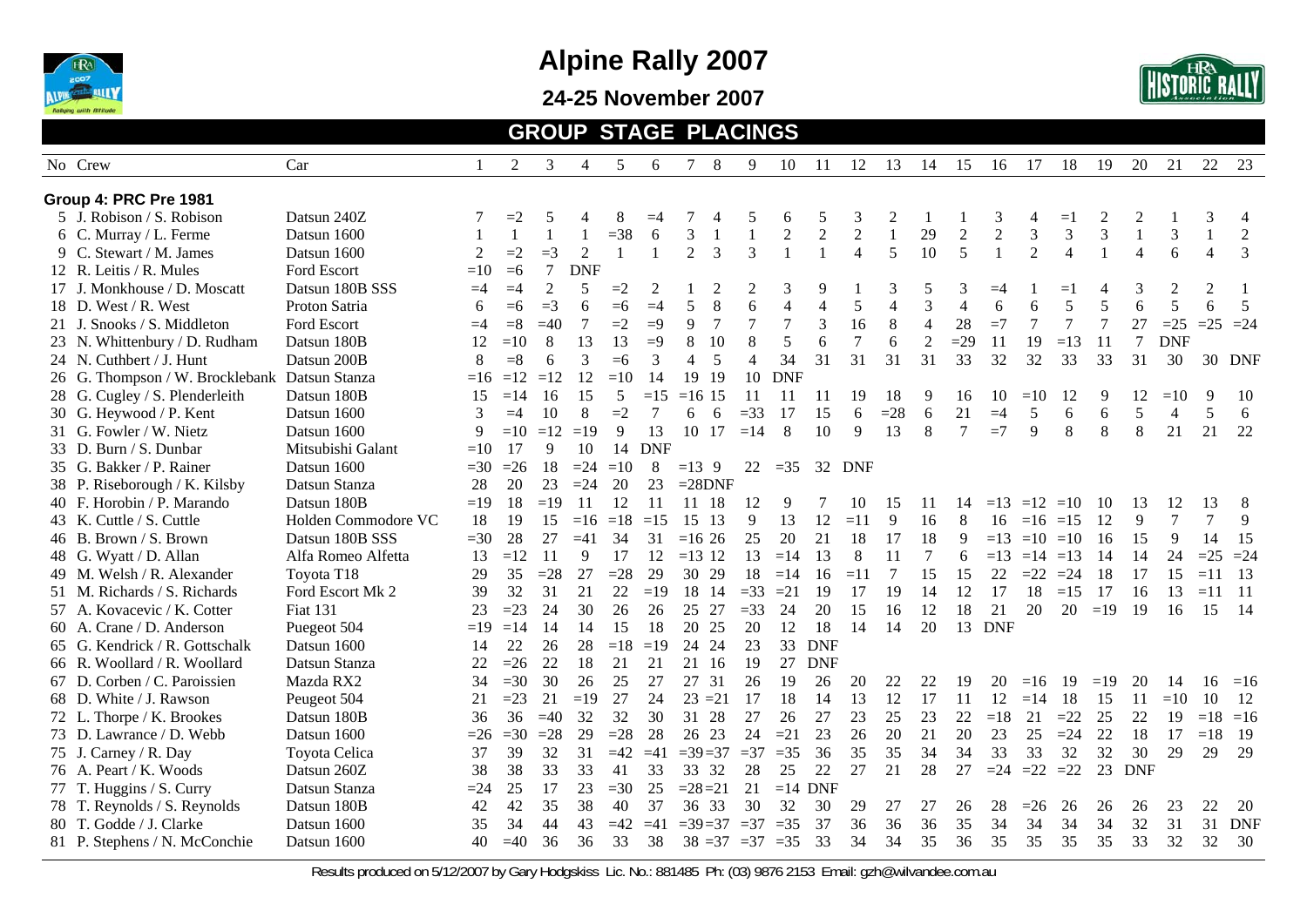

**24-25 November 2007** 



#### **GROUP STAGE PLACINGS**

| No Crew<br>Car                                 |                            | 2            | 3              | 4              | 5            | 6              | 7              | 8              | 9                        | 10               | -11            | 12             | 13             | 14             | 15               | 16          | 17                | 18             | 19     | 20             | 21             | 22             | 23             |
|------------------------------------------------|----------------------------|--------------|----------------|----------------|--------------|----------------|----------------|----------------|--------------------------|------------------|----------------|----------------|----------------|----------------|------------------|-------------|-------------------|----------------|--------|----------------|----------------|----------------|----------------|
| Group 4: PRC Pre 1981                          |                            |              |                |                |              |                |                |                |                          |                  |                |                |                |                |                  |             |                   |                |        |                |                |                |                |
| 5 J. Robison / S. Robison<br>Datsun 240Z       |                            | $=2$         | 5              |                | 8            | $=4$           |                |                | 5                        | 6                | 5              | 3              | $\overline{c}$ |                |                  | 3           |                   | $=1$           |        |                |                | 3              | 4              |
| 6 C. Murray / L. Ferme<br>Datsun 1600          |                            | $\mathbf{1}$ | $\mathbf{1}$   | 1              | $=38$        | 6              | 3              |                | $\mathbf{1}$             | $\boldsymbol{2}$ | $\overline{2}$ | $\overline{2}$ | $\mathbf{1}$   | 29             | $\boldsymbol{2}$ | $\sqrt{2}$  | 3                 | 3              | 3      | $\mathbf{1}$   | 3              | $\mathbf{1}$   | $\overline{2}$ |
| Datsun 1600<br>9 C. Stewart / M. James         | 2                          | $=2$         | $=$ 3          | $\overline{2}$ | $\mathbf{1}$ |                | 2              | 3              | $\overline{3}$           |                  |                | $\overline{4}$ | 5              | 10             | 5                |             | $\overline{2}$    | $\overline{4}$ |        | $\overline{4}$ | 6              | $\overline{4}$ | 3              |
| 12 R. Leitis / R. Mules<br>Ford Escort         | $=10$                      | $=6$         | $\tau$         | <b>DNF</b>     |              |                |                |                |                          |                  |                |                |                |                |                  |             |                   |                |        |                |                |                |                |
| 17 J. Monkhouse / D. Moscatt                   | Datsun 180B SSS<br>$=4$    | $=4$         | $\overline{2}$ | 5              | $=2$         | $\overline{2}$ |                |                | $\overline{c}$           | 3                | 9              |                | 3              | 5              | 3                | $=4$        |                   | Ξ.             |        | 3              | $\overline{c}$ | $\overline{2}$ |                |
| 18 D. West / R. West<br>Proton Satria          | 6                          | $=6$         | $=3$           | 6              | $=6$         | $=4$           | 5              | 8              | 6                        | $\overline{4}$   | 4              | 5              | $\overline{4}$ | 3              | $\overline{4}$   | 6           | 6                 | 5              | 5      | 6              | 5              | 6              | 5              |
| 21 J. Snooks / S. Middleton<br>Ford Escort     | $=4$                       | $= 8$        | $=40$          | 7              | $=2$         | $=9$           | 9              | $\overline{7}$ | $\boldsymbol{7}$         | $\overline{7}$   | 3              | 16             | 8              | $\overline{4}$ | 28               | $=7$        | $\overline{7}$    | 7              | $\tau$ | 27             | $=25$          | $=25$ $=24$    |                |
| 23 N. Whittenbury / D. Rudham<br>Datsun 180B   | 12                         | $=10$        | 8              | 13             | 13           | $=9$           | 8              | 10             | 8                        | 5                | 6              | $\overline{7}$ | 6              | $\overline{2}$ | $=29$            | 11          | 19                | $=13$          | 11     | $\tau$         | <b>DNF</b>     |                |                |
| Datsun 200B<br>24 N. Cuthbert / J. Hunt        | 8                          | $= 8$        | 6              | 3              | $=6$         | 3              | $\overline{4}$ | 5              | $\overline{\mathcal{L}}$ | 34               | 31             | 31             | 31             | 31             | 33               | 32          | 32                | 33             | 33     | 31             | 30             |                | 30 DNF         |
| 26 G. Thompson / W. Brocklebank Datsun Stanza  | $=16$                      | $=12$        | $=12$          | 12             | $=10$        | 14             | 19             | 19             | 10                       | <b>DNF</b>       |                |                |                |                |                  |             |                   |                |        |                |                |                |                |
| 28 G. Cugley / S. Plenderleith<br>Datsun 180B  | 15                         | $=14$        | 16             | 15             | 5            | $=15$          | $=16$ 15       |                | 11                       | 11               | 11             | 19             | 18             | 9              | 16               | 10          | $=10$             | 12             | 9      | 12             | $=10$          | 9              | -10            |
| 30 G. Heywood / P. Kent<br>Datsun 1600         | 3                          | $=4$         | 10             | 8              | $=2$         |                | 6              | 6              | $=33$                    | 17               | 15             | 6              | $=28$          | 6              | 21               | $=4$        | 5                 | 6              | 6      | 5              | $\overline{4}$ | 5              | 6              |
| 31 G. Fowler / W. Nietz<br>Datsun 1600         | 9                          | $=10$        | $=12$          | $=19$          | 9            | 13             | 10 17          |                | $=14$                    | 8                | 10             | 9              | 13             | 8              | $\tau$           | $=7$        | 9                 | 8              | 8      | 8              | 21             | 21             | 22             |
| 33 D. Burn / S. Dunbar                         | Mitsubishi Galant<br>$=10$ | 17           | 9              | 10             | 14           | <b>DNF</b>     |                |                |                          |                  |                |                |                |                |                  |             |                   |                |        |                |                |                |                |
| 35 G. Bakker / P. Rainer<br>Datsun 1600        | $=30$                      | $=26$        | 18             | $=24$          | $=10$        | 8              | $=13.9$        |                | 22                       | $=35$            | 32             | DNF            |                |                |                  |             |                   |                |        |                |                |                |                |
| Datsun Stanza<br>38 P. Riseborough / K. Kilsby | 28                         | 20           | 23             | $=24$          | 20           | 23             | $=28DNF$       |                |                          |                  |                |                |                |                |                  |             |                   |                |        |                |                |                |                |
| 40 F. Horobin / P. Marando<br>Datsun 180B      | $=19$                      | 18           | $=19$          | 11             | 12           | 11             | 11             | 18             | 12                       | 9                |                | 10             | 15             | 11             | 14               | $=13$ $=12$ |                   | $=10$          | 10     | 13             | 12             | 13             | 8              |
| 43 K. Cuttle / S. Cuttle                       | 18<br>Holden Commodore VC  | 19           | 15             | $=16$          | $=18$        | $=15$          | 15             | 13             | 9                        | 13               | 12             | $=11$          | 9              | 16             | 8                | 16          | $=16$ $=15$       |                | 12     | 9              | $\tau$         | 7              | 9              |
| 46 B. Brown / S. Brown                         | Datsun 180B SSS<br>$=30$   | 28           | 27             | $=41$          | 34           | 31             | $=1626$        |                | 25                       | 20               | 21             | 18             | 17             | 18             | 9                | $=13$       | $=10$ $=10$       |                | 16     | 15             | 9              | 14             | 15             |
| 48 G. Wyatt / D. Allan                         | Alfa Romeo Alfetta<br>13   | $=12$        | 11             | 9              | 17           | 12             | $=13$ 12       |                | 13                       | $=14$            | 13             | 8              | 11             | $\tau$         | 6                |             | $=13$ $=14$ $=13$ |                | 14     | 14             | 24             | $=25$          | $=24$          |
| 49 M. Welsh / R. Alexander<br>Toyota T18       | 29                         | 35           | $=28$          | 27             | $=28$        | 29             | 30 29          |                | 18                       | $=14$            | 16             | $=11$          | $\tau$         | 15             | 15               | 22          | $=22$             | $=24$          | 18     | 17             | 15             | $=11$          | 13             |
| 51 M. Richards / S. Richards                   | 39<br>Ford Escort Mk 2     | 32           | 31             | 21             | 22           | $=19$          | 18 14          |                | $=33$                    | $=21$            | 19             | 17             | 19             | 14             | 12               | 17          | 18                | $=15$          | 17     | 16             | 13             | $=11$          | $-11$          |
| 57 A. Kovacevic / K. Cotter<br>Fiat 131        | 23                         | $=23$        | 24             | 30             | 26           | 26             | 25 27          |                | $=33$                    | 24               | 20             | 15             | 16             | 12             | 18               | 21          | 20                | 20             | $=19$  | 19             | 16             | 15             | -14            |
| 60 A. Crane / D. Anderson<br>Puegeot 504       | $=19$                      | $=14$        | 14             | 14             | 15           | 18             | 20 25          |                | 20                       | 12               | 18             | 14             | 14             | 20             | 13               | <b>DNF</b>  |                   |                |        |                |                |                |                |
| 65 G. Kendrick / R. Gottschalk<br>Datsun 1600  | 14                         | 22           | 26             | 28             | $=18$        | $=19$          | 24 24          |                | 23                       | 33               | <b>DNF</b>     |                |                |                |                  |             |                   |                |        |                |                |                |                |
| 66 R. Woollard / R. Woollard<br>Datsun Stanza  | 22                         | $=26$        | 22             | 18             | 21           | 21             | 21             | 16             | 19                       | 27               | <b>DNF</b>     |                |                |                |                  |             |                   |                |        |                |                |                |                |
| 67 D. Corben / C. Paroissien<br>Mazda RX2      | 34                         | $=30$        | 30             | 26             | 25           | 27             | 27             | 31             | 26                       | 19               | 26             | 20             | 22             | 22             | 19               | 20          | $=16$             | 19             | $=19$  | 20             | 14             | 16             | $=16$          |
| 68 D. White / J. Rawson<br>Peugeot 504         | 21                         | $=23$        | 21             | $=19$          | 27           | 24             | $23 = 21$      |                | 17                       | 18               | 14             | 13             | 12             | 17             | 11               | 12          | $=14$             | 18             | 15     | 11             | $=10$          | 10             | 12             |
| Datsun 180B<br>72 L. Thorpe / K. Brookes       | 36                         | 36           | $=40$          | 32             | 32           | 30             | 31             | 28             | 27                       | 26               | 27             | 23             | 25             | 23             | 22               | $=18$       | 21                | $=22$          | 25     | 22             | 19             | $=18$          | $=16$          |
| 73 D. Lawrance / D. Webb<br>Datsun 1600        | $=26$                      | $=30$        | $=28$          | 29             | $=28$        | 28             | 26 23          |                | 24                       | $=21$            | 23             | 26             | 20             | 21             | 20               | 23          | 25                | $=24$          | 22     | 18             | 17             | $=18$          | - 19           |
| 75 J. Carney / R. Day<br>Toyota Celica         | 37                         | 39           | 32             | 31             | $=42$        | $=41$          | $=39=37$       |                | $=37$                    | $=35$            | 36             | 35             | 35             | 34             | 34               | 33          | 33                | 32             | 32     | 30             | 29             | 29             | 29             |
| 76 A. Peart / K. Woods<br>Datsun 260Z          | 38                         | 38           | 33             | 33             | 41           | 33             | 33 32          |                | 28                       | 25               | 22             | 27             | 21             | 28             | 27               | $\equiv$ 24 | $=22$             | $=22$          | 23     | <b>DNF</b>     |                |                |                |
| 77 T. Huggins / S. Curry<br>Datsun Stanza      | $=24$                      | 25           | 17             | 23             | $=30$        | 25             | $=28=21$       |                | 21                       | $=14$ DNF        |                |                |                |                |                  |             |                   |                |        |                |                |                |                |
| Datsun 180B<br>78 T. Reynolds / S. Reynolds    | 42                         | 42           | 35             | 38             | 40           | 37             | 36 33          |                | 30                       | 32               | 30             | 29             | 27             | 27             | 26               | 28          | $=26$             | 26             | 26     | 26             | 23             | 22             | -20            |
| 80 T. Godde / J. Clarke<br>Datsun 1600         | 35                         | 34           | 44             | 43             | $=42$        | $=41$          | $=39=37$       |                | $=37$                    | $=35$            | 37             | 36             | 36             | 36             | 35               | 34          | 34                | 34             | 34     | 32             | 31             | 31             | <b>DNF</b>     |
| 81 P. Stephens / N. McConchie<br>Datsun 1600   | 40                         | $=40$        | 36             | 36             | 33           | 38             | $38 = 37$      |                | $=37$                    | $=35$            | 33             | 34             | 34             | 35             | 36               | 35          | 35                | 35             | 35     | 33             | 32             | 32             | 30             |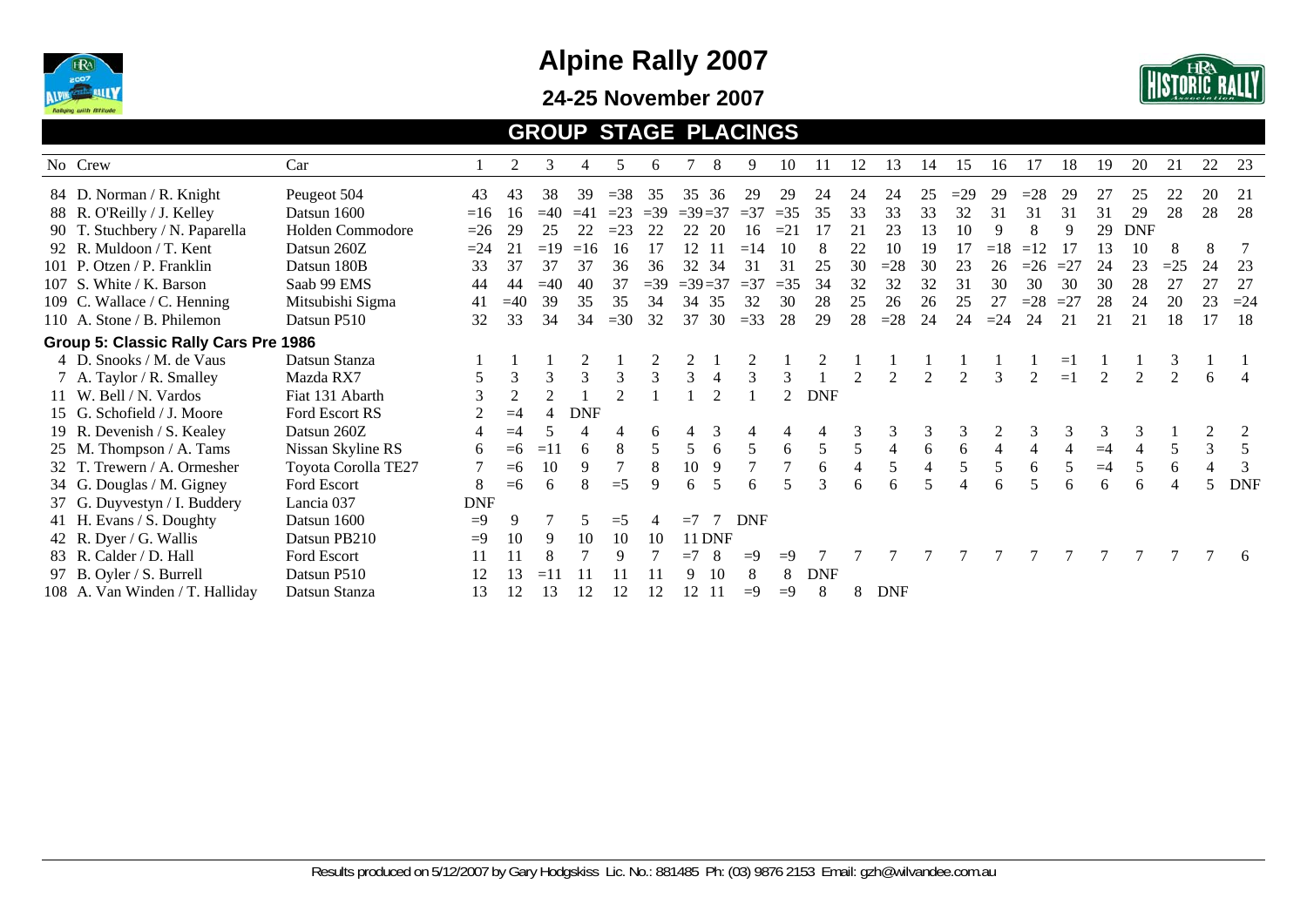

#### **24-25 November 2007**



#### **GROUP STAGE PLACINGS**

| No Crew                              | Car                 |            | 2     | 3              | 4          | 5      | 6           |               | 8                        | 9                                | 10             | 11         | 12 | 13         | 14 | 15    | 16    | 17    | 18    | 19   | 20            | 21             | 22 | 23         |
|--------------------------------------|---------------------|------------|-------|----------------|------------|--------|-------------|---------------|--------------------------|----------------------------------|----------------|------------|----|------------|----|-------|-------|-------|-------|------|---------------|----------------|----|------------|
| 84 D. Norman / R. Knight             | Peugeot 504         | 43         | 43    | 38             | 39         | $=$ 38 | 35          | 35            | 36                       | 29                               | 29             | 24         | 24 | 24         | 25 | $=29$ | 29    | $=28$ | 29    |      | 25            |                | 20 | 21         |
| 88 R. O'Reilly / J. Kelley           | Datsun 1600         | $=16$      | 16    | $=40$          | $=41$      | $=23$  | $\equiv$ 39 | $=39=37$      |                          | $=$ 37                           | $=35$          | 35         | 33 | 33         | 33 | 32    | 31    | 31    | 31    | 31   | 29            | 28             | 28 | 28         |
| 90 T. Stuchbery / N. Paparella       | Holden Commodore    | $=26$      | 29    | 25             | 22         | $=23$  | 22          | 22            | -20                      | 16                               | $=21$          |            | 21 | 23         | 13 | 10    | 9     | 8     |       | 29   | <b>DNF</b>    |                |    |            |
| 92 R. Muldoon / T. Kent              | Datsun 260Z         | $=24$      | 21    | $=19$          | $=16$      | 16     | 17          | $\mathcal{D}$ |                          | $\boldsymbol{\varDelta}$<br>$=1$ | 10             |            | 22 | 10         | 19 |       | $=18$ | $=12$ |       | 13   | 10            | 8              | 8  |            |
| 101 P. Otzen / P. Franklin           | Datsun 180B         | 33         | 37    | 37             | 37         | 36     | 36          | 32            | 34                       | 31                               | 31             | 25         | 30 | $=28$      | 30 | 23    | 26    | $=26$ | $=27$ | 24   | 23            | $=25$          | 24 | 23         |
| 107 S. White / K. Barson             | Saab 99 EMS         | 44         | 44    | $=40$          | 40         | 37     | $=39$       | $=39=37$      |                          | $=37$                            | $=35$          | 34         | 32 | 32         | 32 | 31    | 30    | 30    | 30    | 30   | 28            | 27             | 27 | 27         |
| 109 C. Wallace / C. Henning          | Mitsubishi Sigma    | 41         | $=40$ | 39             | 35         | 35     | 34          | 34            | 35                       | 32                               | 30             | 28         | 25 | 26         | 26 | 25    | 27    | $=28$ | $=27$ | 28   | 24            | 20             | 23 | $=24$      |
| 110 A. Stone / B. Philemon           | Datsun P510         | 32         | 33    | 34             | 34         | $=30$  | 32          | 37            | 30                       | $=33$                            | 28             | 29         | 28 | $=28$      | 24 | 24    | $=24$ | 24    | 21    | 21   | 21            | 18             | 17 | 18         |
| Group 5: Classic Rally Cars Pre 1986 |                     |            |       |                |            |        |             |               |                          |                                  |                |            |    |            |    |       |       |       |       |      |               |                |    |            |
| 4 D. Snooks / M. de Vaus             | Datsun Stanza       |            |       |                |            |        |             |               |                          |                                  |                |            |    |            |    |       |       |       | $=$   |      |               |                |    |            |
| 7 A. Taylor / R. Smalley             | Mazda RX7           |            | 3     | 3              | 3          | 3      | 3           |               |                          | 3                                | 3              |            |    |            |    |       | 3     | 2     | $=1$  | 2    | $\mathcal{D}$ | $\overline{2}$ | 6  |            |
| 11 W. Bell / N. Vardos               | Fiat 131 Abarth     | 3          | 2     | $\overline{2}$ |            |        |             |               |                          |                                  | $\mathfrak{D}$ | <b>DNF</b> |    |            |    |       |       |       |       |      |               |                |    |            |
| 15 G. Schofield / J. Moore           | Ford Escort RS      |            | $=4$  | $\overline{4}$ | <b>DNF</b> |        |             |               |                          |                                  |                |            |    |            |    |       |       |       |       |      |               |                |    |            |
| 19 R. Devenish / S. Kealey           | Datsun 260Z         |            | $=4$  |                |            |        | 6           |               |                          |                                  |                |            |    | 3          |    | 3     |       | 3     | 3     | 3    | 3             |                |    |            |
| 25 M. Thompson / A. Tams             | Nissan Skyline RS   | 6          | $=6$  | $=11$          | 6          | 8      | 5           |               | 6                        | 5                                | 6              | 5          | 5  |            | 6  | 6     |       |       |       | $=4$ |               |                | 3  |            |
| 32 T. Trewern / A. Ormesher          | Toyota Corolla TE27 |            | $=6$  | 10             | 9          |        | 8           | 10            | 9                        |                                  |                |            |    | 5          |    | 5     | 5     | 6     |       | $=4$ | 5             | 6              |    |            |
| 34 G. Douglas / M. Gigney            | Ford Escort         | 8          | $=6$  | 6              | 8          | $=$ 5  | Q           | 6             | $\overline{\phantom{1}}$ | 6                                |                | 3          | 6  | 6          |    |       | 6     |       | 6     | 6    | 6             |                | 5  | <b>DNF</b> |
| 37 G. Duyvestyn / I. Buddery         | Lancia 037          | <b>DNF</b> |       |                |            |        |             |               |                          |                                  |                |            |    |            |    |       |       |       |       |      |               |                |    |            |
| 41 H. Evans / S. Doughty             | Datsun 1600         | $=9$       | 9     |                |            | $=$ 5  |             | $=7$          |                          | <b>DNF</b>                       |                |            |    |            |    |       |       |       |       |      |               |                |    |            |
| 42 R. Dyer / G. Wallis               | Datsun PB210        | $=9$       | 10    | 9              | 10         | 10     | 10          |               | <b>11 DNF</b>            |                                  |                |            |    |            |    |       |       |       |       |      |               |                |    |            |
| 83 R. Calder / D. Hall               | Ford Escort         |            |       |                |            | 9      |             | $=7$          | 8                        | $=9$                             | $=9$           |            |    |            |    |       |       |       |       |      |               |                |    | -6         |
| 97 B. Oyler / S. Burrell             | Datsun P510         |            | l3    | $=1$           |            |        |             | Q             | 10                       | 8                                | 8              | <b>DNF</b> |    |            |    |       |       |       |       |      |               |                |    |            |
| 108 A. Van Winden / T. Halliday      | Datsun Stanza       | 13         | 12    | 13             | 12         | 12     |             | 12            |                          | $=9$                             | $=9$           | 8          | 8  | <b>DNF</b> |    |       |       |       |       |      |               |                |    |            |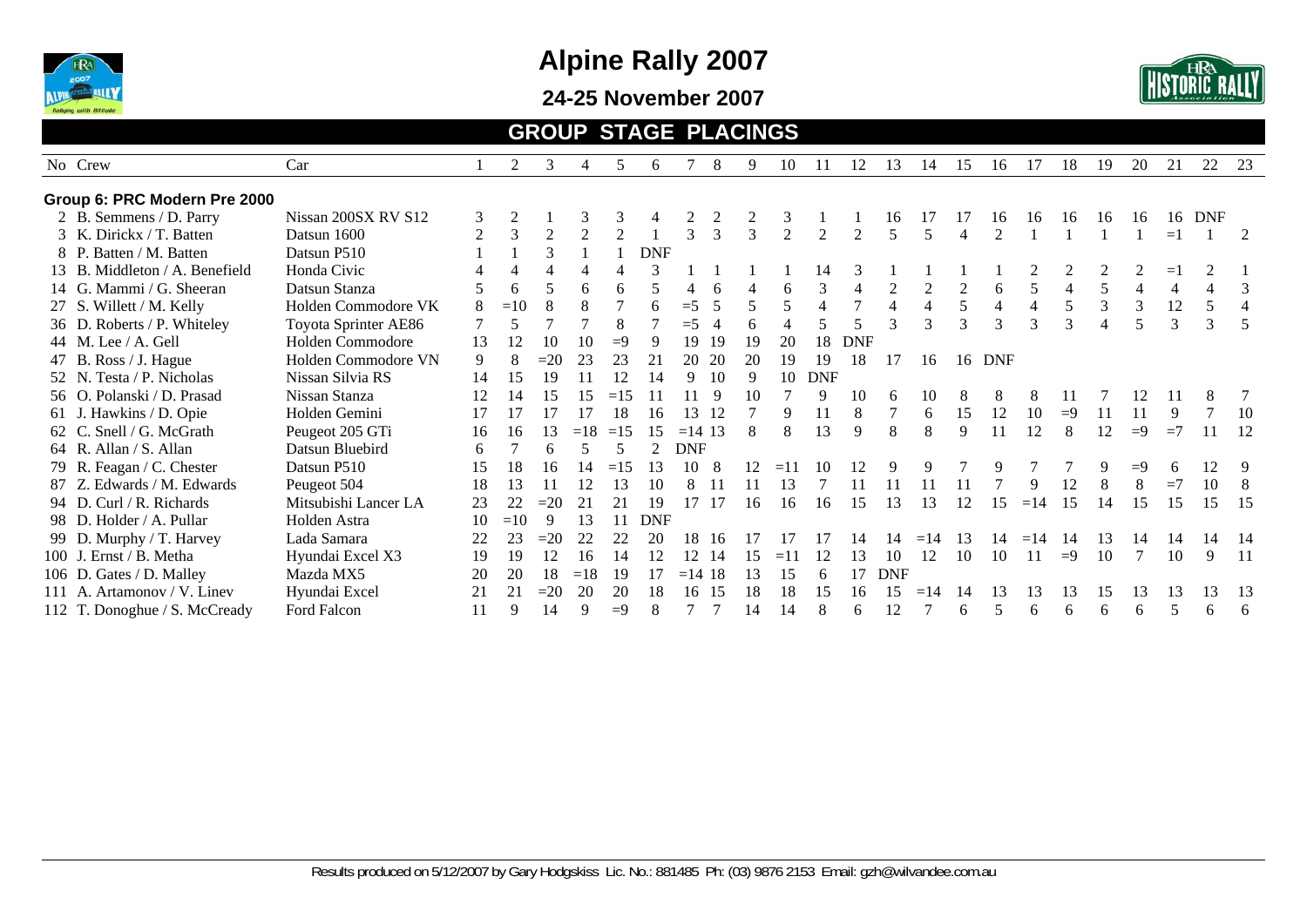

**24-25 November 2007** 



#### **GROUP STAGE PLACINGS**

| No Crew                        | Car                  |                | 2              | 3              |       | 5              | 6          |               | 8                        | 9             | 10             | 11             | 12             | 13             | 14                                   | 15             | 16             | 17    | 18             | 19 | 20   | 21             | 22                       | 23  |
|--------------------------------|----------------------|----------------|----------------|----------------|-------|----------------|------------|---------------|--------------------------|---------------|----------------|----------------|----------------|----------------|--------------------------------------|----------------|----------------|-------|----------------|----|------|----------------|--------------------------|-----|
| Group 6: PRC Modern Pre 2000   |                      |                |                |                |       |                |            |               |                          |               |                |                |                |                |                                      |                |                |       |                |    |      |                |                          |     |
| 2 B. Semmens / D. Parry        | Nissan 200SX RV S12  | 3              | $\overline{2}$ |                | 3     | 3              |            |               |                          |               | 3              |                |                | 16             |                                      | 17             | 16             | 16    | 16             | 16 | -16  | 16             | <b>DNF</b>               |     |
| 3 K. Dirickx / T. Batten       | Datsun 1600          | $\overline{2}$ | 3              | $\overline{2}$ |       | $\overline{2}$ |            | $\mathcal{R}$ | $\mathcal{R}$            | $\mathcal{F}$ | $\overline{2}$ | $\overline{2}$ | $\overline{c}$ | 5              | 5                                    |                | $\mathfrak{D}$ |       |                |    |      | $=1$           |                          | 2   |
| 8 P. Batten / M. Batten        | Datsun P510          |                |                |                |       |                | <b>DNF</b> |               |                          |               |                |                |                |                |                                      |                |                |       |                |    |      |                |                          |     |
| 13 B. Middleton / A. Benefield | Honda Civic          |                | $\overline{4}$ |                |       |                |            |               |                          |               |                | 14             | 3              |                |                                      |                |                |       |                |    |      | $=1$           |                          |     |
| 14 G. Mammi / G. Sheeran       | Datsun Stanza        |                | 6              |                | 6     | 6              |            |               | 6                        |               | 6              | 3              |                |                | 2                                    | $\overline{2}$ | 6              | 5     | $\overline{4}$ | 5  |      | $\overline{4}$ | $\overline{\mathcal{A}}$ | 3   |
| 27 S. Willett / M. Kelly       | Holden Commodore VK  | 8              | $=10$          |                |       |                |            | $=$ 5         | $\overline{\mathcal{L}}$ |               |                | 4              |                | $\overline{4}$ | $\overline{4}$                       | 5              | 4              | 4     | 5              | 3  | 3    | 12             | 5                        |     |
| 36 D. Roberts / P. Whiteley    | Toyota Sprinter AE86 |                | 5              |                |       | 8              |            | $=$ 5         | $\overline{4}$           | 6             |                |                |                | $\mathbf{3}$   | 3                                    | $\mathcal{E}$  | 3              | 3     | 3              |    | 5    | 3              | 3                        |     |
| 44 M. Lee $/$ A. Gell          | Holden Commodore     | 13             | 12             | 10             | 10    | $=9$           | 9          | 19            | 19                       | 19            | 20             | 18             | <b>DNF</b>     |                |                                      |                |                |       |                |    |      |                |                          |     |
| 47 B. Ross / J. Hague          | Holden Commodore VN  | 9              | 8              | $=20$          | 23    | 23             | 21         | 20            | 20                       | 20            | 19             | 19             | 18             | 17             | 16                                   |                | 16 DNF         |       |                |    |      |                |                          |     |
| 52 N. Testa / P. Nicholas      | Nissan Silvia RS     | 14             | 15             | 19             |       | 12             | 14         | 9             | 10                       | 9             | 10             | <b>DNF</b>     |                |                |                                      |                |                |       |                |    |      |                |                          |     |
| 56 O. Polanski / D. Prasad     | Nissan Stanza        | 12             | 14             | 15             | 15    | $=15$          |            |               | -9                       | 10            |                | 9              | 10             | 6              | 10                                   |                |                |       |                |    |      |                | 8                        |     |
| . Hawkins / D. Opie<br>61 J.   | Holden Gemini        | 17             | 17             | 17             | 17    | 18             | 16         | 13            | 12                       |               |                | 11             | 8              |                | 6                                    | 15             | 12             | 10    | $=9$           |    | 11   | 9              |                          | 10  |
| 62 C. Snell / G. McGrath       | Peugeot 205 GTi      | 16             | 16             | 13             | $=18$ | $=15$          | 15         | $=14$ 13      |                          | 8             |                | 13             | $\mathbf{Q}$   | 8              | 8                                    | $\mathbf{Q}$   | 11             | 12    | 8              | 12 | $=9$ | $=7$           |                          | 12  |
| 64 R. Allan / S. Allan         | Datsun Bluebird      | 6              |                | 6              |       |                |            | <b>DNF</b>    |                          |               |                |                |                |                |                                      |                |                |       |                |    |      |                |                          |     |
| 79 R. Feagan / C. Chester      | Datsun P510          | 15             | 18             | 16             | 14    | $=15$          | 13         | 10            | 8                        | 12            | $=11$          | 10             | 12             | 9              | 9                                    |                |                |       |                | 9  | $=9$ | 6              | 12                       | 9   |
| 87 Z. Edwards / M. Edwards     | Peugeot 504          | 18             | 13             |                | 12    | 13             | 10         | 8             |                          |               | 13             |                |                |                |                                      |                |                | 9     | 12             |    |      | $=7$           | 10                       |     |
| 94 D. Curl / R. Richards       | Mitsubishi Lancer LA | 23             | 22             | $=20$          | 21    | 21             | 19         | 17            | 17                       | 16            | 16             | 16             | 15             | 13             | 13                                   | 12             | 15             | $=14$ | 15             | 14 | 15   | 15             | 15                       | -15 |
| 98 D. Holder / A. Pullar       | Holden Astra         | 10             | $=10$          | 9              | 13    |                | <b>DNF</b> |               |                          |               |                |                |                |                |                                      |                |                |       |                |    |      |                |                          |     |
| 99 D. Murphy / T. Harvey       | Lada Samara          | 22             | 23             | $=20$          | 22    | 22             | 20         | 18            | 16                       |               |                |                |                | 4              | $\overline{4}$<br>$=$ $\overline{ }$ | 13             |                | $=14$ | 14             | 13 | 14   | 14             | 14                       | -14 |
| 100 J. Ernst / B. Metha        | Hyundai Excel X3     | 19             | 19             | 12             | 16    | 14             | 12         | 12            | -14                      | 15            | $=11$          | 12             | 13             | 10             | 12                                   | 10             | 10             | 11    | $=9$           | 10 |      | 10             | 9                        | -11 |
| 106 D. Gates / D. Malley       | Mazda MX5            | 20             | 20             | 18             | $=18$ | -19            |            | $=14$ 18      |                          | 13            | 15             | 6              |                | <b>DNF</b>     |                                      |                |                |       |                |    |      |                |                          |     |
| 111 A. Artamonov / V. Linev    | Hyundai Excel        | 21             | 21             | $=20$          | 20    | 20             | 18         | 16            | -15                      | 18            | 18             | 15             | 16             | 5              |                                      |                | 13             | 13    | 13             | 15 | 13   | 13             | 13                       | -13 |
| 112 T. Donoghue / S. McCready  | Ford Falcon          | 11             | 9              | 14             | q     | $=9$           |            |               |                          | 14            | 14             | 8              | 6              | 12             |                                      | 6              |                | 6     | 6              | 6  | 6    | 5              | 6                        | 6   |
|                                |                      |                |                |                |       |                |            |               |                          |               |                |                |                |                |                                      |                |                |       |                |    |      |                |                          |     |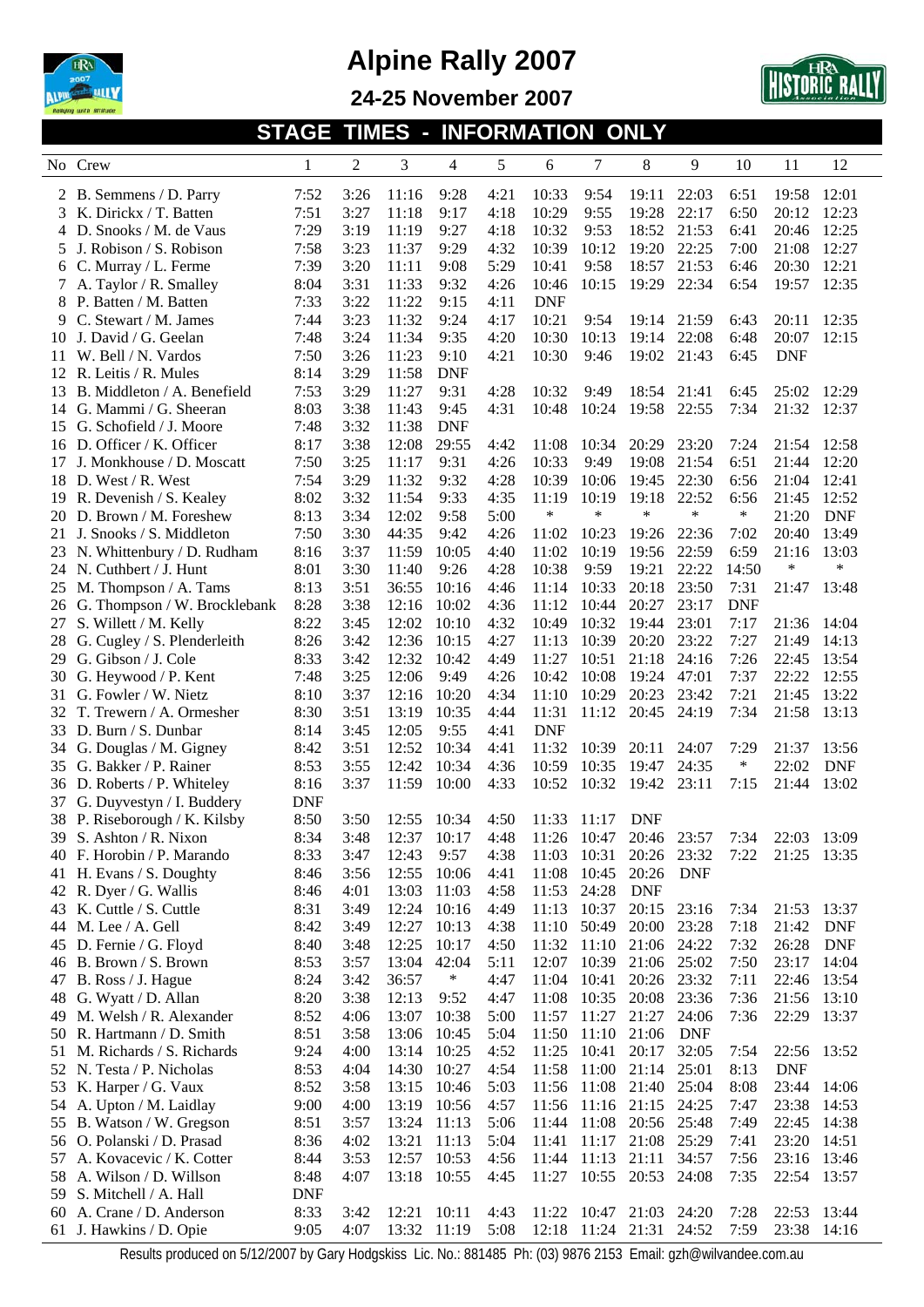





**STAGE TIMES - INFORMATION ONLY** 

|    | No Crew                                            | 1            | $\overline{c}$ | 3              | 4              | 5            | 6              | 7              | 8                   | 9          | 10           | 11          | 12                  |
|----|----------------------------------------------------|--------------|----------------|----------------|----------------|--------------|----------------|----------------|---------------------|------------|--------------|-------------|---------------------|
|    | 2 B. Semmens / D. Parry                            | 7:52         | 3:26           | 11:16          | 9:28           | 4:21         | 10:33          | 9:54           | 19:11               | 22:03      | 6:51         | 19:58       | 12:01               |
|    | K. Dirickx / T. Batten                             | 7:51         | 3:27           | 11:18          | 9:17           | 4:18         | 10:29          | 9:55           | 19:28               | 22:17      | 6:50         | 20:12       | 12:23               |
|    | D. Snooks / M. de Vaus                             | 7:29         | 3:19           | 11:19          | 9:27           | 4:18         | 10:32          | 9:53           | 18:52               | 21:53      | 6:41         | 20:46       | 12:25               |
| 5  | J. Robison / S. Robison                            | 7:58         | 3:23           | 11:37          | 9:29           | 4:32         | 10:39          | 10:12          | 19:20               | 22:25      | 7:00         | 21:08       | 12:27               |
| 6  | C. Murray / L. Ferme                               | 7:39         | 3:20           | 11:11          | 9:08           | 5:29         | 10:41          | 9:58           | 18:57               | 21:53      | 6:46         | 20:30       | 12:21               |
|    | A. Taylor / R. Smalley                             | 8:04         | 3:31           | 11:33          | 9:32           | 4:26         | 10:46          | 10:15          | 19:29               | 22:34      | 6:54         | 19:57       | 12:35               |
| 8  | P. Batten / M. Batten                              | 7:33         | 3:22           | 11:22          | 9:15           | 4:11         | <b>DNF</b>     |                |                     |            |              |             |                     |
| 9  | C. Stewart / M. James                              | 7:44         | 3:23           | 11:32          | 9:24           | 4:17         | 10:21          | 9:54           | 19:14               | 21:59      | 6:43         | 20:11       | 12:35               |
| 10 | J. David / G. Geelan                               | 7:48         | 3:24           | 11:34          | 9:35           | 4:20         | 10:30          | 10:13          | 19:14               | 22:08      | 6:48         | 20:07       | 12:15               |
| 11 | W. Bell / N. Vardos                                | 7:50         | 3:26           | 11:23          | 9:10           | 4:21         | 10:30          | 9:46           | 19:02               | 21:43      | 6:45         | <b>DNF</b>  |                     |
| 12 | R. Leitis / R. Mules                               | 8:14         | 3:29           | 11:58          | <b>DNF</b>     |              |                |                |                     |            |              |             |                     |
| 13 | B. Middleton / A. Benefield                        | 7:53         | 3:29           | 11:27          | 9:31           | 4:28         | 10:32          | 9:49           | 18:54               | 21:41      | 6:45         | 25:02       | 12:29               |
| 14 | G. Mammi / G. Sheeran                              | 8:03         | 3:38           | 11:43          | 9:45           | 4:31         | 10:48          | 10:24          | 19:58               | 22:55      | 7:34         | 21:32       | 12:37               |
| 15 | G. Schofield / J. Moore                            | 7:48         | 3:32           | 11:38          | <b>DNF</b>     |              |                |                |                     |            |              |             |                     |
| 16 | D. Officer / K. Officer                            | 8:17         | 3:38           | 12:08          | 29:55          | 4:42         | 11:08          | 10:34          | 20:29               | 23:20      | 7:24         | 21:54       | 12:58               |
| 17 | J. Monkhouse / D. Moscatt                          | 7:50         | 3:25           | 11:17          | 9:31           | 4:26         | 10:33          | 9:49           | 19:08               | 21:54      | 6:51         | 21:44       | 12:20               |
| 18 | D. West / R. West                                  | 7:54         | 3:29           | 11:32          | 9:32           | 4:28         | 10:39          | 10:06          | 19:45               | 22:30      | 6:56         | 21:04       | 12:41               |
| 19 | R. Devenish / S. Kealey                            | 8:02         | 3:32           | 11:54          | 9:33           | 4:35         | 11:19          | 10:19          | 19:18               | 22:52      | 6:56         | 21:45       | 12:52               |
| 20 | D. Brown / M. Foreshew                             | 8:13         | 3:34           | 12:02          | 9:58           | 5:00         | *              | $\ast$         | $\ast$              | $\ast$     | $\ast$       | 21:20       | <b>DNF</b>          |
| 21 | J. Snooks / S. Middleton                           | 7:50         | 3:30           | 44:35          | 9:42           | 4:26         | 11:02          | 10:23          | 19:26               | 22:36      | 7:02         | 20:40       | 13:49               |
| 23 | N. Whittenbury / D. Rudham                         | 8:16         | 3:37           | 11:59          | 10:05          | 4:40         | 11:02          | 10:19          | 19:56               | 22:59      | 6:59         | 21:16       | 13:03               |
| 24 | N. Cuthbert / J. Hunt                              | 8:01         | 3:30           | 11:40          | 9:26           | 4:28         | 10:38          | 9:59           | 19:21               | 22:22      | 14:50        | ∗           | $\ast$              |
| 25 | M. Thompson / A. Tams                              | 8:13         | 3:51           | 36:55          | 10:16          | 4:46         | 11:14          | 10:33          | 20:18               | 23:50      | 7:31         | 21:47       | 13:48               |
| 26 | G. Thompson / W. Brocklebank                       | 8:28         | 3:38           | 12:16          | 10:02          | 4:36         | 11:12          | 10:44          | 20:27               | 23:17      | <b>DNF</b>   |             |                     |
| 27 | S. Willett / M. Kelly                              | 8:22         | 3:45           | 12:02          | 10:10          | 4:32         | 10:49          | 10:32          | 19:44               | 23:01      | 7:17         | 21:36       | 14:04               |
| 28 | G. Cugley / S. Plenderleith                        | 8:26         | 3:42           | 12:36          | 10:15          | 4:27         | 11:13          | 10:39          | 20:20               | 23:22      | 7:27         | 21:49       | 14:13               |
| 29 | G. Gibson / J. Cole                                | 8:33         | 3:42           | 12:32          | 10:42          | 4:49         | 11:27          | 10:51          | 21:18               | 24:16      | 7:26         | 22:45       | 13:54               |
| 30 | G. Heywood / P. Kent                               | 7:48         | 3:25           | 12:06          | 9:49           | 4:26         | 10:42          | 10:08          | 19:24               | 47:01      | 7:37         | 22:22       | 12:55               |
| 31 | G. Fowler / W. Nietz                               | 8:10         | 3:37           | 12:16          | 10:20          | 4:34         | 11:10          | 10:29          | 20:23               | 23:42      | 7:21         | 21:45       | 13:22               |
| 32 | T. Trewern / A. Ormesher                           | 8:30         | 3:51           | 13:19          | 10:35          | 4:44         | 11:31          | 11:12          | 20:45               | 24:19      | 7:34         | 21:58       | 13:13               |
| 33 | D. Burn / S. Dunbar                                | 8:14         | 3:45           | 12:05          | 9:55           | 4:41         | <b>DNF</b>     |                |                     |            |              |             |                     |
| 34 | G. Douglas / M. Gigney                             | 8:42         | 3:51           | 12:52          | 10:34          | 4:41         | 11:32          | 10:39          | 20:11               | 24:07      | 7:29         | 21:37       | 13:56               |
| 35 | G. Bakker / P. Rainer                              | 8:53         | 3:55           | 12:42          | 10:34          | 4:36         | 10:59          | 10:35          | 19:47               | 24:35      | ∗            | 22:02       | <b>DNF</b>          |
|    | 36 D. Roberts / P. Whiteley                        | 8:16         | 3:37           | 11:59          | 10:00          | 4:33         | 10:52          | 10:32          | 19:42               | 23:11      | 7:15         | 21:44       | 13:02               |
| 37 | G. Duyvestyn / I. Buddery                          | <b>DNF</b>   |                |                |                |              |                |                |                     |            |              |             |                     |
|    | 38 P. Riseborough / K. Kilsby                      | 8:50         | 3:50           | 12:55          | 10:34          | 4:50         | 11:33          | 11:17          | <b>DNF</b>          |            |              |             |                     |
|    | 39 S. Ashton / R. Nixon                            | 8:34         | 3:48           | 12:37          | 10:17          | 4:48         | 11:26 10:47    |                | 20:46               | 23:57      | 7:34         | 22:03       | 13:09               |
|    | 40 F. Horobin / P. Marando                         | 8:33         | 3:47           | 12:43          | 9:57           | 4:38         | 11:03          | 10:31          | 20:26 23:32         |            | 7:22         | 21:25 13:35 |                     |
|    | 41 H. Evans / S. Doughty<br>42 R. Dyer / G. Wallis | 8:46         | 3:56           | 12:55          | 10:06          | 4:41         | 11:08          | 10:45<br>24:28 | 20:26               | DNF        |              |             |                     |
|    | 43 K. Cuttle / S. Cuttle                           | 8:46         | 4:01<br>3:49   | 13:03<br>12:24 | 11:03<br>10:16 | 4:58         | 11:53<br>11:13 | 10:37          | <b>DNF</b><br>20:15 | 23:16      |              | 21:53       |                     |
| 44 | M. Lee / A. Gell                                   | 8:31<br>8:42 | 3:49           | 12:27          | 10:13          | 4:49<br>4:38 | 11:10          | 50:49          | 20:00               | 23:28      | 7:34<br>7:18 | 21:42       | 13:37<br><b>DNF</b> |
|    | 45 D. Fernie / G. Floyd                            | 8:40         | 3:48           | 12:25          | 10:17          | 4:50         | 11:32          | 11:10          | 21:06               | 24:22      | 7:32         | 26:28       | <b>DNF</b>          |
|    | 46 B. Brown / S. Brown                             | 8:53         | 3:57           | 13:04          | 42:04          | 5:11         | 12:07          | 10:39          | 21:06               | 25:02      | 7:50         | 23:17       | 14:04               |
| 47 | B. Ross / J. Hague                                 | 8:24         | 3:42           | 36:57          | $\ast$         | 4:47         | 11:04          | 10:41          | 20:26               | 23:32      | 7:11         | 22:46       | 13:54               |
|    | 48 G. Wyatt / D. Allan                             | 8:20         | 3:38           | 12:13          | 9:52           | 4:47         | 11:08          | 10:35          | 20:08               | 23:36      | 7:36         | 21:56       | 13:10               |
|    | 49 M. Welsh / R. Alexander                         | 8:52         | 4:06           | 13:07          | 10:38          | 5:00         | 11:57          | 11:27          | 21:27               | 24:06      | 7:36         | 22:29       | 13:37               |
|    | 50 R. Hartmann / D. Smith                          | 8:51         | 3:58           | 13:06          | 10:45          | 5:04         | 11:50          | 11:10          | 21:06               | <b>DNF</b> |              |             |                     |
| 51 | M. Richards / S. Richards                          | 9:24         | 4:00           | 13:14          | 10:25          | 4:52         | 11:25          | 10:41          | 20:17               | 32:05      | 7:54         | 22:56 13:52 |                     |
|    | 52 N. Testa / P. Nicholas                          | 8:53         | 4:04           | 14:30          | 10:27          | 4:54         | 11:58          | 11:00          | 21:14               | 25:01      | 8:13         | <b>DNF</b>  |                     |
|    |                                                    | 8:52         | 3:58           |                | 10:46          | 5:03         | 11:56          | 11:08          |                     | 25:04      |              | 23:44       |                     |
|    | 53 K. Harper / G. Vaux<br>54 A. Upton / M. Laidlay | 9:00         | 4:00           | 13:15<br>13:19 | 10:56          | 4:57         | 11:56          | 11:16          | 21:40<br>21:15      | 24:25      | 8:08<br>7:47 | 23:38       | 14:06<br>14:53      |
|    | 55 B. Watson / W. Gregson                          | 8:51         | 3:57           | 13:24          | 11:13          | 5:06         | 11:44          | 11:08          | 20:56               | 25:48      | 7:49         | 22:45       | 14:38               |
|    | 56 O. Polanski / D. Prasad                         | 8:36         | 4:02           | 13:21          | 11:13          | 5:04         | 11:41          | 11:17          | 21:08               | 25:29      | 7:41         | 23:20       | 14:51               |
|    | 57 A. Kovacevic / K. Cotter                        | 8:44         | 3:53           | 12:57          | 10:53          | 4:56         | 11:44          | 11:13          | 21:11               | 34:57      | 7:56         | 23:16       | 13:46               |
|    | 58 A. Wilson / D. Willson                          | 8:48         | 4:07           | 13:18          | 10:55          | 4:45         | 11:27          | 10:55          | 20:53               | 24:08      | 7:35         | 22:54 13:57 |                     |
|    | 59 S. Mitchell / A. Hall                           | DNF          |                |                |                |              |                |                |                     |            |              |             |                     |
| 60 | A. Crane / D. Anderson                             | 8:33         | 3:42           | 12:21          | 10:11          | 4:43         | 11:22          | 10:47          | 21:03               | 24:20      | 7:28         | 22:53       | 13:44               |
|    | 61 J. Hawkins / D. Opie                            | 9:05         | 4:07           | 13:32 11:19    |                | 5:08         |                |                | 12:18 11:24 21:31   | 24:52      | 7:59         | 23:38       | 14:16               |
|    |                                                    |              |                |                |                |              |                |                |                     |            |              |             |                     |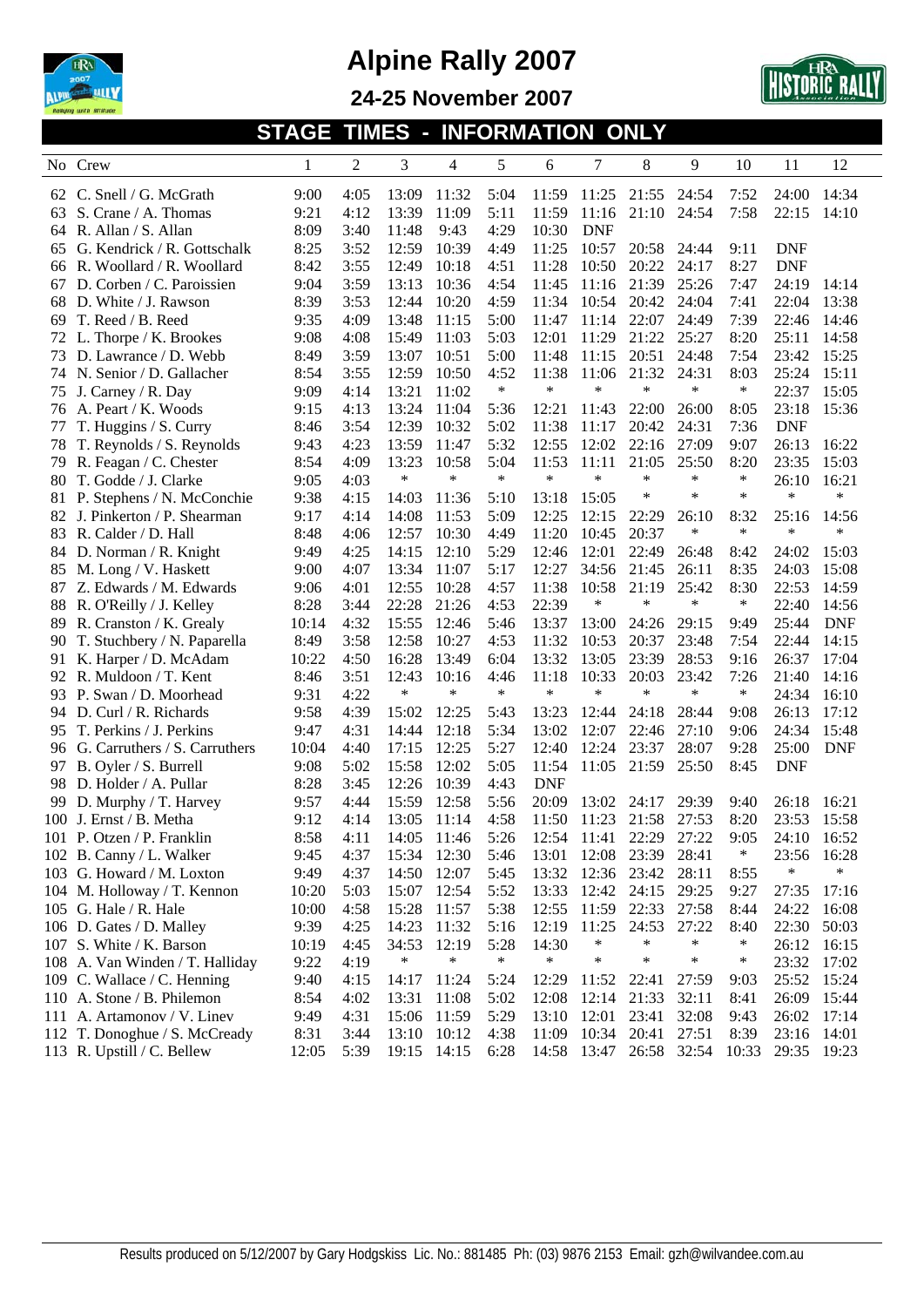





**STAGE TIMES - INFORMATION ONLY** 

| N <sub>0</sub> | Crew                            | 1     | 2    | 3           | 4      | 5      | 6          | 7           | 8      | 9      | 10     | 11          | 12         |
|----------------|---------------------------------|-------|------|-------------|--------|--------|------------|-------------|--------|--------|--------|-------------|------------|
| 62             | C. Snell / G. McGrath           | 9:00  | 4:05 | 13:09       | 11:32  | 5:04   | 11:59      | 11:25       | 21:55  | 24:54  | 7:52   | 24:00       | 14:34      |
| 63             | S. Crane / A. Thomas            | 9:21  | 4:12 | 13:39       | 11:09  | 5:11   | 11:59      | 11:16       | 21:10  | 24:54  | 7:58   | 22:15       | 14:10      |
| 64             | R. Allan / S. Allan             | 8:09  | 3:40 | 11:48       | 9:43   | 4:29   | 10:30      | <b>DNF</b>  |        |        |        |             |            |
| 65             | G. Kendrick / R. Gottschalk     | 8:25  | 3:52 | 12:59       | 10:39  | 4:49   | 11:25      | 10:57       | 20:58  | 24:44  | 9:11   | <b>DNF</b>  |            |
| 66             | R. Woollard / R. Woollard       | 8:42  | 3:55 | 12:49       | 10:18  | 4:51   | 11:28      | 10:50       | 20:22  | 24:17  | 8:27   | <b>DNF</b>  |            |
| 67             | D. Corben / C. Paroissien       | 9:04  | 3:59 | 13:13       | 10:36  | 4:54   | 11:45      | 11:16       | 21:39  | 25:26  | 7:47   | 24:19       | 14:14      |
| 68             | D. White / J. Rawson            | 8:39  | 3:53 | 12:44       | 10:20  | 4:59   | 11:34      | 10:54       | 20:42  | 24:04  | 7:41   | 22:04       | 13:38      |
| 69             | T. Reed / B. Reed               | 9:35  | 4:09 | 13:48       | 11:15  | 5:00   | 11:47      | 11:14       | 22:07  | 24:49  | 7:39   | 22:46       | 14:46      |
| 72             | L. Thorpe / K. Brookes          | 9:08  | 4:08 | 15:49       | 11:03  | 5:03   | 12:01      | 11:29       | 21:22  | 25:27  | 8:20   | 25:11       | 14:58      |
| 73             | D. Lawrance / D. Webb           | 8:49  | 3:59 | 13:07       | 10:51  | 5:00   | 11:48      | 11:15       | 20:51  | 24:48  | 7:54   | 23:42       | 15:25      |
| 74             | N. Senior / D. Gallacher        | 8:54  | 3:55 | 12:59       | 10:50  | 4:52   | 11:38      | 11:06       | 21:32  | 24:31  | 8:03   | 25:24       | 15:11      |
| 75             | J. Carney / R. Day              | 9:09  | 4:14 | 13:21       | 11:02  | $\ast$ | $\ast$     | $\ast$      | *      | *      | $\ast$ | 22:37       | 15:05      |
| 76             | A. Peart / K. Woods             | 9:15  | 4:13 | 13:24       | 11:04  | 5:36   | 12:21      | 11:43       | 22:00  | 26:00  | 8:05   | 23:18       | 15:36      |
| 77             | T. Huggins / S. Curry           | 8:46  | 3:54 | 12:39       | 10:32  | 5:02   | 11:38      | 11:17       | 20:42  | 24:31  | 7:36   | <b>DNF</b>  |            |
| 78             | T. Reynolds / S. Reynolds       | 9:43  | 4:23 | 13:59       | 11:47  | 5:32   | 12:55      | 12:02       | 22:16  | 27:09  | 9:07   | 26:13       | 16:22      |
| 79             | R. Feagan / C. Chester          | 8:54  | 4:09 | 13:23       | 10:58  | 5:04   | 11:53      | 11:11       | 21:05  | 25:50  | 8:20   | 23:35       | 15:03      |
| 80             | T. Godde / J. Clarke            | 9:05  | 4:03 | $\ast$      | $\ast$ | $\ast$ | $\ast$     | $\ast$      | $\ast$ | *      | $\ast$ | 26:10       | 16:21      |
| 81             | P. Stephens / N. McConchie      | 9:38  | 4:15 | 14:03       | 11:36  | 5:10   | 13:18      | 15:05       | *      | ∗      | $\ast$ | $\ast$      | $\ast$     |
| 82             | J. Pinkerton / P. Shearman      | 9:17  | 4:14 | 14:08       | 11:53  | 5:09   | 12:25      | 12:15       | 22:29  | 26:10  | 8:32   | 25:16       | 14:56      |
| 83             | R. Calder / D. Hall             | 8:48  | 4:06 | 12:57       | 10:30  | 4:49   | 11:20      | 10:45       | 20:37  | $\ast$ | $\ast$ | $\ast$      | $\ast$     |
| 84             | D. Norman / R. Knight           | 9:49  | 4:25 | 14:15       | 12:10  | 5:29   | 12:46      | 12:01       | 22:49  | 26:48  | 8:42   | 24:02       | 15:03      |
| 85             | M. Long / V. Haskett            | 9:00  | 4:07 | 13:34       | 11:07  | 5:17   | 12:27      | 34:56       | 21:45  | 26:11  | 8:35   | 24:03       | 15:08      |
| 87             | Z. Edwards / M. Edwards         | 9:06  | 4:01 | 12:55       | 10:28  | 4:57   | 11:38      | 10:58       | 21:19  | 25:42  | 8:30   | 22:53       | 14:59      |
| 88             | R. O'Reilly / J. Kelley         | 8:28  | 3:44 | 22:28       | 21:26  | 4:53   | 22:39      | ∗           | $\ast$ | *      | $\ast$ | 22:40       | 14:56      |
| 89             | R. Cranston / K. Grealy         | 10:14 | 4:32 | 15:55       | 12:46  | 5:46   | 13:37      | 13:00       | 24:26  | 29:15  | 9:49   | 25:44       | <b>DNF</b> |
| 90             | T. Stuchbery / N. Paparella     | 8:49  | 3:58 | 12:58       | 10:27  | 4:53   | 11:32      | 10:53       | 20:37  | 23:48  | 7:54   | 22:44       | 14:15      |
| 91             | K. Harper / D. McAdam           | 10:22 | 4:50 | 16:28       | 13:49  | 6:04   | 13:32      | 13:05       | 23:39  | 28:53  | 9:16   | 26:37       | 17:04      |
| 92             | R. Muldoon / T. Kent            | 8:46  | 3:51 | 12:43       | 10:16  | 4:46   | 11:18      | 10:33       | 20:03  | 23:42  | 7:26   | 21:40       | 14:16      |
| 93             | P. Swan / D. Moorhead           | 9:31  | 4:22 | $\ast$      | $\ast$ | $\ast$ | $\ast$     | $\ast$      | $\ast$ | $\ast$ | $\ast$ | 24:34       | 16:10      |
| 94             | D. Curl / R. Richards           | 9:58  | 4:39 | 15:02       | 12:25  | 5:43   | 13:23      | 12:44       | 24:18  | 28:44  | 9:08   | 26:13       | 17:12      |
| 95             | T. Perkins / J. Perkins         | 9:47  | 4:31 | 14:44       | 12:18  | 5:34   | 13:02      | 12:07       | 22:46  | 27:10  | 9:06   | 24:34       | 15:48      |
| 96             | G. Carruthers / S. Carruthers   | 10:04 | 4:40 | 17:15       | 12:25  | 5:27   | 12:40      | 12:24       | 23:37  | 28:07  | 9:28   | 25:00       | <b>DNF</b> |
| 97             | B. Oyler / S. Burrell           | 9:08  | 5:02 | 15:58       | 12:02  | 5:05   | 11:54      | 11:05       | 21:59  | 25:50  | 8:45   | <b>DNF</b>  |            |
| 98             | D. Holder / A. Pullar           | 8:28  | 3:45 | 12:26       | 10:39  | 4:43   | <b>DNF</b> |             |        |        |        |             |            |
| 99             | D. Murphy / T. Harvey           | 9:57  | 4:44 | 15:59       | 12:58  | 5:56   | 20:09      | 13:02       | 24:17  | 29:39  | 9:40   | 26:18       | 16:21      |
| 100            | J. Ernst / B. Metha             | 9:12  | 4:14 | 13:05       | 11:14  | 4:58   | 11:50      | 11:23       | 21:58  | 27:53  | 8:20   | 23:53       | 15:58      |
|                | 101 P. Otzen / P. Franklin      | 8:58  | 4:11 | 14:05       | 11:46  | 5:26   | 12:54      | 11:41       | 22:29  | 27:22  | 9:05   | 24:10       | 16:52      |
|                | 102 B. Canny / L. Walker        | 9:45  | 4:37 | 15:34 12:30 |        | 5:46   | 13:01      | 12:08       | 23:39  | 28:41  | ∗      | 23:56 16:28 |            |
|                | 103 G. Howard / M. Loxton       | 9:49  | 4:37 | 14:50       | 12:07  | 5:45   | 13:32      | 12:36       | 23:42  | 28:11  | 8:55   | ∗           | $\ast$     |
|                | 104 M. Holloway / T. Kennon     | 10:20 | 5:03 | 15:07       | 12:54  | 5:52   | 13:33      | 12:42       | 24:15  | 29:25  | 9:27   | 27:35 17:16 |            |
|                | 105 G. Hale / R. Hale           | 10:00 | 4:58 | 15:28       | 11:57  | 5:38   | 12:55      | 11:59 22:33 |        | 27:58  | 8:44   | 24:22       | 16:08      |
|                | 106 D. Gates / D. Malley        | 9:39  | 4:25 | 14:23       | 11:32  | 5:16   | 12:19      | 11:25       | 24:53  | 27:22  | 8:40   | 22:30       | 50:03      |
|                | 107 S. White / K. Barson        | 10:19 | 4:45 | 34:53       | 12:19  | 5:28   | 14:30      | ∗           | $\ast$ | $\ast$ | $\ast$ | 26:12       | 16:15      |
|                | 108 A. Van Winden / T. Halliday | 9:22  | 4:19 | $\ast$      | $\ast$ | $\ast$ | $\ast$     | $\ast$      | $\ast$ | $\ast$ | $\ast$ | 23:32 17:02 |            |
|                | 109 C. Wallace / C. Henning     | 9:40  | 4:15 | 14:17       | 11:24  | 5:24   | 12:29      | 11:52       | 22:41  | 27:59  | 9:03   | 25:52 15:24 |            |
|                | 110 A. Stone / B. Philemon      | 8:54  | 4:02 | 13:31       | 11:08  | 5:02   | 12:08      | 12:14       | 21:33  | 32:11  | 8:41   | 26:09       | 15:44      |
|                | 111 A. Artamonov / V. Linev     | 9:49  | 4:31 | 15:06       | 11:59  | 5:29   | 13:10      | 12:01       | 23:41  | 32:08  | 9:43   | 26:02       | 17:14      |
|                | 112 T. Donoghue / S. McCready   | 8:31  | 3:44 | 13:10       | 10:12  | 4:38   | 11:09      | 10:34       | 20:41  | 27:51  | 8:39   | 23:16 14:01 |            |
|                | 113 R. Upstill / C. Bellew      | 12:05 | 5:39 | 19:15       | 14:15  | 6:28   | 14:58      | 13:47       | 26:58  | 32:54  | 10:33  | 29:35 19:23 |            |
|                |                                 |       |      |             |        |        |            |             |        |        |        |             |            |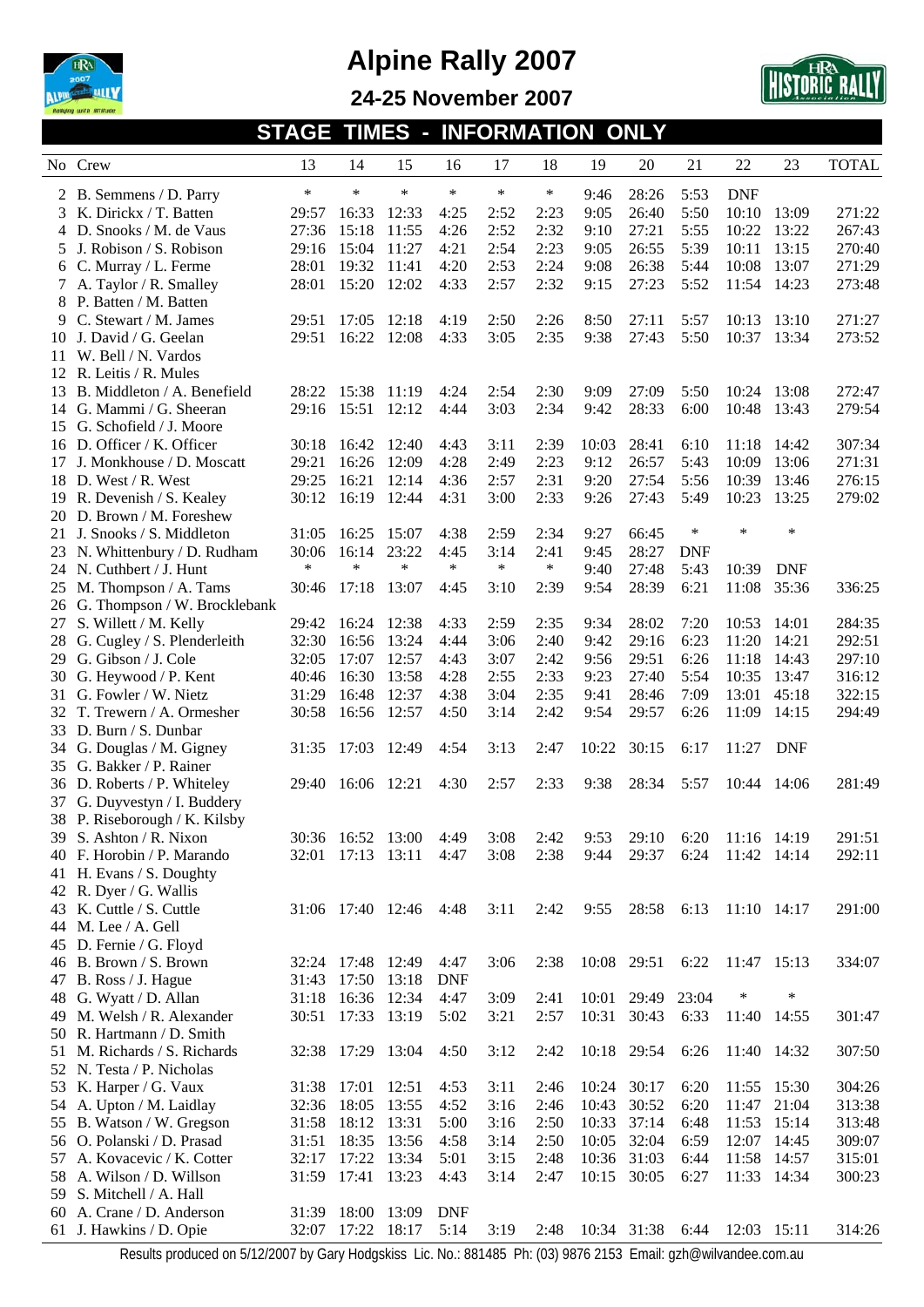





**STAGE TIMES - INFORMATION ONLY** 

|    | No Crew                                                                                                          | 13     | 14                | 15     | 16         | 17     | 18     | 19    | 20          | 21         | 22              | 23          | <b>TOTAL</b> |
|----|------------------------------------------------------------------------------------------------------------------|--------|-------------------|--------|------------|--------|--------|-------|-------------|------------|-----------------|-------------|--------------|
|    | 2 B. Semmens / D. Parry                                                                                          | $\ast$ | $\ast$            | $\ast$ | $\ast$     | *      | $\ast$ | 9:46  | 28:26       | 5:53       | <b>DNF</b>      |             |              |
|    | 3 K. Dirickx / T. Batten                                                                                         | 29:57  | 16:33             | 12:33  | 4:25       | 2:52   | 2:23   | 9:05  | 26:40       | 5:50       | 10:10           | 13:09       | 271:22       |
|    | 4 D. Snooks / M. de Vaus                                                                                         | 27:36  | 15:18             | 11:55  | 4:26       | 2:52   | 2:32   | 9:10  | 27:21       | 5:55       | 10:22           | 13:22       | 267:43       |
| 5  | J. Robison / S. Robison                                                                                          | 29:16  | 15:04             | 11:27  | 4:21       | 2:54   | 2:23   | 9:05  | 26:55       | 5:39       | 10:11           | 13:15       | 270:40       |
| 6  | C. Murray / L. Ferme                                                                                             | 28:01  | 19:32             | 11:41  | 4:20       | 2:53   | 2:24   | 9:08  | 26:38       | 5:44       | 10:08           | 13:07       | 271:29       |
|    | 7 A. Taylor / R. Smalley                                                                                         | 28:01  | 15:20             | 12:02  | 4:33       | 2:57   | 2:32   | 9:15  | 27:23       | 5:52       | 11:54           | 14:23       | 273:48       |
|    | 8 P. Batten / M. Batten                                                                                          |        |                   |        |            |        |        |       |             |            |                 |             |              |
| 9  | C. Stewart / M. James                                                                                            | 29:51  | 17:05             | 12:18  | 4:19       | 2:50   | 2:26   | 8:50  | 27:11       | 5:57       | 10:13           | 13:10       | 271:27       |
|    | 10 J. David / G. Geelan                                                                                          | 29:51  | 16:22             | 12:08  | 4:33       | 3:05   | 2:35   | 9:38  | 27:43       | 5:50       | 10:37           | 13:34       | 273:52       |
| 11 | W. Bell / N. Vardos                                                                                              |        |                   |        |            |        |        |       |             |            |                 |             |              |
|    | 12 R. Leitis / R. Mules                                                                                          |        |                   |        |            |        |        |       |             |            |                 |             |              |
|    | 13 B. Middleton / A. Benefield                                                                                   | 28:22  | 15:38             | 11:19  | 4:24       | 2:54   | 2:30   | 9:09  | 27:09       | 5:50       | 10:24           | 13:08       | 272:47       |
| 14 | G. Mammi / G. Sheeran                                                                                            | 29:16  | 15:51             | 12:12  | 4:44       | 3:03   | 2:34   | 9:42  | 28:33       | 6:00       | 10:48           | 13:43       | 279:54       |
|    | 15 G. Schofield / J. Moore                                                                                       |        |                   |        |            |        |        |       |             |            |                 |             |              |
|    | 16 D. Officer / K. Officer                                                                                       | 30:18  | 16:42             | 12:40  | 4:43       | 3:11   | 2:39   | 10:03 | 28:41       | 6:10       | 11:18           | 14:42       | 307:34       |
| 17 | J. Monkhouse / D. Moscatt                                                                                        | 29:21  | 16:26             | 12:09  | 4:28       | 2:49   | 2:23   | 9:12  | 26:57       | 5:43       | 10:09           | 13:06       | 271:31       |
|    | 18 D. West / R. West                                                                                             | 29:25  | 16:21             | 12:14  | 4:36       | 2:57   | 2:31   | 9:20  | 27:54       | 5:56       | 10:39           | 13:46       | 276:15       |
|    | 19 R. Devenish / S. Kealey                                                                                       | 30:12  | 16:19             | 12:44  | 4:31       | 3:00   | 2:33   | 9:26  | 27:43       | 5:49       | 10:23           | 13:25       | 279:02       |
|    | 20 D. Brown / M. Foreshew                                                                                        |        |                   |        |            |        |        |       |             |            |                 |             |              |
|    | 21 J. Snooks / S. Middleton                                                                                      | 31:05  | 16:25             | 15:07  | 4:38       | 2:59   | 2:34   | 9:27  | 66:45       | $\ast$     | $\ast$          | $\ast$      |              |
|    | 23 N. Whittenbury / D. Rudham                                                                                    | 30:06  | 16:14             | 23:22  | 4:45       | 3:14   | 2:41   | 9:45  | 28:27       | <b>DNF</b> |                 |             |              |
|    | 24 N. Cuthbert / J. Hunt                                                                                         | *      | $\ast$            | $\ast$ | $\ast$     | $\ast$ | $\ast$ | 9:40  | 27:48       | 5:43       | 10:39           | <b>DNF</b>  |              |
|    | 25 M. Thompson / A. Tams                                                                                         | 30:46  | 17:18             | 13:07  | 4:45       | 3:10   | 2:39   | 9:54  | 28:39       | 6:21       | 11:08           | 35:36       | 336:25       |
|    | 26 G. Thompson / W. Brocklebank                                                                                  |        |                   |        |            |        |        |       |             |            |                 |             |              |
| 27 | S. Willett / M. Kelly                                                                                            | 29:42  | 16:24             | 12:38  | 4:33       | 2:59   | 2:35   | 9:34  | 28:02       | 7:20       | 10:53           | 14:01       | 284:35       |
| 28 | G. Cugley / S. Plenderleith                                                                                      | 32:30  | 16:56             | 13:24  | 4:44       | 3:06   | 2:40   | 9:42  | 29:16       | 6:23       | 11:20           | 14:21       | 292:51       |
| 29 | G. Gibson / J. Cole                                                                                              | 32:05  | 17:07             | 12:57  | 4:43       | 3:07   | 2:42   | 9:56  | 29:51       | 6:26       | 11:18           | 14:43       | 297:10       |
| 30 | G. Heywood / P. Kent                                                                                             | 40:46  | 16:30             | 13:58  | 4:28       | 2:55   | 2:33   | 9:23  | 27:40       | 5:54       | 10:35           | 13:47       | 316:12       |
| 31 | G. Fowler / W. Nietz                                                                                             | 31:29  | 16:48             | 12:37  | 4:38       | 3:04   | 2:35   | 9:41  | 28:46       | 7:09       | 13:01           | 45:18       | 322:15       |
|    | T. Trewern / A. Ormesher                                                                                         | 30:58  | 16:56             | 12:57  | 4:50       | 3:14   | 2:42   | 9:54  | 29:57       | 6:26       | 11:09           | 14:15       | 294:49       |
|    | 33 D. Burn / S. Dunbar                                                                                           |        |                   |        |            |        |        |       |             |            |                 |             |              |
|    | 34 G. Douglas / M. Gigney                                                                                        | 31:35  | 17:03             | 12:49  | 4:54       | 3:13   | 2:47   | 10:22 | 30:15       | 6:17       | 11:27           | <b>DNF</b>  |              |
|    | 35 G. Bakker / P. Rainer                                                                                         |        |                   |        |            |        |        |       |             |            |                 |             |              |
|    | 36 D. Roberts / P. Whiteley                                                                                      | 29:40  | 16:06             | 12:21  | 4:30       | 2:57   | 2:33   | 9:38  | 28:34       | 5:57       |                 | 10:44 14:06 | 281:49       |
| 37 | G. Duyvestyn / I. Buddery                                                                                        |        |                   |        |            |        |        |       |             |            |                 |             |              |
|    | 38 P. Riseborough / K. Kilsby                                                                                    |        |                   |        |            |        |        |       |             |            |                 |             |              |
|    | 39 S. Ashton / R. Nixon                                                                                          |        | 30:36 16:52 13:00 |        | 4:49       | 3:08   | 2:42   | 9:53  | 29:10       | 6:20       | 11:16 14:19     |             | 291:51       |
|    | 40 F. Horobin / P. Marando                                                                                       |        | 32:01 17:13 13:11 |        | 4:47       | 3:08   | 2:38   | 9:44  | 29:37       | 6:24       | 11:42 14:14     |             | 292:11       |
|    | 41 H. Evans / S. Doughty                                                                                         |        |                   |        |            |        |        |       |             |            |                 |             |              |
|    | 42 R. Dyer / G. Wallis                                                                                           |        |                   |        |            |        |        |       |             |            |                 |             |              |
|    | 43 K. Cuttle / S. Cuttle                                                                                         |        | 31:06 17:40 12:46 |        | 4:48       | 3:11   | 2:42   | 9:55  | 28:58       | 6:13       | $11:10$ $14:17$ |             | 291:00       |
|    | 44 M. Lee / A. Gell                                                                                              |        |                   |        |            |        |        |       |             |            |                 |             |              |
|    | 45 D. Fernie / G. Floyd                                                                                          |        |                   |        |            |        |        |       |             |            |                 |             |              |
|    | 46 B. Brown / S. Brown                                                                                           |        | 32:24 17:48       | 12:49  | 4:47       | 3:06   | 2:38   |       | 10:08 29:51 | 6:22       | 11:47 15:13     |             | 334:07       |
|    | 47 B. Ross / J. Hague                                                                                            | 31:43  | 17:50             | 13:18  | <b>DNF</b> |        |        |       |             |            |                 |             |              |
|    | 48 G. Wyatt / D. Allan                                                                                           | 31:18  | 16:36             | 12:34  | 4:47       | 3:09   | 2:41   | 10:01 | 29:49       | 23:04      | ∗               | ∗           |              |
|    | 49 M. Welsh / R. Alexander                                                                                       | 30:51  | 17:33             | 13:19  | 5:02       | 3:21   | 2:57   | 10:31 | 30:43       | 6:33       | 11:40           | 14:55       | 301:47       |
|    | 50 R. Hartmann / D. Smith                                                                                        |        |                   |        |            |        |        |       |             |            |                 |             |              |
|    | 51 M. Richards / S. Richards                                                                                     |        | 32:38 17:29 13:04 |        | 4:50       | 3:12   | 2:42   |       | 10:18 29:54 | 6:26       | 11:40 14:32     |             | 307:50       |
|    | 52 N. Testa / P. Nicholas                                                                                        |        |                   |        |            |        |        |       |             |            |                 |             |              |
|    | 53 K. Harper / G. Vaux                                                                                           |        | 31:38 17:01       | 12:51  | 4:53       | 3:11   | 2:46   | 10:24 | 30:17       | 6:20       |                 | 11:55 15:30 | 304:26       |
|    | 54 A. Upton / M. Laidlay                                                                                         | 32:36  | 18:05             | 13:55  | 4:52       | 3:16   | 2:46   | 10:43 | 30:52       | 6:20       | 11:47           | 21:04       | 313:38       |
|    | 55 B. Watson / W. Gregson                                                                                        | 31:58  | 18:12             | 13:31  | 5:00       | 3:16   | 2:50   | 10:33 | 37:14       | 6:48       | 11:53           | 15:14       | 313:48       |
|    | 56 O. Polanski / D. Prasad                                                                                       | 31:51  | 18:35             | 13:56  | 4:58       | 3:14   | 2:50   | 10:05 | 32:04       | 6:59       | 12:07           | 14:45       | 309:07       |
|    | 57 A. Kovacevic / K. Cotter                                                                                      | 32:17  | 17:22             | 13:34  | 5:01       | 3:15   | 2:48   | 10:36 | 31:03       | 6:44       | 11:58           | 14:57       | 315:01       |
|    | 58 A. Wilson / D. Willson                                                                                        |        | 31:59 17:41       | 13:23  | 4:43       | 3:14   | 2:47   |       | 10:15 30:05 | 6:27       | 11:33 14:34     |             | 300:23       |
|    | 59 S. Mitchell / A. Hall                                                                                         |        |                   |        |            |        |        |       |             |            |                 |             |              |
|    | 60 A. Crane / D. Anderson                                                                                        |        | 31:39 18:00       | 13:09  | <b>DNF</b> |        |        |       |             |            |                 |             |              |
|    | 61 J. Hawkins / D. Opie                                                                                          | 32:07  | 17:22             | 18:17  | 5:14       | 3:19   | 2:48   |       | 10:34 31:38 | 6:44       | 12:03 15:11     |             | 314:26       |
|    | Decute produced on E/12/2007 by Cary Hodeskies, Lie No . 001405, Db. (02) 0074 2152. Email: azb@wilvandee.com.au |        |                   |        |            |        |        |       |             |            |                 |             |              |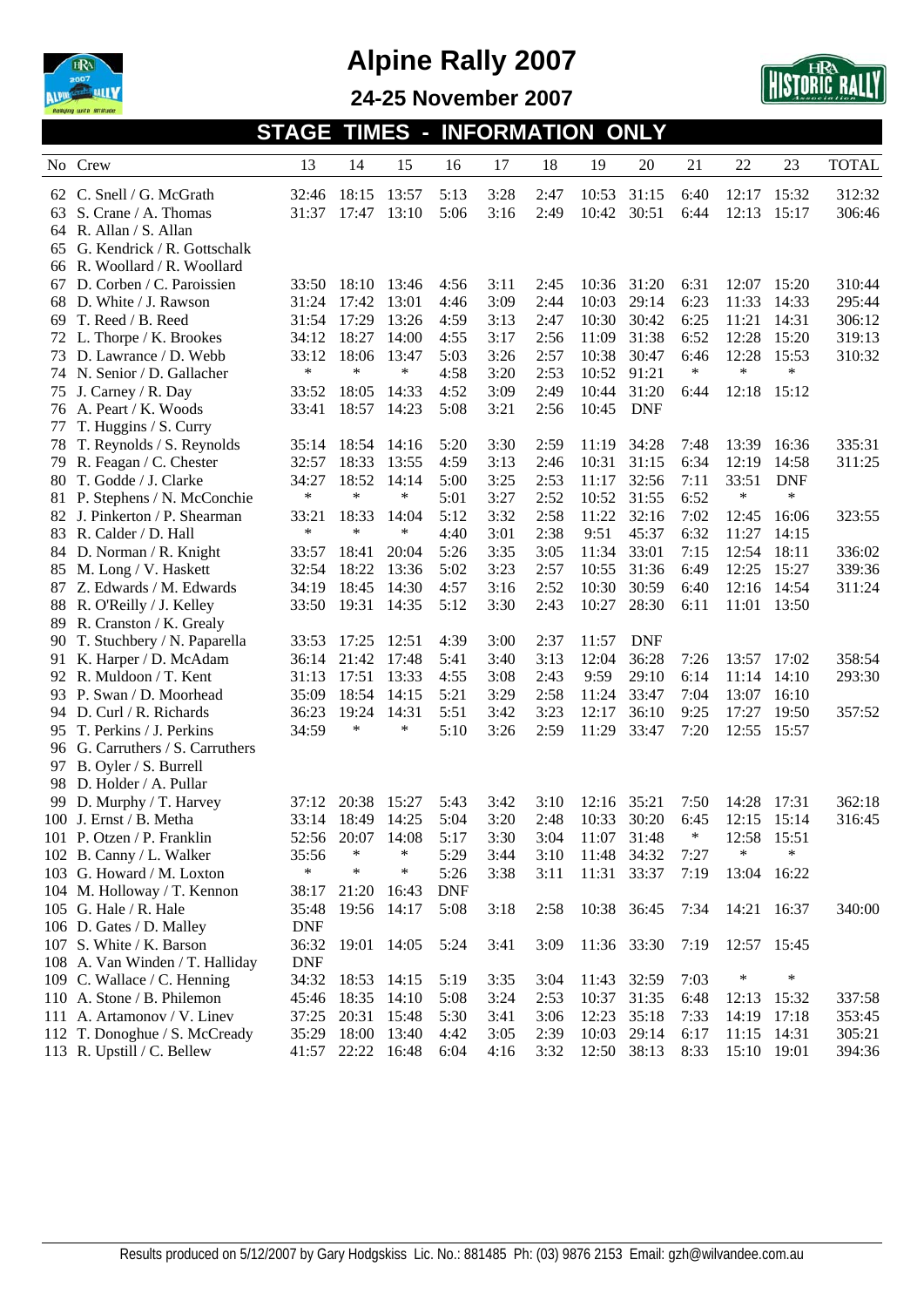



**24-25 November 2007** 

| No. | Crew                            | 13         | 14                | 15     | 16         | 17   | 18   | 19          | 20          | 21     | 22          | 23         | <b>TOTAL</b> |
|-----|---------------------------------|------------|-------------------|--------|------------|------|------|-------------|-------------|--------|-------------|------------|--------------|
|     | 62 C. Snell / G. McGrath        | 32:46      | 18:15             | 13:57  | 5:13       | 3:28 | 2:47 | 10:53       | 31:15       | 6:40   | 12:17       | 15:32      | 312:32       |
| 63  | S. Crane / A. Thomas            | 31:37      | 17:47             | 13:10  | 5:06       | 3:16 | 2:49 | 10:42       | 30:51       | 6:44   | 12:13       | 15:17      | 306:46       |
| 64  | R. Allan / S. Allan             |            |                   |        |            |      |      |             |             |        |             |            |              |
| 65  | G. Kendrick / R. Gottschalk     |            |                   |        |            |      |      |             |             |        |             |            |              |
| 66  | R. Woollard / R. Woollard       |            |                   |        |            |      |      |             |             |        |             |            |              |
| 67  | D. Corben / C. Paroissien       | 33:50      | 18:10             | 13:46  | 4:56       | 3:11 | 2:45 | 10:36       | 31:20       | 6:31   | 12:07       | 15:20      | 310:44       |
| 68  | D. White / J. Rawson            | 31:24      | 17:42             | 13:01  | 4:46       | 3:09 | 2:44 | 10:03       | 29:14       | 6:23   | 11:33       | 14:33      | 295:44       |
| 69  | T. Reed / B. Reed               | 31:54      | 17:29             | 13:26  | 4:59       | 3:13 | 2:47 | 10:30       | 30:42       | 6:25   | 11:21       | 14:31      | 306:12       |
|     | 72 L. Thorpe / K. Brookes       | 34:12      | 18:27             | 14:00  | 4:55       | 3:17 | 2:56 | 11:09       | 31:38       | 6:52   | 12:28       | 15:20      | 319:13       |
| 73. | D. Lawrance / D. Webb           | 33:12      | 18:06             | 13:47  | 5:03       | 3:26 | 2:57 | 10:38       | 30:47       | 6:46   | 12:28       | 15:53      | 310:32       |
| 74  | N. Senior / D. Gallacher        | $\ast$     | *                 | $\ast$ | 4:58       | 3:20 | 2:53 | 10:52       | 91:21       | $\ast$ | $\ast$      | $\ast$     |              |
| 75  | J. Carney / R. Day              | 33:52      | 18:05             | 14:33  | 4:52       | 3:09 | 2:49 | 10:44       | 31:20       | 6:44   | 12:18       | 15:12      |              |
|     | 76 A. Peart / K. Woods          | 33:41      | 18:57             | 14:23  | 5:08       | 3:21 | 2:56 | 10:45       | <b>DNF</b>  |        |             |            |              |
| 77  | T. Huggins / S. Curry           |            |                   |        |            |      |      |             |             |        |             |            |              |
| 78  | T. Reynolds / S. Reynolds       | 35:14      | 18:54             | 14:16  | 5:20       | 3:30 | 2:59 | 11:19       | 34:28       | 7:48   | 13:39       | 16:36      | 335:31       |
| 79  | R. Feagan / C. Chester          | 32:57      | 18:33             | 13:55  | 4:59       | 3:13 | 2:46 | 10:31       | 31:15       | 6:34   | 12:19       | 14:58      | 311:25       |
| 80  | T. Godde / J. Clarke            | 34:27      | 18:52             | 14:14  | 5:00       | 3:25 | 2:53 | 11:17       | 32:56       | 7:11   | 33:51       | <b>DNF</b> |              |
| 81  | P. Stephens / N. McConchie      | $\ast$     | $\ast$            | ∗      | 5:01       | 3:27 | 2:52 | 10:52       | 31:55       | 6:52   | $\ast$      | $\ast$     |              |
| 82  | J. Pinkerton / P. Shearman      | 33:21      | 18:33             | 14:04  | 5:12       | 3:32 | 2:58 | 11:22       | 32:16       | 7:02   | 12:45       | 16:06      | 323:55       |
| 83  | R. Calder / D. Hall             | $\ast$     | $\ast$            | ∗      | 4:40       | 3:01 | 2:38 | 9:51        | 45:37       | 6:32   | 11:27       | 14:15      |              |
| 84  | D. Norman / R. Knight           | 33:57      | 18:41             | 20:04  | 5:26       | 3:35 | 3:05 | 11:34       | 33:01       | 7:15   | 12:54       | 18:11      | 336:02       |
|     | 85 M. Long / V. Haskett         | 32:54      | 18:22             | 13:36  | 5:02       | 3:23 | 2:57 | 10:55       | 31:36       | 6:49   | 12:25       | 15:27      | 339:36       |
| 87  | Z. Edwards / M. Edwards         | 34:19      | 18:45             | 14:30  | 4:57       | 3:16 | 2:52 | 10:30       | 30:59       | 6:40   | 12:16       | 14:54      | 311:24       |
| 88  | R. O'Reilly / J. Kelley         | 33:50      | 19:31             | 14:35  | 5:12       | 3:30 | 2:43 | 10:27       | 28:30       | 6:11   | 11:01       | 13:50      |              |
| 89  | R. Cranston / K. Grealy         |            |                   |        |            |      |      |             |             |        |             |            |              |
| 90  | T. Stuchbery / N. Paparella     | 33:53      | 17:25             | 12:51  | 4:39       | 3:00 | 2:37 | 11:57       | <b>DNF</b>  |        |             |            |              |
| 91. | K. Harper / D. McAdam           | 36:14      | 21:42             | 17:48  | 5:41       | 3:40 | 3:13 | 12:04       | 36:28       | 7:26   | 13:57       | 17:02      | 358:54       |
| 92  | R. Muldoon / T. Kent            | 31:13      | 17:51             | 13:33  | 4:55       | 3:08 | 2:43 | 9:59        | 29:10       | 6:14   | 11:14       | 14:10      | 293:30       |
| 93. | P. Swan / D. Moorhead           | 35:09      | 18:54             | 14:15  | 5:21       | 3:29 | 2:58 | 11:24       | 33:47       | 7:04   | 13:07       | 16:10      |              |
|     | 94 D. Curl / R. Richards        | 36:23      | 19:24             | 14:31  | 5:51       | 3:42 | 3:23 | 12:17       | 36:10       | 9:25   | 17:27       | 19:50      | 357:52       |
| 95. | T. Perkins / J. Perkins         | 34:59      | ∗                 | $\ast$ | 5:10       | 3:26 | 2:59 | 11:29       | 33:47       | 7:20   | 12:55       | 15:57      |              |
| 96  | G. Carruthers / S. Carruthers   |            |                   |        |            |      |      |             |             |        |             |            |              |
| 97  | B. Oyler / S. Burrell           |            |                   |        |            |      |      |             |             |        |             |            |              |
|     | 98 D. Holder / A. Pullar        |            |                   |        |            |      |      |             |             |        |             |            |              |
| 99  | D. Murphy / T. Harvey           | 37:12      | 20:38             | 15:27  | 5:43       | 3:42 | 3:10 | 12:16       | 35:21       | 7:50   | 14:28       | 17:31      | 362:18       |
| 100 | J. Ernst / B. Metha             | 33:14      | 18:49             | 14:25  | 5:04       | 3:20 | 2:48 | 10:33       | 30:20       | 6:45   | 12:15       | 15:14      | 316:45       |
|     | 101 P. Otzen / P. Franklin      | 52:56      | 20:07             | 14:08  | 5:17       | 3:30 | 3:04 | 11:07       | 31:48       | ∗      | 12:58       | 15:51      |              |
|     | 102 B. Canny / L. Walker        | 35:56      | ∗                 | ∗      | 5:29       | 3:44 | 3:10 | 11:48 34:32 |             | 7:27   |             |            |              |
|     | 103 G. Howard / M. Loxton       | $\ast$     | $\ast$            | $\ast$ | 5:26       | 3:38 | 3:11 | 11:31 33:37 |             | 7:19   | 13:04 16:22 |            |              |
|     | 104 M. Holloway / T. Kennon     | 38:17      | 21:20             | 16:43  | <b>DNF</b> |      |      |             |             |        |             |            |              |
|     | 105 G. Hale / R. Hale           | 35:48      | 19:56 14:17       |        | 5:08       | 3:18 | 2:58 | 10:38 36:45 |             | 7:34   | 14:21 16:37 |            | 340:00       |
|     | 106 D. Gates / D. Malley        | <b>DNF</b> |                   |        |            |      |      |             |             |        |             |            |              |
|     | 107 S. White / K. Barson        |            | 36:32 19:01 14:05 |        | 5:24       | 3:41 | 3:09 |             | 11:36 33:30 | 7:19   | 12:57 15:45 |            |              |
|     | 108 A. Van Winden / T. Halliday | <b>DNF</b> |                   |        |            |      |      |             |             |        |             |            |              |
|     | 109 C. Wallace / C. Henning     |            | 34:32 18:53 14:15 |        | 5:19       | 3:35 | 3:04 | 11:43 32:59 |             | 7:03   | $\ast$      | $\ast$     |              |
|     | 110 A. Stone / B. Philemon      |            | 45:46 18:35 14:10 |        | 5:08       | 3:24 | 2:53 |             | 10:37 31:35 | 6:48   | 12:13       | 15:32      | 337:58       |
|     | 111 A. Artamonov / V. Linev     | 37:25      | 20:31             | 15:48  | 5:30       | 3:41 | 3:06 | 12:23       | 35:18       | 7:33   | 14:19 17:18 |            | 353:45       |
|     | 112 T. Donoghue / S. McCready   | 35:29      | 18:00             | 13:40  | 4:42       | 3:05 | 2:39 | 10:03       | 29:14       | 6:17   | 11:15 14:31 |            | 305:21       |
|     | 113 R. Upstill / C. Bellew      |            | 41:57 22:22 16:48 |        | 6:04       | 4:16 | 3:32 | 12:50 38:13 |             | 8:33   | 15:10 19:01 |            | 394:36       |
|     |                                 |            |                   |        |            |      |      |             |             |        |             |            |              |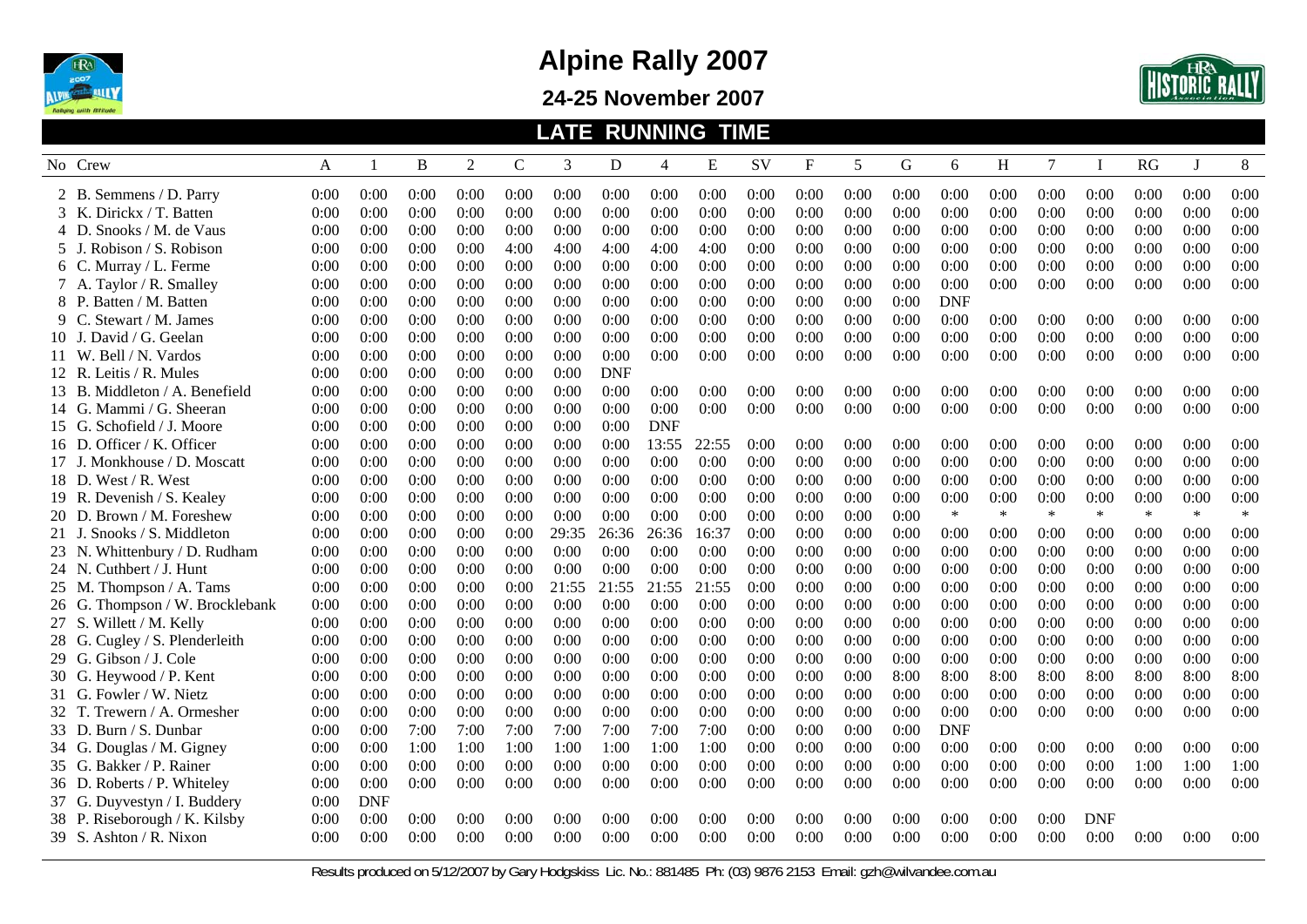

**24-25 November 2007** 



|                                 |      |              |      |                |              |       | <b>LATE RUNNING TIME</b> |            |       |      |           |      |      |            |        |        |             |        |              |        |
|---------------------------------|------|--------------|------|----------------|--------------|-------|--------------------------|------------|-------|------|-----------|------|------|------------|--------|--------|-------------|--------|--------------|--------|
| No Crew                         | A    | $\mathbf{1}$ | B    | $\overline{2}$ | $\mathsf{C}$ | 3     | D                        | 4          | E     | SV   | ${\bf F}$ | 5    | G    | 6          | H      | 7      | $\mathbf I$ | RG     | $\mathbf{J}$ | 8      |
| 2 B. Semmens / D. Parry         | 0:00 | 0:00         | 0:00 | 0:00           | 0:00         | 0:00  | 0:00                     | 0:00       | 0:00  | 0:00 | 0:00      | 0:00 | 0:00 | 0:00       | 0:00   | 0:00   | 0:00        | 0:00   | 0:00         | 0:00   |
| 3 K. Dirickx / T. Batten        | 0:00 | 0:00         | 0:00 | 0:00           | 0:00         | 0:00  | 0:00                     | 0:00       | 0:00  | 0:00 | 0:00      | 0:00 | 0:00 | 0:00       | 0:00   | 0:00   | 0:00        | 0:00   | 0:00         | 0:00   |
| 4 D. Snooks / M. de Vaus        | 0:00 | 0:00         | 0:00 | 0:00           | 0:00         | 0:00  | 0:00                     | 0:00       | 0:00  | 0:00 | 0:00      | 0:00 | 0:00 | 0:00       | 0:00   | 0:00   | 0:00        | 0:00   | 0:00         | 0:00   |
| 5 J. Robison / S. Robison       | 0:00 | 0:00         | 0:00 | 0:00           | 4:00         | 4:00  | 4:00                     | 4:00       | 4:00  | 0:00 | 0:00      | 0:00 | 0:00 | 0:00       | 0:00   | 0:00   | 0:00        | 0:00   | 0:00         | 0:00   |
| 6 C. Murray / L. Ferme          | 0:00 | 0:00         | 0:00 | 0:00           | 0:00         | 0:00  | 0:00                     | 0:00       | 0:00  | 0:00 | 0:00      | 0:00 | 0:00 | 0:00       | 0:00   | 0:00   | 0:00        | 0:00   | 0:00         | 0:00   |
| 7 A. Taylor / R. Smalley        | 0:00 | 0:00         | 0:00 | 0:00           | 0:00         | 0:00  | 0:00                     | 0:00       | 0:00  | 0:00 | 0:00      | 0:00 | 0:00 | 0:00       | 0:00   | 0:00   | 0:00        | 0:00   | 0:00         | 0:00   |
| 8 P. Batten / M. Batten         | 0:00 | 0:00         | 0:00 | 0:00           | 0:00         | 0:00  | 0:00                     | 0:00       | 0:00  | 0:00 | 0:00      | 0:00 | 0:00 | <b>DNF</b> |        |        |             |        |              |        |
| 9 C. Stewart / M. James         | 0:00 | 0:00         | 0:00 | 0:00           | 0:00         | 0:00  | 0:00                     | 0:00       | 0:00  | 0:00 | 0:00      | 0:00 | 0:00 | 0:00       | 0:00   | 0:00   | 0:00        | 0:00   | 0:00         | 0:00   |
| 10 J. David / G. Geelan         | 0:00 | 0:00         | 0:00 | 0:00           | 0:00         | 0:00  | 0:00                     | 0:00       | 0:00  | 0:00 | 0:00      | 0:00 | 0:00 | 0:00       | 0:00   | 0:00   | 0:00        | 0:00   | 0:00         | 0:00   |
| 11 W. Bell / N. Vardos          | 0:00 | 0:00         | 0:00 | 0:00           | 0:00         | 0:00  | 0:00                     | 0:00       | 0:00  | 0:00 | 0:00      | 0:00 | 0:00 | 0:00       | 0:00   | 0:00   | 0:00        | 0:00   | 0:00         | 0:00   |
| 12 R. Leitis / R. Mules         | 0:00 | 0:00         | 0:00 | 0:00           | 0:00         | 0:00  | <b>DNF</b>               |            |       |      |           |      |      |            |        |        |             |        |              |        |
| 13 B. Middleton / A. Benefield  | 0:00 | 0:00         | 0:00 | 0:00           | 0:00         | 0:00  | 0:00                     | 0:00       | 0:00  | 0:00 | 0:00      | 0:00 | 0:00 | 0:00       | 0:00   | 0:00   | 0:00        | 0:00   | 0:00         | 0:00   |
| 14 G. Mammi / G. Sheeran        | 0:00 | 0:00         | 0:00 | 0:00           | 0:00         | 0:00  | 0:00                     | 0:00       | 0:00  | 0:00 | 0:00      | 0:00 | 0:00 | 0:00       | 0:00   | 0:00   | 0:00        | 0:00   | 0:00         | 0:00   |
| 15 G. Schofield / J. Moore      | 0:00 | 0:00         | 0:00 | 0:00           | 0:00         | 0:00  | 0:00                     | <b>DNF</b> |       |      |           |      |      |            |        |        |             |        |              |        |
| 16 D. Officer / K. Officer      | 0:00 | 0:00         | 0:00 | 0:00           | 0:00         | 0:00  | 0:00                     | 13:55      | 22:55 | 0:00 | 0:00      | 0:00 | 0:00 | 0:00       | 0:00   | 0:00   | 0:00        | 0:00   | 0:00         | 0:00   |
| 17 J. Monkhouse / D. Moscatt    | 0:00 | 0:00         | 0:00 | 0:00           | 0:00         | 0:00  | 0:00                     | 0:00       | 0:00  | 0:00 | 0:00      | 0:00 | 0:00 | 0:00       | 0:00   | 0:00   | 0:00        | 0:00   | 0:00         | 0:00   |
| 18 D. West / R. West            | 0:00 | 0:00         | 0:00 | 0:00           | 0:00         | 0:00  | 0:00                     | 0:00       | 0:00  | 0:00 | 0:00      | 0:00 | 0:00 | 0:00       | 0:00   | 0:00   | 0:00        | 0:00   | 0:00         | 0:00   |
| 19 R. Devenish / S. Kealey      | 0:00 | 0:00         | 0:00 | 0:00           | 0:00         | 0:00  | 0:00                     | 0:00       | 0:00  | 0:00 | 0:00      | 0:00 | 0:00 | 0:00       | 0:00   | 0:00   | 0:00        | 0:00   | 0:00         | 0:00   |
| 20 D. Brown / M. Foreshew       | 0:00 | 0:00         | 0:00 | 0:00           | 0:00         | 0:00  | 0:00                     | 0:00       | 0:00  | 0:00 | 0:00      | 0:00 | 0:00 | $\ast$     | $\ast$ | $\ast$ | $\ast$      | $\ast$ | $\ast$       | $\ast$ |
| 21 J. Snooks / S. Middleton     | 0:00 | 0:00         | 0:00 | 0:00           | 0:00         | 29:35 | 26:36                    | 26:36      | 16:37 | 0:00 | 0:00      | 0:00 | 0:00 | 0:00       | 0:00   | 0:00   | 0:00        | 0:00   | 0:00         | 0:00   |
| 23 N. Whittenbury / D. Rudham   | 0:00 | 0:00         | 0:00 | 0:00           | 0:00         | 0:00  | 0:00                     | 0:00       | 0:00  | 0:00 | 0:00      | 0:00 | 0:00 | 0:00       | 0:00   | 0:00   | 0:00        | 0:00   | 0:00         | 0:00   |
| 24 N. Cuthbert / J. Hunt        | 0:00 | 0:00         | 0:00 | 0:00           | 0:00         | 0:00  | 0:00                     | 0:00       | 0:00  | 0:00 | 0:00      | 0:00 | 0:00 | 0:00       | 0:00   | 0:00   | 0:00        | 0:00   | 0:00         | 0:00   |
| 25 M. Thompson / A. Tams        | 0:00 | 0:00         | 0:00 | 0:00           | 0:00         | 21:55 | 21:55                    | 21:55      | 21:55 | 0:00 | 0:00      | 0:00 | 0:00 | 0:00       | 0:00   | 0:00   | 0:00        | 0:00   | 0:00         | 0:00   |
| 26 G. Thompson / W. Brocklebank | 0:00 | 0:00         | 0:00 | 0:00           | 0:00         | 0:00  | 0:00                     | 0:00       | 0:00  | 0:00 | 0:00      | 0:00 | 0:00 | 0:00       | 0:00   | 0:00   | 0:00        | 0:00   | 0:00         | 0:00   |
| 27 S. Willett / M. Kelly        | 0:00 | 0:00         | 0:00 | 0:00           | 0:00         | 0:00  | 0:00                     | 0:00       | 0:00  | 0:00 | 0:00      | 0:00 | 0:00 | 0:00       | 0:00   | 0:00   | 0:00        | 0:00   | 0:00         | 0:00   |
| 28 G. Cugley / S. Plenderleith  | 0:00 | 0:00         | 0:00 | 0:00           | 0:00         | 0:00  | 0:00                     | 0:00       | 0:00  | 0:00 | 0:00      | 0:00 | 0:00 | 0:00       | 0:00   | 0:00   | 0:00        | 0:00   | 0:00         | 0:00   |
| 29 G. Gibson / J. Cole          | 0:00 | 0:00         | 0:00 | 0:00           | 0:00         | 0:00  | 0:00                     | 0:00       | 0:00  | 0:00 | 0:00      | 0:00 | 0:00 | 0:00       | 0:00   | 0:00   | 0:00        | 0:00   | 0:00         | 0:00   |
| 30 G. Heywood / P. Kent         | 0:00 | 0:00         | 0:00 | 0:00           | 0:00         | 0:00  | 0:00                     | 0:00       | 0:00  | 0:00 | 0:00      | 0:00 | 8:00 | 8:00       | 8:00   | 8:00   | 8:00        | 8:00   | 8:00         | 8:00   |
| 31 G. Fowler / W. Nietz         | 0:00 | 0:00         | 0:00 | 0:00           | 0:00         | 0:00  | 0:00                     | 0:00       | 0:00  | 0:00 | 0:00      | 0:00 | 0:00 | 0:00       | 0:00   | 0:00   | 0:00        | 0:00   | 0:00         | 0:00   |
| 32 T. Trewern / A. Ormesher     | 0:00 | 0:00         | 0:00 | 0:00           | 0:00         | 0:00  | 0:00                     | 0:00       | 0:00  | 0:00 | 0:00      | 0:00 | 0:00 | 0:00       | 0:00   | 0:00   | 0:00        | 0:00   | 0:00         | 0:00   |
| 33 D. Burn / S. Dunbar          | 0:00 | 0:00         | 7:00 | 7:00           | 7:00         | 7:00  | 7:00                     | 7:00       | 7:00  | 0:00 | 0:00      | 0:00 | 0:00 | <b>DNF</b> |        |        |             |        |              |        |
| 34 G. Douglas / M. Gigney       | 0:00 | 0:00         | 1:00 | 1:00           | 1:00         | 1:00  | 1:00                     | 1:00       | 1:00  | 0:00 | 0:00      | 0:00 | 0:00 | 0:00       | 0:00   | 0:00   | 0:00        | 0:00   | 0:00         | 0:00   |
| 35 G. Bakker / P. Rainer        | 0:00 | 0:00         | 0:00 | 0:00           | 0:00         | 0:00  | 0:00                     | 0:00       | 0:00  | 0:00 | 0:00      | 0:00 | 0:00 | 0:00       | 0:00   | 0:00   | 0:00        | 1:00   | 1:00         | 1:00   |
| 36 D. Roberts / P. Whiteley     | 0:00 | 0:00         | 0:00 | 0:00           | 0:00         | 0:00  | 0:00                     | 0:00       | 0:00  | 0:00 | 0:00      | 0:00 | 0:00 | 0:00       | 0:00   | 0:00   | 0:00        | 0:00   | 0:00         | 0:00   |
| 37 G. Duyvestyn / I. Buddery    | 0:00 | <b>DNF</b>   |      |                |              |       |                          |            |       |      |           |      |      |            |        |        |             |        |              |        |
| 38 P. Riseborough / K. Kilsby   | 0:00 | 0:00         | 0:00 | 0:00           | 0:00         | 0:00  | 0:00                     | 0:00       | 0:00  | 0:00 | 0:00      | 0:00 | 0:00 | 0:00       | 0:00   | 0:00   | <b>DNF</b>  |        |              |        |
| 39 S. Ashton / R. Nixon         | 0:00 | 0:00         | 0:00 | 0:00           | 0:00         | 0:00  | 0:00                     | 0:00       | 0:00  | 0:00 | 0:00      | 0:00 | 0:00 | 0:00       | 0:00   | 0:00   | 0:00        | 0:00   | 0:00         | 0:00   |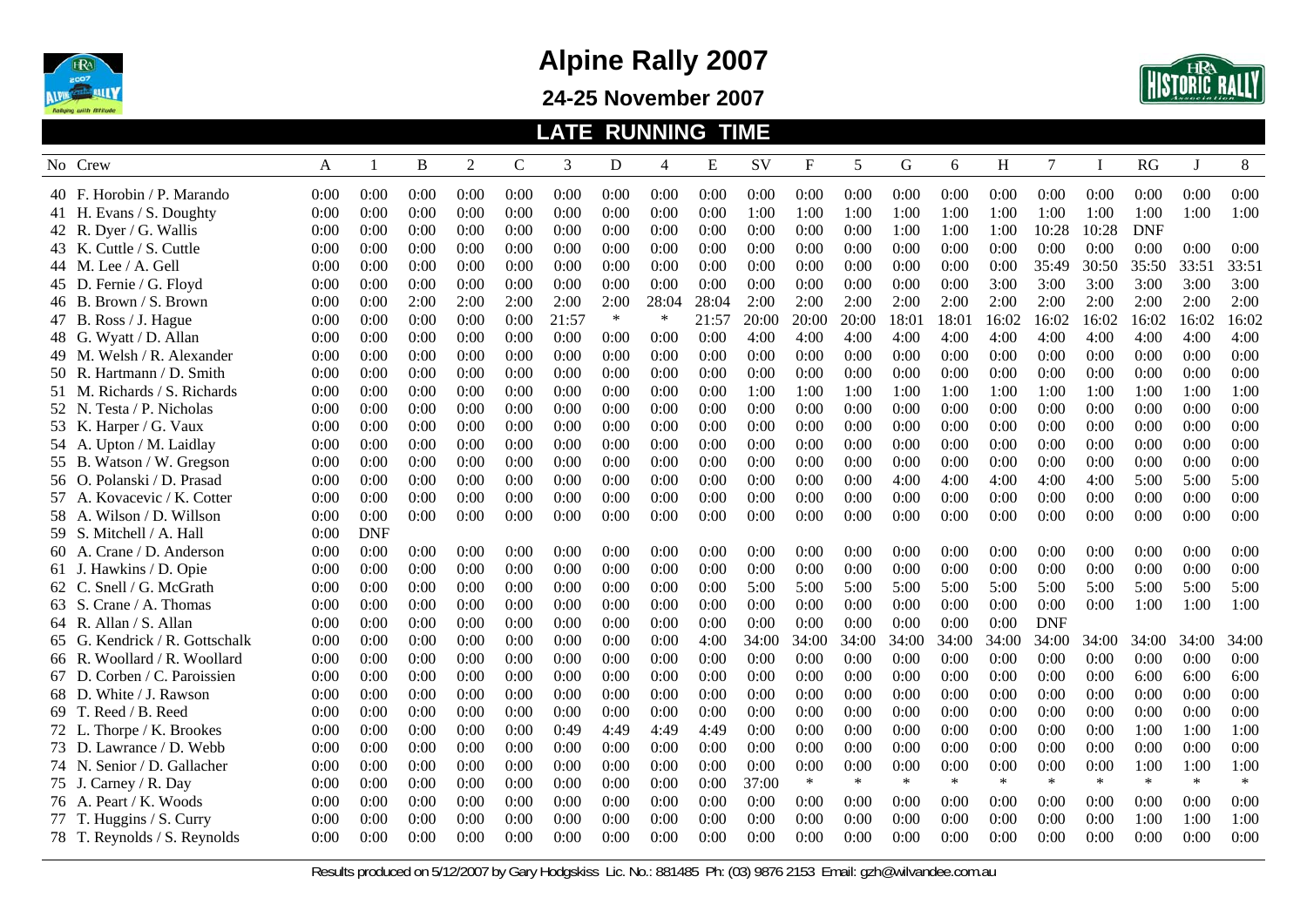

**24-25 November 2007** 



|       |                                |      |              |             |                |             | LATE  |        | <b>RUNNING TIME</b> |       |       |                           |        |             |        |        |            |             |            |        |        |
|-------|--------------------------------|------|--------------|-------------|----------------|-------------|-------|--------|---------------------|-------|-------|---------------------------|--------|-------------|--------|--------|------------|-------------|------------|--------|--------|
|       | No Crew                        | A    | $\mathbf{1}$ | $\mathbf B$ | $\overline{2}$ | $\mathbf C$ | 3     | D      | $\overline{4}$      | Ε     | SV    | $\boldsymbol{\mathrm{F}}$ | 5      | $\mathbf G$ | 6      | H      | 7          | $\mathbf I$ | RG         | J      | 8      |
|       | 40 F. Horobin / P. Marando     | 0:00 | 0:00         | 0:00        | 0:00           | 0:00        | 0:00  | 0:00   | 0:00                | 0:00  | 0:00  | 0:00                      | 0:00   | 0:00        | 0:00   | 0:00   | 0:00       | 0:00        | 0:00       | 0:00   | 0:00   |
|       | 41 H. Evans / S. Doughty       | 0:00 | 0:00         | 0:00        | 0:00           | 0:00        | 0:00  | 0:00   | 0:00                | 0:00  | 1:00  | 1:00                      | 1:00   | 1:00        | 1:00   | 1:00   | 1:00       | 1:00        | 1:00       | 1:00   | 1:00   |
|       | 42 R. Dyer / G. Wallis         | 0:00 | 0:00         | 0:00        | 0:00           | 0:00        | 0:00  | 0:00   | 0:00                | 0:00  | 0:00  | 0:00                      | 0:00   | 1:00        | 1:00   | 1:00   | 10:28      | 10:28       | <b>DNF</b> |        |        |
|       | 43 K. Cuttle / S. Cuttle       | 0:00 | 0:00         | 0:00        | 0:00           | 0:00        | 0:00  | 0:00   | 0:00                | 0:00  | 0:00  | 0:00                      | 0:00   | 0:00        | 0:00   | 0:00   | 0:00       | 0:00        | 0:00       | 0:00   | 0:00   |
|       | 44 M. Lee / A. Gell            | 0:00 | 0:00         | 0:00        | 0:00           | 0:00        | 0:00  | 0:00   | 0:00                | 0:00  | 0:00  | 0:00                      | 0:00   | 0:00        | 0:00   | 0:00   | 35:49      | 30:50       | 35:50      | 33:51  | 33:51  |
|       | Fernie / G. Floyd<br>45 D.     | 0:00 | 0:00         | 0:00        | 0:00           | 0:00        | 0:00  | 0:00   | 0:00                | 0:00  | 0:00  | 0:00                      | 0:00   | 0:00        | 0:00   | 3:00   | 3:00       | 3:00        | 3:00       | 3:00   | 3:00   |
|       | 46 B. Brown / S. Brown         | 0:00 | 0:00         | 2:00        | 2:00           | 2:00        | 2:00  | 2:00   | 28:04               | 28:04 | 2:00  | 2:00                      | 2:00   | 2:00        | 2:00   | 2:00   | 2:00       | 2:00        | 2:00       | 2:00   | 2:00   |
|       | 47 B. Ross / J. Hague          | 0:00 | 0:00         | 0:00        | 0:00           | 0:00        | 21:57 | $\ast$ | ∗                   | 21:57 | 20:00 | 20:00                     | 20:00  | 18:01       | 18:01  | 16:02  | 16:02      | 16:02       | 16:02      | 16:02  | 16:02  |
|       | 48 G. Wyatt / D. Allan         | 0:00 | 0:00         | 0:00        | 0:00           | 0:00        | 0:00  | 0:00   | 0:00                | 0:00  | 4:00  | 4:00                      | 4:00   | 4:00        | 4:00   | 4:00   | 4:00       | 4:00        | 4:00       | 4:00   | 4:00   |
|       | 49 M. Welsh / R. Alexander     | 0:00 | 0:00         | 0:00        | 0:00           | 0:00        | 0:00  | 0:00   | 0:00                | 0:00  | 0:00  | 0:00                      | 0:00   | 0:00        | 0:00   | 0:00   | 0:00       | 0:00        | 0:00       | 0:00   | 0:00   |
|       | 50 R. Hartmann / D. Smith      | 0:00 | 0:00         | 0:00        | 0:00           | 0:00        | 0:00  | 0:00   | 0:00                | 0:00  | 0:00  | 0:00                      | 0:00   | 0:00        | 0:00   | 0:00   | 0:00       | 0:00        | 0:00       | 0:00   | 0:00   |
|       | 51 M. Richards / S. Richards   | 0:00 | 0:00         | 0:00        | 0:00           | 0:00        | 0:00  | 0:00   | 0:00                | 0:00  | 1:00  | 1:00                      | 1:00   | 1:00        | 1:00   | 1:00   | 1:00       | 1:00        | 1:00       | 1:00   | 1:00   |
|       | 52 N. Testa / P. Nicholas      | 0:00 | 0:00         | 0:00        | 0:00           | 0:00        | 0:00  | 0:00   | 0:00                | 0:00  | 0:00  | 0:00                      | 0:00   | 0:00        | 0:00   | 0:00   | 0:00       | 0:00        | 0:00       | 0:00   | 0:00   |
|       | 53 K. Harper / G. Vaux         | 0:00 | 0:00         | 0:00        | 0:00           | 0:00        | 0:00  | 0:00   | 0:00                | 0:00  | 0:00  | 0:00                      | 0:00   | 0:00        | 0:00   | 0:00   | 0:00       | 0:00        | 0:00       | 0:00   | 0:00   |
|       | 54 A. Upton / M. Laidlay       | 0:00 | 0:00         | 0:00        | 0:00           | 0:00        | 0:00  | 0:00   | 0:00                | 0:00  | 0:00  | 0:00                      | 0:00   | 0:00        | 0:00   | 0:00   | 0:00       | 0:00        | 0:00       | 0:00   | 0:00   |
|       | 55 B. Watson / W. Gregson      | 0:00 | 0:00         | 0:00        | 0:00           | 0:00        | 0:00  | 0:00   | 0:00                | 0:00  | 0:00  | 0:00                      | 0:00   | 0:00        | 0:00   | 0:00   | 0:00       | 0:00        | 0:00       | 0:00   | 0:00   |
|       | 56 O. Polanski / D. Prasad     | 0:00 | 0:00         | 0:00        | 0:00           | 0:00        | 0:00  | 0:00   | 0:00                | 0:00  | 0:00  | 0:00                      | 0:00   | 4:00        | 4:00   | 4:00   | 4:00       | 4:00        | 5:00       | 5:00   | 5:00   |
|       | 57 A. Kovacevic / K. Cotter    | 0:00 | 0:00         | 0:00        | 0:00           | 0:00        | 0:00  | 0:00   | 0:00                | 0:00  | 0:00  | 0:00                      | 0:00   | 0:00        | 0:00   | 0:00   | 0:00       | 0:00        | 0:00       | 0:00   | 0:00   |
|       | 58 A. Wilson / D. Willson      | 0:00 | 0:00         | 0:00        | 0:00           | 0:00        | 0:00  | 0:00   | 0:00                | 0:00  | 0:00  | 0:00                      | 0:00   | 0:00        | 0:00   | 0:00   | 0:00       | 0:00        | 0:00       | 0:00   | 0:00   |
|       | 59 S. Mitchell / A. Hall       | 0:00 | <b>DNF</b>   |             |                |             |       |        |                     |       |       |                           |        |             |        |        |            |             |            |        |        |
|       | 60 A. Crane / D. Anderson      | 0:00 | 0:00         | 0:00        | 0:00           | 0:00        | 0:00  | 0:00   | 0:00                | 0:00  | 0:00  | 0:00                      | 0:00   | 0:00        | 0:00   | 0:00   | 0:00       | 0:00        | 0:00       | 0:00   | 0:00   |
|       | 61 J. Hawkins / D. Opie        | 0:00 | 0:00         | 0:00        | 0:00           | 0:00        | 0:00  | 0:00   | 0:00                | 0:00  | 0:00  | 0:00                      | 0:00   | 0:00        | 0:00   | 0:00   | 0:00       | 0:00        | 0:00       | 0:00   | 0:00   |
| 62 C. | Snell / G. McGrath             | 0:00 | 0:00         | 0:00        | 0:00           | 0:00        | 0:00  | 0:00   | 0:00                | 0:00  | 5:00  | 5:00                      | 5:00   | 5:00        | 5:00   | 5:00   | 5:00       | 5:00        | 5:00       | 5:00   | 5:00   |
| 63 S. | Crane / A. Thomas              | 0:00 | 0:00         | 0:00        | 0:00           | 0:00        | 0:00  | 0:00   | 0:00                | 0:00  | 0:00  | 0:00                      | 0:00   | 0:00        | 0:00   | 0:00   | 0:00       | 0:00        | 1:00       | 1:00   | 1:00   |
|       | 64 R. Allan / S. Allan         | 0:00 | 0:00         | 0:00        | 0:00           | 0:00        | 0:00  | 0:00   | 0:00                | 0:00  | 0:00  | 0:00                      | 0:00   | 0:00        | 0:00   | 0:00   | <b>DNF</b> |             |            |        |        |
|       | 65 G. Kendrick / R. Gottschalk | 0:00 | 0:00         | 0:00        | 0:00           | 0:00        | 0:00  | 0:00   | 0:00                | 4:00  | 34:00 | 34:00                     | 34:00  | 34:00       | 34:00  | 34:00  | 34:00      | 34:00       | 34:00      | 34:00  | 34:00  |
|       | 66 R. Woollard / R. Woollard   | 0:00 | 0:00         | 0:00        | 0:00           | 0:00        | 0:00  | 0:00   | 0:00                | 0:00  | 0:00  | 0:00                      | 0:00   | 0:00        | 0:00   | 0:00   | 0:00       | 0:00        | 0:00       | 0:00   | 0:00   |
| 67 D. | Corben / C. Paroissien         | 0:00 | 0:00         | 0:00        | 0:00           | 0:00        | 0:00  | 0:00   | 0:00                | 0:00  | 0:00  | 0:00                      | 0:00   | 0:00        | 0:00   | 0:00   | 0:00       | 0:00        | 6:00       | 6:00   | 6:00   |
|       | White / J. Rawson<br>68 D.     | 0:00 | 0:00         | 0:00        | 0:00           | 0:00        | 0:00  | 0:00   | 0:00                | 0:00  | 0:00  | 0:00                      | 0:00   | 0:00        | 0:00   | 0:00   | 0:00       | 0:00        | 0:00       | 0:00   | 0:00   |
|       | 69 T. Reed / B. Reed           | 0:00 | 0:00         | 0:00        | 0:00           | 0:00        | 0:00  | 0:00   | 0:00                | 0:00  | 0:00  | 0:00                      | 0:00   | 0:00        | 0:00   | 0:00   | 0:00       | 0:00        | 0:00       | 0:00   | 0:00   |
|       | 72 L. Thorpe / K. Brookes      | 0:00 | 0:00         | 0:00        | 0:00           | 0:00        | 0:49  | 4:49   | 4:49                | 4:49  | 0:00  | 0:00                      | 0:00   | 0:00        | 0:00   | 0:00   | 0:00       | 0:00        | 1:00       | 1:00   | 1:00   |
|       | 73 D. Lawrance / D. Webb       | 0:00 | 0:00         | 0:00        | 0:00           | 0:00        | 0:00  | 0:00   | 0:00                | 0:00  | 0:00  | 0:00                      | 0:00   | 0:00        | 0:00   | 0:00   | 0:00       | 0:00        | 0:00       | 0:00   | 0:00   |
|       | 74 N. Senior / D. Gallacher    | 0:00 | 0:00         | 0:00        | 0:00           | 0:00        | 0:00  | 0:00   | 0:00                | 0:00  | 0:00  | 0:00                      | 0:00   | 0:00        | 0:00   | 0:00   | 0:00       | 0:00        | 1:00       | 1:00   | 1:00   |
|       | 75 J. Carney / R. Day          | 0:00 | 0:00         | 0:00        | 0:00           | 0:00        | 0:00  | 0:00   | 0:00                | 0:00  | 37:00 | $\ast$                    | $\ast$ | $\ast$      | $\ast$ | $\ast$ | $\ast$     | $\ast$      | $\ast$     | $\ast$ | $\ast$ |
|       | 76 A. Peart / K. Woods         | 0:00 | 0:00         | 0:00        | 0:00           | 0:00        | 0:00  | 0:00   | 0:00                | 0:00  | 0:00  | 0:00                      | 0:00   | 0:00        | 0:00   | 0:00   | 0:00       | 0:00        | 0:00       | 0:00   | 0:00   |
|       | 77 T. Huggins / S. Curry       | 0:00 | 0:00         | 0:00        | 0:00           | 0:00        | 0:00  | 0:00   | 0:00                | 0:00  | 0:00  | 0:00                      | 0:00   | 0:00        | 0:00   | 0:00   | 0:00       | 0:00        | 1:00       | 1:00   | 1:00   |
|       | 78 T. Reynolds / S. Reynolds   | 0:00 | 0:00         | 0:00        | 0:00           | 0:00        | 0:00  | 0:00   | 0:00                | 0:00  | 0:00  | 0:00                      | 0:00   | 0:00        | 0:00   | 0:00   | 0:00       | 0:00        | 0:00       | 0:00   | 0:00   |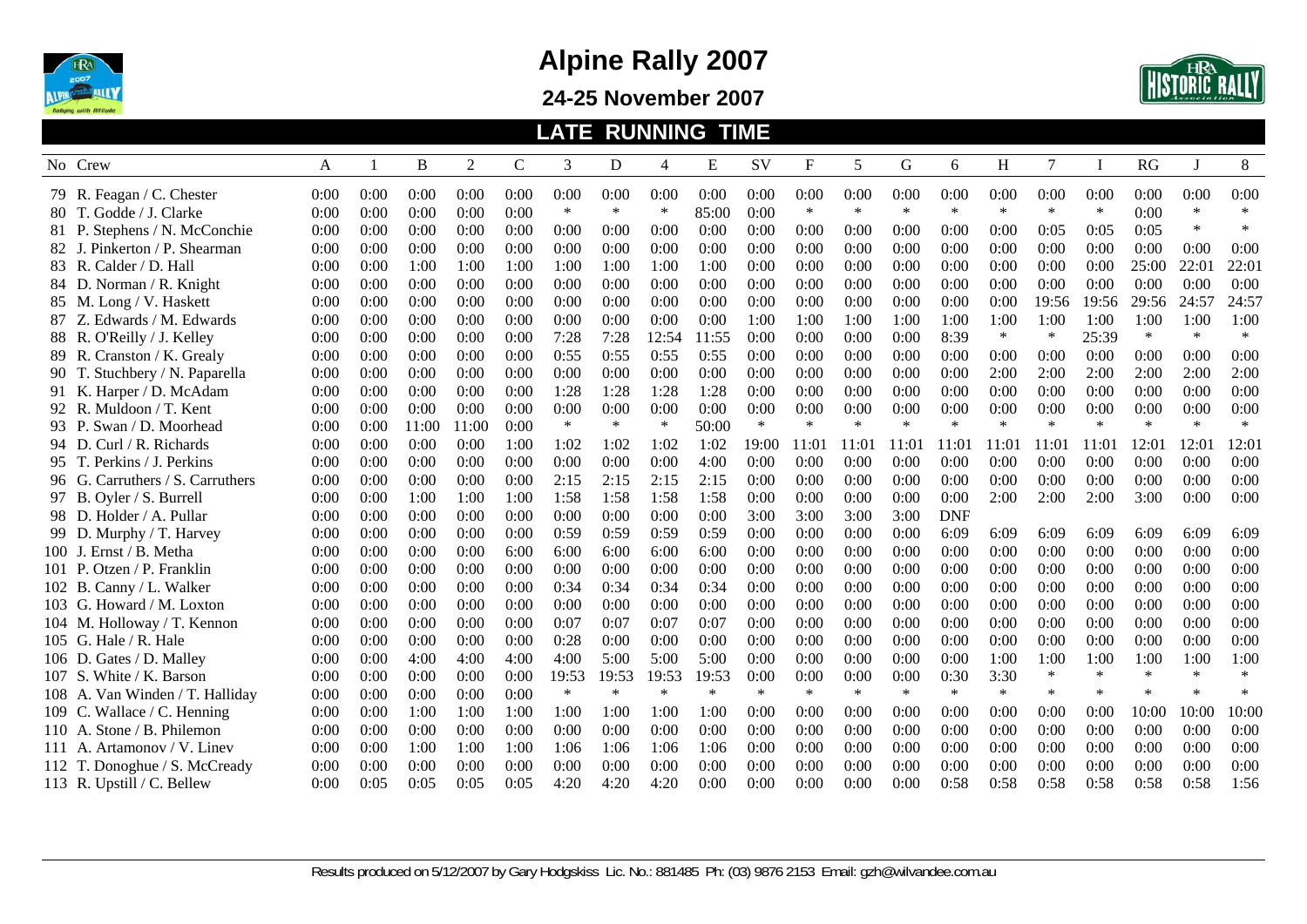

**24-25 November 2007** 



|        |                                  |      |              |       |       |      |        |        |        | <b>LATE RUNNING TIME</b> |        |        |        |        |            |        |                |        |        |        |        |
|--------|----------------------------------|------|--------------|-------|-------|------|--------|--------|--------|--------------------------|--------|--------|--------|--------|------------|--------|----------------|--------|--------|--------|--------|
|        | No Crew                          | A    | $\mathbf{1}$ | B     | 2     | C    | 3      | D      | 4      | E                        | SV     | F      | 5      | G      | 6          | H      | $\overline{7}$ |        | RG     | J      | 8      |
|        | 79 R. Feagan / C. Chester        | 0:00 | 0:00         | 0:00  | 0:00  | 0:00 | 0:00   | 0:00   | 0:00   | 0:00                     | 0:00   | 0:00   | 0:00   | 0:00   | 0:00       | 0:00   | 0:00           | 0:00   | 0:00   | 0:00   | 0:00   |
|        | 80 T. Godde / J. Clarke          | 0:00 | 0:00         | 0:00  | 0:00  | 0:00 | $\ast$ | $\ast$ | $\ast$ | 85:00                    | 0:00   | $\ast$ | $\ast$ | $\ast$ | $\ast$     | $\ast$ | $\ast$         | $\ast$ | 0:00   | $\ast$ | $\ast$ |
|        | 81 P. Stephens / N. McConchie    | 0:00 | 0:00         | 0:00  | 0:00  | 0:00 | 0:00   | 0:00   | 0:00   | 0:00                     | 0:00   | 0:00   | 0:00   | 0:00   | 0:00       | 0:00   | 0:05           | 0:05   | 0:05   | $\ast$ | $\ast$ |
|        | 82 J. Pinkerton / P. Shearman    | 0:00 | 0:00         | 0:00  | 0:00  | 0:00 | 0:00   | 0:00   | 0:00   | 0:00                     | 0:00   | 0:00   | 0:00   | 0:00   | 0:00       | 0:00   | 0:00           | 0:00   | 0:00   | 0:00   | 0:00   |
|        | 83 R. Calder / D. Hall           | 0:00 | 0:00         | 1:00  | 1:00  | 1:00 | 1:00   | 1:00   | 1:00   | 1:00                     | 0:00   | 0:00   | 0:00   | 0:00   | 0:00       | 0:00   | 0:00           | 0:00   | 25:00  | 22:01  | 22:01  |
|        | 84 D. Norman / R. Knight         | 0:00 | 0:00         | 0:00  | 0:00  | 0:00 | 0:00   | 0:00   | 0:00   | 0:00                     | 0:00   | 0:00   | 0:00   | 0:00   | 0:00       | 0:00   | 0:00           | 0:00   | 0:00   | 0:00   | 0:00   |
|        | 85 M. Long / V. Haskett          | 0:00 | 0:00         | 0:00  | 0:00  | 0:00 | 0:00   | 0:00   | 0:00   | 0:00                     | 0:00   | 0:00   | 0:00   | 0:00   | 0:00       | 0:00   | 19:56          | 19:56  | 29:56  | 24:57  | 24:57  |
|        | 87 Z. Edwards / M. Edwards       | 0:00 | 0:00         | 0:00  | 0:00  | 0:00 | 0:00   | 0:00   | 0:00   | 0:00                     | 1:00   | 1:00   | 1:00   | 1:00   | 1:00       | 1:00   | 1:00           | 1:00   | 1:00   | 1:00   | 1:00   |
|        | 88 R. O'Reilly / J. Kelley       | 0:00 | 0:00         | 0:00  | 0:00  | 0:00 | 7:28   | 7:28   | 12:54  | 11:55                    | 0:00   | 0:00   | 0:00   | 0:00   | 8:39       | $\ast$ | $\ast$         | 25:39  | $\ast$ | $\ast$ | $\ast$ |
|        | 89 R. Cranston / K. Grealy       | 0:00 | 0:00         | 0:00  | 0:00  | 0:00 | 0:55   | 0:55   | 0:55   | 0:55                     | 0:00   | 0:00   | 0:00   | 0:00   | 0:00       | 0:00   | 0:00           | 0:00   | 0:00   | 0:00   | 0:00   |
|        | 90 T. Stuchbery / N. Paparella   | 0:00 | 0:00         | 0:00  | 0:00  | 0:00 | 0:00   | 0:00   | 0:00   | 0:00                     | 0:00   | 0:00   | 0:00   | 0:00   | 0:00       | 2:00   | 2:00           | 2:00   | 2:00   | 2:00   | 2:00   |
|        | 91 K. Harper / D. McAdam         | 0:00 | 0:00         | 0:00  | 0:00  | 0:00 | 1:28   | 1:28   | 1:28   | 1:28                     | 0:00   | 0:00   | 0:00   | 0:00   | 0:00       | 0:00   | 0:00           | 0:00   | 0:00   | 0:00   | 0:00   |
|        | 92 R. Muldoon / T. Kent          | 0:00 | 0:00         | 0:00  | 0:00  | 0:00 | 0:00   | 0:00   | 0:00   | 0:00                     | 0:00   | 0:00   | 0:00   | 0:00   | 0:00       | 0:00   | 0:00           | 0:00   | 0:00   | 0:00   | 0:00   |
|        | 93 P. Swan / D. Moorhead         | 0:00 | 0:00         | 11:00 | 11:00 | 0:00 | $\ast$ | $\ast$ | $\ast$ | 50:00                    | $\ast$ | $\ast$ | $\ast$ | $\ast$ | $\ast$     | $\ast$ | $\ast$         | $\ast$ | $\ast$ | $\ast$ | $\ast$ |
|        | 94 D. Curl / R. Richards         | 0:00 | 0:00         | 0:00  | 0:00  | 1:00 | 1:02   | 1:02   | 1:02   | 1:02                     | 19:00  | 11:01  | 11:01  | 11:01  | 11:01      | 11:01  | 11:01          | 11:01  | 12:01  | 12:0   | 12:01  |
|        | 95 T. Perkins / J. Perkins       | 0:00 | 0:00         | 0:00  | 0:00  | 0:00 | 0:00   | 0:00   | 0:00   | 4:00                     | 0:00   | 0:00   | 0:00   | 0:00   | 0:00       | 0:00   | 0:00           | 0:00   | 0:00   | 0:00   | 0:00   |
|        | 96 G. Carruthers / S. Carruthers | 0:00 | 0:00         | 0:00  | 0:00  | 0:00 | 2:15   | 2:15   | 2:15   | 2:15                     | 0:00   | 0:00   | 0:00   | 0:00   | 0:00       | 0:00   | 0:00           | 0:00   | 0:00   | 0:00   | 0:00   |
|        | 97 B. Oyler / S. Burrell         | 0:00 | 0:00         | 1:00  | 1:00  | 1:00 | 1:58   | 1:58   | 1:58   | 1:58                     | 0:00   | 0:00   | 0:00   | 0:00   | 0:00       | 2:00   | 2:00           | 2:00   | 3:00   | 0:00   | 0:00   |
|        | 98 D. Holder / A. Pullar         | 0:00 | 0:00         | 0:00  | 0:00  | 0:00 | 0:00   | 0:00   | 0:00   | 0:00                     | 3:00   | 3:00   | 3:00   | 3:00   | <b>DNF</b> |        |                |        |        |        |        |
|        | 99 D. Murphy / T. Harvey         | 0:00 | 0:00         | 0:00  | 0:00  | 0:00 | 0:59   | 0:59   | 0:59   | 0:59                     | 0:00   | 0:00   | 0:00   | 0:00   | 6:09       | 6:09   | 6:09           | 6:09   | 6:09   | 6:09   | 6:09   |
|        | 100 J. Ernst / B. Metha          | 0:00 | 0:00         | 0:00  | 0:00  | 6:00 | 6:00   | 6:00   | 6:00   | 6:00                     | 0:00   | 0:00   | 0:00   | 0:00   | 0:00       | 0:00   | 0:00           | 0:00   | 0:00   | 0:00   | 0:00   |
| 101 P. | Otzen / P. Franklin              | 0:00 | 0:00         | 0:00  | 0:00  | 0:00 | 0:00   | 0:00   | 0:00   | 0:00                     | 0:00   | 0:00   | 0:00   | 0:00   | 0:00       | 0:00   | 0:00           | 0:00   | 0:00   | 0:00   | 0:00   |
|        | 102 B. Canny / L. Walker         | 0:00 | 0:00         | 0:00  | 0:00  | 0:00 | 0:34   | 0:34   | 0:34   | 0:34                     | 0:00   | 0:00   | 0:00   | 0:00   | 0:00       | 0:00   | 0:00           | 0:00   | 0:00   | 0:00   | 0:00   |
|        | 103 G. Howard / M. Loxton        | 0:00 | 0:00         | 0:00  | 0:00  | 0:00 | 0:00   | 0:00   | 0:00   | 0:00                     | 0:00   | 0:00   | 0:00   | 0:00   | 0:00       | 0:00   | 0:00           | 0:00   | 0:00   | 0:00   | 0:00   |
|        | 104 M. Holloway / T. Kennon      | 0:00 | 0:00         | 0:00  | 0:00  | 0:00 | 0:07   | 0:07   | 0:07   | 0:07                     | 0:00   | 0:00   | 0:00   | 0:00   | 0:00       | 0:00   | 0:00           | 0:00   | 0:00   | 0:00   | 0:00   |
|        | 105 G. Hale / R. Hale            | 0:00 | 0:00         | 0:00  | 0:00  | 0:00 | 0:28   | 0:00   | 0:00   | 0:00                     | 0:00   | 0:00   | 0:00   | 0:00   | 0:00       | 0:00   | 0:00           | 0:00   | 0:00   | 0:00   | 0:00   |
| 106 D. | . Gates / D. Malley              | 0:00 | 0:00         | 4:00  | 4:00  | 4:00 | 4:00   | 5:00   | 5:00   | 5:00                     | 0:00   | 0:00   | 0:00   | 0:00   | 0:00       | 1:00   | 1:00           | 1:00   | 1:00   | 1:00   | 1:00   |
| 107 S. | White / K. Barson                | 0:00 | 0:00         | 0:00  | 0:00  | 0:00 | 19:53  | 19:53  | 19:53  | 19:53                    | 0:00   | 0:00   | 0:00   | 0:00   | 0:30       | 3:30   | $\ast$         | $\ast$ | $\ast$ | $\ast$ | $\ast$ |
|        | 108 A. Van Winden / T. Halliday  | 0:00 | 0:00         | 0:00  | 0:00  | 0:00 | $\ast$ | $\ast$ | $\ast$ | $\ast$                   | $\ast$ | $\ast$ | $\ast$ | $\ast$ | $\ast$     | $\ast$ | $\ast$         | $\ast$ | $\ast$ | $\ast$ | $\ast$ |
|        | 109 C. Wallace / C. Henning      | 0:00 | 0:00         | 1:00  | 1:00  | 1:00 | 1:00   | 1:00   | 1:00   | 1:00                     | 0:00   | 0:00   | 0:00   | 0:00   | 0:00       | 0:00   | 0:00           | 0:00   | 10:00  | 10:00  | 10:00  |
|        | 110 A. Stone / B. Philemon       | 0:00 | 0:00         | 0:00  | 0:00  | 0:00 | 0:00   | 0:00   | 0:00   | 0:00                     | 0:00   | 0:00   | 0:00   | 0:00   | 0:00       | 0:00   | 0:00           | 0:00   | 0:00   | 0:00   | 0:00   |
|        | 111 A. Artamonov / V. Linev      | 0:00 | 0:00         | 1:00  | 1:00  | 1:00 | 1:06   | 1:06   | 1:06   | 1:06                     | 0:00   | 0:00   | 0:00   | 0:00   | 0:00       | 0:00   | 0:00           | 0:00   | 0:00   | 0:00   | 0:00   |
| 112 T. | Donoghue / S. McCready           | 0:00 | 0:00         | 0:00  | 0:00  | 0:00 | 0:00   | 0:00   | 0:00   | 0:00                     | 0:00   | 0:00   | 0:00   | 0:00   | 0:00       | 0:00   | 0:00           | 0:00   | 0:00   | 0:00   | 0:00   |
|        | 113 R. Upstill / C. Bellew       | 0:00 | 0:05         | 0:05  | 0:05  | 0:05 | 4:20   | 4:20   | 4:20   | 0:00                     | 0:00   | 0:00   | 0:00   | 0:00   | 0:58       | 0:58   | 0:58           | 0:58   | 0:58   | 0:58   | 1:56   |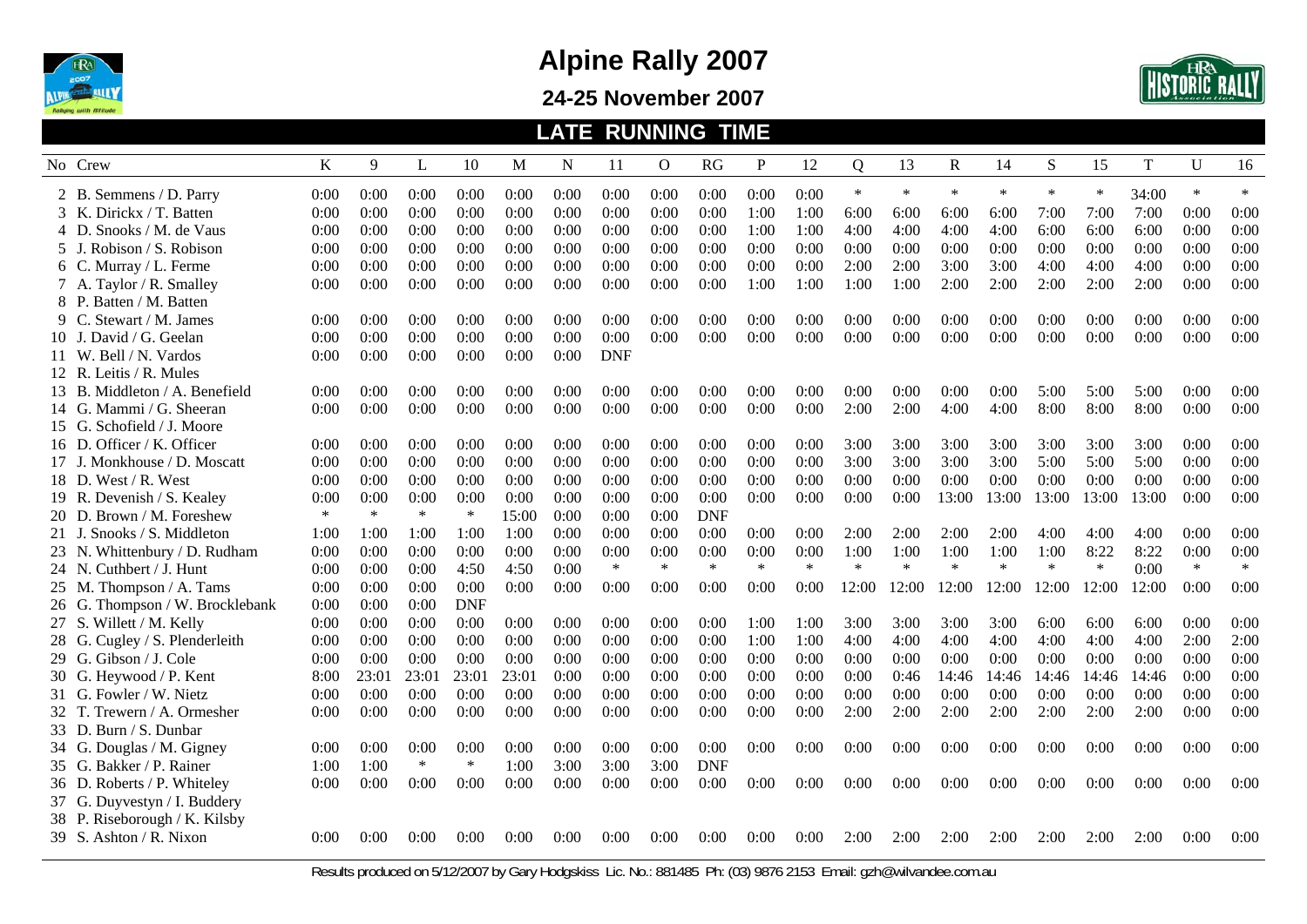

**24-25 November 2007** 



|                                 |        |        |        |            |       |      |            | <b>LATE RUNNING TIME</b> |            |        |        |                |        |             |        |        |        |       |              |        |
|---------------------------------|--------|--------|--------|------------|-------|------|------------|--------------------------|------------|--------|--------|----------------|--------|-------------|--------|--------|--------|-------|--------------|--------|
| No Crew                         | K      | 9      | L      | 10         | M     | N    | 11         | $\overline{O}$           | RG         | P      | 12     | $\overline{Q}$ | 13     | $\mathbf R$ | 14     | S      | 15     | T     | $\mathbf{U}$ | 16     |
| 2 B. Semmens / D. Parry         | 0:00   | 0:00   | 0:00   | 0:00       | 0:00  | 0:00 | 0:00       | 0:00                     | 0:00       | 0:00   | 0:00   | $\ast$         | $\ast$ | $\ast$      | $\ast$ | $\ast$ | $\ast$ | 34:00 | $\ast$       | $\ast$ |
| 3 K. Dirickx / T. Batten        | 0:00   | 0:00   | 0:00   | 0:00       | 0:00  | 0:00 | 0:00       | 0:00                     | 0:00       | 1:00   | 1:00   | 6:00           | 6:00   | 6:00        | 6:00   | 7:00   | 7:00   | 7:00  | 0:00         | 0:00   |
| 4 D. Snooks / M. de Vaus        | 0:00   | 0:00   | 0:00   | 0:00       | 0:00  | 0:00 | 0:00       | 0:00                     | 0:00       | 1:00   | 1:00   | 4:00           | 4:00   | 4:00        | 4:00   | 6:00   | 6:00   | 6:00  | 0:00         | 0:00   |
| 5 J. Robison / S. Robison       | 0:00   | 0:00   | 0:00   | 0:00       | 0:00  | 0:00 | 0:00       | 0:00                     | 0:00       | 0:00   | 0:00   | 0:00           | 0:00   | 0:00        | 0:00   | 0:00   | 0:00   | 0:00  | 0:00         | 0:00   |
| 6 C. Murray / L. Ferme          | 0:00   | 0:00   | 0:00   | 0:00       | 0:00  | 0:00 | 0:00       | 0:00                     | 0:00       | 0:00   | 0:00   | 2:00           | 2:00   | 3:00        | 3:00   | 4:00   | 4:00   | 4:00  | 0:00         | 0:00   |
| 7 A. Taylor / R. Smalley        | 0:00   | 0:00   | 0:00   | 0:00       | 0:00  | 0:00 | 0:00       | 0:00                     | 0:00       | 1:00   | 1:00   | 1:00           | 1:00   | 2:00        | 2:00   | 2:00   | 2:00   | 2:00  | 0:00         | 0:00   |
| 8 P. Batten / M. Batten         |        |        |        |            |       |      |            |                          |            |        |        |                |        |             |        |        |        |       |              |        |
| 9 C. Stewart / M. James         | 0:00   | 0:00   | 0:00   | 0:00       | 0:00  | 0:00 | 0:00       | 0:00                     | 0:00       | 0:00   | 0:00   | 0:00           | 0:00   | 0:00        | 0:00   | 0:00   | 0:00   | 0:00  | 0:00         | 0:00   |
| 10 J. David / G. Geelan         | 0:00   | 0:00   | 0:00   | 0:00       | 0:00  | 0:00 | 0:00       | 0:00                     | 0:00       | 0:00   | 0:00   | 0:00           | 0:00   | 0:00        | 0:00   | 0:00   | 0:00   | 0:00  | 0:00         | 0:00   |
| 11 W. Bell / N. Vardos          | 0:00   | 0:00   | 0:00   | 0:00       | 0:00  | 0:00 | <b>DNF</b> |                          |            |        |        |                |        |             |        |        |        |       |              |        |
| 12 R. Leitis / R. Mules         |        |        |        |            |       |      |            |                          |            |        |        |                |        |             |        |        |        |       |              |        |
| 13 B. Middleton / A. Benefield  | 0:00   | 0:00   | 0:00   | 0:00       | 0:00  | 0:00 | 0:00       | 0:00                     | 0:00       | 0:00   | 0:00   | 0:00           | 0:00   | 0:00        | 0:00   | 5:00   | 5:00   | 5:00  | 0:00         | 0:00   |
| 14 G. Mammi / G. Sheeran        | 0:00   | 0:00   | 0:00   | 0:00       | 0:00  | 0:00 | 0:00       | 0:00                     | 0:00       | 0:00   | 0:00   | 2:00           | 2:00   | 4:00        | 4:00   | 8:00   | 8:00   | 8:00  | 0:00         | 0:00   |
| 15 G. Schofield / J. Moore      |        |        |        |            |       |      |            |                          |            |        |        |                |        |             |        |        |        |       |              |        |
| 16 D. Officer / K. Officer      | 0:00   | 0:00   | 0:00   | 0:00       | 0:00  | 0:00 | 0:00       | 0:00                     | 0:00       | 0:00   | 0:00   | 3:00           | 3:00   | 3:00        | 3:00   | 3:00   | 3:00   | 3:00  | 0:00         | 0:00   |
| 17 J. Monkhouse / D. Moscatt    | 0:00   | 0:00   | 0:00   | 0:00       | 0:00  | 0:00 | 0:00       | 0:00                     | 0:00       | 0:00   | 0:00   | 3:00           | 3:00   | 3:00        | 3:00   | 5:00   | 5:00   | 5:00  | 0:00         | 0:00   |
| 18 D. West / R. West            | 0:00   | 0:00   | 0:00   | 0:00       | 0:00  | 0:00 | 0:00       | 0:00                     | 0:00       | 0:00   | 0:00   | 0:00           | 0:00   | 0:00        | 0:00   | 0:00   | 0:00   | 0:00  | 0:00         | 0:00   |
| 19 R. Devenish / S. Kealey      | 0:00   | 0:00   | 0:00   | 0:00       | 0:00  | 0:00 | 0:00       | 0:00                     | 0:00       | 0:00   | 0:00   | 0:00           | 0:00   | 13:00       | 13:00  | 13:00  | 13:00  | 13:00 | 0:00         | 0:00   |
| 20 D. Brown / M. Foreshew       | $\ast$ | $\ast$ | $\ast$ | $\ast$     | 15:00 | 0:00 | 0:00       | 0:00                     | <b>DNF</b> |        |        |                |        |             |        |        |        |       |              |        |
| 21 J. Snooks / S. Middleton     | 1:00   | 1:00   | 1:00   | 1:00       | 1:00  | 0:00 | 0:00       | 0:00                     | 0:00       | 0:00   | 0:00   | 2:00           | 2:00   | 2:00        | 2:00   | 4:00   | 4:00   | 4:00  | 0:00         | 0:00   |
| 23 N. Whittenbury / D. Rudham   | 0:00   | 0:00   | 0:00   | 0:00       | 0:00  | 0:00 | 0:00       | 0:00                     | 0:00       | 0:00   | 0:00   | 1:00           | 1:00   | 1:00        | 1:00   | 1:00   | 8:22   | 8:22  | 0:00         | 0:00   |
| 24 N. Cuthbert / J. Hunt        | 0:00   | 0:00   | 0:00   | 4:50       | 4:50  | 0:00 | $\ast$     | $\ast$                   | $\ast$     | $\ast$ | $\ast$ | $\ast$         | $\ast$ | $\ast$      | $\ast$ | $\ast$ | $\ast$ | 0:00  | $\ast$       | $\ast$ |
| 25 M. Thompson / A. Tams        | 0:00   | 0:00   | 0:00   | 0:00       | 0:00  | 0:00 | 0:00       | 0:00                     | 0:00       | 0:00   | 0:00   | 12:00          | 12:00  | 12:00       | 12:00  | 12:00  | 12:00  | 12:00 | 0:00         | 0:00   |
| 26 G. Thompson / W. Brocklebank | 0:00   | 0:00   | 0:00   | <b>DNF</b> |       |      |            |                          |            |        |        |                |        |             |        |        |        |       |              |        |
| 27 S. Willett / M. Kelly        | 0:00   | 0:00   | 0:00   | 0:00       | 0:00  | 0:00 | 0:00       | 0:00                     | 0:00       | 1:00   | 1:00   | 3:00           | 3:00   | 3:00        | 3:00   | 6:00   | 6:00   | 6:00  | 0:00         | 0:00   |
| 28 G. Cugley / S. Plenderleith  | 0:00   | 0:00   | 0:00   | 0:00       | 0:00  | 0:00 | 0:00       | 0:00                     | 0:00       | 1:00   | 1:00   | 4:00           | 4:00   | 4:00        | 4:00   | 4:00   | 4:00   | 4:00  | 2:00         | 2:00   |
| 29 G. Gibson / J. Cole          | 0:00   | 0:00   | 0:00   | 0:00       | 0:00  | 0:00 | 0:00       | 0:00                     | 0:00       | 0:00   | 0:00   | 0:00           | 0:00   | 0:00        | 0:00   | 0:00   | 0:00   | 0:00  | 0:00         | 0:00   |
| 30 G. Heywood / P. Kent         | 8:00   | 23:01  | 23:01  | 23:01      | 23:01 | 0:00 | 0:00       | 0:00                     | 0:00       | 0:00   | 0:00   | 0:00           | 0:46   | 14:46       | 14:46  | 14:46  | 14:46  | 14:46 | 0:00         | 0:00   |
| 31 G. Fowler / W. Nietz         | 0:00   | 0:00   | 0:00   | 0:00       | 0:00  | 0:00 | 0:00       | 0:00                     | 0:00       | 0:00   | 0:00   | 0:00           | 0:00   | 0:00        | 0:00   | 0:00   | 0:00   | 0:00  | 0:00         | 0:00   |
| 32 T. Trewern / A. Ormesher     | 0:00   | 0:00   | 0:00   | 0:00       | 0:00  | 0:00 | 0:00       | 0:00                     | 0:00       | 0:00   | 0:00   | 2:00           | 2:00   | 2:00        | 2:00   | 2:00   | 2:00   | 2:00  | 0:00         | 0:00   |
| 33 D. Burn / S. Dunbar          |        |        |        |            |       |      |            |                          |            |        |        |                |        |             |        |        |        |       |              |        |
| 34 G. Douglas / M. Gigney       | 0:00   | 0:00   | 0:00   | 0:00       | 0:00  | 0:00 | 0:00       | 0:00                     | 0:00       | 0:00   | 0:00   | 0:00           | 0:00   | 0:00        | 0:00   | 0:00   | 0:00   | 0:00  | 0:00         | 0:00   |
| 35 G. Bakker / P. Rainer        | 1:00   | 1:00   | $\ast$ | $\ast$     | 1:00  | 3:00 | 3:00       | 3:00                     | <b>DNF</b> |        |        |                |        |             |        |        |        |       |              |        |
| 36 D. Roberts / P. Whiteley     | 0:00   | 0:00   | 0:00   | 0:00       | 0:00  | 0:00 | 0:00       | 0:00                     | 0:00       | 0:00   | 0:00   | 0:00           | 0:00   | 0:00        | 0:00   | 0:00   | 0:00   | 0:00  | 0:00         | 0:00   |
| 37 G. Duyvestyn / I. Buddery    |        |        |        |            |       |      |            |                          |            |        |        |                |        |             |        |        |        |       |              |        |
| 38 P. Riseborough / K. Kilsby   |        |        |        |            |       |      |            |                          |            |        |        |                |        |             |        |        |        |       |              |        |
| 39 S. Ashton / R. Nixon         | 0:00   | 0:00   | 0:00   | 0:00       | 0:00  | 0:00 | 0:00       | ():()()                  | ():()()    | 0:00   | 0:00   | 2:00           | 2:00   | 2:00        | 2:00   | 2:00   | 2:00   | 2:00  | 0:00         | 0:00   |
|                                 |        |        |        |            |       |      |            |                          |            |        |        |                |        |             |        |        |        |       |              |        |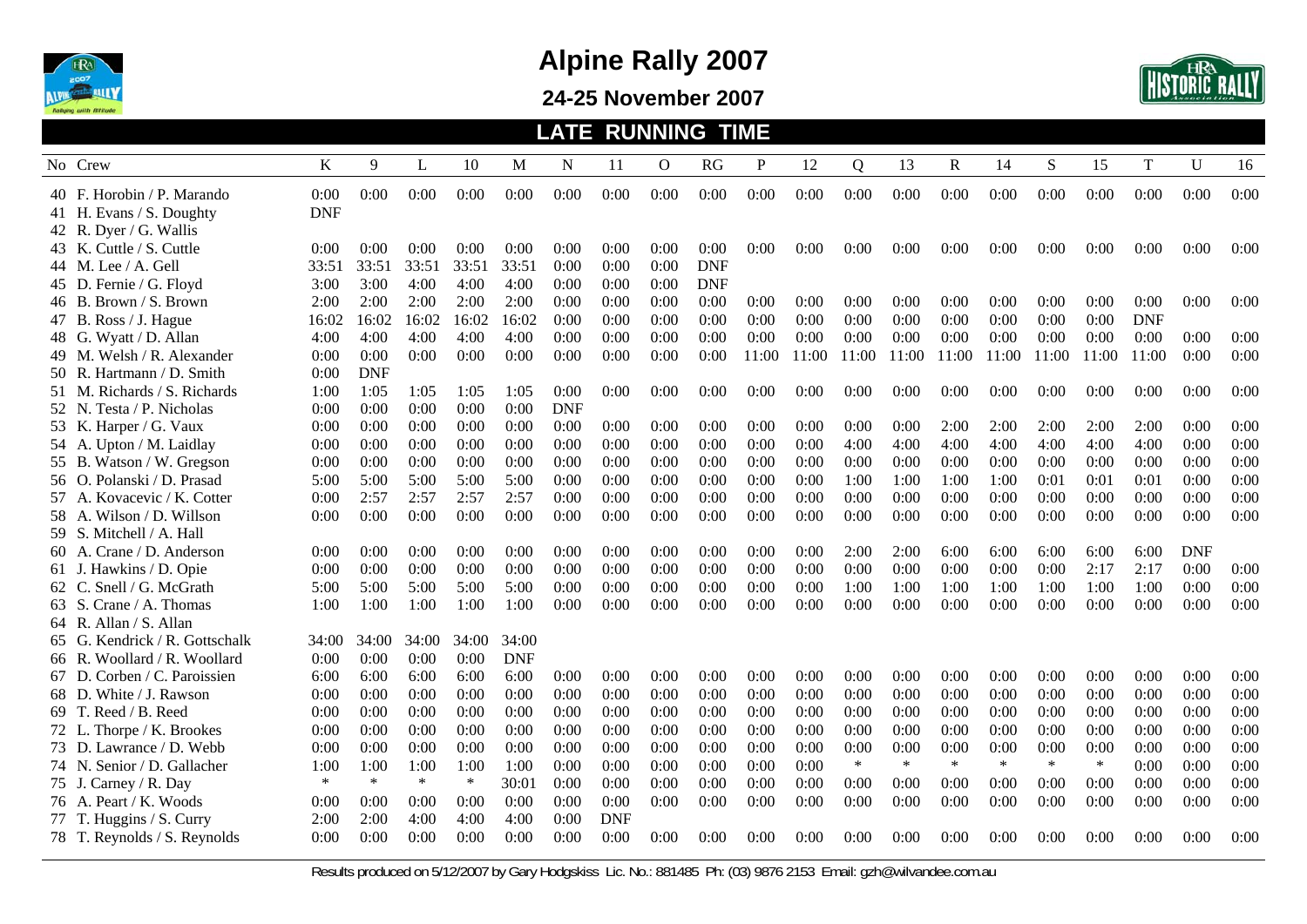

#### **24-25 November 2007**



#### **LATE RUNNING TIME**

|       | No Crew                        | K          | 9          | L      | 10     | M          | N          | 11         | O    | <b>RG</b>  | P     | 12    | Q      | 13     | $\mathbf R$ | 14     | S      | 15     | $\mathbf T$ | $\mathbf{U}$ | 16   |
|-------|--------------------------------|------------|------------|--------|--------|------------|------------|------------|------|------------|-------|-------|--------|--------|-------------|--------|--------|--------|-------------|--------------|------|
|       | 40 F. Horobin / P. Marando     | 0:00       | 0:00       | 0:00   | 0:00   | 0:00       | 0:00       | 0:00       | 0:00 | 0:00       | 0:00  | 0:00  | 0:00   | 0:00   | 0:00        | 0:00   | 0:00   | 0:00   | 0:00        | 0:00         | 0:00 |
|       | 41 H. Evans / S. Doughty       | <b>DNF</b> |            |        |        |            |            |            |      |            |       |       |        |        |             |        |        |        |             |              |      |
|       | 42 R. Dyer / G. Wallis         |            |            |        |        |            |            |            |      |            |       |       |        |        |             |        |        |        |             |              |      |
|       | 43 K. Cuttle / S. Cuttle       | 0:00       | 0:00       | 0:00   | 0:00   | 0:00       | 0:00       | 0:00       | 0:00 | 0:00       | 0:00  | 0:00  | 0:00   | 0:00   | 0:00        | 0:00   | 0:00   | 0:00   | 0:00        | 0:00         | 0:00 |
|       | 44 M. Lee / A. Gell            | 33:51      | 33:51      | 33:51  | 33:51  | 33:51      | 0:00       | 0:00       | 0:00 | <b>DNF</b> |       |       |        |        |             |        |        |        |             |              |      |
|       | 45 D. Fernie / G. Floyd        | 3:00       | 3:00       | 4:00   | 4:00   | 4:00       | 0:00       | 0:00       | 0:00 | <b>DNF</b> |       |       |        |        |             |        |        |        |             |              |      |
|       | 46 B. Brown / S. Brown         | 2:00       | 2:00       | 2:00   | 2:00   | 2:00       | 0:00       | 0:00       | 0:00 | 0:00       | 0:00  | 0:00  | 0:00   | 0:00   | 0:00        | 0:00   | 0:00   | 0:00   | 0:00        | 0:00         | 0:00 |
|       | 47 B. Ross / J. Hague          | 16:02      | 16:02      | 16:02  | 16:02  | 16:02      | 0:00       | 0:00       | 0:00 | 0:00       | 0:00  | 0:00  | 0:00   | 0:00   | 0:00        | 0:00   | 0:00   | 0:00   | <b>DNF</b>  |              |      |
|       | 48 G. Wyatt / D. Allan         | 4:00       | 4:00       | 4:00   | 4:00   | 4:00       | 0:00       | 0:00       | 0:00 | 0:00       | 0:00  | 0:00  | 0:00   | 0:00   | 0:00        | 0:00   | 0:00   | 0:00   | 0:00        | 0:00         | 0:00 |
|       | 49 M. Welsh / R. Alexander     | 0:00       | 0:00       | 0:00   | 0:00   | 0:00       | 0:00       | 0:00       | 0:00 | 0:00       | 11:00 | 11:00 | 11:00  | 11:00  | 11:00       | 11:00  | 11:00  | 11:00  | 11:00       | 0:00         | 0:00 |
|       | 50 R. Hartmann / D. Smith      | 0:00       | <b>DNF</b> |        |        |            |            |            |      |            |       |       |        |        |             |        |        |        |             |              |      |
|       | 51 M. Richards / S. Richards   | 1:00       | 1:05       | 1:05   | 1:05   | 1:05       | 0:00       | 0:00       | 0:00 | 0:00       | 0:00  | 0:00  | 0:00   | 0:00   | 0:00        | 0:00   | 0:00   | 0:00   | 0:00        | 0:00         | 0:00 |
|       | 52 N. Testa / P. Nicholas      | 0:00       | 0:00       | 0:00   | 0:00   | 0:00       | <b>DNF</b> |            |      |            |       |       |        |        |             |        |        |        |             |              |      |
|       | 53 K. Harper / G. Vaux         | 0:00       | 0:00       | 0:00   | 0:00   | 0:00       | 0:00       | 0:00       | 0:00 | 0:00       | 0:00  | 0:00  | 0:00   | 0:00   | 2:00        | 2:00   | 2:00   | 2:00   | 2:00        | 0:00         | 0:00 |
|       | 54 A. Upton / M. Laidlay       | 0:00       | 0:00       | 0:00   | 0:00   | 0:00       | 0:00       | 0:00       | 0:00 | 0:00       | 0:00  | 0:00  | 4:00   | 4:00   | 4:00        | 4:00   | 4:00   | 4:00   | 4:00        | 0:00         | 0:00 |
|       | 55 B. Watson / W. Gregson      | 0:00       | 0:00       | 0:00   | 0:00   | 0:00       | 0:00       | 0:00       | 0:00 | 0:00       | 0:00  | 0:00  | 0:00   | 0:00   | 0:00        | 0:00   | 0:00   | 0:00   | 0:00        | 0:00         | 0:00 |
|       | 56 O. Polanski / D. Prasad     | 5:00       | 5:00       | 5:00   | 5:00   | 5:00       | 0:00       | 0:00       | 0:00 | 0:00       | 0:00  | 0:00  | 1:00   | 1:00   | 1:00        | 1:00   | 0:01   | 0:01   | 0:01        | 0:00         | 0:00 |
|       | 57 A. Kovacevic / K. Cotter    | 0:00       | 2:57       | 2:57   | 2:57   | 2:57       | 0:00       | 0:00       | 0:00 | 0:00       | 0:00  | 0:00  | 0:00   | 0:00   | 0:00        | 0:00   | 0:00   | 0:00   | 0:00        | 0:00         | 0:00 |
|       | 58 A. Wilson / D. Willson      | 0:00       | 0:00       | 0:00   | 0:00   | 0:00       | 0:00       | 0:00       | 0:00 | 0:00       | 0:00  | 0:00  | 0:00   | 0:00   | 0:00        | 0:00   | 0:00   | 0:00   | 0:00        | 0:00         | 0:00 |
|       | 59 S. Mitchell / A. Hall       |            |            |        |        |            |            |            |      |            |       |       |        |        |             |        |        |        |             |              |      |
|       | 60 A. Crane / D. Anderson      | 0:00       | 0:00       | 0:00   | 0:00   | 0:00       | 0:00       | 0:00       | 0:00 | 0:00       | 0:00  | 0:00  | 2:00   | 2:00   | 6:00        | 6:00   | 6:00   | 6:00   | 6:00        | <b>DNF</b>   |      |
|       | 61 J. Hawkins / D. Opie        | 0:00       | 0:00       | 0:00   | 0:00   | 0:00       | 0:00       | 0:00       | 0:00 | 0:00       | 0:00  | 0:00  | 0:00   | 0:00   | 0:00        | 0:00   | 0:00   | 2:17   | 2:17        | 0:00         | 0:00 |
|       | 62 C. Snell / G. McGrath       | 5:00       | 5:00       | 5:00   | 5:00   | 5:00       | 0:00       | 0:00       | 0:00 | 0:00       | 0:00  | 0:00  | 1:00   | 1:00   | 1:00        | 1:00   | 1:00   | 1:00   | 1:00        | 0:00         | 0:00 |
|       | 63 S. Crane / A. Thomas        | 1:00       | 1:00       | 1:00   | 1:00   | 1:00       | 0:00       | 0:00       | 0:00 | 0:00       | 0:00  | 0:00  | 0:00   | 0:00   | 0:00        | 0:00   | 0:00   | 0:00   | 0:00        | 0:00         | 0:00 |
|       | 64 R. Allan / S. Allan         |            |            |        |        |            |            |            |      |            |       |       |        |        |             |        |        |        |             |              |      |
|       | 65 G. Kendrick / R. Gottschalk | 34:00      | 34:00      | 34:00  | 34:00  | 34:00      |            |            |      |            |       |       |        |        |             |        |        |        |             |              |      |
| 66 R. | . Woollard / R. Woollard       | 0:00       | 0:00       | 0:00   | 0:00   | <b>DNF</b> |            |            |      |            |       |       |        |        |             |        |        |        |             |              |      |
| 67 D. | Corben / C. Paroissien         | 6:00       | 6:00       | 6:00   | 6:00   | 6:00       | 0:00       | 0:00       | 0:00 | 0:00       | 0:00  | 0:00  | 0:00   | 0:00   | 0:00        | 0:00   | 0:00   | 0:00   | 0:00        | 0:00         | 0:00 |
|       | 68 D. White / J. Rawson        | 0:00       | 0:00       | 0:00   | 0:00   | 0:00       | 0:00       | 0:00       | 0:00 | 0:00       | 0:00  | 0:00  | 0:00   | 0:00   | 0:00        | 0:00   | 0:00   | 0:00   | 0:00        | 0:00         | 0:00 |
|       | 69 T. Reed / B. Reed           | 0:00       | 0:00       | 0:00   | 0:00   | 0:00       | 0:00       | 0:00       | 0:00 | 0:00       | 0:00  | 0:00  | 0:00   | 0:00   | 0:00        | 0:00   | 0:00   | 0:00   | 0:00        | 0:00         | 0:00 |
|       | 72 L. Thorpe / K. Brookes      | 0:00       | 0:00       | 0:00   | 0:00   | 0:00       | 0:00       | 0:00       | 0:00 | 0:00       | 0:00  | 0:00  | 0:00   | 0:00   | 0:00        | 0:00   | 0:00   | 0:00   | 0:00        | 0:00         | 0:00 |
|       | 73 D. Lawrance / D. Webb       | 0:00       | 0:00       | 0:00   | 0:00   | 0:00       | 0:00       | 0:00       | 0:00 | 0:00       | 0:00  | 0:00  | 0:00   | 0:00   | 0:00        | 0:00   | 0:00   | 0:00   | 0:00        | 0:00         | 0:00 |
|       | 74 N. Senior / D. Gallacher    | 1:00       | 1:00       | 1:00   | 1:00   | 1:00       | 0:00       | 0:00       | 0:00 | 0:00       | 0:00  | 0:00  | $\ast$ | $\ast$ | $\ast$      | $\ast$ | $\ast$ | $\ast$ | 0:00        | 0:00         | 0:00 |
|       | 75 J. Carney / R. Day          | $\ast$     | $\ast$     | $\ast$ | $\ast$ | 30:01      | 0:00       | 0:00       | 0:00 | 0:00       | 0:00  | 0:00  | 0:00   | 0:00   | 0:00        | 0:00   | 0:00   | 0:00   | 0:00        | 0:00         | 0:00 |
|       | 76 A. Peart / K. Woods         | 0:00       | 0:00       | 0:00   | 0:00   | 0:00       | 0:00       | 0:00       | 0:00 | 0:00       | 0:00  | 0:00  | 0:00   | 0:00   | 0:00        | 0:00   | 0:00   | 0:00   | 0:00        | 0:00         | 0:00 |
|       | 77 T. Huggins / S. Curry       | 2:00       | 2:00       | 4:00   | 4:00   | 4:00       | 0:00       | <b>DNF</b> |      |            |       |       |        |        |             |        |        |        |             |              |      |
|       | 78 T. Reynolds / S. Reynolds   | 0:00       | 0:00       | 0:00   | 0:00   | 0:00       | 0:00       | 0:00       | 0:00 | 0:00       | 0:00  | 0:00  | 0:00   | 0:00   | 0:00        | 0:00   | 0:00   | 0:00   | 0:00        | 0:00         | 0:00 |
|       |                                |            |            |        |        |            |            |            |      |            |       |       |        |        |             |        |        |        |             |              |      |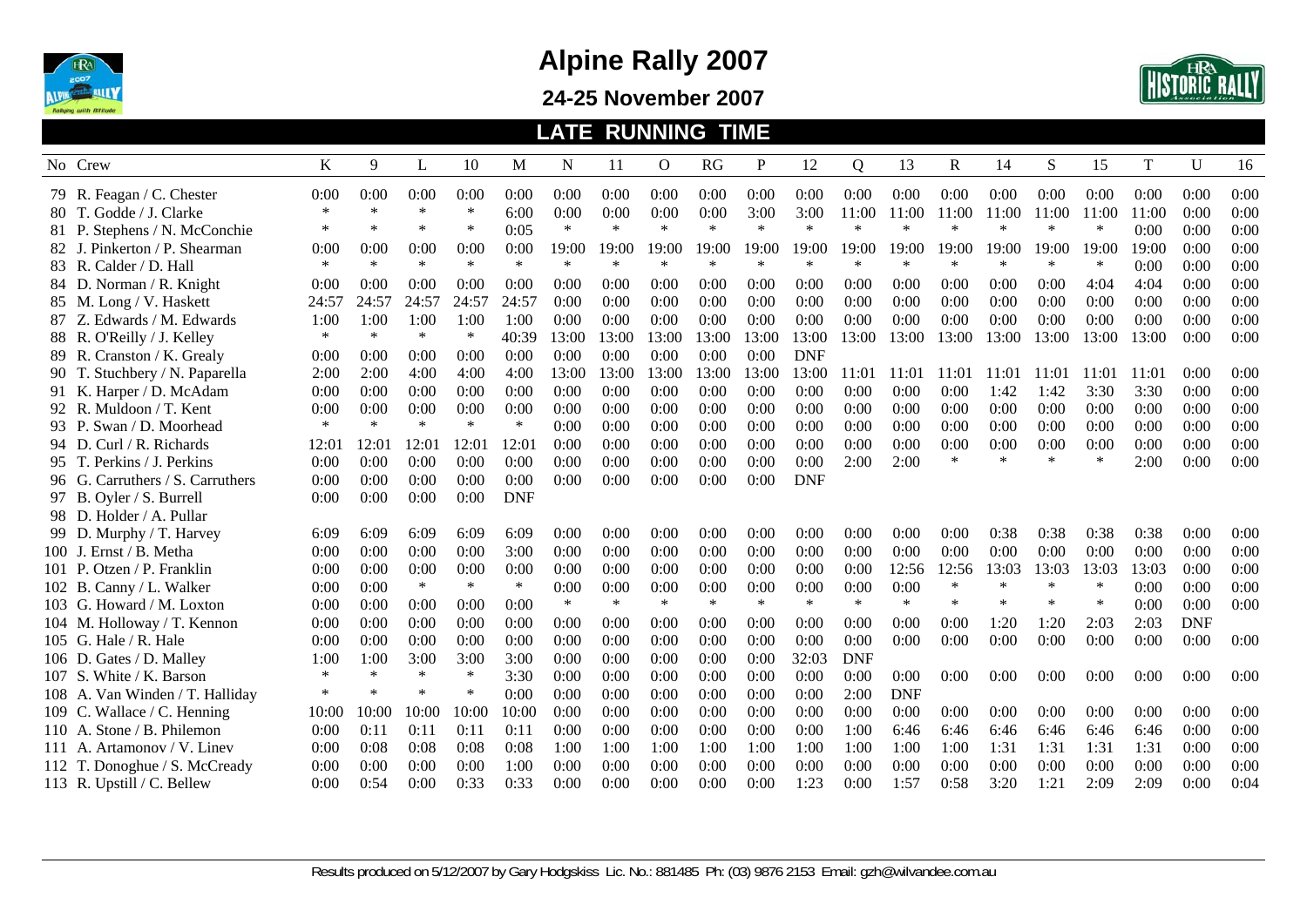

#### **24-25 November 2007**



|        |                                  |        |        |        |        |            |        |        | <b>LATE RUNNING TIME</b> |        |        |            |            |            |        |        |        |        |             |            |      |
|--------|----------------------------------|--------|--------|--------|--------|------------|--------|--------|--------------------------|--------|--------|------------|------------|------------|--------|--------|--------|--------|-------------|------------|------|
|        | No Crew                          | K      | 9      | L      | 10     | M          | N      | 11     | $\mathbf{O}$             | RG     | P      | 12         | Q          | 13         | R      | 14     | S      | 15     | $\mathbf T$ | U          | 16   |
|        | 79 R. Feagan / C. Chester        | 0:00   | 0:00   | 0:00   | 0:00   | 0:00       | 0:00   | 0:00   | 0:00                     | 0:00   | 0:00   | 0:00       | 0:00       | 0:00       | 0:00   | 0:00   | 0:00   | 0:00   | 0:00        | 0:00       | 0:00 |
|        | 80 T. Godde / J. Clarke          | $\ast$ | $\ast$ | $\ast$ | $\ast$ | 6:00       | 0:00   | 0:00   | 0:00                     | 0:00   | 3:00   | 3:00       | 11:00      | 11:00      | 11:00  | 11:00  | 11:00  | 11:00  | 11:00       | 0:00       | 0:00 |
|        | 81 P. Stephens / N. McConchie    | $\ast$ | $\ast$ | $\ast$ | $\ast$ | 0:05       | $\ast$ | $\ast$ | $\ast$                   | $\ast$ | $\ast$ | $\ast$     | $\ast$     | $\ast$     | $\ast$ | $\ast$ | ∗      | ∗      | 0:00        | 0:00       | 0:00 |
|        | 82 J. Pinkerton / P. Shearman    | 0:00   | 0:00   | 0:00   | 0:00   | 0:00       | 19:00  | 19:00  | 19:00                    | 19:00  | 19:00  | 19:00      | 19:00      | 19:00      | 19:00  | 19:00  | 19:00  | 19:00  | 19:00       | 0:00       | 0:00 |
| 83 R.  | . Calder / D. Hall               | $\ast$ | $\ast$ | $\ast$ | $\ast$ | $\ast$     | $\ast$ | $\ast$ | $\ast$                   | $\ast$ | $\ast$ | $\ast$     | $\ast$     | $\ast$     | $\ast$ | $\ast$ | $\ast$ | $\ast$ | 0:00        | 0:00       | 0:00 |
|        | 84 D. Norman / R. Knight         | 0:00   | 0:00   | 0:00   | 0:00   | 0:00       | 0:00   | 0:00   | 0:00                     | 0:00   | 0:00   | 0:00       | 0:00       | 0:00       | 0:00   | 0:00   | 0:00   | 4:04   | 4:04        | 0:00       | 0:00 |
|        | 85 M. Long / V. Haskett          | 24:57  | 24:57  | 24:57  | 24:57  | 24:57      | 0:00   | 0:00   | 0:00                     | 0:00   | 0:00   | 0:00       | 0:00       | 0:00       | 0:00   | 0:00   | 0:00   | 0:00   | 0:00        | 0:00       | 0:00 |
|        | 87 Z. Edwards / M. Edwards       | 1:00   | 1:00   | 1:00   | 1:00   | 1:00       | 0:00   | 0:00   | 0:00                     | 0:00   | 0:00   | 0:00       | 0:00       | 0:00       | 0:00   | 0:00   | 0:00   | 0:00   | 0:00        | 0:00       | 0:00 |
|        | 88 R. O'Reilly / J. Kelley       | $\ast$ | $\ast$ | $\ast$ | $\ast$ | 40:39      | 13:00  | 13:00  | 13:00                    | 13:00  | 13:00  | 13:00      | 13:00      | 13:00      | 13:00  | 13:00  | 13:00  | 13:00  | 13:00       | 0:00       | 0:00 |
|        | 89 R. Cranston / K. Grealy       | 0:00   | 0:00   | 0:00   | 0:00   | 0:00       | 0:00   | 0:00   | 0:00                     | 0:00   | 0:00   | <b>DNF</b> |            |            |        |        |        |        |             |            |      |
|        | 90 T. Stuchbery / N. Paparella   | 2:00   | 2:00   | 4:00   | 4:00   | 4:00       | 13:00  | 13:00  | 13:00                    | 13:00  | 13:00  | 13:00      | 11:01      | 11:01      | 11:01  | 11:01  | 11:01  | 11:01  | 11:01       | 0:00       | 0:00 |
|        | 91 K. Harper / D. McAdam         | 0:00   | 0:00   | 0:00   | 0:00   | 0:00       | 0:00   | 0:00   | 0:00                     | 0:00   | 0:00   | 0:00       | 0:00       | 0:00       | 0:00   | 1:42   | 1:42   | 3:30   | 3:30        | 0:00       | 0:00 |
|        | 92 R. Muldoon / T. Kent          | 0:00   | 0:00   | 0:00   | 0:00   | 0:00       | 0:00   | 0:00   | 0:00                     | 0:00   | 0:00   | 0:00       | 0:00       | 0:00       | 0:00   | 0:00   | 0:00   | 0:00   | 0:00        | 0:00       | 0:00 |
|        | 93 P. Swan / D. Moorhead         | $\ast$ | $\ast$ | $\ast$ | $\ast$ | $\ast$     | 0:00   | 0:00   | 0:00                     | 0:00   | 0:00   | 0:00       | 0:00       | 0:00       | 0:00   | 0:00   | 0:00   | 0:00   | 0:00        | 0:00       | 0:00 |
|        | 94 D. Curl / R. Richards         | 12:01  | 12:01  | 12:01  | 12:01  | 12:0       | 0:00   | 0:00   | 0:00                     | 0:00   | 0:00   | 0:00       | 0:00       | 0:00       | 0:00   | 0:00   | 0:00   | 0:00   | 0:00        | 0:00       | 0:00 |
|        | 95 T. Perkins / J. Perkins       | 0:00   | 0:00   | 0:00   | 0:00   | 0:00       | 0:00   | 0:00   | 0:00                     | 0:00   | 0:00   | 0:00       | 2:00       | 2:00       | $\ast$ | $\ast$ | $\ast$ | $\ast$ | 2:00        | 0:00       | 0:00 |
|        | 96 G. Carruthers / S. Carruthers | 0:00   | 0:00   | 0:00   | 0:00   | 0:00       | 0:00   | 0:00   | 0:00                     | 0:00   | 0:00   | <b>DNF</b> |            |            |        |        |        |        |             |            |      |
|        | 97 B. Oyler / S. Burrell         | 0:00   | 0:00   | 0:00   | 0:00   | <b>DNF</b> |        |        |                          |        |        |            |            |            |        |        |        |        |             |            |      |
|        | 98 D. Holder / A. Pullar         |        |        |        |        |            |        |        |                          |        |        |            |            |            |        |        |        |        |             |            |      |
|        | 99 D. Murphy / T. Harvey         | 6:09   | 6:09   | 6:09   | 6:09   | 6:09       | 0:00   | 0:00   | 0:00                     | 0:00   | 0:00   | 0:00       | 0:00       | 0:00       | 0:00   | 0:38   | 0:38   | 0:38   | 0:38        | 0:00       | 0:00 |
|        | 100 J. Ernst / B. Metha          | 0:00   | 0:00   | 0:00   | 0:00   | 3:00       | 0:00   | 0:00   | 0:00                     | 0:00   | 0:00   | 0:00       | 0:00       | 0:00       | 0:00   | 0:00   | 0:00   | 0:00   | 0:00        | 0:00       | 0:00 |
| 101 P. | . Otzen / P. Franklin            | 0:00   | 0:00   | 0:00   | 0:00   | 0:00       | 0:00   | 0:00   | 0:00                     | 0:00   | 0:00   | 0:00       | 0:00       | 12:56      | 12:56  | 13:03  | 13:03  | 13:03  | 13:03       | 0:00       | 0:00 |
|        | 102 B. Canny / L. Walker         | 0:00   | 0:00   | $\ast$ | $\ast$ | $\ast$     | 0:00   | 0:00   | 0:00                     | 0:00   | 0:00   | 0:00       | 0:00       | 0:00       | $\ast$ | $\ast$ | $\ast$ | $\ast$ | 0:00        | 0:00       | 0:00 |
|        | 103 G. Howard / M. Loxton        | 0:00   | 0:00   | 0:00   | 0:00   | 0:00       | $\ast$ | $\ast$ | $\ast$                   | $\ast$ | $\ast$ | $\ast$     | $\ast$     | $\ast$     | $\ast$ | ∗      | ∗      | $\ast$ | 0:00        | 0:00       | 0:00 |
|        | 104 M. Holloway / T. Kennon      | 0:00   | 0:00   | 0:00   | 0:00   | 0:00       | 0:00   | 0:00   | 0:00                     | 0:00   | 0:00   | 0:00       | 0:00       | 0:00       | 0:00   | 1:20   | 1:20   | 2:03   | 2:03        | <b>DNF</b> |      |
|        | 105 G. Hale / R. Hale            | 0:00   | 0:00   | 0:00   | 0:00   | 0:00       | 0:00   | 0:00   | 0:00                     | 0:00   | 0:00   | 0:00       | 0:00       | 0:00       | 0:00   | 0:00   | 0:00   | 0:00   | 0:00        | 0:00       | 0:00 |
| 106 D. | Gates / D. Malley                | 1:00   | 1:00   | 3:00   | 3:00   | 3:00       | 0:00   | 0:00   | 0:00                     | 0:00   | 0:00   | 32:03      | <b>DNF</b> |            |        |        |        |        |             |            |      |
| 107 S. | White / K. Barson                | $\ast$ | $\ast$ | $\ast$ | $\ast$ | 3:30       | 0:00   | 0:00   | 0:00                     | 0:00   | 0:00   | 0:00       | 0:00       | 0:00       | 0:00   | 0:00   | 0:00   | 0:00   | 0:00        | 0:00       | 0:00 |
|        | 108 A. Van Winden / T. Halliday  | $\ast$ | $\ast$ | $\ast$ | $\ast$ | 0:00       | 0:00   | 0:00   | 0:00                     | 0:00   | 0:00   | 0:00       | 2:00       | <b>DNF</b> |        |        |        |        |             |            |      |
| 109 C. | Wallace / C. Henning             | 10:00  | 10:00  | 10:00  | 10:00  | 10:00      | 0:00   | 0:00   | 0:00                     | 0:00   | 0:00   | 0:00       | 0:00       | 0:00       | 0:00   | 0:00   | 0:00   | 0:00   | 0:00        | 0:00       | 0:00 |
| 110 A. | Stone / B. Philemon              | 0:00   | 0:11   | 0:11   | 0:11   | 0:11       | 0:00   | 0:00   | 0:00                     | 0:00   | 0:00   | 0:00       | 1:00       | 6:46       | 6:46   | 6:46   | 6:46   | 6:46   | 6:46        | 0:00       | 0:00 |
|        | 111 A. Artamonov / V. Linev      | 0:00   | 0:08   | 0:08   | 0:08   | 0:08       | 1:00   | 1:00   | 1:00                     | 1:00   | 1:00   | 1:00       | 1:00       | 1:00       | 1:00   | 1:31   | 1:31   | 1:31   | 1:31        | 0:00       | 0:00 |
|        | 112 T. Donoghue / S. McCready    | 0:00   | 0:00   | 0:00   | 0:00   | 1:00       | 0:00   | 0:00   | 0:00                     | 0:00   | 0:00   | 0:00       | 0:00       | 0:00       | 0:00   | 0:00   | 0:00   | 0:00   | 0:00        | 0:00       | 0:00 |
|        | 113 R. Upstill / C. Bellew       | 0:00   | 0:54   | 0:00   | 0:33   | 0:33       | 0:00   | 0:00   | 0:00                     | 0:00   | 0:00   | 1:23       | 0:00       | 1:57       | 0:58   | 3:20   | 1:21   | 2:09   | 2:09        | 0:00       | 0:04 |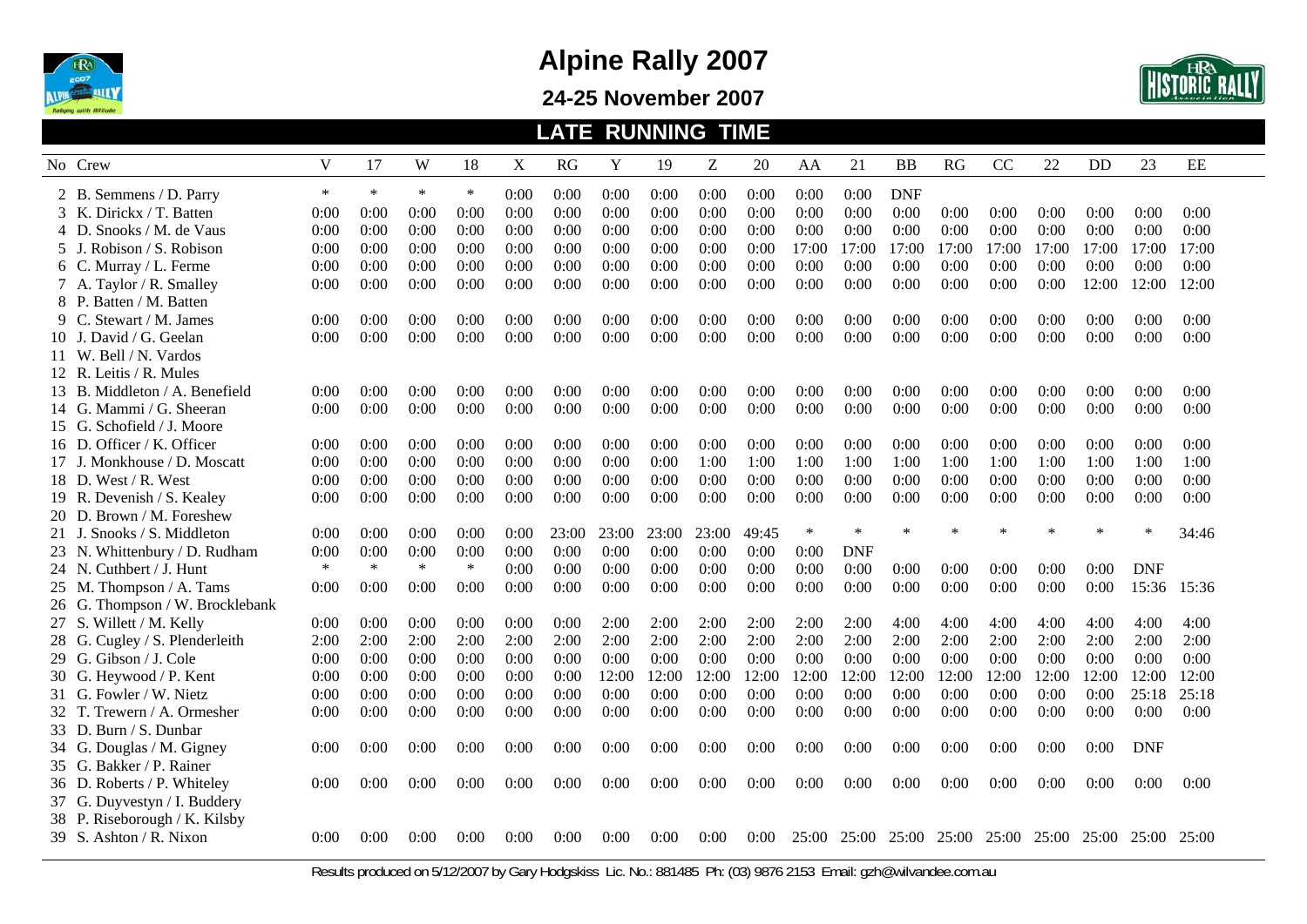

**24-25 November 2007** 



|         |                                 |        |        |        |        |      | <b>LATE</b> |       | <b>RUNNING</b> |       | <b>TIME</b> |        |            |            |             |       |        |       |            |       |
|---------|---------------------------------|--------|--------|--------|--------|------|-------------|-------|----------------|-------|-------------|--------|------------|------------|-------------|-------|--------|-------|------------|-------|
| No Crew |                                 | V      | 17     | W      | 18     | X    | <b>RG</b>   | Y     | 19             | Ζ     | 20          | AA     | 21         | <b>BB</b>  | RG          | CC    | 22     | DD    | 23         | EE    |
|         | 2 B. Semmens / D. Parry         | $\ast$ | $\ast$ | $\ast$ | $\ast$ | 0:00 | 0:00        | 0:00  | 0:00           | 0:00  | 0:00        | 0:00   | 0:00       | <b>DNF</b> |             |       |        |       |            |       |
|         | 3 K. Dirickx / T. Batten        | 0:00   | 0:00   | 0:00   | 0:00   | 0:00 | 0:00        | 0:00  | 0:00           | 0:00  | 0:00        | 0:00   | 0:00       | 0:00       | 0:00        | 0:00  | 0:00   | 0:00  | 0:00       | 0:00  |
|         | 4 D. Snooks / M. de Vaus        | 0:00   | 0:00   | 0:00   | 0:00   | 0:00 | 0:00        | 0:00  | 0:00           | 0:00  | 0:00        | 0:00   | 0:00       | 0:00       | 0:00        | 0:00  | 0:00   | 0:00  | 0:00       | 0:00  |
|         | 5 J. Robison / S. Robison       | 0:00   | 0:00   | 0:00   | 0:00   | 0:00 | 0:00        | 0:00  | 0:00           | 0:00  | 0:00        | 17:00  | 17:00      | 17:00      | 17:00       | 17:00 | 17:00  | 17:00 | 17:00      | 17:00 |
|         | 6 C. Murray / L. Ferme          | 0:00   | 0:00   | 0:00   | 0:00   | 0:00 | 0:00        | 0:00  | 0:00           | 0:00  | 0:00        | 0:00   | 0:00       | 0:00       | 0:00        | 0:00  | 0:00   | 0:00  | 0:00       | 0:00  |
|         | 7 A. Taylor / R. Smalley        | 0:00   | 0:00   | 0:00   | 0:00   | 0:00 | 0:00        | 0:00  | 0:00           | 0:00  | 0:00        | 0:00   | 0:00       | 0:00       | 0:00        | 0:00  | 0:00   | 12:00 | 12:00      | 12:00 |
|         | 8 P. Batten / M. Batten         |        |        |        |        |      |             |       |                |       |             |        |            |            |             |       |        |       |            |       |
|         | 9 C. Stewart / M. James         | 0:00   | 0:00   | 0:00   | 0:00   | 0:00 | 0:00        | 0:00  | 0:00           | 0:00  | 0:00        | 0:00   | 0:00       | 0:00       | 0:00        | 0:00  | 0:00   | 0:00  | 0:00       | 0:00  |
|         | 10 J. David / G. Geelan         | 0:00   | 0:00   | 0:00   | 0:00   | 0:00 | 0:00        | 0:00  | 0:00           | 0:00  | 0:00        | 0:00   | 0:00       | 0:00       | 0:00        | 0:00  | 0:00   | 0:00  | 0:00       | 0:00  |
|         | 11 W. Bell / N. Vardos          |        |        |        |        |      |             |       |                |       |             |        |            |            |             |       |        |       |            |       |
|         | 12 R. Leitis / R. Mules         |        |        |        |        |      |             |       |                |       |             |        |            |            |             |       |        |       |            |       |
|         | 13 B. Middleton / A. Benefield  | 0:00   | 0:00   | 0:00   | 0:00   | 0:00 | 0:00        | 0:00  | 0:00           | 0:00  | 0:00        | 0:00   | 0:00       | 0:00       | 0:00        | 0:00  | 0:00   | 0:00  | 0:00       | 0:00  |
|         | 14 G. Mammi / G. Sheeran        | 0:00   | 0:00   | 0:00   | 0:00   | 0:00 | 0:00        | 0:00  | 0:00           | 0:00  | 0:00        | 0:00   | 0:00       | 0:00       | 0:00        | 0:00  | 0:00   | 0:00  | 0:00       | 0:00  |
|         | 15 G. Schofield / J. Moore      |        |        |        |        |      |             |       |                |       |             |        |            |            |             |       |        |       |            |       |
|         | 16 D. Officer / K. Officer      | 0:00   | 0:00   | 0:00   | 0:00   | 0:00 | 0:00        | 0:00  | 0:00           | 0:00  | 0:00        | 0:00   | 0:00       | 0:00       | 0:00        | 0:00  | 0:00   | 0:00  | 0:00       | 0:00  |
|         | 17 J. Monkhouse / D. Moscatt    | 0:00   | 0:00   | 0:00   | 0:00   | 0:00 | 0:00        | 0:00  | 0:00           | 1:00  | 1:00        | 1:00   | 1:00       | 1:00       | 1:00        | 1:00  | 1:00   | 1:00  | 1:00       | 1:00  |
|         | 18 D. West / R. West            | 0:00   | 0:00   | 0:00   | 0:00   | 0:00 | 0:00        | 0:00  | 0:00           | 0:00  | 0:00        | 0:00   | 0:00       | 0:00       | 0:00        | 0:00  | 0:00   | 0:00  | 0:00       | 0:00  |
|         | 19 R. Devenish / S. Kealey      | 0:00   | 0:00   | 0:00   | 0:00   | 0:00 | 0:00        | 0:00  | 0:00           | 0:00  | 0:00        | 0:00   | 0:00       | 0:00       | 0:00        | 0:00  | 0:00   | 0:00  | 0:00       | 0:00  |
|         | 20 D. Brown / M. Foreshew       |        |        |        |        |      |             |       |                |       |             |        |            |            |             |       |        |       |            |       |
|         | 21 J. Snooks / S. Middleton     | 0:00   | 0:00   | 0:00   | 0:00   | 0:00 | 23:00       | 23:00 | 23:00          | 23:00 | 49:45       | $\ast$ | $\ast$     | $\ast$     | ×           | ×     | $\ast$ | 火     | $\ast$     | 34:46 |
|         | 23 N. Whittenbury / D. Rudham   | 0:00   | 0:00   | 0:00   | 0:00   | 0:00 | 0:00        | 0:00  | 0:00           | 0:00  | 0:00        | 0:00   | <b>DNF</b> |            |             |       |        |       |            |       |
|         | 24 N. Cuthbert / J. Hunt        | $\ast$ | $\ast$ | $\ast$ | $\ast$ | 0:00 | 0:00        | 0:00  | 0:00           | 0:00  | 0:00        | 0:00   | 0:00       | 0:00       | 0:00        | 0:00  | 0:00   | 0:00  | <b>DNF</b> |       |
|         | 25 M. Thompson / A. Tams        | 0:00   | 0:00   | 0:00   | 0:00   | 0:00 | 0:00        | 0:00  | 0:00           | 0:00  | 0:00        | 0:00   | 0:00       | 0:00       | 0:00        | 0:00  | 0:00   | 0:00  | 15:36      | 15:36 |
|         | 26 G. Thompson / W. Brocklebank |        |        |        |        |      |             |       |                |       |             |        |            |            |             |       |        |       |            |       |
|         | 27 S. Willett / M. Kelly        | 0:00   | 0:00   | 0:00   | 0:00   | 0:00 | 0:00        | 2:00  | 2:00           | 2:00  | 2:00        | 2:00   | 2:00       | 4:00       | 4:00        | 4:00  | 4:00   | 4:00  | 4:00       | 4:00  |
|         | 28 G. Cugley / S. Plenderleith  | 2:00   | 2:00   | 2:00   | 2:00   | 2:00 | 2:00        | 2:00  | 2:00           | 2:00  | 2:00        | 2:00   | 2:00       | 2:00       | 2:00        | 2:00  | 2:00   | 2:00  | 2:00       | 2:00  |
|         | 29 G. Gibson / J. Cole          | 0:00   | 0:00   | 0:00   | 0:00   | 0:00 | 0:00        | 0:00  | 0:00           | 0:00  | 0:00        | 0:00   | 0:00       | 0:00       | 0:00        | 0:00  | 0:00   | 0:00  | 0:00       | 0:00  |
|         | 30 G. Heywood / P. Kent         | 0:00   | 0:00   | 0:00   | 0:00   | 0:00 | 0:00        | 12:00 | 12:00          | 12:00 | 12:00       | 12:00  | 12:00      | 12:00      | 12:00       | 12:00 | 12:00  | 12:00 | 12:00      | 12:00 |
|         | 31 G. Fowler / W. Nietz         | 0:00   | 0:00   | 0:00   | 0:00   | 0:00 | 0:00        | 0:00  | 0:00           | 0:00  | 0:00        | 0:00   | 0:00       | 0:00       | 0:00        | 0:00  | 0:00   | 0:00  | 25:18      | 25:18 |
|         | 32 T. Trewern / A. Ormesher     | 0:00   | 0:00   | 0:00   | 0:00   | 0:00 | 0:00        | 0:00  | 0:00           | 0:00  | 0:00        | 0:00   | 0:00       | 0:00       | 0:00        | 0:00  | 0:00   | 0:00  | 0:00       | 0:00  |
|         | 33 D. Burn / S. Dunbar          |        |        |        |        |      |             |       |                |       |             |        |            |            |             |       |        |       |            |       |
|         | 34 G. Douglas / M. Gigney       | 0:00   | 0:00   | 0:00   | 0:00   | 0:00 | 0:00        | 0:00  | 0:00           | 0:00  | 0:00        | 0:00   | 0:00       | 0:00       | 0:00        | 0:00  | 0:00   | 0:00  | <b>DNF</b> |       |
|         | 35 G. Bakker / P. Rainer        |        |        |        |        |      |             |       |                |       |             |        |            |            |             |       |        |       |            |       |
|         | 36 D. Roberts / P. Whiteley     | 0:00   | 0:00   | 0:00   | 0:00   | 0:00 | 0:00        | 0:00  | 0:00           | 0:00  | 0:00        | 0:00   | 0:00       | 0:00       | 0:00        | 0:00  | 0:00   | 0:00  | 0:00       | 0:00  |
|         | 37 G. Duyvestyn / I. Buddery    |        |        |        |        |      |             |       |                |       |             |        |            |            |             |       |        |       |            |       |
|         | 38 P. Riseborough / K. Kilsby   |        |        |        |        |      |             |       |                |       |             |        |            |            |             |       |        |       |            |       |
|         | $39$ S. Ashton / R. Nixon       | 0:00   | 0:00   | 0:00   | 0:00   | 0:00 | 0:00        | 0:00  | 0:00           | 0:00  | 0:00        | 25:00  | 25:00      |            | 25:00 25:00 | 25:00 | 25:00  | 25:00 | 25:00      | 25:00 |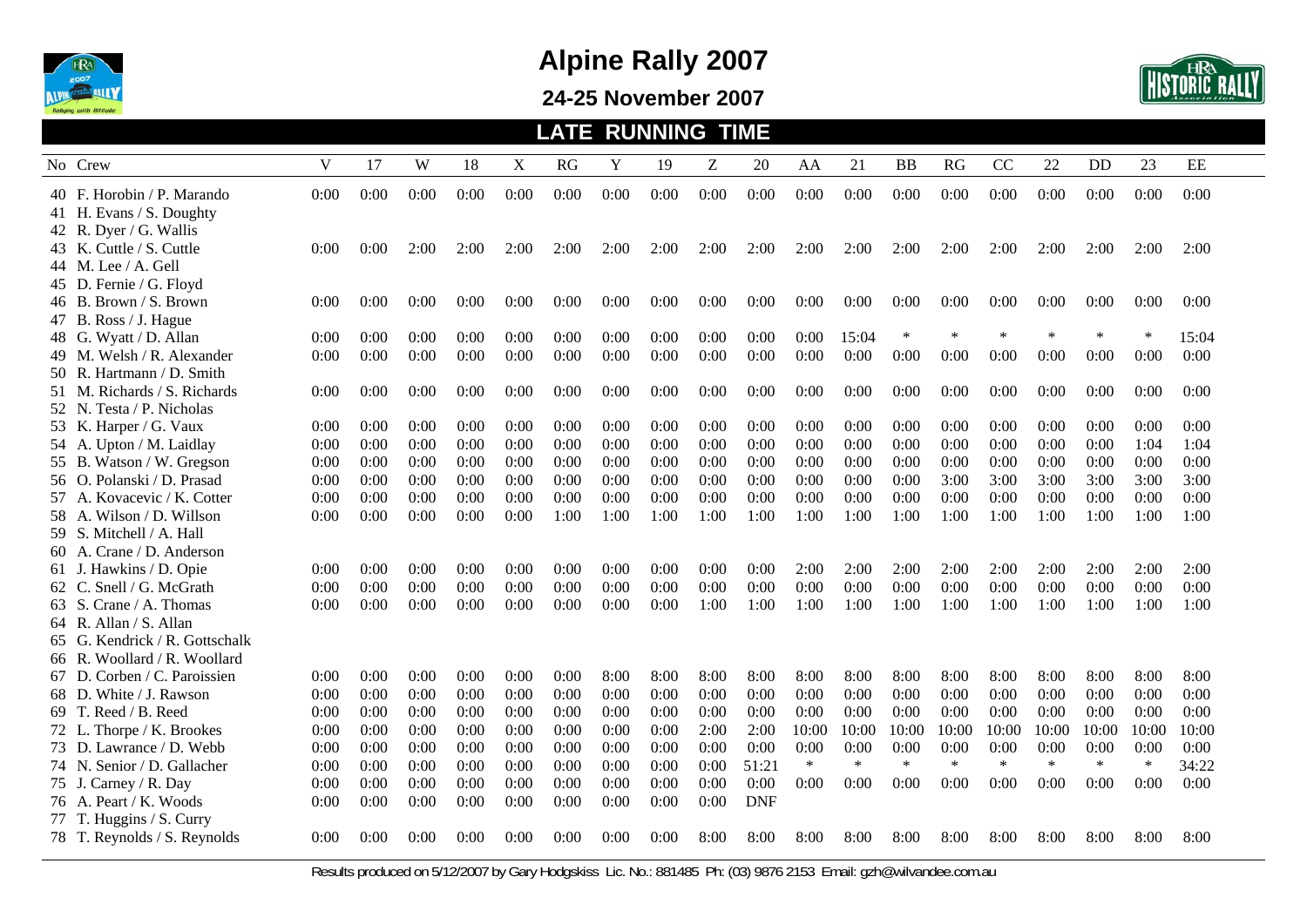

#### **24-25 November 2007**



|                                                      |              |              |              |              |              | <b>LATE</b>  |              | <b>RUNNING</b> |              | <b>TIME</b>   |                |                |                |                |                |                |                |                |               |
|------------------------------------------------------|--------------|--------------|--------------|--------------|--------------|--------------|--------------|----------------|--------------|---------------|----------------|----------------|----------------|----------------|----------------|----------------|----------------|----------------|---------------|
| No Crew                                              | V            | 17           | W            | 18           | X            | RG           | Y            | 19             | Z            | 20            | AA             | 21             | <b>BB</b>      | RG             | CC             | 22             | DD             | 23             | EE            |
| 40 F. Horobin / P. Marando                           | 0:00         | 0:00         | 0:00         | 0:00         | 0:00         | 0:00         | 0:00         | 0:00           | 0:00         | 0:00          | 0:00           | 0:00           | 0:00           | 0:00           | 0:00           | 0:00           | 0:00           | 0:00           | 0:00          |
| 41 H. Evans / S. Doughty<br>42 R. Dyer / G. Wallis   |              |              |              |              |              |              |              |                |              |               |                |                |                |                |                |                |                |                |               |
| 43 K. Cuttle / S. Cuttle                             | 0:00         | 0:00         | 2:00         | 2:00         | 2:00         | 2:00         | 2:00         | 2:00           | 2:00         | 2:00          | 2:00           | 2:00           | 2:00           | 2:00           | 2:00           | 2:00           | 2:00           | 2:00           | 2:00          |
| 44 M. Lee / A. Gell<br>45 D. Fernie / G. Floyd       |              |              |              |              |              |              |              |                |              |               |                |                |                |                |                |                |                |                |               |
| 46 B. Brown / S. Brown                               | 0:00         | 0:00         | 0:00         | 0:00         | 0:00         | 0:00         | 0:00         | 0:00           | 0:00         | 0:00          | 0:00           | 0:00           | 0:00           | 0:00           | 0:00           | 0:00           | 0:00           | 0:00           | 0:00          |
| 47 B. Ross / J. Hague                                |              |              |              |              |              |              |              |                |              |               |                |                |                |                |                |                |                |                |               |
| 48 G. Wyatt / D. Allan                               | 0:00         | 0:00         | 0:00         | 0:00         | 0:00         | 0:00         | 0:00         | 0:00           | 0:00         | 0:00          | 0:00           | 15:04          | $\ast$         | $\ast$         | $\ast$         | $\ast$         | $*$            | $\ast$         | 15:04         |
| 49 M. Welsh / R. Alexander                           | 0:00         | 0:00         | 0:00         | 0:00         | 0:00         | 0:00         | 0:00         | 0:00           | 0:00         | 0:00          | 0:00           | 0:00           | 0:00           | 0:00           | 0:00           | 0:00           | 0:00           | 0:00           | 0:00          |
| 50 R. Hartmann / D. Smith                            |              |              |              |              |              |              |              |                |              |               |                |                |                |                |                |                |                |                |               |
| 51 M. Richards / S. Richards                         | 0:00         | 0:00         | 0:00         | 0:00         | 0:00         | 0:00         | 0:00         | 0:00           | 0:00         | 0:00          | 0:00           | 0:00           | 0:00           | 0:00           | 0:00           | 0:00           | 0:00           | 0:00           | 0:00          |
| 52 N. Testa / P. Nicholas<br>53 K. Harper / G. Vaux  | 0:00         | 0:00         | 0:00         | 0:00         | 0:00         | 0:00         | 0:00         | 0:00           | 0:00         | 0:00          | 0:00           | 0:00           | 0:00           | 0:00           | 0:00           | 0:00           | 0:00           | 0:00           | 0:00          |
| 54 A. Upton / M. Laidlay                             | 0:00         | 0:00         | 0:00         | 0:00         | 0:00         | 0:00         | 0:00         | 0:00           | 0:00         | 0:00          | 0:00           | 0:00           | 0:00           | 0:00           | 0:00           | 0:00           | 0:00           | 1:04           | 1:04          |
| 55 B. Watson / W. Gregson                            | 0:00         | 0:00         | 0:00         | 0:00         | 0:00         | 0:00         | 0:00         | 0:00           | 0:00         | 0:00          | 0:00           | 0:00           | 0:00           | 0:00           | 0:00           | 0:00           | 0:00           | 0:00           | 0:00          |
| 56 O. Polanski / D. Prasad                           | 0:00         | 0:00         | 0:00         | 0:00         | 0:00         | 0:00         | 0:00         | 0:00           | 0:00         | 0:00          | 0:00           | 0:00           | 0:00           | 3:00           | 3:00           | 3:00           | 3:00           | 3:00           | 3:00          |
| 57 A. Kovacevic / K. Cotter                          | 0:00         | 0:00         | 0:00         | 0:00         | 0:00         | 0:00         | 0:00         | 0:00           | 0:00         | 0:00          | 0:00           | 0:00           | 0:00           | 0:00           | 0:00           | 0:00           | 0:00           | 0:00           | 0:00          |
| 58 A. Wilson / D. Willson                            | 0:00         | 0:00         | 0:00         | 0:00         | 0:00         | 1:00         | 1:00         | 1:00           | 1:00         | 1:00          | 1:00           | 1:00           | 1:00           | 1:00           | 1:00           | 1:00           | 1:00           | 1:00           | 1:00          |
| 59 S. Mitchell / A. Hall                             |              |              |              |              |              |              |              |                |              |               |                |                |                |                |                |                |                |                |               |
| 60 A. Crane / D. Anderson                            |              |              |              |              |              |              |              |                |              |               |                |                |                |                |                |                |                |                |               |
| 61 J. Hawkins / D. Opie                              | 0:00         | 0:00         | 0:00         | 0:00         | 0:00         | 0:00         | 0:00         | 0:00           | 0:00         | 0:00          | 2:00           | 2:00           | 2:00           | 2:00           | 2:00           | 2:00           | 2:00           | 2:00           | 2:00          |
| 62 C. Snell / G. McGrath                             | 0:00         | 0:00         | 0:00         | 0:00         | 0:00         | 0:00         | 0:00         | 0:00           | 0:00         | 0:00          | 0:00           | 0:00           | 0:00           | 0:00           | 0:00           | 0:00           | 0:00           | 0:00           | 0:00          |
| 63 S. Crane / A. Thomas                              | 0:00         | 0:00         | 0:00         | 0:00         | 0:00         | 0:00         | 0:00         | 0:00           | 1:00         | 1:00          | 1:00           | 1:00           | 1:00           | 1:00           | 1:00           | 1:00           | 1:00           | 1:00           | 1:00          |
| 64 R. Allan / S. Allan                               |              |              |              |              |              |              |              |                |              |               |                |                |                |                |                |                |                |                |               |
| 65 G. Kendrick / R. Gottschalk                       |              |              |              |              |              |              |              |                |              |               |                |                |                |                |                |                |                |                |               |
| 66 R. Woollard / R. Woollard                         |              |              |              |              |              |              |              |                |              |               |                |                |                |                |                |                |                |                |               |
| 67 D. Corben / C. Paroissien                         | 0:00         | 0:00         | 0:00         | 0:00         | 0:00         | 0:00         | 8:00         | 8:00           | 8:00         | 8:00          | 8:00           | 8:00           | 8:00           | 8:00           | 8:00           | 8:00           | 8:00           | 8:00           | 8:00          |
| 68 D. White / J. Rawson                              | 0:00         | 0:00         | 0:00         | 0:00         | 0:00         | 0:00         | 0:00         | 0:00           | 0:00         | 0:00          | 0:00           | 0:00           | 0:00           | 0:00           | 0:00           | 0:00           | 0:00           | 0:00           | 0:00          |
| 69 T. Reed / B. Reed                                 | 0:00         | 0:00         | 0:00         | 0:00         | 0:00         | 0:00         | 0:00         | 0:00           | 0:00         | 0:00          | 0:00           | 0:00           | 0:00           | 0:00           | 0:00           | 0:00           | 0:00           | 0:00           | 0:00          |
| 72 L. Thorpe / K. Brookes                            | 0:00         | 0:00         | 0:00         | 0:00         | 0:00         | 0:00         | 0:00         | 0:00           | 2:00         | 2:00          | 10:00          | 10:00          | 10:00          | 10:00          | 10:00          | 10:00          | 10:00          | 10:00          | 10:00         |
| 73 D. Lawrance / D. Webb                             | 0:00<br>0:00 | 0:00<br>0:00 | 0:00<br>0:00 | 0:00<br>0:00 | 0:00<br>0:00 | 0:00<br>0:00 | 0:00<br>0:00 | 0:00<br>0:00   | 0:00<br>0:00 | 0:00          | 0:00<br>$\ast$ | 0:00<br>$\ast$ | 0:00<br>$\ast$ | 0:00<br>$\ast$ | 0:00<br>$\ast$ | 0:00<br>$\ast$ | 0:00<br>$\ast$ | 0:00<br>$\ast$ | 0:00<br>34:22 |
| 74 N. Senior / D. Gallacher<br>75 J. Carney / R. Day | 0:00         | 0:00         | 0:00         | 0:00         | 0:00         | 0:00         | 0:00         | 0:00           | 0:00         | 51:21<br>0:00 | 0:00           | 0:00           | 0:00           | 0:00           | 0:00           | 0:00           | 0:00           | 0:00           | 0:00          |
| 76 A. Peart / K. Woods                               | 0:00         | 0:00         | 0:00         | 0:00         | 0:00         | 0:00         | 0:00         | 0:00           | 0:00         | <b>DNF</b>    |                |                |                |                |                |                |                |                |               |
| 77 T. Huggins / S. Curry                             |              |              |              |              |              |              |              |                |              |               |                |                |                |                |                |                |                |                |               |
| 78 T. Reynolds / S. Reynolds                         | 0:00         | 0:00         | 0:00         | 0:00         | 0:00         | 0:00         | 0:00         | 0:00           | 8:00         | 8:00          | 8:00           | 8:00           | 8:00           | 8:00           | 8:00           | 8:00           | 8:00           | 8:00           | 8:00          |
|                                                      |              |              |              |              |              |              |              |                |              |               |                |                |                |                |                |                |                |                |               |